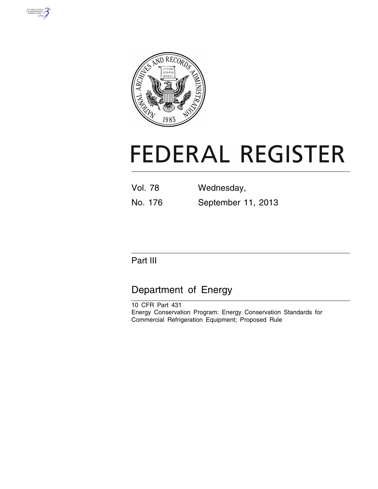



# **FEDERAL REGISTER**

| Vol. 78 | Wednesday,         |
|---------|--------------------|
| No. 176 | September 11, 2013 |

# Part III

# Department of Energy

10 CFR Part 431 Energy Conservation Program: Energy Conservation Standards for Commercial Refrigeration Equipment; Proposed Rule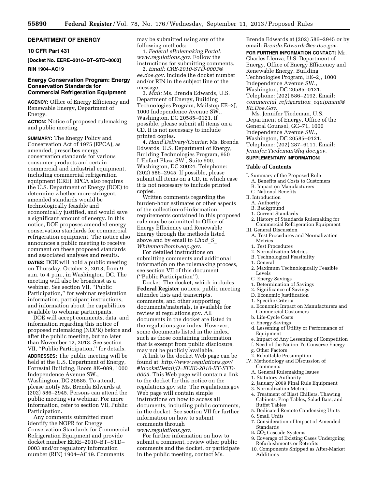## **DEPARTMENT OF ENERGY**

#### **10 CFR Part 431**

**[Docket No. EERE–2010–BT–STD–0003] RIN 1904–AC19** 

#### **Energy Conservation Program: Energy Conservation Standards for Commercial Refrigeration Equipment**

**AGENCY:** Office of Energy Efficiency and Renewable Energy, Department of Energy.

**ACTION:** Notice of proposed rulemaking and public meeting.

**SUMMARY:** The Energy Policy and Conservation Act of 1975 (EPCA), as amended, prescribes energy conservation standards for various consumer products and certain commercial and industrial equipment, including commercial refrigeration equipment (CRE). EPCA also requires the U.S. Department of Energy (DOE) to determine whether more-stringent, amended standards would be technologically feasible and economically justified, and would save a significant amount of energy. In this notice, DOE proposes amended energy conservation standards for commercial refrigeration equipment. The notice also announces a public meeting to receive comment on these proposed standards and associated analyses and results.

**DATES:** DOE will hold a public meeting on Thursday, October 3, 2013, from 9 a.m. to 4 p.m., in Washington, DC. The meeting will also be broadcast as a webinar. See section VII, ''Public Participation,'' for webinar registration information, participant instructions, and information about the capabilities available to webinar participants.

DOE will accept comments, data, and information regarding this notice of proposed rulemaking (NOPR) before and after the public meeting, but no later than November 12, 2013. See section VII, ''Public Participation,'' for details. **ADDRESSES:** The public meeting will be held at the U.S. Department of Energy, Forrestal Building, Room 8E–089, 1000 Independence Avenue SW., Washington, DC 20585. To attend, please notify Ms. Brenda Edwards at (202) 586–2945. Persons can attend the public meeting via webinar. For more information, refer to section VII, Public Participation.

Any comments submitted must identify the NOPR for Energy Conservation Standards for Commercial Refrigeration Equipment and provide docket number EERE–2010–BT–STD– 0003 and/or regulatory information number (RIN) 1904–AC19. Comments

may be submitted using any of the following methods:

1. *Federal eRulemaking Portal: [www.regulations.gov](http://www.regulations.gov)*. Follow the instructions for submitting comments.

2. *Email: [CRE-2010-STD-0003@](mailto:CRE-2010-STD-0003@ee.doe.gov) [ee.doe.gov.](mailto:CRE-2010-STD-0003@ee.doe.gov)* Include the docket number and/or RIN in the subject line of the message.

3. *Mail:* Ms. Brenda Edwards, U.S. Department of Energy, Building Technologies Program, Mailstop EE–2J, 1000 Independence Avenue SW., Washington, DC 20585–0121. If possible, please submit all items on a CD. It is not necessary to include printed copies.

4. *Hand Delivery/Courier:* Ms. Brenda Edwards, U.S. Department of Energy, Building Technologies Program, 950 L'Enfant Plaza SW., Suite 600, Washington, DC 20024. Telephone: (202) 586–2945. If possible, please submit all items on a CD, in which case it is not necessary to include printed copies.

Written comments regarding the burden-hour estimates or other aspects of the collection-of-information requirements contained in this proposed rule may be submitted to Office of Energy Efficiency and Renewable Energy through the methods listed above and by email to *[Chad](mailto:Chad_S_Whiteman@omb.eop.gov)*\_*S*\_ *[Whiteman@omb.eop.gov](mailto:Chad_S_Whiteman@omb.eop.gov)*.

For detailed instructions on submitting comments and additional information on the rulemaking process, see section VII of this document (''Public Participation'').

Docket: The docket, which includes **Federal Register** notices, public meeting attendee lists and transcripts, comments, and other supporting documents/materials, is available for review at regulations.gov. All documents in the docket are listed in the regulations.gov index. However, some documents listed in the index, such as those containing information that is exempt from public disclosure, may not be publicly available.

A link to the docket Web page can be found at: *[http://www.regulations.gov/](http://www.regulations.gov/#!docketDetail;D=EERE-2010-BT-STD-0003) [#!docketDetail;D=EERE-2010-BT-STD-](http://www.regulations.gov/#!docketDetail;D=EERE-2010-BT-STD-0003)[0003](http://www.regulations.gov/#!docketDetail;D=EERE-2010-BT-STD-0003)*. This Web page will contain a link to the docket for this notice on the regulations.gov site. The regulations.gov Web page will contain simple instructions on how to access all documents, including public comments, in the docket. See section VII for further information on how to submit comments through *[www.regulations.gov](http://www.regulations.gov)*.

For further information on how to submit a comment, review other public comments and the docket, or participate in the public meeting, contact Ms.

Brenda Edwards at (202) 586–2945 or by email: *[Brenda.Edwards@ee.doe.gov](mailto:Brenda.Edwards@ee.doe.gov)*.

**FOR FURTHER INFORMATION CONTACT:** Mr. Charles Llenza, U.S. Department of Energy, Office of Energy Efficiency and Renewable Energy, Building Technologies Program, EE–2J, 1000 Independence Avenue SW., Washington, DC 20585–0121. Telephone: (202) 586–2192. Email: *commercial*\_*[refrigeration](mailto:commercial_refrigeration_equipment@EE.Doe.Gov)*\_*equipment@ [EE.Doe.Gov](mailto:commercial_refrigeration_equipment@EE.Doe.Gov)*.

Ms. Jennifer Tiedeman, U.S. Department of Energy, Office of the General Counsel, GC–71, 1000 Independence Avenue SW., Washington, DC 20585–0121. Telephone: (202) 287–6111. Email: *[Jennifer.Tiedeman@hq.doe.gov](mailto:Jennifer.Tiedeman@hq.doe.gov)*.

# **SUPPLEMENTARY INFORMATION:**

#### **Table of Contents**

I. Summary of the Proposed Rule

- A. Benefits and Costs to Customers
- B. Impact on Manufacturers
- C. National Benefits
- II. Introduction
- A. Authority
- B. Background
- 1. Current Standards
- 2. History of Standards Rulemaking for Commercial Refrigeration Equipment

III. General Discussion

- A. Test Procedures and Normalization Metrics
- 1. Test Procedures
- 2. Normalization Metrics
- B. Technological Feasibility
- 1. General
- 2. Maximum Technologically Feasible Levels
- C. Energy Savings
- 1. Determination of Savings
- 2. Significance of Savings
- D. Economic Justification
- 1. Specific Criteria
- a. Economic Impact on Manufacturers and Commercial Customers
- b. Life-Cycle Costs
- c. Energy Savings
- d. Lessening of Utility or Performance of Equipment
- e. Impact of Any Lessening of Competition
- f. Need of the Nation To Conserve Energy
- g. Other Factors
- 2. Rebuttable Presumption
- IV. Methodology and Discussion of **Comments**
- A. General Rulemaking Issues
- 1. Statutory Authority
- 2. January 2009 Final Rule Equipment
- 3. Normalization Metrics
- 4. Treatment of Blast Chillers, Thawing Cabinets, Prep Tables, Salad Bars, and Buffet Tables
- 5. Dedicated Remote Condensing Units
- 6. Small Units
	- 7. Consideration of Impact of Amended Standards
	- 8. CO2 Cascade Systems
	- 9. Coverage of Existing Cases Undergoing Refurbishments or Retrofits
	- 10. Components Shipped as After-Market Additions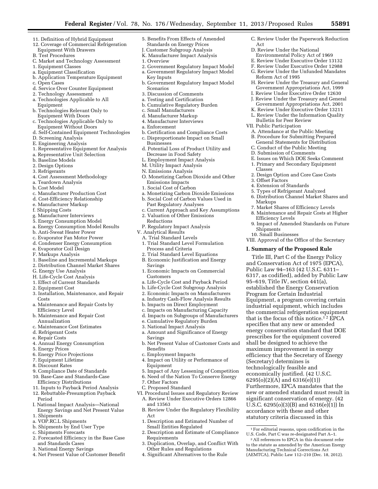- 11. Definition of Hybrid Equipment
- 12. Coverage of Commercial Refrigeration Equipment With Drawers
- B. Test Procedures
- C. Market and Technology Assessment
- 1. Equipment Classes
- a. Equipment Classification
- b. Application Temperature Equipment
- c. Open Cases
- d. Service Over Counter Equipment
- 2. Technology Assessment
- a. Technologies Applicable to All Equipment
- b. Technologies Relevant Only to Equipment With Doors
- c. Technologies Applicable Only to Equipment Without Doors
- d. Self-Contained Equipment Technologies
- D. Screening Analysis
- E. Engineering Analysis
- 1. Representative Equipment for Analysis
- a. Representative Unit Selection
- b. Baseline Models
- 2. Design Options
- 3. Refrigerants
- 4. Cost Assessment Methodology
- a. Teardown Analysis
- b. Cost Model
- c. Manufacturer Production Cost
- d. Cost-Efficiency Relationship
- e. Manufacturer Markup
- f. Shipping Costs
- g. Manufacturer Interviews
- 5. Energy Consumption Model
- a. Energy Consumption Model Results
- b. Anti-Sweat Heater Power
- c. Evaporator Fan Motor Power
- d. Condenser Energy Consumption
- e. Evaporator Coil Design
- F. Markups Analysis
- 1. Baseline and Incremental Markups
- 2. Distribution Channel Market Shares
- G. Energy Use Analysis
- H. Life-Cycle Cost Analysis
- 1. Effect of Current Standards
- 2. Equipment Cost
- 3. Installation, Maintenance, and Repair Costs
- a. Maintenance and Repair Costs by Efficiency Level
- b. Maintenance and Repair Cost Annualization
- c. Maintenance Cost Estimates
- d. Refrigerant Costs
- e. Repair Costs
- 4. Annual Energy Consumption
- 5. Energy Prices
- 6. Energy Price Projections
- 7. Equipment Lifetime
- 8. Discount Rates
- 9. Compliance Date of Standards
- 10. Base-Case and Standards-Case Efficiency Distributions
- 11. Inputs to Payback Period Analysis
- 12. Rebuttable-Presumption Payback
- Period I. National Impact Analysis—National
- Energy Savings and Net Present Value 1. Shipments
- a. VOP.RC.L Shipments
- b. Shipments by End User Type
- c. Shipments Forecasts
- 2. Forecasted Efficiency in the Base Case and Standards Cases
- 3. National Energy Savings
- 4. Net Present Value of Customer Benefit
- 5. Benefits From Effects of Amended Standards on Energy Prices
- **Customer Subgroup Analysis**
- K. Manufacturer Impact Analysis
- 1. Overview
- 2. Government Regulatory Impact Model a. Government Regulatory Impact Model
- Key Inputs b. Government Regulatory Impact Model
- Scenarios
- 3. Discussion of Comments
- a. Testing and Certification
- b. Cumulative Regulatory Burden
- c. Small Manufacturers
- d. Manufacturer Markup
- 4. Manufacturer Interviews
- a. Enforcement
- b. Certification and Compliance Costs
- c. Disproportionate Impact on Small Businesses
- d. Potential Loss of Product Utility and Decrease in Food Safety
- L. Employment Impact Analysis
- M. Utility Impact Analysis
- N. Emissions Analysis
- O. Monetizing Carbon Dioxide and Other Emissions Impacts
- 1. Social Cost of Carbon
- a. Monetizing Carbon Dioxide Emissions
- b. Social Cost of Carbon Values Used in
- Past Regulatory Analyses c. Current Approach and Key Assumptions
- 2. Valuation of Other Emissions Reductions
- P. Regulatory Impact Analysis
- V. Analytical Results
- A. Trial Standard Levels
- 1. Trial Standard Level Formulation
	- Process and Criteria
	- 2. Trial Standard Level Equations
	- B. Economic Justification and Energy Savings
	- 1. Economic Impacts on Commercial Customers a. Life-Cycle Cost and Payback Period

b. Life-Cycle Cost Subgroup Analysis 2. Economic Impacts on Manufacturers a. Industry Cash-Flow Analysis Results b. Impacts on Direct Employment c. Impacts on Manufacturing Capacity d. Impacts on Subgroups of Manufacturers e. Cumulative Regulatory Burden 3. National Impact Analysis

a. Amount and Significance of Energy

4. Impact on Utility or Performance of

b. Net Present Value of Customer Costs and

5. Impact of Any Lessening of Competition 6. Need of the Nation To Conserve Energy

VI. Procedural Issues and Regulatory Review A. Review Under Executive Orders 12866

B. Review Under the Regulatory Flexibility

1. Description and Estimated Number of

2. Description and Estimate of Compliance

3. Duplication, Overlap, and Conflict With

Small Entities Regulated

Other Rules and Regulations 4. Significant Alternatives to the Rule

Savings

Benefits

Equipment

7. Other Factors C. Proposed Standard

and 13563

Requirements

Act

c. Employment Impacts

 $^{\rm 1}$  For editorial reasons, upon codification in the U.S. Code, Part C was re-designated Part A–1. 2All references to EPCA in this document refer to the statute as amended by the American Energy Manufacturing Technical Corrections Act (AEMTCA), Public Law 112–210 (Dec. 18, 2012).

Furthermore, EPCA mandates that the new or amended standard must result in significant conservation of energy. (42 U.S.C. 6295(o)(3)(B) and 6316(e)(1)) In accordance with these and other statutory criteria discussed in this

C. Review Under the Paperwork Reduction

H. Review Under the Treasury and General Government Appropriations Act, 1999 I. Review Under Executive Order 12630 J. Review Under the Treasury and General Government Appropriations Act, 2001 K. Review Under Executive Order 13211 L. Review Under the Information Quality

D. Review Under the National Environmental Policy Act of 1969 E. Review Under Executive Order 13132 F. Review Under Executive Order 12988 G. Review Under the Unfunded Mandates

Reform Act of 1995

Bulletin for Peer Review VII. Public Participation

A. Attendance at the Public Meeting B. Procedure for Submitting Prepared General Statements for Distribution C. Conduct of the Public Meeting D. Submission of Comments

E. Issues on Which DOE Seeks Comment 1. Primary and Secondary Equipment

6. Distribution Channel Market Shares and

9. Impact of Amended Standards on Future

VIII. Approval of the Office of the Secretary **I. Summary of the Proposed Rule**  Title III, Part C of the Energy Policy and Conservation Act of 1975 (EPCA), Public Law 94–163 (42 U.S.C. 6311– 6317, as codified), added by Public Law 95–619, Title IV, section 441(a), established the Energy Conservation Program for Certain Industrial

Equipment, a program covering certain industrial equipment, which includes the commercial refrigeration equipment that is the focus of this notice.<sup>12</sup> EPCA specifies that any new or amended energy conservation standard that DOE prescribes for the equipment covered shall be designed to achieve the maximum improvement in energy efficiency that the Secretary of Energy

2. Design Option and Core Case Costs

7. Market Shares of Efficiency Levels 8. Maintenance and Repair Costs at Higher

Act

Classes

3. Offset Factors 4. Extension of Standards 5. Types of Refrigerant Analyzed

Markups

Shipments 10. Small Businesses

Efficiency Levels

(Secretary) determines is technologically feasible and economically justified. (42 U.S.C. 6295(o)(2)(A) and 6316(e)(1))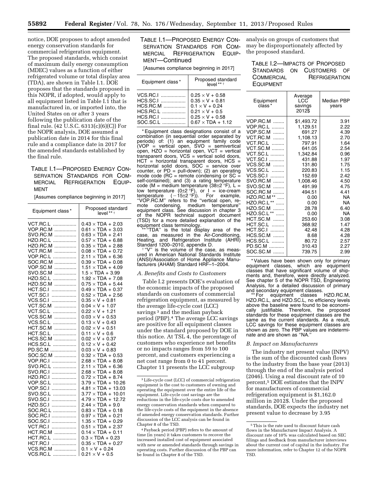notice, DOE proposes to adopt amended energy conservation standards for commercial refrigeration equipment. The proposed standards, which consist of maximum daily energy consumption (MDEC) values as a function of either refrigerated volume or total display area (TDA), are shown in Table I.1. DOE proposes that the standards proposed in this NOPR, if adopted, would apply to all equipment listed in Table I.1 that is manufactured in, or imported into, the United States on or after 3 years following the publication date of the final rule. (42 U.S.C. 6313(c)(6)(C)) For the NOPR analysis, DOE assumed a publication date in 2014 for this final rule and a compliance date in 2017 for the amended standards established by the final rule.

# TABLE I.1—PROPOSED ENERGY CON-SERVATION STANDARDS FOR COM-MERCIAL REFRIGERATION EQUIP-MENT

[Assumes compliance beginning in 2017]

| Equipment class*     | Proposed standard<br>level ** † |
|----------------------|---------------------------------|
| VCT.RC.L             | $0.43 \times TDA + 2.03$        |
| VOP.RC.M             | $0.61 \times TDA + 3.03$        |
| SVO.RC.M             | $0.63 \times TDA + 2.41$        |
| HZO.RC.L             | $0.57 \times TDA + 6.88$        |
|                      | $0.35 \times TDA + 2.88$        |
| HZO.RC.M             |                                 |
| VCT.RC.M             | $0.08 \times TDA + 0.72$        |
| VOP.RC.L             | $2.11 \times TDA + 6.36$        |
| SOC.RC.M             | $0.39 \times TDA + 0.08$        |
| VOP.SC.M<br>.        | $1.51 \times TDA + 4.09$        |
| SVO.SC.M<br>.        | $1.5 \times TDA + 3.99$         |
| HZO.SC.L<br>.        | $1.92 \times TDA + 7.08$        |
| HZO.SC.M<br>.        | $0.75 \times TDA + 5.44$        |
| HCT.SC.I<br>.        | $0.49 \times TDA + 0.37$        |
| VCT.SC.I<br>.        | $0.52 \times TDA + 2.56$        |
| VCS.SC.I<br>.        | $0.35 \times V + 0.81$          |
| VCT.SC.M<br>.        | $0.04 \times V + 1.07$          |
| VCT.SC.L<br>.        | $0.22 \times V + 1.21$          |
| VCS.SC.M<br>.        | $0.03 \times V + 0.53$          |
| VCS.SC.L<br>.        | $0.13 \times V + 0.43$          |
| HCT.SC.M             | $0.02 \times V + 0.51$          |
| .<br><b>HCT.SC.L</b> |                                 |
|                      | $0.11 \times V + 0.6$           |
| HCS.SC.M             | $0.02 \times V + 0.37$          |
| HCS.SC.L             | $0.12 \times V + 0.42$          |
| PD.SC.M              | $0.03 \times V + 0.83$          |
| SOC.SC.M             | $0.32 \times TDA + 0.53$        |
| VOP.RC.I             | $2.68 \times TDA + 8.08$        |
| SVO.RC.L             | $2.11 \times TDA + 6.36$        |
| SVO.RC.I             | $2.68 \times TDA + 8.08$        |
| HZO.RC.I             | $0.72 \times TDA + 8.74$        |
| VOP.SC.L             | $3.79 \times TDA + 10.26$       |
| VOP.SC.I             | $4.81 \times TDA + 13.03$       |
| SVO.SC.L             | $3.77 \times TDA + 10.01$       |
| SVO.SC.I             | $4.79 \times TDA + 12.72$       |
| HZO.SC.I<br>.        | $2.44 \times TDA + 9.0$         |
| SOC.RC.L             | $0.83 \times TDA + 0.18$        |
| SOC.RC.I             | $0.97 \times TDA + 0.21$        |
| SOC.SC.I             | $1.35 \times TDA + 0.29$        |
|                      |                                 |
| VCT.RC.I<br>.        | $0.51 \times TDA + 2.37$        |
| HCT.RC.M             | $0.14 \times TDA + 0.11$        |
| HCT.RC.L             | $0.3 \times$ TDA + 0.23         |
| HCT.RC.I<br>.        | $0.35 \times TDA + 0.27$        |
| VCS.RC.M             | $0.1 \times V + 0.24$           |
| VCS.RC.L<br>.        | $0.21 \times V + 0.5$           |

TABLE I.1—PROPOSED ENERGY CON-SERVATION STANDARDS FOR COM-MERCIAL REFRIGERATION EQUIP-MENT—Continued

[Assumes compliance beginning in 2017]

| Equipment class* | Proposed standard<br>level*** |
|------------------|-------------------------------|
|                  | $0.25 \times V + 0.58$        |
|                  | $0.35 \times V + 0.81$        |
| $HCS.RC.M$       | $0.1 \times V + 0.24$         |
| $HCS.RC.L$       | $0.21 \times V + 0.5$         |
|                  | $0.25 \times V + 0.58$        |
| SOC.SC.L         | $0.67 \times TDA + 1.12$      |

\* Equipment class designations consist of a combination (in sequential order separated by periods) of: (1) an equipment family code (VOP = vertical open, SVO = semivertical open, HZO = horizontal open, VCT = vertical transparent doors, VCS = vertical solid doors, HCT = horizontal transparent doors, HCS = horizontal solid doors,  $SOC =$  service over counter, or  $PD = pull-down$ ; (2) an operating mode code ( $RC =$  remote condensing or  $SC =$ self-contained); and (3) a rating temperature code (M = medium temperature (38±2 °F), L = low temperature  $(0\pm 2$  <sup>o</sup>F), or  $I =$  ice-cream temperature  $(-15\pm2 \text{ }^\circ\text{F}))$ . For example, "VOP.RC.M" refers to the "vertical open, remote condensing, medium temperature'' equipment class. See discussion in chapter 3 of the NOPR technical support document (TSD) for a more detailed explanation of the equipment class terminology. \*\* ''TDA'' is the total display area of the

case, as measured in the Air-Conditioning, Heating, and Refrigeration Institute (AHRI) Standard 1200–2010, appendix D.<br>† "V" is the volume of the case, as meas-

ured in American National Standards Institute (ANSI)/Association of Home Appliance Manufacturers (AHAM) Standard HRF–1–2004.

#### *A. Benefits and Costs to Customers*

Table I.2 presents DOE's evaluation of the economic impacts of the proposed standards on customers of commercial refrigeration equipment, as measured by the average life-cycle cost (LCC) savings<sup>3</sup> and the median payback period (PBP).4 The average LCC savings are positive for all equipment classes under the standard proposed by DOE in this notice. At TSL 4, the percentage of customers who experience net benefits or no impacts ranges from 59 to 100 percent, and customers experiencing a net cost range from 0 to 41 percent. Chapter 11 presents the LCC subgroup

analysis on groups of customers that may be disproportionately affected by the proposed standard.

TABLE I.2—IMPACTS OF PROPOSED STANDARDS ON CUSTOMERS OF COMMERCIAL REFRIGERATION EQUIPMENT

| Equipment<br>class* | Average<br>LCC<br>savings<br>2012\$ | Median PBP<br>vears |
|---------------------|-------------------------------------|---------------------|
| $VOP.RC.M$          | \$1,493.72                          | 3.91                |
| <b>VOP.RC.L </b>    | 1,129.51                            | 2.22                |
| VOP.SC.M            | 691.27                              | 4.39                |
| $VCT$ .RC.M         | 1,108.13                            | 2.70                |
| <b>VCT.RC.L </b>    | 797.91                              | 1.64                |
| <b>VCT.SC.M </b>    | 641.05                              | 2.54                |
| <b>VCT.SC.L </b>    | 1.342.84                            | 0.96                |
| <b>VCT.SC.I </b>    | 431.88                              | 1.97                |
| VCS.SC.M            | 131.80                              | 1.75                |
| VCS.SC.L            | 220.83                              | 1.15                |
| VCS.SC.I            | 152.69                              | 2.42                |
| SVO.RC.M            | 1,008.46                            | 4.50                |
| SVO.SC.M            | 491.99                              | 4.75                |
| SOC.RC.M            | 494.51                              | 4.41                |
| HZO.RC.M **         | 0.00                                | NA                  |
| HZO.RC.L **         | 0.00                                | NA                  |
| HZO.SC.M            | 28.78                               | 6.40                |
| HZO.SC.L **         | 0.00                                | NA                  |
| HCT.SC.M            | 253.60                              | 3.08                |
| HCT.SC.L            | 368.92                              | 1.47                |
| <b>HCT.SC.I </b>    | 42.48                               | 4.28                |
| HCS.SC.M            | 8.68                                | 4.28                |
| HCS.SC.L            | 80.72                               | 2.57                |
| PD.SC.M             | 310.43                              | 2.27                |
| SOC.SC.M            | 739.75                              | 2.99                |

\* Values have been shown only for primary equipment classes, which are equipment classes that have significant volume of shipments and, therefore, were directly analyzed. See chapter 5 of the NOPR TSD, Engineering Analysis, for a detailed discussion of primary and secondary equipment classes. \*\* For equipment classes HZO.RC.M,

HZO.RC.L, and HZO.SC.L, no efficiency levels above the baseline were found to be economically justifiable. Therefore, the proposed standards for these equipment classes are the same as the current standards. As a result, LCC savings for these equipment classes are shown as zero. The PBP values are indeterminate and are shown as ''NA.''

#### *B. Impact on Manufacturers*

The industry net present value (INPV) is the sum of the discounted cash flows to the industry from the base year (2013) through the end of the analysis period (2046). Using a real discount rate of 10 percent,5 DOE estimates that the INPV for manufacturers of commercial refrigeration equipment is \$1,162.0 million in 2012\$. Under the proposed standards, DOE expects the industry net present value to decrease by 3.95

<sup>3</sup>Life-cycle cost (LCC) of commercial refrigeration equipment is the cost to customers of owning and operating the equipment over the entire life of the equipment. Life-cycle cost savings are the reductions in the life-cycle costs due to amended energy conservation standards when compared to the life-cycle costs of the equipment in the absence of amended energy conservation standards. Further discussion of the LCC analysis can be found in Chapter 8 of the TSD.

<sup>4</sup>Payback period (PBP) refers to the amount of time (in years) it takes customers to recover the increased installed cost of equipment associated with new or amended standards through savings in operating costs. Further discussion of the PBP can be found in Chapter 8 of the TSD.

<sup>5</sup>This is the rate used to discount future cash flows in the Manufacturer Impact Analysis. A discount rate of 10% was calculated based on SEC filings and feedback from manufacturer interviews about the current cost of capital in the industry. For more information, refer to Chapter 12 of the NOPR TSD.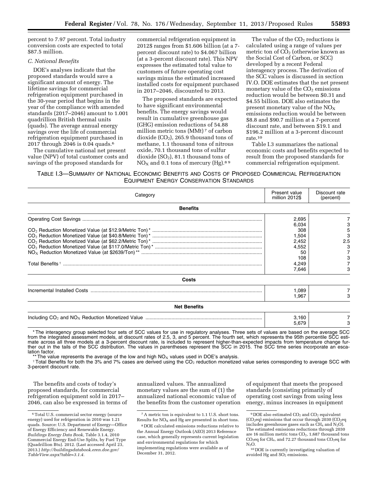percent to 7.97 percent. Total industry conversion costs are expected to total \$87.5 million.

#### *C. National Benefits*

DOE's analyses indicate that the proposed standards would save a significant amount of energy. The lifetime savings for commercial refrigeration equipment purchased in the 30-year period that begins in the year of the compliance with amended standards (2017–2046) amount to 1.001 quadrillion British thermal units (quads). The average annual energy savings over the life of commercial refrigeration equipment purchased in 2017 through 2046 is 0.04 quads.6

The cumulative national net present value (NPV) of total customer costs and savings of the proposed standards for

commercial refrigeration equipment in 2012\$ ranges from \$1.606 billion (at a 7 percent discount rate) to \$4.067 billion (at a 3-percent discount rate). This NPV expresses the estimated total value to customers of future operating cost savings minus the estimated increased installed costs for equipment purchased in 2017–2046, discounted to 2013.

The proposed standards are expected to have significant environmental benefits. The energy savings would result in cumulative greenhouse gas (GHG) emission reductions of 54.88 million metric tons (MMt) 7 of carbon dioxide  $(CO<sub>2</sub>)$ , 265.9 thousand tons of methane, 1.1 thousand tons of nitrous oxide, 70.1 thousand tons of sulfur dioxide  $(SO<sub>2</sub>)$ , 81.1 thousand tons of  $NO<sub>x</sub>$  and 0.1 tons of mercury (Hg).<sup>89</sup>

The value of the  $CO<sub>2</sub>$  reductions is calculated using a range of values per metric ton of  $CO<sub>2</sub>$  (otherwise known as the Social Cost of Carbon, or SCC) developed by a recent Federal interagency process. The derivation of the SCC values is discussed in section IV.O. DOE estimates that the net present monetary value of the  $CO<sub>2</sub>$  emissions reduction would be between \$0.31 and \$4.55 billion. DOE also estimates the present monetary value of the  $NO<sub>x</sub>$ emissions reduction would be between \$8.8 and \$90.7 million at a 7-percent discount rate, and between \$19.1 and \$196.2 million at a 3-percent discount rate.10

Table I.3 summarizes the national economic costs and benefits expected to result from the proposed standards for commercial refrigeration equipment.

TABLE I.3—SUMMARY OF NATIONAL ECONOMIC BENEFITS AND COSTS OF PROPOSED COMMERCIAL REFRIGERATION EQUIPMENT ENERGY CONSERVATION STANDARDS

| Category            | Present value<br>million 2012\$                                                 | Discount rate<br>(percent) |
|---------------------|---------------------------------------------------------------------------------|----------------------------|
| <b>Benefits</b>     |                                                                                 |                            |
|                     | 2,695<br>6,034<br>308<br>1,504<br>2,452<br>4,552<br>50<br>108<br>4,249<br>7,646 | 5<br>3<br>2.5              |
| Costs               |                                                                                 |                            |
|                     | 1,089<br>1.967                                                                  |                            |
| <b>Net Benefits</b> |                                                                                 |                            |
|                     | 3,160<br>5,679                                                                  |                            |

\* The interagency group selected four sets of SCC values for use in regulatory analyses. Three sets of values are based on the average SCC from the integrated assessment models, at discount rates of 2.5, 3, and 5 percent. The fourth set, which represents the 95th percentile SCC estimate across all three models at a 3-percent discount rate, is included to represent higher-than-expected impacts from temperature change further out in the tails of the SCC distribution. The values in parentheses represent the SCC in 2015. The SCC time series incorporate an escalation factor.<br>\*\* The value represents the average of the low and high  $NO_x$  values used in DOE's analysis.

Total Benefits for both the 3% and 7% cases are derived using the CO<sub>2</sub> reduction monetized value series corresponding to average SCC with 3-percent discount rate.

The benefits and costs of today's proposed standards, for commercial refrigeration equipment sold in 2017– 2046, can also be expressed in terms of annualized values. The annualized monetary values are the sum of (1) the annualized national economic value of the benefits from the customer operation

of equipment that meets the proposed standards (consisting primarily of operating cost savings from using less energy, minus increases in equipment

<sup>6</sup>Total U.S. commercial sector energy (source energy) used for refrigeration in 2010 was 1.21 quads. Source: U.S. Department of Energy—Office of Energy Efficiency and Renewable Energy. *Buildings Energy Data Book,* Table 3.1.4, 2010 Commercial Energy End-Use Splits, by Fuel Type (Quadrillion Btu). 2012. (Last accessed April 23, 2013.) *[http://buildingsdatabook.eren.doe.gov/](http://buildingsdatabook.eren.doe.gov/TableView.aspx?table=3.1.4) [TableView.aspx?table=3.1.4.](http://buildingsdatabook.eren.doe.gov/TableView.aspx?table=3.1.4)* 

<sup>7</sup>A metric ton is equivalent to 1.1 U.S. short tons. Results for  $NO<sub>x</sub>$  and Hg are presented in short tons.

<sup>8</sup> DOE calculated emissions reductions relative to the Annual Energy Outlook (AEO) 2013 Reference case, which generally represents current legislation and environmental regulations for which implementing regulations were available as of December 31, 2012.

<sup>&</sup>lt;sup>9</sup> DOE also estimated CO<sub>2</sub> and CO<sub>2</sub> equivalent (CO<sub>2</sub>eq) emissions that occur through 2030 (CO<sub>2</sub>eq includes greenhouse gases such as  $CH_4$  and  $N_2O$ ). The estimated emissions reductions through 2030 are 16 million metric tons  $CO<sub>2</sub>$ , 1,687 thousand tons  $CO<sub>2</sub>$ eq for CH<sub>4</sub>, and 72.27 thousand tons  $CO<sub>2</sub>$ eq for  $N_2O$ .

<sup>10</sup> DOE is currently investigating valuation of avoided Hg and  $SO_2$  emissions.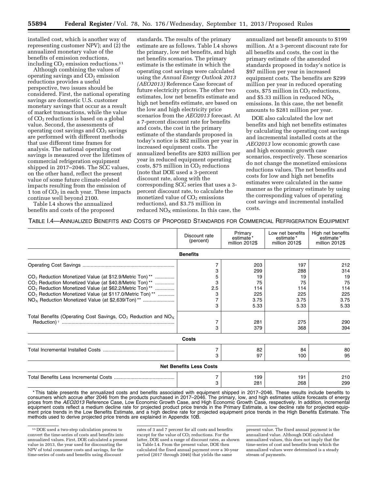installed cost, which is another way of representing customer NPV); and (2) the annualized monetary value of the benefits of emission reductions, including  $CO<sub>2</sub>$  emission reductions.<sup>11</sup>

Although combining the values of operating savings and  $CO<sub>2</sub>$  emission reductions provides a useful perspective, two issues should be considered. First, the national operating savings are domestic U.S. customer monetary savings that occur as a result of market transactions, while the value of CO2 reductions is based on a global value. Second, the assessments of operating cost savings and  $CO<sub>2</sub>$  savings are performed with different methods that use different time frames for analysis. The national operating cost savings is measured over the lifetimes of commercial refrigeration equipment shipped in 2017–2046. The SCC values, on the other hand, reflect the present value of some future climate-related impacts resulting from the emission of 1 ton of  $CO<sub>2</sub>$  in each year. These impacts continue well beyond 2100. Table I.4 shows the annualized

benefits and costs of the proposed

standards. The results of the primary estimate are as follows. Table I.4 shows the primary, low net benefits, and high net benefits scenarios. The primary estimate is the estimate in which the operating cost savings were calculated using the *Annual Energy Outlook 2013 (AEO2013)* Reference Case forecast of future electricity prices. The other two estimates, low net benefits estimate and high net benefits estimate, are based on the low and high electricity price scenarios from the *AEO2013* forecast. At a 7-percent discount rate for benefits and costs, the cost in the primary estimate of the standards proposed in today's notice is \$82 million per year in increased equipment costs. The annualized benefits are \$203 million per year in reduced equipment operating costs,  $$75$  million in  $CO<sub>2</sub>$  reductions (note that DOE used a 3-percent discount rate, along with the corresponding SCC series that uses a 3 percent discount rate, to calculate the monetized value of  $CO<sub>2</sub>$  emissions reductions), and \$3.75 million in reduced  $NO<sub>X</sub>$  emissions. In this case, the

annualized net benefit amounts to \$199 million. At a 3-percent discount rate for all benefits and costs, the cost in the primary estimate of the amended standards proposed in today's notice is \$97 million per year in increased equipment costs. The benefits are \$299 million per year in reduced operating costs,  $$75$  million in  $CO<sub>2</sub>$  reductions, and \$5.33 million in reduced  $NO<sub>x</sub>$ emissions. In this case, the net benefit amounts to \$281 million per year.

DOE also calculated the low net benefits and high net benefits estimates by calculating the operating cost savings and incremental installed costs at the *AEO2013* low economic growth case and high economic growth case scenarios, respectively. These scenarios do not change the monetized emissions reductions values. The net benefits and costs for low and high net benefits estimates were calculated in the same manner as the primary estimate by using the corresponding values of operating cost savings and incremental installed costs.

TABLE I.4—ANNUALIZED BENEFITS AND COSTS OF PROPOSED STANDARDS FOR COMMERCIAL REFRIGERATION EQUIPMENT

|                                                                                 | Discount rate<br>(percent)     | Primary<br>estimate*<br>million 2012\$ | Low net benefits<br>estimate*<br>million 2012\$ | High net benefits<br>estimate*<br>million 2012\$ |
|---------------------------------------------------------------------------------|--------------------------------|----------------------------------------|-------------------------------------------------|--------------------------------------------------|
|                                                                                 | <b>Benefits</b>                |                                        |                                                 |                                                  |
|                                                                                 |                                | 203                                    | 197                                             | 212                                              |
|                                                                                 |                                | 299                                    | 288                                             | 314                                              |
| CO <sub>2</sub> Reduction Monetized Value (at \$12.9/Metric Ton) <sup>**</sup>  |                                | 19                                     | 19                                              | 19                                               |
| CO <sub>2</sub> Reduction Monetized Value (at \$40.8/Metric Ton) <sup>**</sup>  |                                | 75                                     | 75                                              | 75                                               |
| CO <sub>2</sub> Reduction Monetized Value (at \$62.2/Metric Ton) <sup>**</sup>  | 2.5                            | 114                                    | 114                                             | 114                                              |
| CO <sub>2</sub> Reduction Monetized Value (at \$117.0/Metric Ton) <sup>**</sup> | З                              | 225                                    | 225                                             | 225                                              |
| NO <sub>x</sub> Reduction Monetized Value (at \$2,639/Ton) <sup>**</sup>        |                                | 3.75                                   | 3.75                                            | 3.75                                             |
|                                                                                 | з                              | 5.33                                   | 5.33                                            | 5.33                                             |
| Total Benefits (Operating Cost Savings, $CO2$ Reduction and NO <sub>x</sub>     |                                |                                        |                                                 |                                                  |
|                                                                                 |                                | 281                                    | 275                                             | 290                                              |
|                                                                                 | 3                              | 379                                    | 368                                             | 394                                              |
|                                                                                 | Costs                          |                                        |                                                 |                                                  |
|                                                                                 |                                | 82                                     | 84                                              | 80                                               |
|                                                                                 | 3                              | 97                                     | 100                                             | 95                                               |
|                                                                                 | <b>Net Benefits Less Costs</b> |                                        |                                                 |                                                  |
|                                                                                 | 7                              | 199                                    | 191                                             | 210                                              |
|                                                                                 | 3                              | 281                                    | 268                                             | 299                                              |

\* This table presents the annualized costs and benefits associated with equipment shipped in 2017–2046. These results include benefits to consumers which accrue after 2046 from the products purchased in 2017–2046. The primary, low, and high estimates utilize forecasts of energy prices from the *AEO2013* Reference Case, Low Economic Growth Case, and High Economic Growth Case, respectively. In addition, incremental equipment costs reflect a medium decline rate for projected product price trends in the Primary Estimate, a low decline rate for projected equipment price trends in the Low Benefits Estimate, and a high decline rate for projected equipment price trends in the High Benefits Estimate. The methods used to derive projected price trends are explained in Appendix 10B.

rates of 3 and 7 percent for all costs and benefits except for the value of CO<sub>2</sub> reductions. For the latter, DOE used a range of discount rates, as shown in Table I.4. From the present value, DOE then calculated the fixed annual payment over a 30-year period (2017 through 2046) that yields the same

<sup>11</sup> DOE used a two-step calculation process to convert the time-series of costs and benefits into annualized values. First, DOE calculated a present value in 2013, the year used for discounting the NPV of total consumer costs and savings, for the time-series of costs and benefits using discount

present value. The fixed annual payment is the annualized value. Although DOE calculated annualized values, this does not imply that the time-series of cost and benefits from which the annualized values were determined is a steady stream of payments.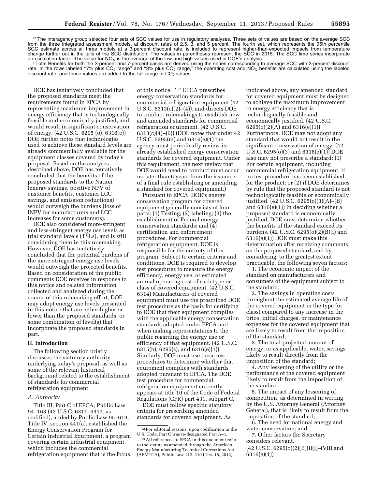\*\* The interagency group selected four sets of SCC values for use in regulatory analyses. Three sets of values are based on the average SCC from the three integrated assessment models, at discount rates of 2.5, 3, and 5 percent. The fourth set, which represents the 95th percentile SCC estimate across all three models at a 3-percent discount rate, is included to represent higher-than-expected impacts from temperature change further out in the tails of the SCC distribution. The values in parentheses represent the SCC in 2015. The SCC time series incorporate an escalation factor. The value for NO<sub>x</sub> is the average of the low and high va

an escalation factor. The value for NO<sub>x</sub> is the average of the low and high values used in DOE's analysis.<br>Total Benefits for both the 3-percent and 7-percent cases are derived using the series corresponding to average S rate. In the rows labeled "7% plus CO<sub>2</sub> range" and "3% plus CO<sub>2</sub> range," the operating cost and NO<sub>X</sub> benefits are calculated using the labeled discount rate, and those values are added to the full range of  $CO<sub>2</sub>$  values.

DOE has tentatively concluded that the proposed standards meet the requirements found in EPCA by representing maximum improvement in energy efficiency that is technologically feasible and economically justified, and would result in significant conservation of energy. (42 U.S.C. 6295 (o), 6316(e)) DOE further notes that technologies used to achieve these standard levels are already commercially available for the equipment classes covered by today's proposal. Based on the analyses described above, DOE has tentatively concluded that the benefits of the proposed standards to the Nation (energy savings, positive NPV of customer benefits, customer LCC savings, and emission reductions) would outweigh the burdens (loss of INPV for manufacturers and LCC increases for some customers).

DOE also considered more-stringent and less-stringent energy use levels as trial standard levels (TSLs), and is still considering them in this rulemaking. However, DOE has tentatively concluded that the potential burdens of the more-stringent energy use levels would outweigh the projected benefits. Based on consideration of the public comments DOE receives in response to this notice and related information collected and analyzed during the course of this rulemaking effort, DOE may adopt energy use levels presented in this notice that are either higher or lower than the proposed standards, or some combination of level(s) that incorporate the proposed standards in part.

#### **II. Introduction**

The following section briefly discusses the statutory authority underlying today's proposal, as well as some of the relevant historical background related to the establishment of standards for commercial refrigeration equipment.

#### *A. Authority*

Title III, Part C of EPCA, Public Law 94–163 (42 U.S.C. 6311–6317, as codified), added by Public Law 95–619, Title IV, section 441(a), established the Energy Conservation Program for Certain Industrial Equipment, a program covering certain industrial equipment, which includes the commercial refrigeration equipment that is the focus

of this notice.12 13 EPCA prescribes energy conservation standards for commercial refrigeration equipment (42 U.S.C. 6313(c)(2)–(4)), and directs DOE to conduct rulemakings to establish new and amended standards for commercial refrigeration equipment. (42 U.S.C.  $6313(c)(4)–(6)$ ) (DOE notes that under 42 U.S.C. 6295(m) and 6316(e)(1) the agency must periodically review its already established energy conservation standards for covered equipment. Under this requirement, the next review that DOE would need to conduct must occur no later than 6 years from the issuance of a final rule establishing or amending a standard for covered equipment.)

Pursuant to EPCA, DOE's energy conservation program for covered equipment generally consists of four parts: (1) Testing; (2) labeling; (3) the establishment of Federal energy conservation standards; and (4) certification and enforcement procedures. For commercial refrigeration equipment, DOE is responsible for the entirety of this program. Subject to certain criteria and conditions, DOE is required to develop test procedures to measure the energy efficiency, energy use, or estimated annual operating cost of each type or class of covered equipment. (42 U.S.C. 6314) Manufacturers of covered equipment must use the prescribed DOE test procedure as the basis for certifying to DOE that their equipment complies with the applicable energy conservation standards adopted under EPCA and when making representations to the public regarding the energy use or efficiency of that equipment. (42 U.S.C. 6315(b), 6295(s), and 6316(e)(1)) Similarly, DOE must use these test procedures to determine whether that equipment complies with standards adopted pursuant to EPCA. The DOE test procedure for commercial refrigeration equipment currently appears at title 10 of the Code of Federal Regulations (CFR) part 431, subpart C.

DOE must follow specific statutory criteria for prescribing amended standards for covered equipment. As

indicated above, any amended standard for covered equipment must be designed to achieve the maximum improvement in energy efficiency that is technologically feasible and economically justified. (42 U.S.C. 6295(o)(2)(A) and 6316(e)(1)) Furthermore, DOE may not adopt any standard that would not result in the significant conservation of energy. (42 U.S.C. 6295(o)(3) and 6316(e)(1)) DOE also may not prescribe a standard: (1) For certain equipment, including commercial refrigeration equipment, if no test procedure has been established for the product; or (2) if DOE determines by rule that the proposed standard is not technologically feasible or economically justified. (42 U.S.C. 6295(o)(3)(A)–(B) and 6316(e)(1)) In deciding whether a proposed standard is economically justified, DOE must determine whether the benefits of the standard exceed its burdens. (42 U.S.C. 6295(o)(2)(B)(i) and 6316(e)(1)) DOE must make this determination after receiving comments on the proposed standard, and by considering, to the greatest extent practicable, the following seven factors:

1. The economic impact of the standard on manufacturers and consumers of the equipment subject to the standard;

2. The savings in operating costs throughout the estimated average life of the covered equipment in the type (or class) compared to any increase in the price, initial charges, or maintenance expenses for the covered equipment that are likely to result from the imposition of the standard;

3. The total projected amount of energy, or as applicable, water, savings likely to result directly from the imposition of the standard;

4. Any lessening of the utility or the performance of the covered equipment likely to result from the imposition of the standard;

5. The impact of any lessening of competition, as determined in writing by the U.S. Attorney General (Attorney General), that is likely to result from the imposition of the standard;

6. The need for national energy and water conservation; and

7. Other factors the Secretary considers relevant.

 $(42 \text{ U.S.C. } 6295(0)(2)(B)(i)(I)–(VII) \text{ and }$ 6316(e)(1))

<sup>12</sup>For editorial reasons, upon codification in the U.S. Code, Part C was re-designated Part A–1.

<sup>13</sup>All references to EPCA in this document refer to the statute as amended through the American Energy Manufacturing Technical Corrections Act (AEMTCA), Public Law 112–210 (Dec. 18, 2012).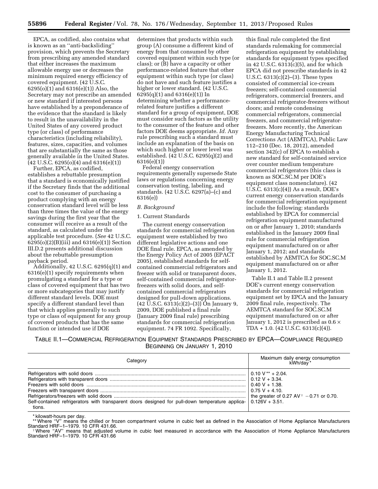EPCA, as codified, also contains what is known as an ''anti-backsliding'' provision, which prevents the Secretary from prescribing any amended standard that either increases the maximum allowable energy use or decreases the minimum required energy efficiency of covered equipment. (42 U.S.C. 6295(o)(1) and 6316(e)(1)) Also, the Secretary may not prescribe an amended or new standard if interested persons have established by a preponderance of the evidence that the standard is likely to result in the unavailability in the United States of any covered product type (or class) of performance characteristics (including reliability), features, sizes, capacities, and volumes that are substantially the same as those generally available in the United States.  $(42 \text{ U.S.C. } 6295(0)(4) \text{ and } 6316(e)(1))$ 

Further, EPCA, as codified, establishes a rebuttable presumption that a standard is economically justified if the Secretary finds that the additional cost to the consumer of purchasing a product complying with an energy conservation standard level will be less than three times the value of the energy savings during the first year that the consumer will receive as a result of the standard, as calculated under the applicable test procedure. (*See* 42 U.S.C. 6295(o)(2)(B)(iii) and 6316(e)(1)) Section III.D.2 presents additional discussion about the rebuttable presumption payback period.

Additionally, 42 U.S.C. 6295(q)(1) and 6316(e)(1) specify requirements when promulgating a standard for a type or class of covered equipment that has two or more subcategories that may justify different standard levels. DOE must specify a different standard level than that which applies generally to such type or class of equipment for any group of covered products that has the same function or intended use if DOE

determines that products within such group (A) consume a different kind of energy from that consumed by other covered equipment within such type (or class); or (B) have a capacity or other performance-related feature that other equipment within such type (or class) do not have and such feature justifies a higher or lower standard. (42 U.S.C. 6295(q)(1) and 6316(e)(1)) In determining whether a performancerelated feature justifies a different standard for a group of equipment, DOE must consider such factors as the utility to the consumer of the feature and other factors DOE deems appropriate. *Id.* Any rule prescribing such a standard must include an explanation of the basis on which such higher or lower level was established. (42 U.S.C. 6295(q)(2) and 6316(e)(1))

Federal energy conservation requirements generally supersede State laws or regulations concerning energy conservation testing, labeling, and standards. (42 U.S.C. 6297(a)–(c) and 6316(e))

# *B. Background*

#### 1. Current Standards

The current energy conservation standards for commercial refrigeration equipment were established by two different legislative actions and one DOE final rule. EPCA, as amended by the Energy Policy Act of 2005 (EPACT 2005), established standards for selfcontained commercial refrigerators and freezer with solid or transparent doors, self-contained commercial refrigeratorfreezers with solid doors, and selfcontained commercial refrigerators designed for pull-down applications. (42 U.S.C. 6313(c)(2)–(3)) On January 9, 2009, DOE published a final rule (January 2009 final rule) prescribing standards for commercial refrigeration equipment. 74 FR 1092. Specifically,

this final rule completed the first standards rulemaking for commercial refrigeration equipment by establishing standards for equipment types specified in 42 U.S.C. 6313(c)(5), and for which EPCA did not prescribe standards in 42 U.S.C. 6313(c)(2)–(3). These types consisted of commercial ice-cream freezers; self-contained commercial refrigerators, commercial freezers, and commercial refrigerator-freezers without doors; and remote condensing commercial refrigerators, commercial freezers, and commercial refrigeratorfreezers. More recently, the American Energy Manufacturing Technical Corrections Act (AEMTCA), Public Law 112–210 (Dec. 18, 2012), amended section 342(c) of EPCA to establish a new standard for self-contained service over counter medium temperature commercial refrigerators (this class is known as SOC.SC.M per DOE's equipment class nomenclature). (42 U.S.C.  $6313(c)(4)$ ) As a result, DOE's current energy conservation standards for commercial refrigeration equipment include the following: standards established by EPCA for commercial refrigeration equipment manufactured on or after January 1, 2010; standards established in the January 2009 final rule for commercial refrigeration equipment manufactured on or after January 1, 2012; and standards established by AEMTCA for SOC.SC.M equipment manufactured on or after January 1, 2012.

Table II.1 and Table II.2 present DOE's current energy conservation standards for commercial refrigeration equipment set by EPCA and the January 2009 final rule, respectively. The AEMTCA standard for SOC.SC.M equipment manufactured on or after January 1, 2012 is prescribed as  $0.6 \times$ TDA + 1.0. (42 U.S.C. 6313(c)(4)).

TABLE II.1—COMMERCIAL REFRIGERATION EQUIPMENT STANDARDS PRESCRIBED BY EPCA—COMPLIANCE REQUIRED BEGINNING ON JANUARY 1, 2010

| Category                                                                                                                         | Maximum daily energy consumption<br>kWh/day*                         |
|----------------------------------------------------------------------------------------------------------------------------------|----------------------------------------------------------------------|
| Self-contained refrigerators with transparent doors designed for pull-down temperature applica- $\vert$ 0.126V + 3.51.<br>tions. | $0.75 V + 4.10$ .<br>the greater of 0.27 AV $\dot{t}$ -0.71 or 0.70. |
|                                                                                                                                  |                                                                      |

\* kilowatt-hours per day.

\*\* Where "V" means the chilled or frozen compartment volume in cubic feet as defined in the Association of Home Appliance Manufacturers<br>Standard HRF-1-1979. 10 CFR 431.66.

Standard HRF–1–1979. 10 CFR 431.66. †Where ''AV'' means that adjusted volume in cubic feet measured in accordance with the Association of Home Appliance Manufacturers Standard HRF-1-1979. 10 CFR 431.66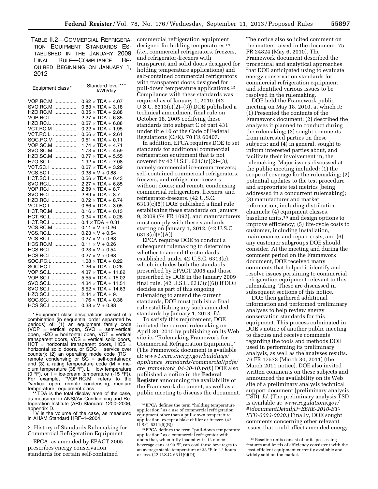TABLE II.2—COMMERCIAL REFRIGERA-TION EQUIPMENT STANDARDS ES-TABLISHED IN THE JANUARY 2009 FINAL RULE—COMPLIANCE RE-QUIRED BEGINNING ON JANUARY 1, 2012

| Equipment class*                                                                                                                                                                                                                                                                                                                                                                                                                                                                                   | Standard level** *<br>kWh/day                                                                                                                                                                                                                                                                                                                                                                                                                                                                                                                                                                                                                                                                                                                                                                                                                       |
|----------------------------------------------------------------------------------------------------------------------------------------------------------------------------------------------------------------------------------------------------------------------------------------------------------------------------------------------------------------------------------------------------------------------------------------------------------------------------------------------------|-----------------------------------------------------------------------------------------------------------------------------------------------------------------------------------------------------------------------------------------------------------------------------------------------------------------------------------------------------------------------------------------------------------------------------------------------------------------------------------------------------------------------------------------------------------------------------------------------------------------------------------------------------------------------------------------------------------------------------------------------------------------------------------------------------------------------------------------------------|
| VOP.RC.M<br>.<br>SVO.RC.M<br>.<br>HZO.RC.M<br><br>VOP.RC.L<br>.<br>HZO.RC.L<br>.<br>VCT.RC.M<br>.<br>VCT.RC.L<br>.<br>SOC.RC.M<br>.<br>VOP.SC.M<br>.<br>SVO.SC.M<br>.<br>HZO.SC.M<br>.<br>HZO.SC.L<br>.<br>VCT.SC.I<br>.<br>VCS.SC.I<br>.<br>HCT.SC.I<br>.<br>SVO.RC.L<br>.<br>VOP.RC.I<br>.<br>SVO.RC.I<br>.<br>HZO.RC.I<br>.<br>VCT.RC.I<br>.<br><b>HCT.RC.M</b><br>HCT.RC.L<br>.<br>HCT.RC.I<br>.<br>VCS.RC.M<br>.<br>VCS.RC.L<br>VCS.RC.I<br>.<br>HCS.RC.M<br>HCS.RC.L<br>HCS.RC.I<br>SOC.RC.L | $0.82 \times TDA + 4.07$<br>$0.83 \times TDA + 3.18$<br>$0.35 \times TDA + 2.88$<br>$2.27 \times TDA + 6.85$<br>$0.57 \times TDA + 6.88$<br>$0.22 \times TDA + 1.95$<br>$0.56 \times TDA + 2.61$<br>$0.51 \times TDA + 0.11$<br>$1.74 \times TDA + 4.71$<br>$1.73 \times TDA + 4.59$<br>$0.77 \times TDA + 5.55$<br>$1.92 \times TDA + 7.08$<br>$0.67 \times TDA + 3.29$<br>$0.38 \times V + 0.88$<br>$0.56 \times TDA + 0.43$<br>$2.27 \times TDA + 6.85$<br>$2.89 \times TDA + 8.7$<br>$2.89 \times TDA + 8.7$<br>$0.72 \times TDA + 8.74$<br>$0.66 \times TDA + 3.05$<br>$0.16 \times TDA + 0.13$<br>$0.34 \times TDA + 0.26$<br>$0.4 \times TDA + 0.31$<br>$0.11 \times V + 0.26$<br>$0.23 \times V + 0.54$<br>$0.27 \times V + 0.63$<br>$0.11 \times V + 0.26$<br>$0.23 \times V + 0.54$<br>$0.27 \times V + 0.63$<br>$1.08 \times TDA + 0.22$ |
| SOC.RC.I<br>VOP.SC.L<br>VOP.SC.I<br>SVO.SC.L<br>SVO.SC.I<br>.<br>HZO.SC.I<br>.<br>SOC.SC.I<br>.<br>HCS.SC.I<br>.                                                                                                                                                                                                                                                                                                                                                                                   | $1.26 \times TDA + 0.26$<br>$4.37 \times TDA + 11.82$<br>$5.55 \times TDA + 15.02$<br>$4.34 \times TDA + 11.51$<br>$5.52 \times TDA + 14.63$<br>$2.44 \times TDA + 9$ .<br>$1.76 \times TDA + 0.36$<br>$0.38 \times V + 0.88$                                                                                                                                                                                                                                                                                                                                                                                                                                                                                                                                                                                                                       |

\* Equipment class designations consist of a combination (in sequential order separated by periods) of: (1) an equipment family code (VOP = vertical open, SVO = semivertical open, HZO = horizontal open, VCT = vertical transparent doors, VCS = vertical solid doors, HCT = horizontal transparent doors, HCS = horizontal solid doors, or SOC = service over counter); (2) an operating mode code (RC = remote condensing or SC = self-contained); and  $(3)$  a rating temperature code  $(M = me$ dium temperature (38 $^{\circ}$ F), L = low temperature (0 °F), or I = ice-cream temperature (-15 °F)). For example, ''VOP.RC.M'' refers to the 'vertical open, remote condensing, medium temperature'' equipment class.

TDA is the total display area of the case, as measured in ANSI/Air-Conditioning and Refrigeration Institute (ARI) Standard 1200–2006,

 $\dagger$  V is the volume of the case, as measured in AHAM Standard HRF–1–2004.

2. History of Standards Rulemaking for Commercial Refrigeration Equipment

EPCA, as amended by EPACT 2005, prescribes energy conservation standards for certain self-contained

commercial refrigeration equipment designed for holding temperatures 14 (*i.e.,* commercial refrigerators, freezers, and refrigerator-freezers with transparent and solid doors designed for holding temperature applications) and self-contained commercial refrigerators with transparent doors designed for pull-down temperature applications.15 Compliance with these standards was required as of January 1, 2010. (42 U.S.C. 6313(c)(2)–(3)) DOE published a technical amendment final rule on October 18, 2005 codifying these standards into subpart C of part 431 under title 10 of the Code of Federal Regulations (CFR). 70 FR 60407.

In addition, EPCA requires DOE to set standards for additional commercial refrigeration equipment that is not covered by 42 U.S.C. 6313(c)(2)–(3), namely commercial ice-cream freezers; self-contained commercial refrigerators, freezers, and refrigerator-freezers without doors; and remote condensing commercial refrigerators, freezers, and refrigerator-freezers. (42 U.S.C. 6313(c)(5)) DOE published a final rule establishing these standards on January 9, 2009 (74 FR 1092), and manufacturers must comply with these standards starting on January 1, 2012. (42 U.S.C. 6313(c)(5)(A))

EPCA requires DOE to conduct a subsequent rulemaking to determine whether to amend the standards established under 42 U.S.C. 6313(c), which includes both the standards prescribed by EPACT 2005 and those prescribed by DOE in the January 2009 final rule. (42 U.S.C. 6313(c)(6)) If DOE decides as part of this ongoing rulemaking to amend the current standards, DOE must publish a final rule establishing any such amended standards by January 1, 2013. *Id.* 

To satisfy this requirement, DOE initiated the current rulemaking on April 30, 2010 by publishing on its Web site its ''Rulemaking Framework for Commercial Refrigeration Equipment.'' (The Framework document is available at: *[www1.eere.energy.gov/buildings/](http://www1.eere.energy.gov/buildings/appliance_standards/commercial/pdfs/cre_framework_04-30-10.pdf) appliance*\_*[standards/commercial/pdfs/](http://www1.eere.energy.gov/buildings/appliance_standards/commercial/pdfs/cre_framework_04-30-10.pdf) cre*\_*framework*\_*[04-30-10.pdf](http://www1.eere.energy.gov/buildings/appliance_standards/commercial/pdfs/cre_framework_04-30-10.pdf)*.) DOE also published a notice in the **Federal Register** announcing the availability of the Framework document, as well as a public meeting to discuss the document.

The notice also solicited comment on the matters raised in the document. 75 FR 24824 (May 6, 2010). The Framework document described the procedural and analytical approaches that DOE anticipated using to evaluate energy conservation standards for commercial refrigeration equipment, and identified various issues to be resolved in the rulemaking.

DOE held the Framework public meeting on May 18, 2010, at which it: (1) Presented the contents of the Framework document; (2) described the analyses it planned to conduct during the rulemaking; (3) sought comments from interested parties on these subjects; and (4) in general, sought to inform interested parties about, and facilitate their involvement in, the rulemaking. Major issues discussed at the public meeting included: (1) the scope of coverage for the rulemaking; (2) potential updates to the test procedure and appropriate test metrics (being addressed in a concurrent rulemaking); (3) manufacturer and market information, including distribution channels; (4) equipment classes, baseline units,16 and design options to improve efficiency; (5) life-cycle costs to customer, including installation, maintenance, and repair costs; and (6) any customer subgroups DOE should consider. At the meeting and during the comment period on the Framework document, DOE received many comments that helped it identify and resolve issues pertaining to commercial refrigeration equipment relevant to this rulemaking. These are discussed in subsequent sections of this notice.

DOE then gathered additional information and performed preliminary analyses to help review energy conservation standards for this equipment. This process culminated in DOE's notice of another public meeting to discuss and receive comments regarding the tools and methods DOE used in performing its preliminary analysis, as well as the analyses results. 76 FR 17573 (March 30, 2011) (the March 2011 notice). DOE also invited written comments on these subjects and announced the availability on its Web site of a preliminary analysis technical support document (preliminary analysis TSD). *Id.* (The preliminary analysis TSD is available at: *[www.regulations.gov/](http://www.regulations.gov/#!documentDetail;D=EERE-2010-BT-STD-0003-0030) [#!documentDetail;D=EERE-2010-BT-](http://www.regulations.gov/#!documentDetail;D=EERE-2010-BT-STD-0003-0030)[STD-0003-0030.](http://www.regulations.gov/#!documentDetail;D=EERE-2010-BT-STD-0003-0030)*) Finally, DOE sought comments concerning other relevant issues that could affect amended energy

<sup>14</sup>EPCA defines the term ''holding temperature application'' as a use of commercial refrigeration equipment other than a pull-down temperature application, except a blast chiller or freezer. (42 U.S.C. 6311(9)(B))

<sup>15</sup>EPCA defines the term ''pull-down temperature application'' as a commercial refrigerator with doors that, when fully loaded with 12 ounce beverage cans at 90  $\overline{P}$ , can cool those beverages to an average stable temperature of 38 °F in 12 hours or less. (42 U.S.C. 6311(9)(D))

<sup>&</sup>lt;sup>16</sup> Baseline units consist of units possessing features and levels of efficiency consistent with the least-efficient equipment currently available and widely sold on the market.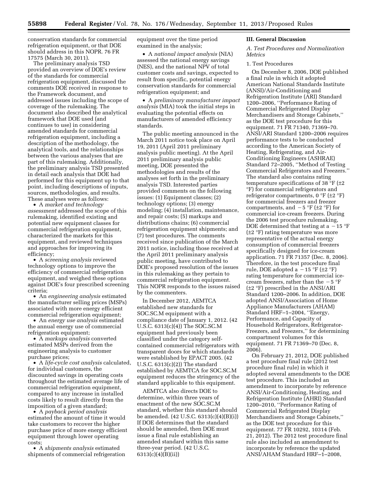conservation standards for commercial refrigeration equipment, or that DOE should address in this NOPR. 76 FR 17575 (March 30, 2011).

The preliminary analysis TSD provided an overview of DOE's review of the standards for commercial refrigeration equipment, discussed the comments DOE received in response to the Framework document, and addressed issues including the scope of coverage of the rulemaking. The document also described the analytical framework that DOE used (and continues to use) in considering amended standards for commercial refrigeration equipment, including a description of the methodology, the analytical tools, and the relationships between the various analyses that are part of this rulemaking. Additionally, the preliminary analysis TSD presented in detail each analysis that DOE had performed for this equipment up to that point, including descriptions of inputs, sources, methodologies, and results. These analyses were as follows:

• A *market and technology assessment* addressed the scope of this rulemaking, identified existing and potential new equipment classes for commercial refrigeration equipment, characterized the markets for this equipment, and reviewed techniques and approaches for improving its efficiency;

• A *screening analysis* reviewed technology options to improve the efficiency of commercial refrigeration equipment, and weighed these options against DOE's four prescribed screening criteria;

• An *engineering analysis* estimated the manufacturer selling prices (MSPs) associated with more energy efficient commercial refrigeration equipment;

• An *energy use analysis* estimated the annual energy use of commercial refrigeration equipment;

• A *markups analysis* converted estimated MSPs derived from the engineering analysis to customer purchase prices;

• A *life-cycle cost analysis* calculated, for individual customers, the discounted savings in operating costs throughout the estimated average life of commercial refrigeration equipment, compared to any increase in installed costs likely to result directly from the imposition of a given standard;

• A *payback period analysis*  estimated the amount of time it would take customers to recover the higher purchase price of more energy efficient equipment through lower operating costs;

• A *shipments analysis* estimated shipments of commercial refrigeration equipment over the time period examined in the analysis;

• A *national impact analysis* (NIA) assessed the national energy savings (NES), and the national NPV of total customer costs and savings, expected to result from specific, potential energy conservation standards for commercial refrigeration equipment; and

• A *preliminary manufacturer impact analysis* (MIA) took the initial steps in evaluating the potential effects on manufacturers of amended efficiency standards.

The public meeting announced in the March 2011 notice took place on April 19, 2011 (April 2011 preliminary analysis public meeting). At the April 2011 preliminary analysis public meeting, DOE presented the methodologies and results of the analyses set forth in the preliminary analysis TSD. Interested parties provided comments on the following issues: (1) Equipment classes; (2) technology options; (3) energy modeling; (4) installation, maintenance, and repair costs; (5) markups and distributions chains; (6) commercial refrigeration equipment shipments; and (7) test procedures. The comments received since publication of the March 2011 notice, including those received at the April 2011 preliminary analysis public meeting, have contributed to DOE's proposed resolution of the issues in this rulemaking as they pertain to commercial refrigeration equipment. This NOPR responds to the issues raised by the commenters.

In December 2012, AEMTCA established new standards for SOC.SC.M equipment with a compliance date of January 1, 2012. (42 U.S.C. 6313(c)(4)) The SOC.SC.M equipment had previously been classified under the category selfcontained commercial refrigerators with transparent doors for which standards were established by EPACT 2005. (42 U.S.C. 6313(c)(2)) The standard established by AEMTCA for SOC.SC.M equipment reduces the stringency of the standard applicable to this equipment.

AEMTCA also directs DOE to determine, within three years of enactment of the new SOC.SC.M standard, whether this standard should be amended. (42 U.S.C. 6313(c)(4)(B)(i)) If DOE determines that the standard should be amended, then DOE must issue a final rule establishing an amended standard within this same three-year period. (42 U.S.C. 6313(c)(4)(B)(ii))

#### **III. General Discussion**

*A. Test Procedures and Normalization Metrics* 

#### 1. Test Procedures

On December 8, 2006, DOE published a final rule in which it adopted American National Standards Institute (ANSI)/Air-Conditioning and Refrigeration Institute (ARI) Standard 1200–2006, ''Performance Rating of Commercial Refrigerated Display Merchandisers and Storage Cabinets,'' as the DOE test procedure for this equipment. 71 FR 71340, 71369–70. ANSI/ARI Standard 1200–2006 requires performance tests to be conducted according to the American Society of Heating, Refrigerating, and Air-Conditioning Engineers (ASHRAE) Standard 72–2005, ''Method of Testing Commercial Refrigerators and Freezers.'' The standard also contains rating temperature specifications of 38  $\,^{\circ}$ F (±2 °F) for commercial refrigerators and refrigerator compartments, 0 °F (±2 °F) for commercial freezers and freezer compartments, and  $-5 \text{ }^{\circ}F$  ( $\pm 2 \text{ }^{\circ}F$ ) for commercial ice-cream freezers. During the 2006 test procedure rulemaking, DOE determined that testing at a  $-15$  °F (±2 °F) rating temperature was more representative of the actual energy consumption of commercial freezers specifically designed for ice-cream application. 71 FR 71357 (Dec. 8, 2006). Therefore, in the test procedure final rule, DOE adopted a  $-15$  °F ( $\pm 2$  °F) rating temperature for commercial icecream freezers, rather than the  $-5$  °F (±2 °F) prescribed in the ANSI/ARI Standard 1200–2006. In addition, DOE adopted ANSI/Association of Home Appliance Manufacturers (AHAM) Standard HRF–1–2004, ''Energy, Performance, and Capacity of Household Refrigerators, Refrigerator-Freezers, and Freezers,'' for determining compartment volumes for this equipment. 71 FR 71369–70 (Dec. 8, 2006).

On February 21, 2012, DOE published a test procedure final rule (2012 test procedure final rule) in which it adopted several amendments to the DOE test procedure. This included an amendment to incorporate by reference ANSI/Air-Conditioning, Heating, and Refrigeration Institute (AHRI) Standard 1200–2010, ''Performance Rating of Commercial Refrigerated Display Merchandisers and Storage Cabinets,'' as the DOE test procedure for this equipment. 77 FR 10292, 10314 (Feb. 21, 2012). The 2012 test procedure final rule also included an amendment to incorporate by reference the updated ANSI/AHAM Standard HRF–1–2008,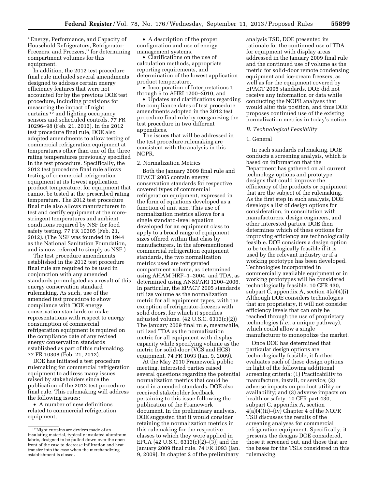''Energy, Performance, and Capacity of Household Refrigerators, Refrigerator-Freezers, and Freezers,'' for determining compartment volumes for this equipment.

In addition, the 2012 test procedure final rule included several amendments designed to address certain energy efficiency features that were not accounted for by the previous DOE test procedure, including provisions for measuring the impact of night curtains 17 and lighting occupancy sensors and scheduled controls. 77 FR 10296–98 (Feb. 21, 2012). In the 2012 test procedure final rule, DOE also adopted amendments to allow testing of commercial refrigeration equipment at temperatures other than one of the three rating temperatures previously specified in the test procedure. Specifically, the 2012 test procedure final rule allows testing of commercial refrigeration equipment at its lowest application product temperature, for equipment that cannot be tested at the prescribed rating temperature. The 2012 test procedure final rule also allows manufacturers to test and certify equipment at the morestringent temperatures and ambient conditions required by NSF for food safety testing. 77 FR 10305 (Feb. 21, 2012). (The NSF was founded in 1944 as the National Sanitation Foundation, and is now referred to simply as NSF.)

The test procedure amendments established in the 2012 test procedure final rule are required to be used in conjunction with any amended standards promulgated as a result of this energy conservation standard rulemaking. As such, use of the amended test procedure to show compliance with DOE energy conservation standards or make representations with respect to energy consumption of commercial refrigeration equipment is required on the compliance date of any revised energy conservation standards established as part of this rulemaking. 77 FR 10308 (Feb. 21, 2012).

DOE has initiated a test procedure rulemaking for commercial refrigeration equipment to address many issues raised by stakeholders since the publication of the 2012 test procedure final rule. This rulemaking will address the following issues:

• A number of new definitions related to commercial refrigeration equipment,

• A description of the proper configuration and use of energy management systems,

• Clarifications on the use of calculation methods, appropriate reporting requirements, and determination of the lowest application product temperature,

• Incorporation of Interpretations 1 through 5 to AHRI 1200–2010, and

• Updates and clarifications regarding the compliance dates of test procedure amendments adopted in the 2012 test procedure final rule by reorganizing the test procedure in two different appendices.

The issues that will be addressed in the test procedure rulemaking are consistent with the analysis in this NOPR.

#### 2. Normalization Metrics

Both the January 2009 final rule and EPACT 2005 contain energy conservation standards for respective covered types of commercial refrigeration equipment, expressed in the form of equations developed as a function of unit size. This use of normalization metrics allows for a single standard-level equation developed for an equipment class to apply to a broad range of equipment sizes offered within that class by manufacturers. In the aforementioned commercial refrigeration equipment standards, the two normalization metrics used are refrigerated compartment volume, as determined using AHAM HRF–1–2004, and TDA, as determined using ANSI/ARI 1200–2006. In particular, the EPACT 2005 standards utilize volume as the normalization metric for all equipment types, with the exception of refrigerator-freezers with solid doors, for which it specifies adjusted volume. (42 U.S.C. 6313(c)(2)) The January 2009 final rule, meanwhile, utilized TDA as the normalization metric for all equipment with display capacity while specifying volume as the metric for solid-door (VCS and HCS) equipment. 74 FR 1093 (Jan. 9, 2009).

At the May 2010 Framework public meeting, interested parties raised several questions regarding the potential normalization metrics that could be used in amended standards. DOE also received stakeholder feedback pertaining to this issue following the publication of the Framework document. In the preliminary analysis, DOE suggested that it would consider retaining the normalization metrics in this rulemaking for the respective classes to which they were applied in EPCA (42 U.S.C. 6313(c)(2)–(3)) and the January 2009 final rule. 74 FR 1093 (Jan. 9, 2009). In chapter 2 of the preliminary

analysis TSD, DOE presented its rationale for the continued use of TDA for equipment with display areas addressed in the January 2009 final rule and the continued use of volume as the metric for solid-door remote condensing equipment and ice-cream freezers, as well as for the equipment covered by EPACT 2005 standards. DOE did not receive any information or data while conducting the NOPR analyses that would alter this position, and thus DOE proposes continued use of the existing normalization metrics in today's notice.

#### *B. Technological Feasibility*

#### 1. General

In each standards rulemaking, DOE conducts a screening analysis, which is based on information that the Department has gathered on all current technology options and prototype designs that could improve the efficiency of the products or equipment that are the subject of the rulemaking. As the first step in such analysis, DOE develops a list of design options for consideration, in consultation with manufacturers, design engineers, and other interested parties. DOE then determines which of these options for improving efficiency are technologically feasible. DOE considers a design option to be technologically feasible if it is used by the relevant industry or if a working prototype has been developed. Technologies incorporated in commercially available equipment or in working prototypes will be considered technologically feasible. 10 CFR 430, subpart C, appendix A, section 4(a)(4)(i) Although DOE considers technologies that are proprietary, it will not consider efficiency levels that can only be reached through the use of proprietary technologies (*i.e.,* a unique pathway), which could allow a single manufacturer to monopolize the market.

Once DOE has determined that particular design options are technologically feasible, it further evaluates each of these design options in light of the following additional screening criteria: (1) Practicability to manufacture, install, or service; (2) adverse impacts on product utility or availability; and (3) adverse impacts on health or safety. 10 CFR part 430, subpart C, appendix A, section  $4(a)(i)(ii)$ – $(iv)$  Chapter 4 of the NOPR TSD discusses the results of the screening analyses for commercial refrigeration equipment. Specifically, it presents the designs DOE considered, those it screened out, and those that are the bases for the TSLs considered in this rulemaking.

<sup>17</sup>Night curtains are devices made of an insulating material, typically insulated aluminum fabric, designed to be pulled down over the open front of the case to decrease infiltration and heat transfer into the case when the merchandizing establishment is closed.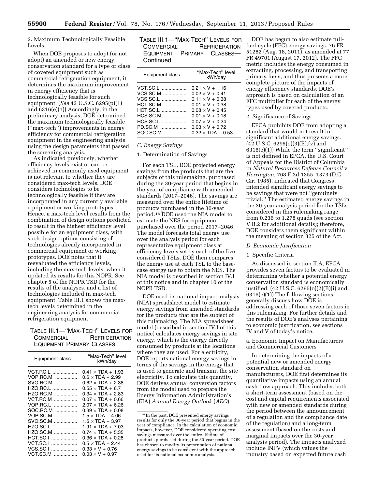2. Maximum Technologically Feasible Levels

When DOE proposes to adopt (or not adopt) an amended or new energy conservation standard for a type or class of covered equipment such as commercial refrigeration equipment, it determines the maximum improvement in energy efficiency that is technologically feasible for such equipment. (*See* 42 U.S.C. 6295(p)(1) and 6316(e)(1)) Accordingly, in the preliminary analysis, DOE determined the maximum technologically feasible (''max-tech'') improvements in energy efficiency for commercial refrigeration equipment in the engineering analysis using the design parameters that passed the screening analysis.

As indicated previously, whether efficiency levels exist or can be achieved in commonly used equipment is not relevant to whether they are considered max-tech levels. DOE considers technologies to be technologically feasible if they are incorporated in any currently available equipment or working prototypes. Hence, a max-tech level results from the combination of design options predicted to result in the highest efficiency level possible for an equipment class, with such design options consisting of technologies already incorporated in commercial equipment or working prototypes. DOE notes that it reevaluated the efficiency levels, including the max-tech levels, when it updated its results for this NOPR. See chapter 5 of the NOPR TSD for the results of the analyses, and a list of technologies included in max-tech equipment. Table III.1 shows the maxtech levels determined in the engineering analysis for commercial refrigeration equipment.

# TABLE III.1—''MAX-TECH'' LEVELS FOR COMMERCIAL REFRIGERATION EQUIPMENT PRIMARY CLASSES

| Equipment class | "Max-Tech" level<br>kWh/day |
|-----------------|-----------------------------|
| VCT.RC.L<br>.   | $0.41 \times TDA + 1.93$    |
| VOP.RC.M<br>.   | $0.6 \times TDA + 2.99$     |
| SVO.RC.M<br>.   | $0.62 \times TDA + 2.38$    |
| HZO.RC.L<br>.   | $0.55 \times TDA + 6.7$     |
| HZO RC M<br>.   | $0.34 \times$ TDA + 2.83    |
| VCT RC M<br>.   | $0.07 \times TDA + 0.66$    |
| VOP RC L<br>.   | $2.07 \times TDA + 6.26$    |
| SOC RC M<br>.   | $0.39 \times TDA + 0.08$    |
| VOP.SC.M<br>.   | $1.5 \times TDA + 4.06$     |
| SVO.SC.M<br>    | $1.5 \times TDA + 3.97$     |
| HZO.SC.L        | $1.91 \times TDA + 7.03$    |
| HZO.SC.M        | $0.74 \times TDA + 5.35$    |
| HCT.SC.I<br>.   | $0.36 \times TDA + 0.28$    |
| VCT.SC.I<br>.   | $0.5 \times TDA + 2.44$     |
| VCS.SC.I<br>.   | $0.33 \times V + 0.76$      |
| VCT.SC.M        | $0.03 \times V + 0.97$      |

| Table III.1—"Max-Tech" Levels for |                      |
|-----------------------------------|----------------------|
| <b>COMMERCIAL</b>                 | <b>REFRIGERATION</b> |
| EQUIPMENT PRIMARY CLASSES-        |                      |
| Continued                         |                      |

| Equipment class | "Max-Tech" level<br>kWh/day |
|-----------------|-----------------------------|
| VCT.SC.L        | $0.21 \times V + 1.16$      |
| VCS.SC.M        | $0.02 \times V + 0.41$      |
| VCS.SC.L        | $0.11 \times V + 0.38$      |
| $HCT.SC.M$      | $0.01 \times V + 0.38$      |
| <b>HCT.SC.L</b> | $0.08 \times V + 0.45$      |
| HCS.SC.M        | $0.01 \times V + 0.18$      |
| HCS.SC.L        | $0.07 \times V + 0.24$      |
| PD.SC.M         | $0.03 \times V + 0.72$      |
| SOC.SC.M        | $0.32 \times TDA + 0.53$    |

#### *C. Energy Savings*

#### 1. Determination of Savings

For each TSL, DOE projected energy savings from the products that are the subjects of this rulemaking, purchased during the 30-year period that begins in the year of compliance with amended standards (2017–2046). The savings are measured over the entire lifetime of products purchased in the 30-year period.18 DOE used the NIA model to estimate the NES for equipment purchased over the period 2017–2046. The model forecasts total energy use over the analysis period for each representative equipment class at efficiency levels set by each of the five considered TSLs. DOE then compares the energy use at each TSL to the basecase energy use to obtain the NES. The NIA model is described in section IV.I of this notice and in chapter 10 of the NOPR TSD.

DOE used its national impact analysis (NIA) spreadsheet model to estimate energy savings from amended standards for the products that are the subject of this rulemaking. The NIA spreadsheet model (described in section IV.I of this notice) calculates energy savings in site energy, which is the energy directly consumed by products at the locations where they are used. For electricity, DOE reports national energy savings in terms of the savings in the energy that is used to generate and transmit the site electricity. To calculate this quantity, DOE derives annual conversion factors from the model used to prepare the Energy Information Administration's (EIA) *Annual Energy Outlook* (*AEO*).

DOE has begun to also estimate fullfuel-cycle (FFC) energy savings. 76 FR 51282 (Aug. 18, 2011), as amended at 77 FR 49701 (August 17, 2012). The FFC metric includes the energy consumed in extracting, processing, and transporting primary fuels, and thus presents a more complete picture of the impacts of energy efficiency standards. DOE's approach is based on calculation of an FFC multiplier for each of the energy types used by covered products.

#### 2. Significance of Savings

EPCA prohibits DOE from adopting a standard that would not result in significant additional energy savings.  $(42 \text{ U.S.C. } 6295(0)(3)(B),(v)$  and 6316(e)(1)) While the term ''significant'' is not defined in EPCA, the U.S. Court of Appeals for the District of Columbia in *Natural Resources Defense Council* v. *Herrington,* 768 F.2d 1355, 1373 (D.C. Cir. 1985), indicated that Congress intended significant energy savings to be savings that were not ''genuinely trivial.'' The estimated energy savings in the 30-year analysis period for the TSLs considered in this rulemaking range from 0.236 to 1.278 quads (see section V.B.2 for additional details); therefore, DOE considers them significant within the meaning of section 325 of the Act.

#### *D. Economic Justification*

#### 1. Specific Criteria

As discussed in section II.A, EPCA provides seven factors to be evaluated in determining whether a potential energy conservation standard is economically justified. (42 U.S.C. 6295(o)(2)(B)(i) and 6316(e)(1)) The following sections generally discuss how DOE is addressing each of those seven factors in this rulemaking. For further details and the results of DOE's analyses pertaining to economic justification, see sections IV and V of today's notice.

a. Economic Impact on Manufacturers and Commercial Customers

In determining the impacts of a potential new or amended energy conservation standard on manufacturers, DOE first determines its quantitative impacts using an annual cash flow approach. This includes both a short-term assessment (based on the cost and capital requirements associated with new or amended standards during the period between the announcement of a regulation and the compliance date of the regulation) and a long-term assessment (based on the costs and marginal impacts over the 30-year analysis period). The impacts analyzed include INPV (which values the industry based on expected future cash

<sup>18</sup> In the past, DOE presented energy savings results for only the 30-year period that begins in the year of compliance. In the calculation of economic impacts, however, DOE considered operating cost savings measured over the entire lifetime of products purchased during the 30-year period. DOE has chosen to modify its presentation of national energy savings to be consistent with the approach used for its national economic analysis.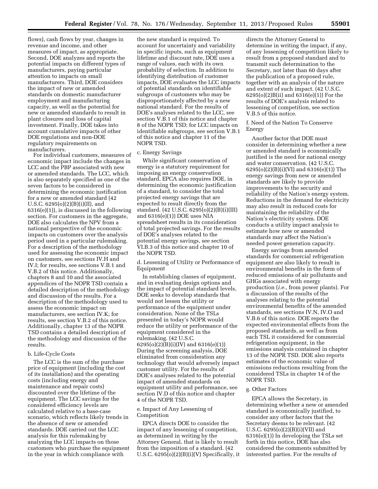flows), cash flows by year, changes in revenue and income, and other measures of impact, as appropriate. Second, DOE analyzes and reports the potential impacts on different types of manufacturers, paying particular attention to impacts on small manufacturers. Third, DOE considers the impact of new or amended standards on domestic manufacturer employment and manufacturing capacity, as well as the potential for new or amended standards to result in plant closures and loss of capital investment. Finally, DOE takes into account cumulative impacts of other DOE regulations and non-DOE regulatory requirements on manufacturers.

For individual customers, measures of economic impact include the changes in LCC and the PBP associated with new or amended standards. The LCC, which is also separately specified as one of the seven factors to be considered in determining the economic justification for a new or amended standard (42 U.S.C. 6295(o)(2)(B)(i)(II), and 6316(e)(1)), is discussed in the following section. For customers in the aggregate, DOE also calculates the NPV from a national perspective of the economic impacts on customers over the analysis period used in a particular rulemaking. For a description of the methodology used for assessing the economic impact on customers, see sections IV.H and IV.I; for results, see sections V.B.1 and V.B.2 of this notice. Additionally, chapters 8 and 10 and the associated appendices of the NOPR TSD contain a detailed description of the methodology and discussion of the results. For a description of the methodology used to assess the economic impact on manufacturers, see section IV.K; for results, see section V.B.2 of this notice. Additionally, chapter 13 of the NOPR TSD contains a detailed description of the methodology and discussion of the results.

#### b. Life-Cycle Costs

The LCC is the sum of the purchase price of equipment (including the cost of its installation) and the operating costs (including energy and maintenance and repair costs) discounted over the lifetime of the equipment. The LCC savings for the considered efficiency levels are calculated relative to a base-case scenario, which reflects likely trends in the absence of new or amended standards. DOE carried out the LCC analysis for this rulemaking by analyzing the LCC impacts on those customers who purchase the equipment in the year in which compliance with

the new standard is required. To account for uncertainty and variability in specific inputs, such as equipment lifetime and discount rate, DOE uses a range of values, each with its own probability of selection. In addition to identifying distribution of customer impacts, DOE evaluates the LCC impacts of potential standards on identifiable subgroups of customers who may be disproportionately affected by a new national standard. For the results of DOE's analyses related to the LCC, see section V.B.1 of this notice and chapter 8 of the NOPR TSD; for LCC impacts on identifiable subgroups, see section V.B.1 of this notice and chapter 11 of the NOPR TSD.

#### c. Energy Savings

While significant conservation of energy is a statutory requirement for imposing an energy conservation standard, EPCA also requires DOE, in determining the economic justification of a standard, to consider the total projected energy savings that are expected to result directly from the standard. (42 U.S.C. 6295(o)(2)(B)(i)(III) and 6316(e)(1)) DOE uses NIA spreadsheet results in its consideration of total projected savings. For the results of DOE's analyses related to the potential energy savings, see section VI.B.3 of this notice and chapter 10 of the NOPR TSD.

d. Lessening of Utility or Performance of Equipment

In establishing classes of equipment, and in evaluating design options and the impact of potential standard levels, DOE seeks to develop standards that would not lessen the utility or performance of the equipment under consideration. None of the TSLs presented in today's NOPR would reduce the utility or performance of the equipment considered in the rulemaking. (42 U.S.C. 6295(o)(2)(B)(i)(IV) and 6316(e)(1)) During the screening analysis, DOE eliminated from consideration any technology that would adversely impact customer utility. For the results of DOE's analyses related to the potential impact of amended standards on equipment utility and performance, see section IV.D of this notice and chapter 4 of the NOPR TSD.

#### e. Impact of Any Lessening of Competition

EPCA directs DOE to consider the impact of any lessening of competition, as determined in writing by the Attorney General, that is likely to result from the imposition of a standard. (42 U.S.C.  $6295(o)(2)(B)(i)(V)$  Specifically, it

directs the Attorney General to determine in writing the impact, if any, of any lessening of competition likely to result from a proposed standard and to transmit such determination to the Secretary, not later than 60 days after the publication of a proposed rule, together with an analysis of the nature and extent of such impact. (42 U.S.C. 6295(o)(2)B(ii) and 6316(e)(1)) For the results of DOE's analysis related to lessening of competition, see section V.B.5 of this notice.

f. Need of the Nation To Conserve Energy

Another factor that DOE must consider in determining whether a new or amended standard is economically justified is the need for national energy and water conservation. (42 U.S.C. 6295(o)(2)(B)(i)(VI) and 6316(e)(1)) The energy savings from new or amended standards are likely to provide improvements to the security and reliability of the Nation's energy system. Reductions in the demand for electricity may also result in reduced costs for maintaining the reliability of the Nation's electricity system. DOE conducts a utility impact analysis to estimate how new or amended standards may affect the Nation's needed power generation capacity.

Energy savings from amended standards for commercial refrigeration equipment are also likely to result in environmental benefits in the form of reduced emissions of air pollutants and GHGs associated with energy production (*i.e.,* from power plants). For a discussion of the results of the analyses relating to the potential environmental benefits of the amended standards, see sections IV.N, IV.O and V.B.6 of this notice. DOE reports the expected environmental effects from the proposed standards, as well as from each TSL it considered for commercial refrigeration equipment, in the emissions analysis contained in chapter 13 of the NOPR TSD. DOE also reports estimates of the economic value of emissions reductions resulting from the considered TSLs in chapter 14 of the NOPR TSD.

#### g. Other Factors

EPCA allows the Secretary, in determining whether a new or amended standard is economically justified, to consider any other factors that the Secretary deems to be relevant. (42 U.S.C. 6295(o)(2)(B)(i)(VII) and 6316(e)(1)) In developing the TSLs set forth in this notice, DOE has also considered the comments submitted by interested parties. For the results of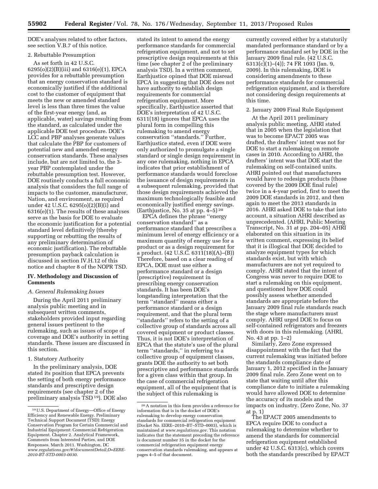DOE's analyses related to other factors, see section V.B.7 of this notice.

#### 2. Rebuttable Presumption

As set forth in 42 U.S.C. 6295(o)(2)(B)(iii) and 6316(e)(1), EPCA provides for a rebuttable presumption that an energy conservation standard is economically justified if the additional cost to the customer of equipment that meets the new or amended standard level is less than three times the value of the first-year energy (and, as applicable, water) savings resulting from the standard, as calculated under the applicable DOE test procedure. DOE's LCC and PBP analyses generate values that calculate the PBP for customers of potential new and amended energy conservation standards. These analyses include, but are not limited to, the 3 year PBP contemplated under the rebuttable presumption test. However, DOE routinely conducts a full economic analysis that considers the full range of impacts to the customer, manufacturer, Nation, and environment, as required under 42 U.S.C. 6295(o)(2)(B)(i) and 6316(e)(1). The results of these analyses serve as the basis for DOE to evaluate the economic justification for a potential standard level definitively (thereby supporting or rebutting the results of any preliminary determination of economic justification). The rebuttable presumption payback calculation is discussed in section IV.H.12 of this notice and chapter 8 of the NOPR TSD.

#### **IV. Methodology and Discussion of Comments**

#### *A. General Rulemaking Issues*

During the April 2011 preliminary analysis public meeting and in subsequent written comments, stakeholders provided input regarding general issues pertinent to the rulemaking, such as issues of scope of coverage and DOE's authority in setting standards. These issues are discussed in this section.

#### 1. Statutory Authority

In the preliminary analysis, DOE stated its position that EPCA prevents the setting of both energy performance standards and prescriptive design requirements (see chapter 2 of the preliminary analysis TSD 19). DOE also

stated its intent to amend the energy performance standards for commercial refrigeration equipment, and not to set prescriptive design requirements at this time (see chapter 2 of the preliminary analysis TSD). In a written comment, Earthjustice opined that DOE misread EPCA in suggesting that DOE does not have authority to establish design requirements for commercial refrigeration equipment. More specifically, Earthjustice asserted that DOE's interpretation of 42 U.S.C. 6311(18) ignores that EPCA uses the plural form in compelling this rulemaking to amend energy conservation ''standards.'' Further, Earthjustice stated, even if DOE were only authorized to promulgate a single standard or single design requirement in any one rulemaking, nothing in EPCA indicates that prior establishment of performance standards would foreclose the issuance of design requirements in a subsequent rulemaking, provided that those design requirements achieved the maximum technologically feasible and economically justified energy savings. (Earthjustice, No. 35 at pp. 4–5) 20

EPCA defines the phrase ''energy conservation standard'' as a performance standard that prescribes a minimum level of energy efficiency or a maximum quantity of energy use for a product or as a design requirement for a product. (42 U.S.C. 6311(18)(A)–(B)) Therefore, based on a clear reading of EPCA, DOE must use either a performance standard or a design (prescriptive) requirement in prescribing energy conservation standards. It has been DOE's longstanding interpretation that the term ''standard'' means either a performance standard or a design requirement, and that the plural term ''standards'' refers to the setting of a collective group of standards across all covered equipment or product classes. Thus, it is not DOE's interpretation of EPCA that the statute's use of the plural term ''standards,'' in referring to a collective group of equipment classes, grants DOE the authority to set both prescriptive and performance standards for a given class within that group. In the case of commercial refrigeration equipment, all of the equipment that is the subject of this rulemaking is

currently covered either by a statutorily mandated performance standard or by a performance standard set by DOE in the January 2009 final rule. (42 U.S.C. 6313(c)(1)–(4)); 74 FR 1093 (Jan. 9, 2009). In this rulemaking, DOE is considering amendments to these performance standards for commercial refrigeration equipment, and is therefore not considering design requirements at this time.

#### 2. January 2009 Final Rule Equipment

At the April 2011 preliminary analysis public meeting, AHRI stated that in 2005 when the legislation that was to become EPACT 2005 was drafted, the drafters' intent was not for DOE to start a rulemaking on remote cases in 2010. According to AHRI, the drafters' intent was that DOE start the rulemaking on self-contained units. AHRI pointed out that manufacturers would have to redesign products (those covered by the 2009 DOE final rule) twice in a 4-year period, first to meet the 2009 DOE standards in 2012, and then again to meet the 2013 standards in 2016. AHRI asked DOE to take that into account, a situation AHRI described as unprecedented. (AHRI, Public Meeting Transcript, No. 31 at pp. 204–05) AHRI elaborated on this situation in its written comment, expressing its belief that it is illogical that DOE decided to analyze equipment types for which standards exist, but with which manufacturers are not yet required to comply. AHRI stated that the intent of Congress was never to require DOE to start a rulemaking on this equipment, and questioned how DOE could possibly assess whether amended standards are appropriate before the January 2009 final rule standards reach the stage where manufacturers must comply. AHRI urged DOE to focus on self-contained refrigerators and freezers with doors in this rulemaking. (AHRI, No. 43 at pp. 1–2)

Similarly, Zero Zone expressed disappointment with the fact that the current rulemaking was initiated before the standards compliance date of January 1, 2012 specified in the January 2009 final rule. Zero Zone went on to state that waiting until after this compliance date to initiate a rulemaking would have allowed DOE to determine the accuracy of its models and the impacts on industry. (Zero Zone, No. 37 at p. 1)

The EPACT 2005 amendments to EPCA require DOE to conduct a rulemaking to determine whether to amend the standards for commercial refrigeration equipment established under 42 U.S.C. 6313(c), which covers both the standards prescribed by EPACT

<sup>19</sup>U.S. Department of Energy—Office of Energy Efficiency and Renewable Energy. Preliminary Technical Support Document (TSD): Energy Conservation Program for Certain Commercial and Industrial Equipment: Commercial Refrigeration Equipment. Chapter 2. Analytical Framework, Comments from Interested Parties, and DOE Responses. March 2011. Washington, DC *[www.regulations.gov/#!documentDetail;D=EERE-](http://www.regulations.gov/#!documentDetail;D=EERE-2010-BT-STD-0003-0030)[2010-BT-STD-0003-0030](http://www.regulations.gov/#!documentDetail;D=EERE-2010-BT-STD-0003-0030)*.

<sup>20</sup>A notation in this form provides a reference for information that is in the docket of DOE's rulemaking to develop energy conservation standards for commercial refrigeration equipment (Docket No. EERE–2010–BT–STD–0003), which is maintained at *[www.regulations.gov.](http://www.regulations.gov)* This notation indicates that the statement preceding the reference is document number 35 in the docket for the commercial refrigeration equipment energy conservation standards rulemaking, and appears at pages 4–5 of that document.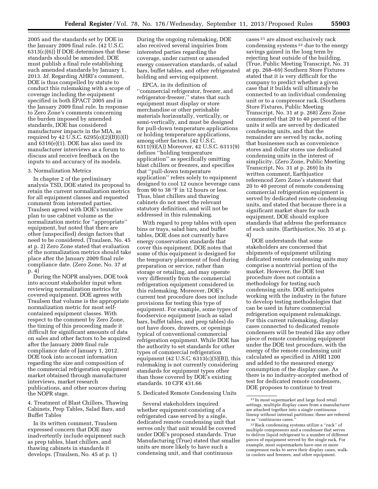2005 and the standards set by DOE in the January 2009 final rule. (42 U.S.C. 6313(c)(6)) If DOE determines that these standards should be amended, DOE must publish a final rule establishing such amended standards by January 1, 2013. *Id.* Regarding AHRI's comment, DOE is thus compelled by statute to conduct this rulemaking with a scope of coverage including the equipment specified in both EPACT 2005 and in the January 2009 final rule. In response to Zero Zone's comments concerning the burden imposed by amended standards, DOE has considered manufacturer impacts in the MIA, as required by 42 U.S.C. 6295(o)(2)(B)(i)(I) and 6316(e)(1). DOE has also used its manufacturer interviews as a forum to discuss and receive feedback on the inputs to and accuracy of its models.

#### 3. Normalization Metrics

In chapter 2 of the preliminary analysis TSD, DOE stated its proposal to retain the current normalization metrics for all equipment classes and requested comment from interested parties. Traulsen agreed with DOE's tentative plan to use cabinet volume as the normalization metric for ''appropriate'' equipment, but noted that there are other (unspecified) design factors that need to be considered. (Traulsen, No. 45 at p. 2) Zero Zone stated that evaluation of the normalization metrics should take place after the January 2009 final rule compliance date. (Zero Zone, No. 37 at p. 4)

During the NOPR analyses, DOE took into account stakeholder input when reviewing normalization metrics for covered equipment. DOE agrees with Traulsen that volume is the appropriate normalization metric for most selfcontained equipment classes. With respect to the comment by Zero Zone, the timing of this proceeding made it difficult for significant amounts of data on sales and other factors to be acquired after the January 2009 final rule compliance date of January 1, 2012. DOE took into account information regarding the size and composition of the commercial refrigeration equipment market obtained through manufacturer interviews, market research publications, and other sources during the NOPR stage.

4. Treatment of Blast Chillers, Thawing Cabinets, Prep Tables, Salad Bars, and Buffet Tables

In its written comment, Traulsen expressed concern that DOE may inadvertently include equipment such as prep tables, blast chillers, and thawing cabinets in standards it develops. (Traulsen, No. 45 at p. 1)

During the ongoing rulemaking, DOE also received several inquiries from interested parties regarding the coverage, under current or amended energy conservation standards, of salad bars, buffet tables, and other refrigerated holding and serving equipment.

EPCA, in its definition of ''commercial refrigerator, freezer, and refrigerator-freezer,'' states that such equipment must display or store merchandise or other perishable materials horizontally, vertically, or semi-vertically, and must be designed for pull-down temperature applications or holding temperature applications, among other factors. (42 U.S.C. 6311(9)(A)) Moreover, 42 U.S.C. 6311(9) defines ''holding temperature application'' as specifically omitting blast chillers or freezers, and specifies that ''pull-down temperature application'' refers solely to equipment designed to cool 12 ounce beverage cans from 90 to 38 °F in 12 hours or less. Thus, blast chillers and thawing cabinets do not meet the relevant statutory definition, and will not be addressed in this rulemaking.

With regard to prep tables with open bins or trays, salad bars, and buffet tables, DOE does not currently have energy conservation standards that cover this equipment. DOE notes that some of this equipment is designed for the temporary placement of food during preparation or service, rather than storage or retailing, and may operate very differently from the commercial refrigeration equipment considered in this rulemaking. Moreover, DOE's current test procedure does not include provisions for testing this type of equipment. For example, some types of foodservice equipment (such as salad bars, buffet tables, and prep tables) do not have doors, drawers, or openings typical of conventional commercial refrigeration equipment. While DOE has the authority to set standards for other types of commercial refrigeration equipment (42 U.S.C.  $6313(c)(5)(B)$ ), this rulemaking is not currently considering standards for equipment types other than those covered by DOE's existing standards. 10 CFR 431.66

#### 5. Dedicated Remote Condensing Units

Several stakeholders inquired whether equipment consisting of a refrigerated case served by a single, dedicated remote condensing unit that serves only that unit would be covered under DOE's proposed standards. True Manufacturing (True) stated that smaller units are more likely to have such a condensing unit, and that continuous

cases 21 are almost exclusively rack condensing systems 22 due to the energy savings gained in the long term by rejecting heat outside of the building. (True, Public Meeting Transcript, No. 31 at pp. 268–69) Southern Store Fixtures stated that it is very difficult for the company to predict whether a given case that it builds will ultimately be connected to an individual condensing unit or to a compressor rack. (Southern Store Fixtures, Public Meeting Transcript, No. 31 at p. 268) Zero Zone commented that 20 to 40 percent of the units it sells are served by dedicated condensing units, and that the remainder are served by racks, noting that businesses such as convenience stores and dollar stores use dedicated condensing units in the interest of simplicity. (Zero Zone, Public Meeting Transcript, No. 31 at p. 269) In its written comment, Earthjustice referenced Zero Zone's statement that 20 to 40 percent of remote condensing commercial refrigeration equipment is served by dedicated remote condensing units, and stated that because there is a significant market share for such equipment, DOE should explore standards that address the performance of such units. (Earthjustice, No. 35 at p. 4)

DOE understands that some stakeholders are concerned that shipments of equipment utilizing dedicated remote condensing units may comprise a nontrivial portion of the market. However, the DOE test procedure does not contain a methodology for testing such condensing units. DOE anticipates working with the industry in the future to develop testing methodologies that can be used in future commercial refrigeration equipment rulemakings. For this current rulemaking, display cases connected to dedicated remote condensers will be treated like any other piece of remote condensing equipment under the DOE test procedure, with the energy of the remote condensing unit calculated as specified in AHRI 1200 and added to the measured energy consumption of the display case. As there is no industry-accepted method of test for dedicated remote condensers, DOE proposes to continue to treat

<sup>21</sup> In most supermarket and large food retail settings, multiple display cases from a manufacturer are attached together into a single continuous lineup without internal partitions; these are referred to as ''continuous cases.''

<sup>22</sup>Rack condensing systems utilize a ''rack'' of multiple compressors and a condenser that serves to deliver liquid refrigerant to a number of different pieces of equipment served by the single rack. For example, most supermarkets have one or more compressor racks to serve their display cases, walkin coolers and freezers, and other equipment.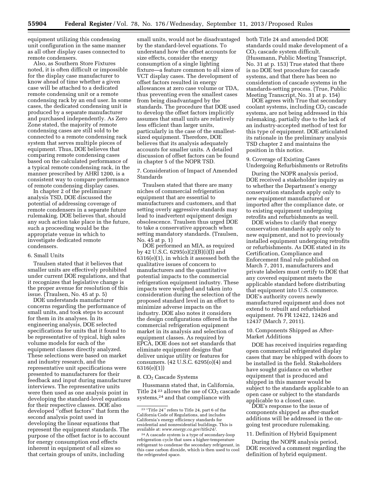equipment utilizing this condensing unit configuration in the same manner as all other display cases connected to remote condensers.

Also, as Southern Store Fixtures noted, it is often difficult or impossible for the display case manufacturer to know ahead of time whether a given case will be attached to a dedicated remote condensing unit or a remote condensing rack by an end user. In some cases, the dedicated condensing unit is produced by a separate manufacturer and purchased independently. As Zero Zone stated, the majority of remote condensing cases are still sold to be connected to a remote condensing rack system that serves multiple pieces of equipment. Thus, DOE believes that comparing remote condensing cases based on the calculated performance of a typical remote condensing rack, in the manner prescribed by AHRI 1200, is a consistent way to compare performance of remote condensing display cases.

In chapter 2 of the preliminary analysis TSD, DOE discussed the potential of addressing coverage of remote condensers in a separate future rulemaking. DOE believes that, should any such action take place in the future, such a proceeding would be the appropriate venue in which to investigate dedicated remote condensers.

#### 6. Small Units

Traulsen stated that it believes that smaller units are effectively prohibited under current DOE regulations, and that it recognizes that legislative change is the proper avenue for resolution of this issue. (Traulsen, No. 45 at p. 5)

DOE understands manufacturer concerns regarding the performance of small units, and took steps to account for them in its analyses. In its engineering analysis, DOE selected specifications for units that it found to be representative of typical, high sales volume models for each of the equipment classes directly analyzed. These selections were based on market and industry research, and the representative unit specifications were presented to manufacturers for their feedback and input during manufacturer interviews. The representative units were then used as one analysis point in developing the standard-level equations for their respective classes. DOE also developed ''offset factors'' that form the second analysis point used in developing the linear equations that represent the equipment standards. The purpose of the offset factor is to account for energy consumption end effects inherent in equipment of all sizes so that certain groups of units, including

small units, would not be disadvantaged by the standard-level equations. To understand how the offset accounts for size effects, consider the energy consumption of a single lighting fixture—a feature common to all sizes of VCT display cases. The development of offset factors resulted in energy allowances at zero case volume or TDA, thus preventing even the smallest cases from being disadvantaged by the standards. The procedure that DOE used to develop the offset factors implicitly assumes that small units are relatively less efficient than larger units, particularly in the case of the smallestsized equipment. Therefore, DOE believes that its analysis adequately accounts for smaller units. A detailed discussion of offset factors can be found in chapter 5 of the NOPR TSD.

7. Consideration of Impact of Amended Standards

Traulsen stated that there are many niches of commercial refrigeration equipment that are essential to manufacturers and customers, and that setting overly aggressive standards may lead to inadvertent equipment design obsolescence. Traulsen thus urged DOE to take a conservative approach when setting mandatory standards. (Traulsen, No. 45 at p. 1)

DOE performed an MIA, as required by 42 U.S.C. 6295(o)(2)(B)(i)(I) and 6316(e)(1), in which it assessed both the qualitative issues of concern to manufacturers and the quantitative potential impacts to the commercial refrigeration equipment industry. These impacts were weighed and taken into consideration during the selection of the proposed standard level in an effort to minimize adverse impacts on the industry. DOE also notes it considers the design configurations offered in the commercial refrigeration equipment market in its analysis and selection of equipment classes. As required by EPCA, DOE does not set standards that eliminate equipment designs that deliver unique utility or features for consumers. (42 U.S.C. 6295(o)(4) and 6316(e)(1))

#### 8. CO<sub>2</sub> Cascade Systems

Hussmann stated that, in California, Title 24 $23$  allows the use of  $CO<sub>2</sub>$  cascade systems,24 and that compliance with

both Title 24 and amended DOE standards could make development of a CO2 cascade system difficult. (Hussmann, Public Meeting Transcript, No. 31 at p. 153) True stated that there is no DOE test procedure for cascade systems, and that there has been no consideration of cascade systems in the standards-setting process. (True, Public Meeting Transcript, No. 31 at p. 154)

DOE agrees with True that secondary  $\alpha$ coolant systems, including  $CO<sub>2</sub>$  cascade systems, are not being addressed in this rulemaking, partially due to the lack of an industry-accepted method of test for this type of equipment. DOE articulated its rationale in the preliminary analysis TSD chapter 2 and maintains the position in this notice.

9. Coverage of Existing Cases Undergoing Refurbishments or Retrofits

During the NOPR analysis period, DOE received a stakeholder inquiry as to whether the Department's energy conservation standards apply only to new equipment manufactured or imported after the compliance date, or to existing equipment undergoing retrofits and refurbishments as well.

DOE wishes to clarify that energy conservation standards apply only to new equipment, and not to previously installed equipment undergoing retrofits or refurbishments. As DOE stated in its Certification, Compliance and Enforcement final rule published on March 7, 2011, manufacturers and private labelers must certify to DOE that any covered equipment meets the applicable standard before distributing that equipment into U.S. commerce. DOE's authority covers newly manufactured equipment and does not extend to rebuilt and refurbished equipment. 76 FR 12422, 12426 and 12437 (March 7, 2011).

#### 10. Components Shipped as After-Market Additions

DOE has received inquiries regarding open commercial refrigerated display cases that may be shipped with doors to be installed in the field. Stakeholders have sought guidance on whether equipment that is produced and shipped in this manner would be subject to the standards applicable to an open case or subject to the standards applicable to a closed case.

DOE's response to the issue of components shipped as after-market additions will be addressed in the ongoing test procedure rulemaking.

#### 11. Definition of Hybrid Equipment

During the NOPR analysis period, DOE received a comment regarding the definition of hybrid equipment.

<sup>23</sup> ''Title 24'' refers to Title 24, part 6 of the California Code of Regulations, and includes California's energy efficiency standards for residential and nonresidential buildings. This is available at: *[www.energy.ca.gov/title24/](http://www.energy.ca.gov/title24/)*.

<sup>24</sup>A cascade system is a type of secondary-loop refrigeration cycle that uses a higher-temperature refrigerant to condense the secondary refrigerant, in this case carbon dioxide, which is then used to cool the refrigerated space.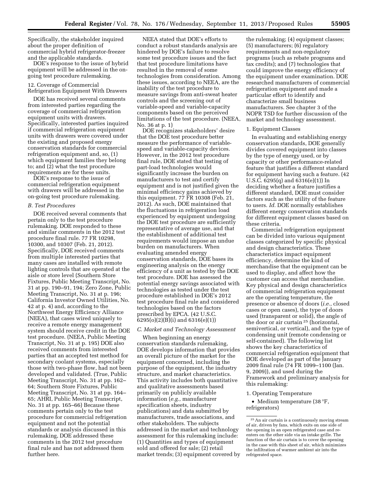Specifically, the stakeholder inquired about the proper definition of commercial hybrid refrigerator-freezer and the applicable standards.

DOE's response to the issue of hybrid equipment will be addressed in the ongoing test procedure rulemaking.

#### 12. Coverage of Commercial

Refrigeration Equipment With Drawers

DOE has received several comments from interested parties regarding the coverage of commercial refrigeration equipment units with drawers. Specifically, interested parties inquired if commercial refrigeration equipment units with drawers were covered under the existing and proposed energy conservation standards for commercial refrigeration equipment and, so, (1) which equipment families they belong to; and (2) what the test procedure requirements are for these units.

DOE's response to the issue of commercial refrigeration equipment with drawers will be addressed in the on-going test procedure rulemaking.

#### *B. Test Procedures*

DOE received several comments that pertain only to the test procedure rulemaking. DOE responded to these and similar comments in the 2012 test procedure final rule. 77 FR 10298, 10300, and 10307 (Feb. 21, 2012). Specifically, DOE received comments from multiple interested parties that many cases are installed with remote lighting controls that are operated at the aisle or store level (Southern Store Fixtures, Public Meeting Transcript, No. 31 at pp. 190–91, 194; Zero Zone, Public Meeting Transcript, No. 31 at p. 196; California Investor Owned Utilities, No. 42 at p. 4) and, according to the Northwest Energy Efficiency Alliance (NEEA), that cases wired uniquely to receive a remote energy management system should receive credit in the DOE test procedure. (NEEA, Public Meeting Transcript, No. 31 at p. 195) DOE also received comments from interested parties that an accepted test method for secondary coolant systems, especially those with two-phase flow, had not been developed and validated. (True, Public Meeting Transcript, No. 31 at pp. 162– 64; Southern Store Fixtures, Public Meeting Transcript, No. 31 at pp. 164– 65; AHRI, Public Meeting Transcript, No. 31 at pp. 165–66) Because these comments pertain only to the test procedure for commercial refrigeration equipment and not the potential standards or analysis discussed in this rulemaking, DOE addressed these comments in the 2012 test procedure final rule and has not addressed them further here.

NEEA stated that DOE's efforts to conduct a robust standards analysis are hindered by DOE's failure to resolve some test procedure issues and the fact that test procedure limitations have resulted in the removal of some technologies from consideration. Among these issues, according to NEEA, are the inability of the test procedure to measure savings from anti-sweat heater controls and the screening out of variable-speed and variable-capacity components based on the perceived limitations of the test procedure. (NEEA, No. 36 at p. 1)

DOE recognizes stakeholders' desire that the DOE test procedure better measure the performance of variablespeed and variable-capacity devices. However, in the 2012 test procedure final rule, DOE stated that testing of part-load technologies would significantly increase the burden on manufacturers to test and certify equipment and is not justified given the minimal efficiency gains achieved by this equipment. 77 FR 10308 (Feb. 21, 2012). As such, DOE maintained that the fluctuations in refrigeration load experienced by equipment undergoing the DOE test procedure are sufficiently representative of average use, and that the establishment of additional test requirements would impose an undue burden on manufacturers. When evaluating amended energy conservation standards, DOE bases its engineering analysis on the energy efficiency of a unit as tested by the DOE test procedure. DOE has assessed the potential energy savings associated with technologies as tested under the test procedure established in DOE's 2012 test procedure final rule and considered technologies based on the factors prescribed by EPCA. (42 U.S.C. 6295(o)(2)(B)(i) and 6316(e)(1))

#### *C. Market and Technology Assessment*

When beginning an energy conservation standards rulemaking, DOE develops information that provides an overall picture of the market for the equipment concerned, including the purpose of the equipment, the industry structure, and market characteristics. This activity includes both quantitative and qualitative assessments based primarily on publicly available information (*e.g.,* manufacturer specification sheets, industry publications) and data submitted by manufacturers, trade associations, and other stakeholders. The subjects addressed in the market and technology assessment for this rulemaking include: (1) Quantities and types of equipment sold and offered for sale; (2) retail market trends; (3) equipment covered by

the rulemaking; (4) equipment classes; (5) manufacturers; (6) regulatory requirements and non-regulatory programs (such as rebate programs and tax credits); and (7) technologies that could improve the energy efficiency of the equipment under examination. DOE researched manufacturers of commercial refrigeration equipment and made a particular effort to identify and characterize small business manufacturers. See chapter 3 of the NOPR TSD for further discussion of the market and technology assessment.

#### 1. Equipment Classes

In evaluating and establishing energy conservation standards, DOE generally divides covered equipment into classes by the type of energy used, or by capacity or other performance-related feature that justifies a different standard for equipment having such a feature. (42 U.S.C. 6295(q) and 6316(e)(1)) In deciding whether a feature justifies a different standard, DOE must consider factors such as the utility of the feature to users. *Id.* DOE normally establishes different energy conservation standards for different equipment classes based on these criteria.

Commercial refrigeration equipment can be divided into various equipment classes categorized by specific physical and design characteristics. These characteristics impact equipment efficiency, determine the kind of merchandise that the equipment can be used to display, and affect how the customer can access that merchandise. Key physical and design characteristics of commercial refrigeration equipment are the operating temperature, the presence or absence of doors (*i.e.,* closed cases or open cases), the type of doors used (transparent or solid), the angle of the door or air curtain 25 (horizontal, semivertical, or vertical), and the type of condensing unit (remote condensing or self-contained). The following list shows the key characteristics of commercial refrigeration equipment that DOE developed as part of the January 2009 final rule (74 FR 1099–1100 (Jan. 9, 2009)), and used during the Framework and preliminary analysis for this rulemaking:

#### 1. Operating Temperature

• Medium temperature (38 °F, refrigerators)

<sup>25</sup>An air curtain is a continuously moving stream of air, driven by fans, which exits on one side of the opening in an open refrigerated case and reenters on the other side via an intake grille. The function of the air curtain is to cover the opening in the case with this sheet of air, which minimizes the infiltration of warmer ambient air into the refrigerated space.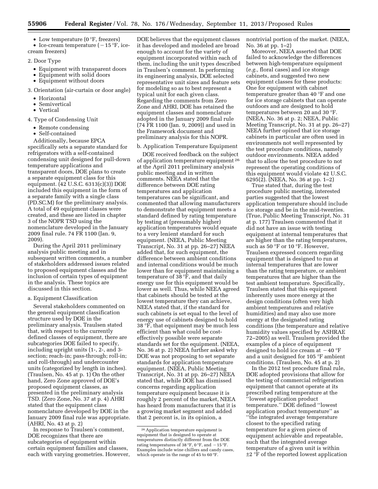• Low temperature  $(0 \degree F, \text{freezers})$ 

• Ice-cream temperature  $(-15 \degree F, ice$ cream freezers)

- 2. Door Type
	- Equipment with transparent doors
	- Equipment with solid doors
	- Equipment without doors
- 3. Orientation (air-curtain or door angle)
	- Horizontal
	- Semivertical
	- Vertical
- 4. Type of Condensing Unit
	- Remote condensing
	- Self-contained

Additionally, because EPCA specifically sets a separate standard for refrigerators with a self-contained condensing unit designed for pull-down temperature applications and transparent doors, DOE plans to create a separate equipment class for this equipment. (42 U.S.C. 6313(c)(3)) DOE included this equipment in the form of a separate family with a single class (PD.SC.M) for the preliminary analysis. A total of 49 equipment classes were created, and these are listed in chapter 3 of the NOPR TSD using the nomenclature developed in the January 2009 final rule. 74 FR 1100 (Jan. 9, 2009).

During the April 2011 preliminary analysis public meeting and in subsequent written comments, a number of stakeholders addressed issues related to proposed equipment classes and the inclusion of certain types of equipment in the analysis. These topics are discussed in this section.

#### a. Equipment Classification

Several stakeholders commented on the general equipment classification structure used by DOE in the preliminary analysis. Traulsen stated that, with respect to the currently defined classes of equipment, there are subcategories DOE failed to specify, including upright units (1-, 2-, and 3 section; reach-in; pass-through; roll-in; and roll-through) and undercounter units (categorized by length in inches). (Traulsen, No. 45 at p. 1) On the other hand, Zero Zone approved of DOE's proposed equipment classes, as presented in the preliminary analysis TSD. (Zero Zone, No. 37 at p. 4) AHRI stated that the equipment class nomenclature developed by DOE in the January 2009 final rule was appropriate. (AHRI, No. 43 at p. 2)

In response to Traulsen's comment, DOE recognizes that there are subcategories of equipment within certain equipment families and classes, each with varying geometries. However,

DOE believes that the equipment classes it has developed and modeled are broad enough to account for the variety of equipment incorporated within each of them, including the unit types described in Traulsen's comment. In performing its engineering analysis, DOE selected representative unit sizes and feature sets for modeling so as to best represent a typical unit for each given class. Regarding the comments from Zero Zone and AHRI, DOE has retained the equipment classes and nomenclature adopted in the January 2009 final rule (74 FR 1100 (Jan. 9, 2009)) and used in the Framework document and preliminary analysis for this NOPR.

#### b. Application Temperature Equipment

DOE received feedback on the subject of application temperature equipment 26 at the April 2011 preliminary analysis public meeting and in written comments. NEEA stated that the difference between DOE rating temperatures and application temperatures can be significant, and commented that allowing manufacturers to demonstrate that equipment meets a standard defined by rating temperature by testing at (presumably higher) application temperatures would equate to a very lenient standard for such equipment. (NEEA, Public Meeting Transcript, No. 31 at pp. 26–27) NEEA added that, for such equipment, the difference between ambient conditions and internal conditions would be much lower than for equipment maintaining a temperature of 38 °F, and that daily energy use for this equipment would be lower as well. Thus, while NEEA agreed that cabinets should be tested at the lowest temperature they can achieve, NEEA stated that, if the standard for such cabinets is set equal to the level of energy use of cabinets designed to hold 38 °F, that equipment may be much less efficient than what could be costeffectively possible were separate standards set for the equipment. (NEEA, No. 36 at p. 2) NEEA further asked why DOE was not proposing to set separate standards for application temperature equipment. (NEEA, Public Meeting Transcript, No. 31 at pp. 26–27) NEEA stated that, while DOE has dismissed concerns regarding application temperature equipment because it is roughly 2 percent of the market, NEEA has heard from manufacturers that it is a growing market segment and added that 2 percent is, in its opinion, a

nontrivial portion of the market. (NEEA, No. 36 at pp. 1–2)

Moreover, NEEA asserted that DOE failed to acknowledge the differences between high-temperature equipment (*e.g.,* floral cases) and ice storage cabinets, and suggested two new equipment classes for these products: One for equipment with cabinet temperature greater than 40 °F and one for ice storage cabinets that can operate outdoors and are designed to hold temperatures between 20 and 30 °F. (NEEA, No. 36 at p. 2; NEEA, Public Meeting Transcript, No. 31 at pp. 26–27) NEEA further opined that ice storage cabinets in particular are often used in environments not well represented by the test procedure conditions, namely outdoor environments. NEEA added that to allow the test procedure to not represent the operating conditions of this equipment would violate 42 U.S.C. 6295(2). (NEEA, No. 36 at pp. 1–2)

True stated that, during the test procedure public meeting, interested parties suggested that the lowest application temperature should include ice storage and be in the mid-twenties. (True, Public Meeting Transcript, No. 31 at p. 177) Traulsen commented that it did not have an issue with testing equipment at internal temperatures that are higher than the rating temperatures, such as 50 °F or 10 °F. However, Traulsen expressed concern regarding equipment that is designed to run at internal temperatures that are lower than the rating temperature, or ambient temperatures that are higher than the test ambient temperature. Specifically, Traulsen stated that this equipment inherently uses more energy at the design conditions (often very high ambient temperatures and relative humidities) and may also use more energy at the designated rating conditions (the temperature and relative humidity values specified by ASHRAE 72–2005) as well. Traulsen provided the examples of a piece of equipment designed to hold ice cream at  $-40$  °F and a unit designed for 105 °F ambient conditions. (Traulsen, No. 45 at p. 2)

In the 2012 test procedure final rule, DOE adopted provisions that allow for the testing of commercial refrigeration equipment that cannot operate at its prescribed rating temperature at the ''lowest application product temperature.'' DOE defined ''lowest application product temperature'' as ''the integrated average temperature closest to the specified rating temperature for a given piece of equipment achievable and repeatable, such that the integrated average temperature of a given unit is within ±2 °F of the reported lowest application

<sup>26</sup>Application temperature equipment is equipment that is designed to operate at temperatures distinctly different from the DOE rating temperatures of 38 °F, 0 °F, and  $-15$  °F. Examples include wine chillers and candy cases, which operate in the range of 45 to 60 °F.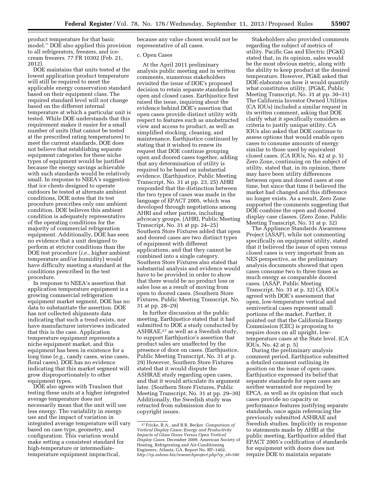product temperature for that basic model.'' DOE also applied this provision to all refrigerators, freezers, and icecream freezers. 77 FR 10302 (Feb. 21, 2012).

DOE maintains that units tested at the lowest application product temperature will still be required to meet the applicable energy conservation standard based on their equipment class. The required standard level will not change based on the different internal temperature at which a particular unit is tested. While DOE understands that this requirement makes it easier for a small number of units (that cannot be tested at the prescribed rating temperatures) to meet the current standards, DOE does not believe that establishing separate equipment categories for these niche types of equipment would be justified because the energy savings achievable with such standards would be relatively small. In response to NEEA's suggestion that ice chests designed to operate outdoors be tested at alternate ambient conditions, DOE notes that its test procedure prescribes only one ambient condition. DOE believes this ambient condition is adequately representative of the operating conditions for the majority of commercial refrigeration equipment. Additionally, DOE has seen no evidence that a unit designed to perform at stricter conditions than the DOE test procedure (*i.e.,* higher ambient temperature and/or humidity) would have difficulty meeting a standard at the conditions prescribed in the test procedure.

In response to NEEA's assertion that application temperature equipment is a growing commercial refrigeration equipment market segment, DOE has no data to substantiate the assertion. DOE has not collected shipments data indicating that such a trend exists, nor have manufacturer interviews indicated that this is the case. Application temperature equipment represents a niche equipment market, and this equipment has been in existence for a long time (*e.g.,* candy cases, wine cases, floral cases). DOE has no evidence indicating that this market segment will grow disproportionately to other equipment types.

DOE also agrees with Traulsen that testing these units at a higher integrated average temperature does not necessarily mean that the unit will use less energy. The variability in energy use and the impact of variation in integrated average temperature will vary based on case type, geometry, and configuration. This variation would make setting a consistent standard for high-temperature or intermediatetemperature equipment impractical,

because any value chosen would not be representative of all cases.

#### c. Open Cases

At the April 2011 preliminary analysis public meeting and in written comments, numerous stakeholders revisited the issue of DOE's proposed decision to retain separate standards for open and closed cases. Earthjustice first raised the issue, inquiring about the evidence behind DOE's assertion that open cases provide distinct utility with respect to features such as unobstructed view and access to product, as well as simplified stocking, cleaning, and maintenance. Earthjustice continued by stating that it wished to renew its request that DOE continue grouping open and doored cases together, adding that any determination of utility is required to be based on substantial evidence. (Earthjustice, Public Meeting Transcript, No. 31 at pp. 23, 25) AHRI responded that the distinction between the two types of cases was made in the language of EPACT 2005, which was developed through negotiations among AHRI and other parties, including advocacy groups. (AHRI, Public Meeting Transcript, No. 31 at pp. 24–25) Southern Store Fixtures added that open and doored cases are two distinct types of equipment with different applications, and that they cannot be combined into a single category. Southern Store Fixtures also stated that substantial analysis and evidence would have to be provided in order to show that there would be no product loss or sales loss as a result of moving from open to doored cases. (Southern Store Fixtures, Public Meeting Transcript, No. 31 at pp. 28–29)

In further discussion at the public meeting, Earthjustice stated that it had submitted to DOE a study conducted by ASHRAE,27 as well as a Swedish study, to support Earthjustice's assertion that product sales are unaffected by the presence of door on cases. (Earthjustice, Public Meeting Transcript, No. 31 at p. 29) However, Southern Store Fixtures stated that it would dispute the ASHRAE study regarding open cases, and that it would articulate its argument later. (Southern Store Fixtures, Public Meeting Transcript, No. 31 at pp. 29–30) Additionally, the Swedish study was retracted from submission due to copyright issues.

Stakeholders also provided comments regarding the subject of metrics of utility. Pacific Gas and Electric (PG&E) stated that, in its opinion, sales would be the most obvious metric, along with the ability to keep product at the desired temperature. However, PG&E asked that DOE elaborate on how it would quantify what constitutes utility. (PG&E, Public Meeting Transcript, No. 31 at pp. 30–31) The California Investor Owned Utilities (CA IOUs) included a similar request in its written comment, asking that DOE clarify what it specifically considers as criteria to justify unique utility. CA IOUs also asked that DOE continue to assess options that would enable open cases to consume amounts of energy similar to those used by equivalent closed cases. (CA IOUs, No. 42 at p. 5) Zero Zone, continuing on the subject of utility, stated that, in its opinion, there may have been utility differences between open and doored cases at one time, but since that time it believed the market had changed and this difference no longer exists. As a result, Zero Zone supported the comments suggesting that DOE combine the open and doored display case classes. (Zero Zone, Public Meeting Transcript, No. 31 at p. 32)

The Appliance Standards Awareness Project (ASAP), while not commenting specifically on equipment utility, stated that it believed the issue of open versus closed cases is very important from an NES perspective, as the preliminary analysis documents showed that open cases consume two to three times as much energy as comparable doored cases. (ASAP, Public Meeting Transcript, No. 31 at p. 32) CA IOUs agreed with DOE's assessment that open, low-temperature vertical and semivertical cases represent small portions of the market. Further, it pointed out that the California Energy Commission (CEC) is proposing to require doors on all upright, lowtemperature cases at the State level. (CA IOUs, No. 42 at p. 5)

During the preliminary analysis comment period, Earthjustice submitted a detailed comment outlining its position on the issue of open cases. Earthjustice expressed its belief that separate standards for open cases are neither warranted nor required by EPCA, as well as its opinion that such cases provide no capacity or performance features justifying separate standards, once again referencing the previously submitted ASHRAE and Swedish studies. Implicitly in response to statements made by AHRI at the public meeting, Earthjustice added that EPACT 2005's codification of standards for equipment with doors does not require DOE to maintain separate

<sup>27</sup>Fricke, B.A., and B.R. Becker. *Comparison of Vertical Display Cases: Energy and Productivity Impacts of Glass Doors Versus Open Vertical Display Cases.* December 2009. American Society of Heating, Refrigerating and Air-Conditioning Engineers, Atlanta, GA. Report No. RP–1402. *[http://rp.ashrae.biz/researchproject.php?rp](http://rp.ashrae.biz/researchproject.php?rp_id=580)*\_*id=580*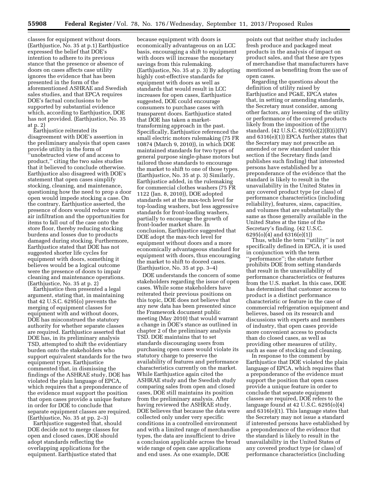classes for equipment without doors. (Earthjustice, No. 35 at p.1) Earthjustice expressed the belief that DOE's intention to adhere to its previous stance that the presence or absence of doors on cases affects case utility ignores the evidence that has been presented in the form of the aforementioned ASHRAE and Swedish sales studies, and that EPCA requires DOE's factual conclusions to be supported by substantial evidence which, according to Earthjustice, DOE has not provided. (Earthjustice, No. 35 at p. 2)

Earthjustice reiterated its disagreement with DOE's assertion in the preliminary analysis that open cases provide utility in the form of ''unobstructed view of and access to product,'' citing the two sales studies that it believed to conclude otherwise. Earthjustice also disagreed with DOE's statement that open cases simplify stocking, cleaning, and maintenance, questioning how the need to prop a door open would impede stocking a case. On the contrary, Earthjustice asserted, the presence of doors would reduce warm air infiltration and the opportunities for items to fall out of the case onto the store floor, thereby reducing stocking burdens and losses due to products damaged during stocking. Furthermore, Earthjustice stated that DOE has not suggested shorter life cycles for equipment with doors, something it believes would be a logical outcome were the presence of doors to impair cleaning and maintenance operations. (Earthjustice, No. 35 at p. 2)

Earthjustice then presented a legal argument, stating that, in maintaining that 42 U.S.C. 6295(o) prevents the merging of equipment classes for equipment with and without doors, DOE has misconstrued the statutory authority for whether separate classes are required. Earthjustice asserted that DOE has, in its preliminary analysis TSD, attempted to shift the evidentiary burden onto the stakeholders who support equivalent standards for the two equipment types. Earthjustice commented that, in dismissing the findings of the ASHRAE study, DOE has violated the plain language of EPCA, which requires that a preponderance of the evidence must support the position that open cases provide a unique feature in order for DOE to conclude that separate equipment classes are required. (Earthjustice, No. 35 at pp. 2–3)

Earthjustice suggested that, should DOE decide not to merge classes for open and closed cases, DOE should adopt standards reflecting the overlapping applications for the equipment. Earthjustice stated that

because equipment with doors is economically advantageous on an LCC basis, encouraging a shift to equipment with doors will increase the monetary savings from this rulemaking. (Earthjustice, No. 35 at p. 3) By adopting highly cost-effective standards for equipment with doors as well as standards that would result in LCC increases for open cases, Earthjustice suggested, DOE could encourage consumers to purchase cases with transparent doors. Earthjustice stated that DOE has taken a markettransforming approach in the past. Specifically, Earthjustice referenced the small electric motors rulemaking (75 FR 10874 (March 9, 2010)), in which DOE maintained standards for two types of general purpose single-phase motors but tailored those standards to encourage the market to shift to one of those types. (Earthjustice, No. 35 at p. 3) Similarly, Earthjustice added, in the rulemaking for commercial clothes washers (75 FR 1122 (Jan. 8, 2010)), DOE adopted standards set at the max-tech level for top-loading washers, but less aggressive standards for front-loading washers, partially to encourage the growth of front-loader market share. In conclusion, Earthjustice suggested that DOE adopt the max-tech level for equipment without doors and a more economically advantageous standard for equipment with doors, thus encouraging the market to shift to doored cases. (Earthjustice, No. 35 at pp. 3–4)

DOE understands the concern of some stakeholders regarding the issue of open cases. While some stakeholders have reiterated their previous positions on this topic, DOE does not believe that any new data has been presented since the Framework document public meeting (May 2010) that would warrant a change in DOE's stance as outlined in chapter 2 of the preliminary analysis TSD. DOE maintains that to set standards discouraging users from purchasing open cases would violate its statutory charge to preserve the availability of features and performance characteristics currently on the market. While Earthjustice again cited the ASHRAE study and the Swedish study comparing sales from open and closed cases, DOE still maintains its position from the preliminary analysis. After having reviewed the ASHRAE study, DOE believes that because the data were collected only under very specific conditions in a controlled environment and with a limited range of merchandise types, the data are insufficient to drive a conclusion applicable across the broad wide range of open case applications and end uses. As one example, DOE

points out that neither study includes fresh produce and packaged meat products in the analysis of impact on product sales, and that these are types of merchandise that manufacturers have mentioned as benefiting from the use of open cases.

Regarding the questions about the definition of utility raised by Earthjustice and PG&E, EPCA states that, in setting or amending standards, the Secretary must consider, among other factors, any lessening of the utility or performance of the covered products likely from the imposition of the standard. (42 U.S.C. 6295(o)(2)(B)(i)(IV) and 6316(e)(1)) EPCA further states that the Secretary may not prescribe an amended or new standard under this section if the Secretary finds (and publishes such finding) that interested persons have established by a preponderance of the evidence that the standard is likely to result in the unavailability in the United States in any covered product type (or class) of performance characteristics (including reliability), features, sizes, capacities, and volumes that are substantially the same as those generally available in the United States at the time of the Secretary's finding. (42 U.S.C. 6295(o)(4) and 6316(e)(1))

Thus, while the term ''utility'' is not specifically defined in EPCA, it is used in conjunction with the term ''performance''; the statute further prohibits DOE from setting standards that result in the unavailability of performance characteristics or features from the U.S. market. In this case, DOE has determined that customer access to product is a distinct performance characteristic or feature in the case of commercial refrigeration equipment and believes, based on its research and discussions with experts and members of industry, that open cases provide more convenient access to products than do closed cases, as well as providing other measures of utility, such as ease of stocking and cleaning.

In response to the comment by Earthjustice that DOE violated the plain language of EPCA, which requires that a preponderance of the evidence must support the position that open cases provide a unique feature in order to conclude that separate equipment classes are required, DOE refers to the language found at 42 U.S.C. 6295(o)(4) and 6316(e)(1). This language states that the Secretary may not issue a standard if interested persons have established by a preponderance of the evidence that the standard is likely to result in the unavailability in the United States of any covered product type (or class) of performance characteristics (including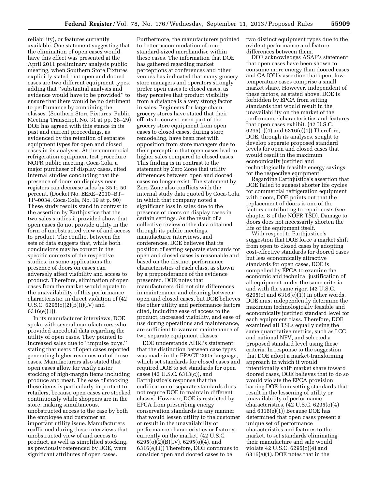reliability), or features currently available. One statement suggesting that the elimination of open cases would have this effect was presented at the April 2011 preliminary analysis public meeting, when Southern Store Fixtures explicitly stated that open and doored cases are two different equipment types, adding that ''substantial analysis and evidence would have to be provided'' to ensure that there would be no detriment to performance by combining the classes. (Southern Store Fixtures, Public Meeting Transcript, No. 31 at pp. 28–29) DOE has agreed with this stance in its past and current proceedings, as evidenced by the retention of separate equipment types for open and closed cases in its analyses. At the commercial refrigeration equipment test procedure NOPR public meeting, Coca-Cola, a major purchaser of display cases, cited internal studies concluding that the presence of doors on displays near registers can decrease sales by 35 to 50 percent. (Docket No. EERE–2010–BT– TP–0034, Coca-Cola, No. 19 at p. 90) These study results stand in contrast to the assertion by Earthjustice that the two sales studies it provided show that open cases do not provide utility in the form of unobstructed view of and access to product. The conflict between the sets of data suggests that, while both conclusions may be correct in the specific contexts of the respective studies, in some applications the presence of doors on cases can adversely affect visibility and access to product. Therefore, elimination of open cases from the market would equate to the unavailability of this performance characteristic, in direct violation of (42 U.S.C. 6295(o)(2)(B)(i)(IV) and 6316(e)(1)).

In its manufacturer interviews, DOE spoke with several manufacturers who provided anecdotal data regarding the utility of open cases. They pointed to increased sales due to ''impulse buys,'' stating that users of open cases reported generating higher revenues out of those cases. Manufacturers also stated that open cases allow for vastly easier stocking of high-margin items including produce and meat. The ease of stocking these items is particularly important to retailers, because open cases are stocked continuously while shoppers are in the store, making simultaneous, unobstructed access to the case by both the employee and customer an important utility issue. Manufacturers reaffirmed during these interviews that unobstructed view of and access to product, as well as simplified stocking, as previously referenced by DOE, were significant attributes of open cases.

Furthermore, the manufacturers pointed to better accommodation of nonstandard-sized merchandise within these cases. The information that DOE has gathered regarding market perceptions at conferences and other venues has indicated that many grocery store managers and operators strongly prefer open cases to closed cases, as they perceive that product visibility from a distance is a very strong factor in sales. Engineers for large chain grocery stores have stated that their efforts to convert even part of the grocery store equipment from open cases to closed cases, during store remodeling, have been met with opposition from store managers due to their perception that open cases lead to higher sales compared to closed cases. This finding is in contrast to the statement by Zero Zone that utility differences between open and doored cases no longer exist. The statement by Zero Zone also conflicts with the internal study data quoted by Coca-Cola, in which that company noted a significant loss in sales due to the presence of doors on display cases in certain settings. As the result of a collective review of the data obtained through its public meetings, manufacturer interviews, and conferences, DOE believes that its position of setting separate standards for open and closed cases is reasonable and based on the distinct performance characteristics of each class, as shown by a preponderance of the evidence presented. DOE notes that manufacturers did not cite differences in maintenance and cleaning between open and closed cases, but DOE believes the other utility and performance factors cited, including ease of access to the product, increased visibility, and ease of use during operations and maintenance, are sufficient to warrant maintenance of two separate equipment classes.

DOE understands AHRI's statement that the distinction between case types was made in the EPACT 2005 language, which set standards for closed cases and required DOE to set standards for open cases (42 U.S.C. 6313(c)), and Earthjustice's response that the codification of separate standards does not require DOE to maintain different classes. However, DOE is restricted by EPCA from prescribing energy conservation standards in any manner that would lessen utility to the customer or result in the unavailability of performance characteristics or features currently on the market. (42 U.S.C. 6295(o)(2)(B)(IV), 6295(o)(4), and 6316(e)(1)) Therefore, DOE continues to consider open and doored cases to be

two distinct equipment types due to the evident performance and feature differences between them.

DOE acknowledges ASAP's statement that open cases have been shown to consume more energy than doored cases and CA IOU's assertion that open, lowtemperature cases comprise a small market share. However, independent of these factors, as stated above, DOE is forbidden by EPCA from setting standards that would result in the unavailability on the market of the performance characteristics and features that open cases exhibit. (42 U.S.C. 6295(o)(4) and 6316(e)(1)) Therefore, DOE, through its analyses, sought to develop separate proposed standard levels for open and closed cases that would result in the maximum economically justified and technologically feasible energy savings for the respective equipment.

Regarding Earthjustice's assertion that DOE failed to suggest shorter life cycles for commercial refrigeration equipment with doors, DOE points out that the replacement of doors is one of the factors contributing to repair costs (see chapter 8 of the NOPR TSD). Damage to doors does not necessarily shorten the life of the equipment itself.

With respect to Earthjustice's suggestion that DOE force a market shift from open to closed cases by adopting cost-effective standards for doored cases but less economically attractive standards for open cases, DOE is compelled by EPCA to examine the economic and technical justification of all equipment under the same criteria and with the same rigor. (42 U.S.C. 6295(o) and 6316(e)(1)) In other words, DOE must independently determine the maximum technologically feasible and economically justified standard level for each equipment class. Therefore, DOE examined all TSLs equally using the same quantitative metrics, such as LCC and national NPV, and selected a proposed standard level using these criteria. In response to the suggestion that DOE adopt a market-transforming approach in which it would intentionally shift market share toward doored cases, DOE believes that to do so would violate the EPCA provision barring DOE from setting standards that result in the lessening of utility or unavailability of performance characteristics. (42 U.S.C. 6295(o)(4) and 6316(e)(1)) Because DOE has determined that open cases present a unique set of performance characteristics and features to the market, to set standards eliminating their manufacture and sale would violate 42 U.S.C. 6295(o)(4) and 6316(e)(1). DOE notes that in the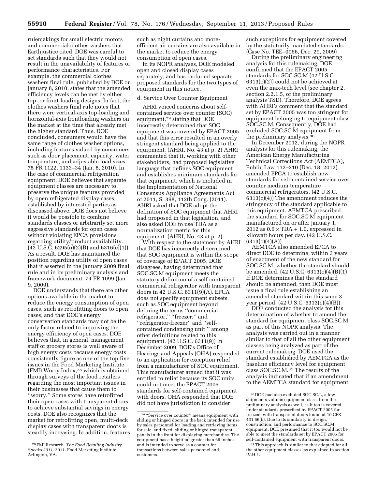rulemakings for small electric motors and commercial clothes washers that Earthjustice cited, DOE was careful to set standards such that they would not result in the unavailability of features or performance characteristics. For example, the commercial clothes washers final rule, published by DOE on January 8, 2010, states that the amended efficiency levels can be met by either top- or front-loading designs. In fact, the clothes washers final rule notes that there were vertical-axis top-loading and horizontal-axis frontloading washers on the market at the time that already met the higher standard. Thus, DOE concluded, consumers would have the same range of clothes washer options, including features valued by consumers such as door placement, capacity, water temperature, and adjustable load sizes. 75 FR 1122, 1133–34 (Jan. 8, 2010). In the case of commercial refrigeration equipment, DOE believes that separate equipment classes are necessary to preserve the unique features provided by open refrigerated display cases, established by interested parties as discussed above. DOE does not believe it would be possible to combine standards classes or arbitrarily set more aggressive standards for open cases without violating EPCA provisions regarding utility/product availability. (42 U.S.C. 6295(o)(2)(B) and 6316(e)(1)) As a result, DOE has maintained the position regarding utility of open cases that it asserted in the January 2009 final rule and in its preliminary analysis and framework document. 74 FR 1099 (Jan. 9, 2009).

DOE understands that there are other options available in the market to reduce the energy consumption of open cases, such as retrofitting doors to open cases, and that DOE's energy conservation standards may not be the only factor related to improving the energy efficiency of open cases. DOE believes that, in general, management staff of grocery stores is well aware of high energy costs because energy costs consistently figure as one of the top five issues in the Food Marketing Institute (FMI) Worry Index,28 which is obtained through surveys of the food retailers regarding the most important issues in their businesses that cause them to ''worry.'' Some stores have retrofitted their open cases with transparent doors to achieve substantial savings in energy costs. DOE also recognizes that the market for retrofitting open, multi-deck display cases with transparent doors is steadily increasing. In addition, features

such as night curtains and moreefficient air curtains are also available in the market to reduce the energy consumption of open cases.

In its NOPR analyses, DOE modeled open and closed display cases separately, and has included separate proposed standards for the two types of equipment in this notice.

#### d. Service Over Counter Equipment

AHRI voiced concerns about selfcontained service over counter (SOC) equipment,29 stating that DOE incorrectly determined that SOC equipment was covered by EPACT 2005 and that this error resulted in an overly stringent standard being applied to the equipment. (AHRI, No. 43 at p. 2) AHRI commented that it, working with other stakeholders, had proposed legislative language that defines SOC equipment and establishes minimum standards for that equipment, which is included in the Implementation of National Consensus Appliance Agreements Act of 2011, S. 398, 112th Cong. (2011). AHRI asked that DOE adopt the definition of SOC equipment that AHRI had proposed in that legislation, and also asked DOE to use TDA as a normalization metric for this equipment. (AHRI, No. 43 at p. 2)

With respect to the statement by AHRI that DOE has incorrectly determined that SOC equipment is within the scope of coverage of EPACT 2005, DOE disagrees, having determined that SOC.SC.M equipment meets the statutory definition of a self-contained commercial refrigerator with transparent doors in 42 U.S.C. 6311(9)(A). EPCA does not specify equipment subsets such as SOC equipment beyond defining the terms ''commercial refrigerator," "freezer," and ''refrigerator-freezer'' and ''selfcontained condensing unit,'' among other definitions related to this equipment. (42 U.S.C. 6311(9)) In December 2009, DOE's Office of Hearings and Appeals (OHA) responded to an application for exception relief from a manufacturer of SOC equipment. This manufacturer argued that it was entitled to relief because its SOC units could not meet the EPACT 2005 standards for self-contained equipment with doors. OHA responded that DOE did not have jurisdiction to consider

such exceptions for equipment covered by the statutorily mandated standards. (Case No. TEE–0066, Dec. 29, 2009)

During the preliminary engineering analysis for this rulemaking, DOE confirmed that the EPACT 2005 standards for SOC.SC.M (42 U.S.C. 6313(c)(2)) could not be achieved at even the max-tech level (see chapter 2, section 2.2.1.5, of the preliminary analysis TSD). Therefore, DOE agrees with AHRI's comment that the standard set by EPACT 2005 was too stringent for equipment belonging to equipment class SOC.SC.M. Consequently, DOE had excluded SOC.SC.M equipment from the preliminary analysis.30

In December 2012, during the NOPR analysis for this rulemaking, the American Energy Manufacturing Technical Corrections Act (AEMTCA), Public Law 112–210 (Dec. 18, 2012) amended EPCA to establish new standards for self-contained service over counter medium temperature commercial refrigerators. (42 U.S.C. 6313(c)(4)) The amendment reduces the stringency of the standard applicable to this equipment. AEMTCA prescribed the standard for SOC.SC.M equipment manufactured on or after January 1, 2012 as  $0.6 \times TDA + 1.0$ , expressed in kilowatt hours per day. (42 U.S.C. 6313(c)(4)(A))

AEMTCA also amended EPCA to direct DOE to determine, within 3 years of enactment of the new standard for SOC.SC.M, whether the standard should be amended. (42 U.S.C. 6313(c)(4)(B)(1) If DOE determines that the standard should be amended, then DOE must issue a final rule establishing an amended standard within this same 3 year period. (42 U.S.C. 6313(c)(4)(B))

DOE conducted the analysis for this determination of whether to amend the standard for equipment class SOC.SC.M as part of this NOPR analysis. The analysis was carried out in a manner similar to that of all the other equipment classes being analyzed as part of the current rulemaking. DOE used the standard established by AEMTCA as the baseline efficiency level for equipment class SOC.SC.M.31 The results of the analysis indicated that if an amendment to the AEMTCA standard for equipment

<sup>28</sup>FMI Research. *The Food Retailing Industry Speaks 2011.* 2011. Food Marketing Institute, Arlington, VA.

<sup>29</sup> ''Service over counter'' means equipment with sliding or hinged doors in the back intended for use by sales personnel for loading and retrieving items for sale, and fixed, sliding or hinged transparent panels in the front for displaying merchandise. The equipment has a height no greater than 66 inches and is intended to serve as a counter for transactions between sales personnel and customers.

<sup>30</sup> DOE had also excluded SOC.SC.L, a lowshipments-volume equipment class, from the preliminary analysis as well, as it too is covered under standards prescribed by EPACT 2005 for freezers with transparent doors found at 10 CFR 431.66(b). Due to its similarity in design, construction, and performance to SOC.SC.M equipment, DOE presumed that it too would not be able to meet the standards set by EPACT 2005 for self-contained equipment with transparent doors.

<sup>31</sup>This approach is similar to that adopted for all the other equipment classes, as explained in section IV.H.1.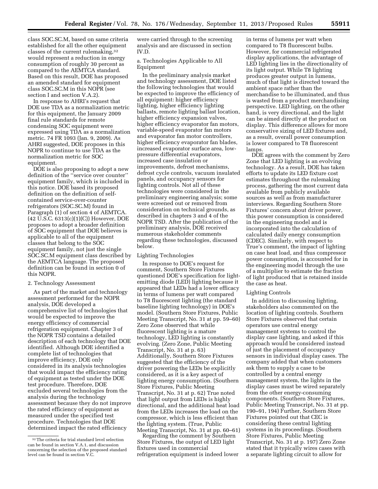class SOC.SC.M, based on same criteria established for all the other equipment classes of the current rulemaking,32 would represent a reduction in energy consumption of roughly 30 percent as compared to the AEMTCA standard. Based on this result, DOE has proposed an amended standard for equipment class SOC.SC.M in this NOPR (see section I and section V.A.2).

In response to AHRI's request that DOE use TDA as a normalization metric for this equipment, the January 2009 final rule standards for remote condensing SOC equipment were expressed using TDA as a normalization metric. 74 FR 1093 (Jan. 9, 2009). As AHRI suggested, DOE proposes in this NOPR to continue to use TDA as the normalization metric for SOC equipment.

DOE is also proposing to adopt a new definition of the ''service over counter'' equipment family, which is included in this notice. DOE based its proposed definition on the definition of selfcontained service-over-counter refrigerators (SOC.SC.M) found in Paragraph (1) of section 4 of AEMTCA. (42 U.S.C. 6313(c)(1)(C)) However, DOE proposes to adopt a broader definition of SOC equipment that DOE believes is applicable to all of the equipment classes that belong to the SOC equipment family, not just the single SOC.SC.M equipment class described by the AEMTCA language. The proposed definition can be found in section 0 of this NOPR.

#### 2. Technology Assessment

As part of the market and technology assessment performed for the NOPR analysis, DOE developed a comprehensive list of technologies that would be expected to improve the energy efficiency of commercial refrigeration equipment. Chapter 3 of the NOPR TSD contains a detailed description of each technology that DOE identified. Although DOE identified a complete list of technologies that improve efficiency, DOE only considered in its analysis technologies that would impact the efficiency rating of equipment as tested under the DOE test procedure. Therefore, DOE excluded several technologies from the analysis during the technology assessment because they do not improve the rated efficiency of equipment as measured under the specified test procedure. Technologies that DOE determined impact the rated efficiency

were carried through to the screening analysis and are discussed in section IV.D.

a. Technologies Applicable to All Equipment

In the preliminary analysis market and technology assessment, DOE listed the following technologies that would be expected to improve the efficiency of all equipment: higher efficiency lighting, higher efficiency lighting ballasts, remote lighting ballast location, higher efficiency expansion valves, higher efficiency evaporator fan motors, variable-speed evaporator fan motors and evaporator fan motor controllers, higher efficiency evaporator fan blades, increased evaporator surface area, lowpressure differential evaporators, increased case insulation or improvements, defrost mechanisms, defrost cycle controls, vacuum insulated panels, and occupancy sensors for lighting controls. Not all of these technologies were considered in the preliminary engineering analysis; some were screened out or removed from consideration on technical grounds, as described in chapters 3 and 4 of the NOPR TSD. After the publication of the preliminary analysis, DOE received numerous stakeholder comments regarding these technologies, discussed below.

#### Lighting Technologies

In response to DOE's request for comment, Southern Store Fixtures questioned DOE's specification for lightemitting diode (LED) lighting because it appeared that LEDs had a lower efficacy in terms of lumens per watt compared to T8 fluorescent lighting (the standard baseline lighting technology) in DOE's model. (Southern Store Fixtures, Public Meeting Transcript, No. 31 at pp. 59–60) Zero Zone observed that while fluorescent lighting is a mature technology, LED lighting is constantly evolving. (Zero Zone, Public Meeting Transcript, No. 31 at p. 63) Additionally, Southern Store Fixtures suggested that the efficiency of the driver powering the LEDs be explicitly considered, as it is a key aspect of lighting energy consumption. (Southern Store Fixtures, Public Meeting Transcript, No. 31 at p. 62) True noted that light output from LEDs is highly directional, and the additional heat load from the LEDs increases the load on the compressor, which is less efficient than the lighting system. (True, Public Meeting Transcript, No. 31 at pp. 60–61)

Regarding the comment by Southern Store Fixtures, the output of LED light fixtures used in commercial refrigeration equipment is indeed lower

in terms of lumens per watt when compared to T8 fluorescent bulbs. However, for commercial refrigerated display applications, the advantage of LED lighting lies in the directionality of its light output. While T8 lighting produces greater output in lumens, much of that light is directed toward the ambient space rather than the merchandise to be illuminated, and thus is wasted from a product merchandising perspective. LED lighting, on the other hand, is very directional, and the light can be aimed directly at the product on display. This difference allows for more conservative sizing of LED fixtures and, as a result, overall power consumption is lower compared to T8 fluorescent lamps.

DOE agrees with the comment by Zero Zone that LED lighting is an evolving technology. As a result, DOE has taken efforts to update its LED fixture cost estimates throughout the rulemaking process, gathering the most current data available from publicly available sources as well as from manufacturer interviews. Regarding Southern Store Fixtures' concern about driver power, this power consumption is considered in the engineering model and is incorporated into the calculation of calculated daily energy consumption (CDEC). Similarly, with respect to True's comment, the impact of lighting on case heat load, and thus compressor power consumption, is accounted for in the engineering model through the use of a multiplier to estimate the fraction of light produced that is retained inside the case as heat.

#### Lighting Controls

In addition to discussing lighting, stakeholders also commented on the location of lighting controls. Southern Store Fixtures observed that certain operators use central energy management systems to control the display case lighting, and asked if this approach would be considered instead of just the placement of occupancy sensors in individual display cases. The company added that when customers ask them to supply a case to be controlled by a central energy management system, the lights in the display cases must be wired separately from the other energy-consuming components. (Southern Store Fixtures, Public Meeting Transcript, No. 31 at pp. 190–91, 194) Further, Southern Store Fixtures pointed out that CEC is considering these central lighting systems in its proceedings. (Southern Store Fixtures, Public Meeting Transcript, No. 31 at p. 197) Zero Zone stated that it typically wires cases with a separate lighting circuit to allow for

<sup>32</sup>The criteria for trial standard level selection can be found in section V.A.1, and discussion concerning the selection of the proposed standard level can be found in section V.C.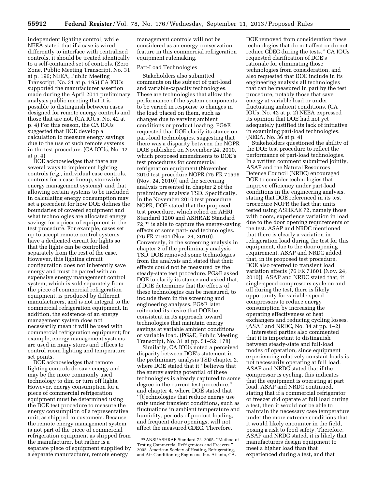independent lighting control, while NEEA stated that if a case is wired differently to interface with centralized controls, it should be treated identically to a self-contained set of controls. (Zero Zone, Public Meeting Transcript, No. 31 at p. 196; NEEA, Public Meeting Transcript, No. 31 at p. 195) CA IOUs supported the manufacturer assertion made during the April 2011 preliminary analysis public meeting that it is possible to distinguish between cases designed for remote energy controls and those that are not. (CA IOUs, No. 42 at p. 4) For this reason, the CA IOUs suggested that DOE develop a calculation to measure energy savings due to the use of such remote systems in the test procedure. (CA IOUs, No. 42 at p. 4)

DOE acknowledges that there are several ways to implement lighting controls (*e.g.,* individual case controls, controls for a case lineup, storewide energy management systems), and that allowing certain systems to be included in calculating energy consumption may set a precedent for how DOE defines the boundaries of covered equipment and what technologies are allocated energy savings for a piece of equipment in the test procedure. For example, cases set up to accept remote control systems have a dedicated circuit for lights so that the lights can be controlled separately from the rest of the case. However, this lighting circuit configuration does not inherently save energy and must be paired with an expensive energy management control system, which is sold separately from the piece of commercial refrigeration equipment, is produced by different manufacturers, and is not integral to the commercial refrigeration equipment. In addition, the existence of an energy management system does not necessarily mean it will be used with commercial refrigeration equipment; for example, energy management systems are used in many stores and offices to control room lighting and temperature set points.

DOE acknowledges that remote lighting controls do save energy and may be the more commonly used technology to dim or turn off lights. However, energy consumption for a piece of commercial refrigeration equipment must be determined using the DOE test procedure to measure the energy consumption of a representative unit, as shipped to customers. Because the remote energy management system is not part of the piece of commercial refrigeration equipment as shipped from the manufacturer, but rather is a separate piece of equipment supplied by a separate manufacturer, remote energy

management controls will not be considered as an energy conservation feature in this commercial refrigeration equipment rulemaking.

#### Part-Load Technologies

Stakeholders also submitted comments on the subject of part-load and variable-capacity technologies. These are technologies that allow the performance of the system components to be varied in response to changes in the load placed on them, such as changes due to varying ambient conditions or product loading. PG&E requested that DOE clarify its stance on part-load technologies, suggesting that there was a disparity between the NOPR DOE published on November 24, 2010, which proposed amendments to DOE's test procedures for commercial refrigeration equipment (November 2010 test procedure NOPR (75 FR 71596 (Nov. 24, 2010)) and the screening analysis presented in chapter 2 of the preliminary analysis TSD. Specifically, in the November 2010 test procedure NOPR, DOE stated that the proposed test procedure, which relied on AHRI Standard 1200 and ASHRAE Standard 72,33 is able to capture the energy-saving effects of some part-load technologies. (76 FR 71601 (Nov. 24, 2010)). Conversely, in the screening analysis in chapter 2 of the preliminary analysis TSD, DOE removed some technologies from the analysis and stated that their effects could not be measured by the steady-state test procedure. PG&E asked DOE to clarify its stance and asked that, if DOE determines that the effects of these technologies can be measured, to include them in the screening and engineering analyses. PG&E later reiterated its desire that DOE be consistent in its approach toward technologies that maintain energy savings at variable ambient conditions or variable load. (PG&E, Public Meeting Transcript, No. 31 at pp. 51–52, 178)

Similarly, CA IOUs noted a perceived disparity between DOE's statement in the preliminary analysis TSD chapter 2, where DOE stated that it ''believes that the energy saving potential of these technologies is already captured to some degree in the current test procedure,'' and chapter 4, where DOE stated that ''[t]echnologies that reduce energy use only under transient conditions, such as fluctuations in ambient temperature and humidity, periods of product loading, and frequent door openings, will not affect the measured CDEC. Therefore,

DOE removed from consideration these technologies that do not affect or do not reduce CDEC during the tests.'' CA IOUs requested clarification of DOE's rationale for eliminating those technologies from consideration, and also requested that DOE include in its engineering analysis all technologies that can be measured in part by the test procedure, notably those that save energy at variable load or under fluctuating ambient conditions. (CA IOUs, No. 42 at p. 2) NEEA expressed its opinion that DOE had not yet adequately justified its lack of initiative in examining part-load technologies. (NEEA, No. 36 at p. 4)

Stakeholders questioned the ability of the DOE test procedure to reflect the performance of part-load technologies. In a written comment submitted jointly, ASAP and the Natural Resources Defense Council (NRDC) encouraged DOE to consider technologies that improve efficiency under part-load conditions in the engineering analysis, stating that DOE referenced in its test procedure NOPR the fact that units tested using ASHRAE 72, namely those with doors, experience variation in load due to the door opening requirements of the test. ASAP and NRDC mentioned that there is clearly a variation in refrigeration load during the test for this equipment, due to the door opening requirement. ASAP and NRDC added that, in its proposed test procedure, DOE also referred to transient load variation effects (76 FR 71601 (Nov. 24, 2010)). ASAP and NRDC stated that, if single-speed compressors cycle on and off during the test, there is likely opportunity for variable-speed compressors to reduce energy consumption by increasing the operating effectiveness of heat exchangers and reducing cycling losses. (ASAP and NRDC, No. 34 at pp. 1–2)

Interested parties also commented that it is important to distinguish between steady-state and full-load modes of operation, since equipment experiencing relatively constant loads is not necessarily operating at full load. ASAP and NRDC stated that if the compressor is cycling, this indicates that the equipment is operating at part load. ASAP and NRDC continued, stating that if a commercial refrigerator or freezer did operate at full load during a test, then it would not be able to maintain the necessary case temperature under the more extreme conditions that it would likely encounter in the field, posing a risk to food safety. Therefore, ASAP and NRDC stated, it is likely that manufacturers design equipment to meet a higher load than that experienced during a test, and that

<sup>33</sup>ANSI/ASHRAE Standard 72–2005. ''Method of Testing Commercial Refrigerators and Freezers.'' 2005. American Society of Heating, Refrigerating, and Air-Conditioning Engineers, Inc. Atlanta, GA.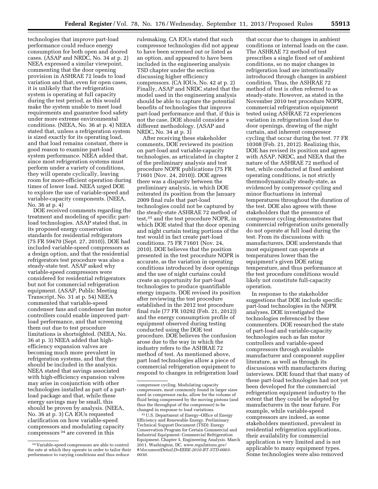technologies that improve part-load performance could reduce energy consumption for both open and doored cases. (ASAP and NRDC, No. 34 at p. 2) NEEA expressed a similar viewpoint, commenting that the door opening provision in ASHRAE 72 leads to load variation and that, even for open cases, it is unlikely that the refrigeration system is operating at full capacity during the test period, as this would make the system unable to meet load requirements and guarantee food safety under more extreme environmental conditions. (NEEA, No. 36 at p. 4) NEEA stated that, unless a refrigeration system is sized exactly for its operating load, and that load remains constant, there is good reason to examine part-load system performance. NEEA added that, since most refrigeration systems must perform under a variety of conditions, they will operate cyclically, leaving room for more-efficient operation during times of lower load. NEEA urged DOE to explore the use of variable-speed and variable-capacity components. (NEEA, No. 36 at p. 4)

DOE received comments regarding the treatment and modeling of specific partload technologies. ASAP stated that, in its proposed energy conservation standards for residential refrigerators (75 FR 59470 (Sept. 27, 2010)), DOE had included variable-speed compressors as a design option, and that the residential refrigerators test procedure was also a steady-state test. ASAP asked why variable-speed compressors were considered for residential refrigerators but not for commercial refrigeration equipment. (ASAP, Public Meeting Transcript, No. 31 at p. 54) NEEA commented that variable-speed condenser fans and condenser fan motor controllers could enable improved partload performance, and that screening them out due to test procedure limitations is shortsighted. (NEEA, No. 36 at p. 3) NEEA added that highefficiency expansion valves are becoming much more prevalent in refrigeration systems, and that they should be included in the analysis. NEEA stated that savings associated with high-efficiency expansion valves may arise in conjunction with other technologies installed as part of a partload package and that, while these energy savings may be small, this should be proven by analysis. (NEEA, No. 36 at p. 3) CA IOUs requested clarification on how variable-speed compressors and modulating capacity compressors 34 are covered in this

rulemaking. CA IOUs stated that such compressor technologies did not appear to have been screened out or listed as an option, and appeared to have been included in the engineering analysis TSD chapter under the section discussing higher efficiency compressors. (CA IOUs, No. 42 at p. 2) Finally, ASAP and NRDC stated that the model used in the engineering analysis should be able to capture the potential benefits of technologies that improve part-load performance and that, if this is not the case, DOE should consider a different methodology. (ASAP and NRDC, No. 34 at p. 3)

After receiving these stakeholder comments, DOE reviewed its position on part-load and variable-capacity technologies, as articulated in chapter 2 of the preliminary analysis and test procedure NOPR publications (75 FR 71601 (Nov. 24, 2010)). DOE agrees there was a disparity between the preliminary analysis, in which DOE reiterated its position from the January 2009 final rule that part-load technologies could not be captured by the steady-state ASHRAE 72 method of test,35 and the test procedure NOPR, in which DOE stated that the door opening and night curtain testing portions of the test would in fact create part-load conditions. 75 FR 71601 (Nov. 24, 2010). DOE believes that the position presented in the test procedure NOPR is accurate, as the variation in operating conditions introduced by door openings and the use of night curtains could create an opportunity for part-load technologies to produce quantifiable energy impacts. DOE revised its position after reviewing the test procedure established in the 2012 test procedure final rule (77 FR 10292 (Feb. 21, 2012)) and the energy consumption profile of equipment observed during testing conducted using the DOE test procedure. DOE believes the confusion arose due to the way in which the industry refers to the ASHRAE 72 method of test. As mentioned above, part load technologies allow a piece of commercial refrigeration equipment to respond to changes in refrigeration load

that occur due to changes in ambient conditions or internal loads on the case. The ASHRAE 72 method of test prescribes a single fixed set of ambient conditions, so no major changes in refrigeration load are intentionally introduced through changes in ambient condition. Thus, the ASHRAE 72 method of test is often referred to as steady-state. However, as stated in the November 2010 test procedure NOPR, commercial refrigeration equipment tested using ASHRAE 72 experiences variation in refrigeration load due to door openings, drawing of the night curtain, and inherent compressor cycling that occur during the test. 77 FR 10308 (Feb. 21, 2012). Realizing this, DOE has revised its position and agrees with ASAP, NRDC, and NEEA that the nature of the ASHRAE 72 method of test, while conducted at fixed ambient operating conditions, is not strictly thermodynamically steady-state, as evidenced by compressor cycling and minor fluctuations in internal temperatures throughout the duration of the test. DOE also agrees with these stakeholders that the presence of compressor cycling demonstrates that commercial refrigeration units generally do not operate at full load during the test. From its discussions with manufacturers, DOE understands that most equipment can operate at temperatures lower than the equipment's given DOE rating temperature, and thus performance at the test procedure conditions would likely not constitute full-capacity operation.

In response to the stakeholder suggestions that DOE include specific part-load technologies in the NOPR analyses, DOE investigated the technologies referenced by these commenters. DOE researched the state of part-load and variable-capacity technologies such as fan motor controllers and variable-speed compressors through available manufacturer and component supplier literature, as well as through its discussions with manufacturers during interviews. DOE found that that many of these part-load technologies had not yet been developed for the commercial refrigeration equipment industry to the extent that they could be adopted by manufacturers in the near future. For example, while variable-speed compressors are indeed, as some stakeholders mentioned, prevalent in residential refrigeration applications, their availability for commercial application is very limited and is not applicable to many equipment types. Some technologies were also removed

<sup>34</sup> Variable-speed compressors are able to control the rate at which they operate in order to tailor their performance to varying conditions and thus reduce

compressor cycling. Modulating capacity compressors, most commonly found in larger sizes used in compressor racks, allow for the volume of fluid being compressed by the moving pistons (and thus the throughput of the compressor) to be changed in response to load variations.

<sup>35</sup>U.S. Department of Energy–Office of Energy Efficiency and Renewable Energy. Preliminary Technical Support Document (TSD): Energy Conservation Program for Certain Commercial and Industrial Equipment: Commercial Refrigeration Equipment. Chapter 5, Engineering Analysis. March 2011. Washington, DC. *[www.regulations.gov/](http://www.regulations.gov/#!documentDetail;D=EERE-2010-BT-STD-0003-0030) [#!documentDetail;D=EERE-2010-BT-STD-0003-](http://www.regulations.gov/#!documentDetail;D=EERE-2010-BT-STD-0003-0030) [0030](http://www.regulations.gov/#!documentDetail;D=EERE-2010-BT-STD-0003-0030)*.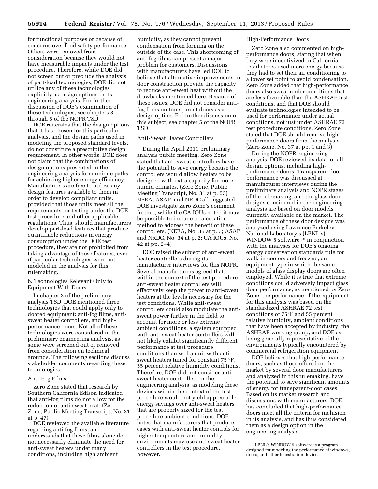for functional purposes or because of concerns over food safety performance. Others were removed from consideration because they would not have measurable impacts under the test procedure. Therefore, while DOE did not screen out or preclude the analysis of part-load technologies, DOE did not utilize any of these technologies explicitly as design options in its engineering analysis. For further discussion of DOE's examination of these technologies, see chapters 3 through 5 of the NOPR TSD.

DOE reiterates that the design options that it has chosen for this particular analysis, and the design paths used in modeling the proposed standard levels, do not constitute a prescriptive design requirement. In other words, DOE does not claim that the combinations of design options presented in the engineering analysis form unique paths for achieving higher energy efficiency. Manufacturers are free to utilize any design features available to them in order to develop compliant units, provided that those units meet all the requirements for testing under the DOE test procedure and other applicable regulations. Thus, should manufacturers develop part-load features that produce quantifiable reductions in energy consumption under the DOE test procedure, they are not prohibited from taking advantage of those features, even if particular technologies were not modeled in the analysis for this rulemaking.

b. Technologies Relevant Only to Equipment With Doors

In chapter 3 of the preliminary analysis TSD, DOE mentioned three technologies that could apply only to doored equipment: anti-fog films, antisweat heater controllers, and highperformance doors. Not all of these technologies were considered in the preliminary engineering analysis, as some were screened out or removed from consideration on technical grounds. The following sections discuss stakeholder comments regarding these technologies.

#### Anti-Fog Films

Zero Zone stated that research by Southern California Edison indicated that anti-fog films do not allow for the reduction of anti-sweat heat. (Zero Zone, Public Meeting Transcript, No. 31 at p. 47)

DOE reviewed the available literature regarding anti-fog films, and understands that these films alone do not necessarily eliminate the need for anti-sweat heaters under many conditions, including high ambient

humidity, as they cannot prevent condensation from forming on the outside of the case. This shortcoming of anti-fog films can present a major problem for customers. Discussions with manufacturers have led DOE to believe that alternative improvements in door construction provide the capacity to reduce anti-sweat heat without the drawbacks mentioned here. Because of these issues, DOE did not consider antifog films on transparent doors as a design option. For further discussion of this subject, see chapter 5 of the NOPR TSD.

## Anti-Sweat Heater Controllers

During the April 2011 preliminary analysis public meeting, Zero Zone stated that anti-sweat controllers have the potential to save energy because the controllers would allow heaters to be designed with extra capacity for more humid climates. (Zero Zone, Public Meeting Transcript, No. 31 at p. 53) NEEA, ASAP, and NRDC all suggested DOE investigate Zero Zone's comment further, while the CA IOUs noted it may be possible to include a calculation method to address the benefit of these controllers. (NEEA, No. 36 at p. 3; ASAP and NRDC, No. 34 at p. 2; CA IOUs, No. 42 at pp. 2–4)

DOE raised the subject of anti-sweat heater controllers during its manufacturer interviews for this NOPR. Several manufacturers agreed that, within the context of the test procedure, anti-sweat heater controllers will effectively keep the power to anti-sweat heaters at the levels necessary for the test conditions. While anti-sweat controllers could also modulate the antisweat power further in the field to account for more or less extreme ambient conditions, a system equipped with anti-sweat heater controllers will not likely exhibit significantly different performance at test procedure conditions than will a unit with antisweat heaters tuned for constant 75 °F, 55 percent relative humidity conditions. Therefore, DOE did not consider antisweat heater controllers in the engineering analysis, as modeling these devices within the context of the test procedure would not yield appreciable energy savings over anti-sweat heaters that are properly sized for the test procedure ambient conditions. DOE notes that manufacturers that produce cases with anti-sweat heater controls for higher temperature and humidity environments may use anti-sweat heater controllers in the test procedure, however.

#### High-Performance Doors

Zero Zone also commented on highperformance doors, stating that when they were incentivized in California, retail stores used more energy because they had to set their air conditioning to a lower set point to avoid condensation. Zero Zone added that high-performance doors also sweat under conditions that are less favorable than the ASHRAE test conditions, and that DOE should evaluate technologies intended to be used for performance under actual conditions, not just under ASHRAE 72 test procedure conditions. Zero Zone stated that DOE should remove highperformance doors from the analysis. (Zero Zone, No. 37 at pp. 1 and 3)

During the NOPR engineering analysis, DOE reviewed its data for all design options, including highperformance doors. Transparent door performance was discussed at manufacturer interviews during the preliminary analysis and NOPR stages of the rulemaking, and the glass door designs considered in the engineering analysis are based on door models currently available on the market. The performance of these door designs was analyzed using Lawrence Berkeley National Laboratory's (LBNL's) WINDOW 5 software <sup>36</sup> in conjunction with the analyses for DOE's ongoing energy conservation standards rule for walk-in coolers and freezers, an equipment type in which the same models of glass display doors are often employed. While it is true that extreme conditions could adversely impact glass door performance, as mentioned by Zero Zone, the performance of the equipment for this analysis was based on the standardized ASHRAE 72 test conditions of 75°F and 55 percent relative humidity, ambient conditions that have been accepted by industry, the ASHRAE working group, and DOE as being generally representative of the environments typically encountered by commercial refrigeration equipment.

DOE believes that high-performance doors, such as those offered on the market by several door manufacturers and analyzed in this rulemaking, have the potential to save significant amounts of energy for transparent-door cases. Based on its market research and discussions with manufacturers, DOE has concluded that high-performance doors meet all the criteria for inclusion in its analysis, and has thus considered them as a design option in the engineering analysis.

<sup>36</sup>LBNL's WINDOW 5 software is a program designed for modeling the performance of windows, doors, and other fenestration devices.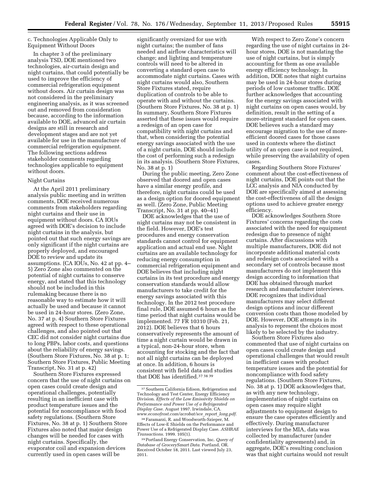### c. Technologies Applicable Only to Equipment Without Doors

In chapter 3 of the preliminary analysis TSD, DOE mentioned two technologies, air-curtain design and night curtains, that could potentially be used to improve the efficiency of commercial refrigeration equipment without doors. Air curtain design was not considered in the preliminary engineering analysis, as it was screened out and removed from consideration because, according to the information available to DOE, advanced air curtain designs are still in research and development stages and are not yet available for use in the manufacture of commercial refrigeration equipment. The following sections address stakeholder comments regarding technologies applicable to equipment without doors.

#### Night Curtains

At the April 2011 preliminary analysis public meeting and in written comments, DOE received numerous comments from stakeholders regarding night curtains and their use in equipment without doors. CA IOUs agreed with DOE's decision to include night curtains in the analysis, but pointed out that such energy savings are only significant if the night curtains are properly deployed, and encouraged DOE to review and update its assumptions. (CA IOUs, No. 42 at pp. 4– 5) Zero Zone also commented on the potential of night curtains to conserve energy, and stated that this technology should not be included in this rulemaking because there is no reasonable way to estimate how it will actually be used and because it cannot be used in 24-hour stores. (Zero Zone, No. 37 at p. 4) Southern Store Fixtures agreed with respect to these operational challenges, and also pointed out that CEC did not consider night curtains due to long PBPs, labor costs, and questions about the reliability of energy savings. (Southern Store Fixtures, No. 38 at p. 1; Southern Store Fixtures, Public Meeting Transcript, No. 31 at p. 42)

Southern Store Fixtures expressed concern that the use of night curtains on open cases could create design and operational challenges, potentially resulting in an inefficient case with product temperature issues and the potential for noncompliance with food safety regulations. (Southern Store Fixtures, No. 38 at p. 1) Southern Store Fixtures also noted that major design changes will be needed for cases with night curtains. Specifically, the evaporator coil and expansion devices currently used in open cases will be

significantly oversized for use with night curtains; the number of fans needed and airflow characteristics will change; and lighting and temperature controls will need to be altered in converting a standard open case to accommodate night curtains. Cases with night curtains would also, Southern Store Fixtures stated, require duplication of controls to be able to operate with and without the curtains. (Southern Store Fixtures, No. 38 at p. 1) In summary, Southern Store Fixtures asserted that these issues would require a redesign of an open case for compatibility with night curtains and that, when considering the potential energy savings associated with the use of a night curtain, DOE should include the cost of performing such a redesign in its analysis. (Southern Store Fixtures, No. 38 at p. 1)

During the public meeting, Zero Zone observed that doored and open cases have a similar energy profile, and therefore, night curtains could be used as a design option for doored equipment as well. (Zero Zone, Public Meeting Transcript, No. 31 at pp. 40–41)

DOE acknowledges that the use of night curtains may not be consistent in the field. However, DOE's test procedures and energy conservation standards cannot control for equipment application and actual end use. Night curtains are an available technology for reducing energy consumption in commercial refrigeration equipment and DOE believes that including night curtains in its test procedure and energy conservation standards would allow manufacturers to take credit for the energy savings associated with this technology. In the 2012 test procedure final rule, DOE assumed 6 hours as the time period that night curtains would be implemented. 77 FR 10310 (Feb. 21, 2012). DOE believes that 6 hours conservatively represents the amount of time a night curtain would be drawn in a typical, non-24-hour store, when accounting for stocking and the fact that not all night curtains can be deployed at once. In addition, 6 hours is consistent with field data and studies that DOE has identified.37 38 39

With respect to Zero Zone's concern regarding the use of night curtains in 24 hour stores, DOE is not mandating the use of night curtains, but is simply accounting for them as one available energy efficiency technology. In addition, DOE notes that night curtains may be used in 24-hour stores during periods of low customer traffic. DOE further acknowledges that accounting for the energy savings associated with night curtains on open cases would, by definition, result in the setting of a more-stringent standard for open cases. DOE believes such a standard may encourage migration to the use of moreefficient doored cases for those cases used in contexts where the distinct utility of an open case is not required, while preserving the availability of open cases.

Regarding Southern Store Fixtures' comment about the cost-effectiveness of night curtains, DOE points out that the LCC analysis and NIA conducted by DOE are specifically aimed at assessing the cost-effectiveness of all the design options used to achieve greater energy efficiency.

DOE acknowledges Southern Store Fixtures' concerns regarding the costs associated with the need for equipment redesign due to presence of night curtains. After discussions with multiple manufacturers, DOE did not incorporate additional material costs and redesign costs associated with a secondary set of controls because most manufacturers do not implement this design according to information that DOE has obtained through market research and manufacturer interviews. DOE recognizes that individual manufacturers may select different design options and incur different conversion costs than those modeled by DOE. However, DOE attempts in its analysis to represent the choices most likely to be selected by the industry.

Southern Store Fixtures also commented that use of night curtains on open cases could create design and operational challenges that would result in inefficient cases with product temperature issues and the potential for noncompliance with food safety regulations. (Southern Store Fixtures, No. 38 at p. 1) DOE acknowledges that, as with any new technology, implementation of night curtains on open cases may require slight adjustments to equipment design to ensure the case operates efficiently and effectively. During manufacturer interviews for the MIA, data was collected by manufacturer (under confidentiality agreements) and, in aggregate, DOE's resulting conclusion was that night curtains would not result

<sup>37</sup>Southern California Edison, Refrigeration and Technology and Test Center, Energy Efficiency Division. *Effects of the Low Emissivity Shields on Performance and Power Use of a Refrigerated Display Case.* August 1997. Irwindale, CA. *[www.econofrost.com/acrobat/sce](http://www.econofrost.com/acrobat/sce_report_long.pdf)*\_*report*\_*long.pdf*.

<sup>38</sup>Faramarzi, R. and Woodworth-Szieper, M. Effects of Low-E Shields on the Performance and Power Use of a Refrigerated Display Case. *ASHRAE Transactions*. 1999. 105(1).

<sup>39</sup>Portland Energy Conservation, Inc. *Query of Database of GrocerySmart Data.* Portland, OR. Received October 18, 2011. Last viewed July 23, 2011.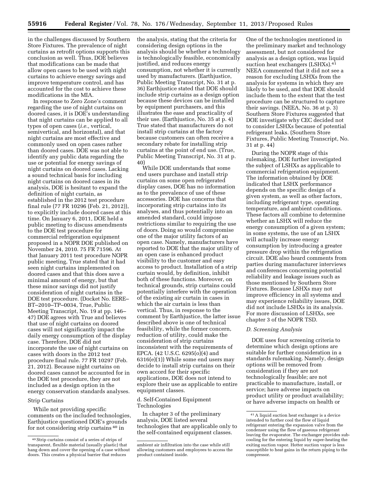in the challenges discussed by Southern Store Fixtures. The prevalence of night curtains as retrofit options supports this conclusion as well. Thus, DOE believes that modifications can be made that allow open cases to be used with night curtains to achieve energy savings and improve temperature control, and has accounted for the cost to achieve these modifications in the MIA.

In response to Zero Zone's comment regarding the use of night curtains on doored cases, it is DOE's understanding that night curtains can be applied to all types of open cases (*i.e.,* vertical, semivertical, and horizontal), and that night curtains are most effective and commonly used on open cases rather than doored cases. DOE was not able to identify any public data regarding the use or potential for energy savings of night curtains on doored cases. Lacking a sound technical basis for including night curtains on doored cases in its analysis, DOE is hesitant to expand the definition of night curtain, as established in the 2012 test procedure final rule (77 FR 10296 (Feb. 21, 2012)), to explicitly include doored cases at this time. On January 6, 2011, DOE held a public meeting to discuss amendments to the DOE test procedure for commercial refrigeration equipment proposed in a NOPR DOE published on November 24, 2010. 75 FR 71596. At that January 2011 test procedure NOPR public meeting, True stated that it had seen night curtains implemented on doored cases and that this does save a minimal amount of energy, but that these minor savings did not justify consideration of night curtains in the DOE test procedure. (Docket No. EERE– BT–2010–TP–0034, True, Public Meeting Transcript, No. 19 at pp. 146– 47) DOE agrees with True and believes that use of night curtains on doored cases will not significantly impact the daily energy consumption of the display case. Therefore, DOE did not incorporate the use of night curtains on cases with doors in the 2012 test procedure final rule. 77 FR 10297 (Feb. 21, 2012). Because night curtains on doored cases cannot be accounted for in the DOE test procedure, they are not included as a design option in the energy conservation standards analyses.

#### Strip Curtains

While not providing specific comments on the included technologies, Earthjustice questioned DOE's grounds for not considering strip curtains 40 in

the analysis, stating that the criteria for considering design options in the analysis should be whether a technology is technologically feasible, economically justified, and reduces energy consumption, not whether it is currently used by manufacturers. (Earthjustice, Public Meeting Transcript, No. 31 at p. 36) Earthjustice stated that DOE should include strip curtains as a design option because these devices can be installed by equipment purchasers, and this illustrates the ease and practicality of their use. (Earthjustice, No. 35 at p. 4) True stated that manufacturers do not install strip curtains at the factory because customers can often receive a secondary rebate for installing strip curtains at the point of end use. (True, Public Meeting Transcript, No. 31 at p. 40)

While DOE understands that some end users purchase and install strip curtains on some open refrigerated display cases, DOE has no information as to the prevalence of use of these accessories. DOE has concerns that incorporating strip curtains into its analyses, and thus potentially into an amended standard, could impose restrictions similar to requiring the use of doors. Doing so would compromise one of the major utility factors of an open case. Namely, manufacturers have reported to DOE that the major utility of an open case is enhanced product visibility to the customer and easy access to product. Installation of a strip curtain would, by definition, inhibit both of these functions. Moreover, on technical grounds, strip curtains could potentially interfere with the operation of the existing air curtain in cases in which the air curtain is less than vertical. Thus, in response to the comment by Earthjustice, the latter issue described above is one of technical feasibility, while the former concern, reduction of utility, could make the consideration of strip curtains inconsistent with the requirements of EPCA. (42 U.S.C. 6295(o)(4) and 6316(e)(1)) While some end users may decide to install strip curtains on their own accord for their specific applications, DOE does not intend to explore their use as applicable to entire equipment classes.

#### d. Self-Contained Equipment Technologies

In chapter 3 of the preliminary analysis, DOE listed several technologies that are applicable only to the self-contained equipment classes.

One of the technologies mentioned in the preliminary market and technology assessment, but not considered for analysis as a design option, was liquid suction heat exchangers (LSHXs).<sup>41</sup> NEEA commented that it did not see a reason for excluding LSHXs from the analysis for systems in which they are likely to be used, and that DOE should include them to the extent that the test procedure can be structured to capture their savings. (NEEA, No. 36 at p. 3) Southern Store Fixtures suggested that DOE investigate why CEC decided not to consider LSHXs because of potential refrigerant leaks. (Southern Store Fixtures, Public Meeting Transcript, No. 31 at p. 44)

During the NOPR stage of this rulemaking, DOE further investigated the subject of LSHXs as applicable to commercial refrigeration equipment. The information obtained by DOE indicated that LSHX performance depends on the specific design of a given system, as well as other factors, including refrigerant type, operating temperature, and ambient conditions. These factors all combine to determine whether an LSHX will reduce the energy consumption of a given system; in some systems, the use of an LSHX will actually increase energy consumption by introducing a greater pressure drop within the refrigeration circuit. DOE also heard comments from parties during manufacturer interviews and conferences concerning potential reliability and leakage issues such as those mentioned by Southern Store Fixtures. Because LSHXs may not improve efficiency in all systems and may experience reliability issues, DOE did not include LSHXs in its analysis. For more discussion of LSHXs, see chapter 3 of the NOPR TSD.

#### *D. Screening Analysis*

DOE uses four screening criteria to determine which design options are suitable for further consideration in a standards rulemaking. Namely, design options will be removed from consideration if they are not technologically feasible; are not practicable to manufacture, install, or service; have adverse impacts on product utility or product availability; or have adverse impacts on health or

<sup>40</sup>Strip curtains consist of a series of strips of transparent, flexible material (usually plastic) that hang down and cover the opening of a case without doors. This creates a physical barrier that reduces

ambient air infiltration into the case while still allowing customers and employees to access the product contained inside.

<sup>41</sup>A liquid suction heat exchanger is a device intended to further cool the flow of liquid refrigerant entering the expansion valve from the condenser using the flow of gaseous refrigerant leaving the evaporator. The exchanger provides subcooling for the entering liquid by super-heating the exiting suction vapor. Hotter suction vapor is less susceptible to heat gains in the return piping to the compressor.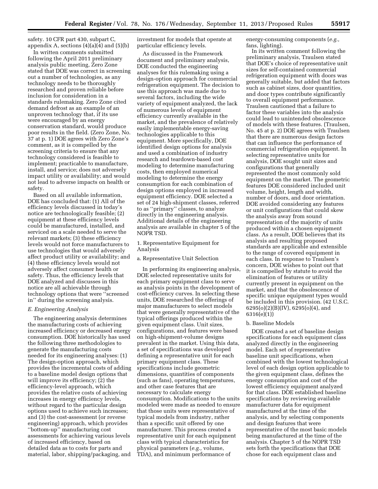safety. 10 CFR part 430, subpart C, appendix A, sections  $(4)(a)(4)$  and  $(5)(b)$ 

In written comments submitted following the April 2011 preliminary analysis public meeting, Zero Zone stated that DOE was correct in screening out a number of technologies, as any technology needs to be thoroughly researched and proven reliable before inclusion for consideration in a standards rulemaking. Zero Zone cited demand defrost as an example of an unproven technology that, if its use were encouraged by an energy conservation standard, would produce poor results in the field. (Zero Zone, No. 37 at p. 1) DOE agrees with Zero Zone's comment, as it is compelled by the screening criteria to ensure that any technology considered is feasible to implement; practicable to manufacture, install, and service; does not adversely impact utility or availability; and would not lead to adverse impacts on health or safety.

Based on all available information, DOE has concluded that: (1) All of the efficiency levels discussed in today's notice are technologically feasible; (2) equipment at these efficiency levels could be manufactured, installed, and serviced on a scale needed to serve the relevant markets; (3) these efficiency levels would not force manufacturers to use technologies that would adversely affect product utility or availability; and (4) these efficiency levels would not adversely affect consumer health or safety. Thus, the efficiency levels that DOE analyzed and discusses in this notice are all achievable through technology options that were ''screened in'' during the screening analysis.

#### *E. Engineering Analysis*

The engineering analysis determines the manufacturing costs of achieving increased efficiency or decreased energy consumption. DOE historically has used the following three methodologies to generate the manufacturing costs needed for its engineering analyses: (1) The design-option approach, which provides the incremental costs of adding to a baseline model design options that will improve its efficiency; (2) the efficiency-level approach, which provides the relative costs of achieving increases in energy efficiency levels, without regard to the particular design options used to achieve such increases; and (3) the cost-assessment (or reverse engineering) approach, which provides ''bottom-up'' manufacturing cost assessments for achieving various levels of increased efficiency, based on detailed data as to costs for parts and material, labor, shipping/packaging, and

investment for models that operate at particular efficiency levels.

As discussed in the Framework document and preliminary analysis, DOE conducted the engineering analyses for this rulemaking using a design-option approach for commercial refrigeration equipment. The decision to use this approach was made due to several factors, including the wide variety of equipment analyzed, the lack of numerous levels of equipment efficiency currently available in the market, and the prevalence of relatively easily implementable energy-saving technologies applicable to this equipment. More specifically, DOE identified design options for analysis and used a combination of industry research and teardown-based cost modeling to determine manufacturing costs, then employed numerical modeling to determine the energy consumption for each combination of design options employed in increased equipment efficiency. DOE selected a set of 24 high-shipment classes, referred to as ''primary'' classes, to analyze directly in the engineering analysis. Additional details of the engineering analysis are available in chapter 5 of the NOPR TSD.

1. Representative Equipment for Analysis

a. Representative Unit Selection

In performing its engineering analysis, DOE selected representative units for each primary equipment class to serve as analysis points in the development of cost-efficiency curves. In selecting these units, DOE researched the offerings of major manufacturers to select models that were generally representative of the typical offerings produced within the given equipment class. Unit sizes, configurations, and features were based on high-shipment-volume designs prevalent in the market. Using this data, a set of specifications was developed defining a representative unit for each primary equipment class. These specifications include geometric dimensions, quantities of components (such as fans), operating temperatures, and other case features that are necessary to calculate energy consumption. Modifications to the units modeled were made as needed to ensure that those units were representative of typical models from industry, rather than a specific unit offered by one manufacturer. This process created a representative unit for each equipment class with typical characteristics for physical parameters (*e.g.,* volume, TDA), and minimum performance of

energy-consuming components (*e.g.,*  fans, lighting).

In its written comment following the preliminary analysis, Traulsen stated that DOE's choice of representative unit sizes for self-contained commercial refrigeration equipment with doors was generally suitable, but added that factors such as cabinet sizes, door quantities, and door types contribute significantly to overall equipment performance. Traulsen cautioned that a failure to factor these variables into the analysis could lead to unintended obsolescence of models with these features. (Traulsen, No. 45 at p. 2) DOE agrees with Traulsen that there are numerous design factors that can influence the performance of commercial refrigeration equipment. In selecting representative units for analysis, DOE sought unit sizes and configurations that generally represented the most commonly sold equipment on the market. The geometric features DOE considered included unit volume, height, length and width, number of doors, and door orientation. DOE avoided considering any features or unit configurations that could skew the analysis away from sound representation of the majority of units produced within a chosen equipment class. As a result, DOE believes that its analysis and resulting proposed standards are applicable and extensible to the range of covered equipment in each class. In response to Traulsen's concern, DOE wishes to point out that it is compelled by statute to avoid the elimination of features or utility currently present in equipment on the market, and that the obsolescence of specific unique equipment types would be included in this provision. (42 U.S.C. 6295(o)(2)(B)(IV), 6295(o)(4), and 6316(e)(1))

#### b. Baseline Models

DOE created a set of baseline design specifications for each equipment class analyzed directly in the engineering model. Each set of representative baseline unit specifications, when combined with the lowest technological level of each design option applicable to the given equipment class, defines the energy consumption and cost of the lowest efficiency equipment analyzed for that class. DOE established baseline specifications by reviewing available manufacturer data for equipment manufactured at the time of the analysis, and by selecting components and design features that were representative of the most basic models being manufactured at the time of the analysis. Chapter 5 of the NOPR TSD sets forth the specifications that DOE chose for each equipment class and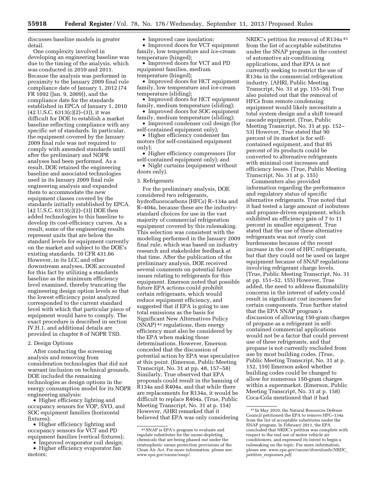discusses baseline models in greater detail.

One complexity involved in developing an engineering baseline was due to the timing of the analysis, which was conducted in 2010 and 2011. Because the analysis was performed in proximity to the January 2009 final rule compliance date of January 1, 2012 (74 FR 1092 (Jan. 9, 2009)), and the compliance date for the standards established in EPCA of January 1, 2010  $(42 \text{ U.S.C. } 6313(c)(2)–(3))$ , it was difficult for DOE to establish a market baseline reflecting compliance with any specific set of standards. In particular, the equipment covered by the January 2009 final rule was not required to comply with amended standards until after the preliminary and NOPR analyses had been performed. As a result, DOE retained the engineering baseline and associated technologies used in its January 2009 final rule engineering analysis and expanded them to accommodate the new equipment classes covered by the standards initially established by EPCA. (42 U.S.C. 6313(c)(2)–(3)) DOE then added technologies to this baseline to develop its cost-efficiency curves. As a result, some of the engineering results represent units that are below the standard levels for equipment currently on the market and subject to the DOE's existing standards. 10 CFR 431.66 However, in its LCC and other downstream analyses, DOE accounted for this fact by utilizing a standards baseline as the minimum efficiency level examined, thereby truncating the engineering design option levels so that the lowest efficiency point analyzed corresponded to the current standard level with which that particular piece of equipment would have to comply. The exact procedure is described in section IV.H.1, and additional details are provided in chapter 8 of NOPR TSD.

#### 2. Design Options

After conducting the screening analysis and removing from consideration technologies that did not warrant inclusion on technical grounds, DOE included the remaining technologies as design options in the energy consumption model for its NOPR engineering analysis:

• Higher efficiency lighting and occupancy sensors for VOP, SVO, and SOC equipment families (horizontal fixtures);

• Higher efficiency lighting and occupancy sensors for VCT and PD equipment families (vertical fixtures);

• Improved evaporator coil design;

• Higher efficiency evaporator fan motors;

• Improved case insulation;

• Improved doors for VCT equipment family, low temperature and ice-cream temperature (hinged);

• Improved doors for VCT and PD equipment families, medium temperature (hinged);

• Improved doors for HCT equipment family, low temperature and ice-cream temperature (sliding);

• Improved doors for HCT equipment family, medium temperature (sliding);

• Improved doors for SOC equipment family, medium temperature (sliding);

• Improved condenser coil design (for self-contained equipment only);

• Higher efficiency condenser fan motors (for self-contained equipment only);

• Higher efficiency compressors (for self-contained equipment only); and

• Night curtains (equipment without doors only).

#### 3. Refrigerants

For the preliminary analysis, DOE considered two refrigerants, hydrofluorocarbons (HFCs) R–134a and R–404a, because these are the industrystandard choices for use in the vast majority of commercial refrigeration equipment covered by this rulemaking. This selection was consistent with the modeling performed in the January 2009 final rule, which was based on industry research and stakeholder feedback at that time. After the publication of the preliminary analysis, DOE received several comments on potential future issues relating to refrigerants for this equipment. Emerson noted that possible future EPA actions could prohibit certain refrigerants, which would reduce equipment efficiency, and suggested that if EPA is going to use total emissions as the basis for Significant New Alternatives Policy (SNAP) 42 regulations, then energy efficiency must also be considered by the EPA when making those determinations. However, Emerson conceded that the discussion of potential action by EPA was speculative at this point. (Emerson, Public Meeting Transcript, No. 31 at pp. 48, 157–58) Similarly, True observed that EPA proposals could result in the banning of R134a and R404a, and that while there are replacements for R134a, it would be difficult to replace R404a. (True, Public Meeting Transcript, No. 31 at p. 154) However, AHRI remarked that it believed that EPA was only considering

NRDC's petition for removal of R134a 43 from the list of acceptable substitutes under the SNAP program in the context of automotive air-conditioning applications, and that EPA is not currently seeking to restrict the use of R134a in the commercial refrigeration industry. (AHRI, Public Meeting Transcript, No. 31 at pp. 155–56) True also pointed out that the removal of HFCs from remote condensing equipment would likely necessitate a total system design and a shift toward cascade equipment. (True, Public Meeting Transcript, No. 31 at pp. 152– 53) However, True stated that 90 percent of its market is for selfcontained equipment, and that 85 percent of its products could be converted to alternative refrigerants with minimal cost increases and efficiency losses. (True, Public Meeting Transcript, No. 31 at p. 155)

Commenters also provided information regarding the performance and regulatory status of specific alternative refrigerants. True noted that it had tested a large amount of isobutene and propane-driven equipment, which exhibited an efficiency gain of 7 to 11 percent in smaller equipment. True stated that the use of these alternative refrigerants was not overly cost burdensome because of the recent increase in the cost of HFC refrigerants, but that they could not be used on larger equipment because of SNAP regulations involving refrigerant charge levels. (True, Public Meeting Transcript, No. 31 at pp. 151–52, 155) However, True added, the need to address flammability concerns in the interest of safety could result in significant cost increases for certain components. True further stated that the EPA SNAP program's discussion of allowing 150-gram charges of propane as a refrigerant in selfcontained commercial applications would not be a factor that could prevent use of these refrigerants, and that propane is not currently excluded from use by most building codes. (True, Public Meeting Transcript, No. 31 at p. 152, 159) Emerson asked whether building codes could be changed to allow for numerous 150-gram charges within a supermarket. (Emerson, Public Meeting Transcript, No. 31 at p. 158) Coca-Cola mentioned that it had

<sup>42</sup>SNAP is EPA's program to evaluate and regulate substitutes for the ozone-depleting chemicals that are being phased out under the stratospheric ozone protection provisions of the Clean Air Act. For more information, please see: *[www.epa.gov/ozone/snap/](http://www.epa.gov/ozone/snap/)*.

<sup>43</sup> In May 2010, the Natural Resources Defense Council petitioned the EPA to remove HFC–134a from the list of acceptable substitutes under the SNAP program. In February 2011, the EPA concluded that NRDC's petition was complete with respect to the end use of motor vehicle air conditioners, and expressed its intent to begin a rulemaking on the topic. For more information, please see: *[www.epa.gov/ozone/downloads/NRDC](http://www.epa.gov/ozone/downloads/NRDC_petition_responses.pdf)*\_ *petition*\_*[responses.pdf](http://www.epa.gov/ozone/downloads/NRDC_petition_responses.pdf)*.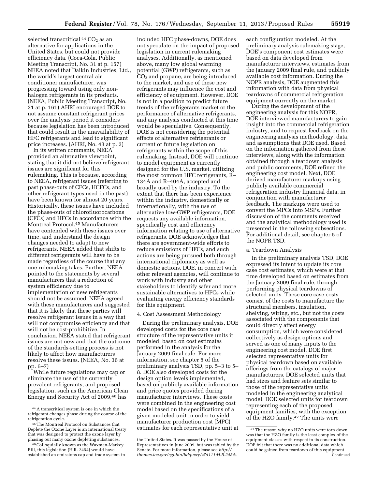selected transcritical  $44$  CO<sub>2</sub> as an alternative for applications in the United States, but could not provide efficiency data. (Coca-Cola, Public Meeting Transcript, No. 31 at p. 157) NEEA noted that Daikin Industries, Ltd., the world's largest central air conditioner manufacturer, was progressing toward using only nonhalogen refrigerants in its products. (NEEA, Public Meeting Transcript, No. 31 at p. 161) AHRI encouraged DOE to not assume constant refrigerant prices over the analysis period it considers because legislation has been introduced that could result in the unavailability of HFC refrigerants and lead to significant price increases. (AHRI, No. 43 at p. 3)

In its written comments, NEEA provided an alternative viewpoint, stating that it did not believe refrigerant issues are significant for this rulemaking. This is because, according to NEEA, refrigerant issues (referring to past phase-outs of CFCs, HCFCs, and other refrigerant types used in the past) have been known for almost 20 years. Historically, these issues have included the phase-outs of chlorofluorocarbons (CFCs) and HFCs in accordance with the Montreal Protocol.45 Manufacturers have contended with these issues over time, and understand the design changes needed to adapt to new refrigerants. NEEA added that shifts to different refrigerants will have to be made regardless of the course that any one rulemaking takes. Further, NEEA pointed to the statements by several manufacturers that a reduction of system efficiency due to implementation of new refrigerants should not be assumed. NEEA agreed with these manufacturers and suggested that it is likely that these parties will resolve refrigerant issues in a way that will not compromise efficiency and that will not be cost-prohibitive. In conclusion, NEEA stated that refrigerant issues are not new and that the outcome of the standards-setting process is not likely to affect how manufacturers resolve these issues. (NEEA, No. 36 at pp. 6–7)

While future regulations may cap or eliminate the use of the currently prevalent refrigerants, and proposed legislation, such as the American Clean Energy and Security Act of 2009,46 has

included HFC phase-downs, DOE does not speculate on the impact of proposed legislation in current rulemaking analyses. Additionally, as mentioned above, many low global warming potential (GWP) refrigerants, such as CO2 and propane, are being introduced to the market, and use of these new refrigerants may influence the cost and efficiency of equipment. However, DOE is not in a position to predict future trends of the refrigerants market or the performance of alternative refrigerants, and any analysis conducted at this time would be speculative. Consequently, DOE is not considering the potential effects of alternative refrigerants or current or future legislation on refrigerants within the scope of this rulemaking. Instead, DOE will continue to model equipment as currently designed for the U.S. market, utilizing the most common HFC refrigerants, R– 134A and R–404A, accepted and broadly used by the industry. To the extent that there has been experience within the industry, domestically or internationally, with the use of alternative low-GWP refrigerants, DOE requests any available information, specifically cost and efficiency information relating to use of alternative refrigerants. DOE acknowledges that there are government-wide efforts to reduce emissions of HFCs, and such actions are being pursued both through international diplomacy as well as domestic actions. DOE, in concert with other relevant agencies, will continue to work with industry and other stakeholders to identify safer and more sustainable alternatives to HFCs while evaluating energy efficiency standards for this equipment.

#### 4. Cost Assessment Methodology

During the preliminary analysis, DOE developed costs for the core case structure of the representative units it modeled, based on cost estimates performed in the analysis for the January 2009 final rule. For more information, see chapter 5 of the preliminary analysis TSD, pp. 5–3 to 5– 8. DOE also developed costs for the design option levels implemented, based on publicly available information and price quotes provided during manufacturer interviews. These costs were combined in the engineering cost model based on the specifications of a given modeled unit in order to yield manufacturer production cost (MPC) estimates for each representative unit at

each configuration modeled. At the preliminary analysis rulemaking stage, DOE's component cost estimates were based on data developed from manufacturer interviews, estimates from the January 2009 final rule, and publicly available cost information. During the NOPR analysis, DOE augmented this information with data from physical teardowns of commercial refrigeration equipment currently on the market.

During the development of the engineering analysis for this NOPR, DOE interviewed manufacturers to gain insight into the commercial refrigeration industry, and to request feedback on the engineering analysis methodology, data, and assumptions that DOE used. Based on the information gathered from these interviews, along with the information obtained through a teardown analysis and public comments, DOE refined the engineering cost model. Next, DOE derived manufacturer markups using publicly available commercial refrigeration industry financial data, in conjunction with manufacturer feedback. The markups were used to convert the MPCs into MSPs. Further discussion of the comments received and the analytical methodology used is presented in the following subsections. For additional detail, see chapter 5 of the NOPR TSD.

#### a. Teardown Analysis

In the preliminary analysis TSD, DOE expressed its intent to update its core case cost estimates, which were at that time developed based on estimates from the January 2009 final rule, through performing physical teardowns of selected units. These core case costs consist of the costs to manufacture the structural members, insulation, shelving, wiring, etc., but not the costs associated with the components that could directly affect energy consumption, which were considered collectively as design options and served as one of many inputs to the engineering cost model. DOE first selected representative units for physical teardown based on available offerings from the catalogs of major manufacturers. DOE selected units that had sizes and feature sets similar to those of the representative units modeled in the engineering analytical model. DOE selected units for teardown representing each of the proposed equipment families, with the exception of the HZO family.47 The units were

<sup>44</sup>A transcritical system is one in which the refrigerant changes phase during the course of the refrigeration cycle.

<sup>45</sup>The Montreal Protocol on Substances that Deplete the Ozone Layer is an international treaty that was designed to protect the ozone layer by phasing out many ozone depleting substances.

<sup>46</sup>Colloquially known as the Waxman-Markey Bill, this legislation (H.R. 2454) would have established an emissions cap and trade system in

the United States. It was passed by the House of Representatives in June 2009, but was tabled by the Senate. For more information, please see *[http://](http://thomas.loc.gov/cgi-bin/bdquery/z?d111:H.R.2454:) [thomas.loc.gov/cgi-bin/bdquery/z?d111:H.R.2454:.](http://thomas.loc.gov/cgi-bin/bdquery/z?d111:H.R.2454:)* 

<sup>47</sup>The reason why no HZO units were torn down was that the HZO family is the least complex of the equipment classes with respect to its construction. DOE felt that there was no additional data which could be gained from teardown of this equipment Continued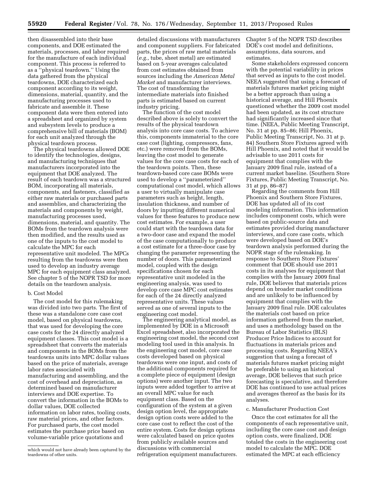then disassembled into their base components, and DOE estimated the materials, processes, and labor required for the manufacture of each individual component. This process is referred to as a ''physical teardown.'' Using the data gathered from the physical teardowns, DOE characterized each component according to its weight, dimensions, material, quantity, and the manufacturing processes used to fabricate and assemble it. These component data were then entered into a spreadsheet and organized by system and subsystem levels to produce a comprehensive bill of materials (BOM) for each unit analyzed through the physical teardown process.

The physical teardowns allowed DOE to identify the technologies, designs, and manufacturing techniques that manufacturers incorporated into the equipment that DOE analyzed. The result of each teardown was a structured BOM, incorporating all materials, components, and fasteners, classified as either raw materials or purchased parts and assemblies, and characterizing the materials and components by weight, manufacturing processes used, dimensions, material, and quantity. The BOMs from the teardown analysis were then modified, and the results used as one of the inputs to the cost model to calculate the MPC for each representative unit modeled. The MPCs resulting from the teardowns were then used to develop an industry average MPC for each equipment class analyzed. See chapter 5 of the NOPR TSD for more details on the teardown analysis.

#### b. Cost Model

The cost model for this rulemaking was divided into two parts. The first of these was a standalone core case cost model, based on physical teardowns, that was used for developing the core case costs for the 24 directly analyzed equipment classes. This cost model is a spreadsheet that converts the materials and components in the BOMs from the teardowns units into MPC dollar values based on the price of materials, average labor rates associated with manufacturing and assembling, and the cost of overhead and depreciation, as determined based on manufacturer interviews and DOE expertise. To convert the information in the BOMs to dollar values, DOE collected information on labor rates, tooling costs, raw material prices, and other factors. For purchased parts, the cost model estimates the purchase price based on volume-variable price quotations and

detailed discussions with manufacturers and component suppliers. For fabricated parts, the prices of raw metal materials (*e.g.,* tube, sheet metal) are estimated based on 5-year averages calculated from cost estimates obtained from sources including the *American Metal Market* and manufacturer interviews. The cost of transforming the intermediate materials into finished parts is estimated based on current industry pricing.

The function of the cost model described above is solely to convert the results of the physical teardown analysis into core case costs. To achieve this, components immaterial to the core case cost (lighting, compressors, fans, etc.) were removed from the BOMs, leaving the cost model to generate values for the core case costs for each of the teardown points. Then, these teardown-based core case BOMs were used to develop a ''parameterized'' computational cost model, which allows a user to virtually manipulate case parameters such as height, length, insulation thickness, and number of doors by inputting different numerical values for these features to produce new cost estimates. For example, a user could start with the teardown data for a two-door case and expand the model of the case computationally to produce a cost estimate for a three-door case by changing the parameter representing the number of doors. This parameterized model, coupled with the design specifications chosen for each representative unit modeled in the engineering analysis, was used to develop core case MPC cost estimates for each of the 24 directly analyzed representative units. These values served as one of several inputs to the engineering cost model.

The engineering analytical model, as implemented by DOE in a Microsoft Excel spreadsheet, also incorporated the engineering cost model, the second cost modeling tool used in this analysis. In the engineering cost model, core case costs developed based on physical teardowns were one input, and costs of the additional components required for a complete piece of equipment (design options) were another input. The two inputs were added together to arrive at an overall MPC value for each equipment class. Based on the configuration of the system at a given design option level, the appropriate design option costs were added to the core case cost to reflect the cost of the entire system. Costs for design options were calculated based on price quotes from publicly available sources and discussions with commercial refrigeration equipment manufacturers.

Chapter 5 of the NOPR TSD describes DOE's cost model and definitions, assumptions, data sources, and estimates.

Some stakeholders expressed concern with the potential variability in prices that served as inputs to the cost model. NEEA suggested that using a forecast of materials futures market pricing might be a better approach than using a historical average, and Hill Phoenix questioned whether the 2009 cost model had been updated, as its cost structure had significantly increased since that time. (NEEA, Public Meeting Transcript, No. 31 at pp. 85–86; Hill Phoenix, Public Meeting Transcript, No. 31 at p. 84) Southern Store Fixtures agreed with Hill Phoenix, and noted that it would be advisable to use 2011 costs for equipment that complies with the January 2009 final rule, instead of a current market baseline. (Southern Store Fixtures, Public Meeting Transcript, No. 31 at pp. 86–87)

Regarding the comments from Hill Phoenix and Southern Store Fixtures, DOE has updated all of its cost modeling information. This information includes component costs, which were based on public-source data and estimates provided during manufacturer interviews, and core case costs, which were developed based on DOE's teardown analysis performed during the NOPR stage of the rulemaking. In response to Southern Store Fixtures' comment that DOE should use 2011 costs in its analyses for equipment that complies with the January 2009 final rule, DOE believes that materials prices depend on broader market conditions and are unlikely to be influenced by equipment that complies with the January 2009 final rule. DOE calculates the materials cost based on price information gathered from the market, and uses a methodology based on the Bureau of Labor Statistics (BLS) Producer Price Indices to account for fluctuations in materials prices and processing costs. Regarding NEEA's suggestion that using a forecast of materials futures market pricing might be preferable to using an historical average, DOE believes that such price forecasting is speculative, and therefore DOE has continued to use actual prices and averages thereof as the basis for its analyses.

#### c. Manufacturer Production Cost

Once the cost estimates for all the components of each representative unit, including the core case cost and design option costs, were finalized, DOE totaled the costs in the engineering cost model to calculate the MPC. DOE estimated the MPC at each efficiency

which would not have already been captured by the teardowns of other units.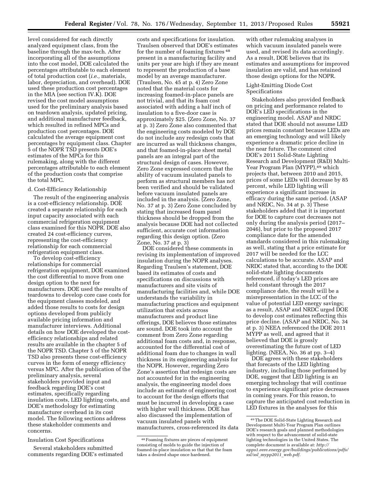level considered for each directly analyzed equipment class, from the baseline through the max-tech. After incorporating all of the assumptions into the cost model, DOE calculated the percentages attributable to each element of total production cost (*i.e.,* materials, labor, depreciation, and overhead). DOE used these production cost percentages in the MIA (see section IV.K). DOE revised the cost model assumptions used for the preliminary analysis based on teardown analysis, updated pricing, and additional manufacturer feedback, which resulted in refined MPCs and production cost percentages. DOE calculated the average equipment cost percentages by equipment class. Chapter 5 of the NOPR TSD presents DOE's estimates of the MPCs for this rulemaking, along with the different percentages attributable to each element of the production costs that comprise the total MPC.

#### d. Cost-Efficiency Relationship

The result of the engineering analysis is a cost-efficiency relationship. DOE created a separate relationship for each input capacity associated with each commercial refrigeration equipment class examined for this NOPR. DOE also created 24 cost-efficiency curves, representing the cost-efficiency relationship for each commercial refrigeration equipment class.

To develop cost-efficiency relationships for commercial refrigeration equipment, DOE examined the cost differential to move from one design option to the next for manufacturers. DOE used the results of teardowns to develop core case costs for the equipment classes modeled, and added those results to costs for design options developed from publicly available pricing information and manufacturer interviews. Additional details on how DOE developed the costefficiency relationships and related results are available in the chapter 5 of the NOPR TSD. Chapter 5 of the NOPR TSD also presents these cost-efficiency curves in the form of energy efficiency versus MPC. After the publication of the preliminary analysis, several stakeholders provided input and feedback regarding DOE's cost estimates, specifically regarding insulation costs, LED lighting costs, and DOE's methodology for estimating manufacturer overhead in its cost model. The following sections address these stakeholder comments and concerns.

Insulation Cost Specifications

Several stakeholders submitted comments regarding DOE's estimated

costs and specifications for insulation. Traulsen observed that DOE's estimates for the number of foaming fixtures 48 present in a manufacturing facility and units per year are high if they are meant to represent the production of a base model by an average manufacturer. (Traulsen, No. 45 at p. 4) Zero Zone noted that the material costs for increasing foamed-in-place panels are not trivial, and that its foam cost associated with adding a half inch of insulation to a five-door case is approximately \$25. (Zero Zone, No. 37 at p. 3) Zero Zone also commented that the engineering costs modeled by DOE do not include any redesign costs that are incurred as wall thickness changes, and that foamed-in-place sheet metal panels are an integral part of the structural design of cases. However, Zero Zone expressed concern that the ability of vacuum insulated panels to perform as structural members has not been verified and should be validated before vacuum insulated panels are included in the analysis. (Zero Zone, No. 37 at p. 3) Zero Zone concluded by stating that increased foam panel thickness should be dropped from the analysis because DOE had not collected sufficient, accurate cost information regarding this design option. (Zero Zone, No. 37 at p. 3)

DOE considered these comments in revising its implementation of improved insulation during the NOPR analyses. Regarding Traulsen's statement, DOE based its estimates of costs and specifications on discussions with manufacturers and site visits of manufacturing facilities and, while DOE understands the variability in manufacturing practices and equipment utilization that exists across manufacturers and product line offerings, DOE believes those estimates are sound. DOE took into account the comment from Zero Zone regarding additional foam costs and, in response, accounted for the differential cost of additional foam due to changes in wall thickness in its engineering analysis for the NOPR. However, regarding Zero Zone's assertion that redesign costs are not accounted for in the engineering analysis, the engineering model does include an estimate of engineering cost to account for the design efforts that must be incurred in developing a case with higher wall thickness. DOE has also discussed the implementation of vacuum insulated panels with manufacturers, cross-referenced its data

with other rulemaking analyses in which vacuum insulated panels were used, and revised its data accordingly. As a result, DOE believes that its estimates and assumptions for improved insulation are valid, and has retained those design options for the NOPR.

#### Light-Emitting Diode Cost Specifications

Stakeholders also provided feedback on pricing and performance related to DOE's LED specifications in the engineering model. ASAP and NRDC stated that DOE should not assume LED prices remain constant because LEDs are an emerging technology and will likely experience a dramatic price decline in the near future. The comment cited DOE's 2011 Solid-State Lighting Research and Development (R&D) Multi-Year Program Plan (MYPP), <sup>49</sup> which projects that, between 2010 and 2015, prices of some LEDs will decrease by 85 percent, while LED lighting will experience a significant increase in efficacy during the same period. (ASAP and NRDC, No. 34 at p. 3) These stakeholders added that it is important for DOE to capture cost decreases not only during the analysis period (2017– 2046), but prior to the proposed 2017 compliance date for the amended standards considered in this rulemaking as well, stating that a price estimate for 2017 will be needed for the LCC calculations to be accurate. ASAP and NRDC stated that, according to the DOE solid-state lighting documents referenced, if today's LED prices are held constant through the 2017 compliance date, the result will be a misrepresentation in the LCC of the value of potential LED energy savings; as a result, ASAP and NRDC urged DOE to develop cost estimates reflecting this price decline. (ASAP and NRDC, No. 34 at p. 3) NEEA referenced the DOE 2011 MYPP as well, and agreed that it believed that DOE is grossly overestimating the future cost of LED lighting. (NEEA, No. 36 at pp. 3–4)

DOE agrees with these stakeholders that forecasts of the LED lighting industry, including those performed by DOE, suggest that LED lighting is an emerging technology that will continue to experience significant price decreases in coming years. For this reason, to capture the anticipated cost reduction in LED fixtures in the analyses for this

<sup>48</sup>Foaming fixtures are pieces of equipment consisting of molds to guide the injection of foamed-in-place insulation so that that the foam takes a desired shape once hardened.

<sup>49</sup>The DOE Solid-State Lighting Research and Development Multi-Year Program Plan outlines DOE's research goals and planned methodologies with respect to the advancement of solid-state lighting technologies in the United States. The complete document is available at: *[http://](http://apps1.eere.energy.gov/buildings/publications/pdfs/ssl/ssl_mypp2011_web.pdf) [apps1.eere.energy.gov/buildings/publications/pdfs/](http://apps1.eere.energy.gov/buildings/publications/pdfs/ssl/ssl_mypp2011_web.pdf) ssl/ssl*\_*[mypp2011](http://apps1.eere.energy.gov/buildings/publications/pdfs/ssl/ssl_mypp2011_web.pdf)*\_*web.pdf*.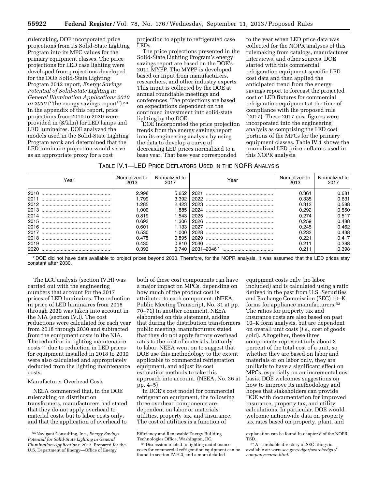rulemaking, DOE incorporated price projections from its Solid-State Lighting Program into its MPC values for the primary equipment classes. The price projections for LED case lighting were developed from projections developed for the DOE Solid-State Lighting Program 2012 report, *Energy Savings Potential of Solid-State Lighting in General Illumination Applications 2010 to 2030* (''the energy savings report'').50 In the appendix of this report, price projections from 2010 to 2030 were provided in (\$/klm) for LED lamps and LED luminaires. DOE analyzed the models used in the Solid-State Lighting Program work and determined that the LED luminaire projection would serve as an appropriate proxy for a cost

projection to apply to refrigerated case LEDs.

The price projections presented in the Solid-State Lighting Program's energy savings report are based on the DOE's 2011 MYPP. The MYPP is developed based on input from manufacturers, researchers, and other industry experts. This input is collected by the DOE at annual roundtable meetings and conferences. The projections are based on expectations dependent on the continued investment into solid-state lighting by the DOE.

DOE incorporated the price projection trends from the energy savings report into its engineering analysis by using the data to develop a curve of decreasing LED prices normalized to a base year. That base year corresponded

to the year when LED price data was collected for the NOPR analyses of this rulemaking from catalogs, manufacturer interviews, and other sources. DOE started with this commercial refrigeration equipment-specific LED cost data and then applied the anticipated trend from the energy savings report to forecast the projected cost of LED fixtures for commercial refrigeration equipment at the time of compliance with the proposed rule (2017). These 2017 cost figures were incorporated into the engineering analysis as comprising the LED cost portions of the MPCs for the primary equipment classes. Table IV.1 shows the normalized LED price deflators used in this NOPR analysis.

| Table IV.1—LED Price Deflators Used in the NOPR Analysis |  |
|----------------------------------------------------------|--|
|----------------------------------------------------------|--|

| Year | Normalized to<br>2013 | Normalized to<br>2017 | Year | Normalized to<br>2013 | Normalized to<br>2017 |
|------|-----------------------|-----------------------|------|-----------------------|-----------------------|
| 2010 | 2.998                 | 5.652                 | 2021 | 0.361                 | 0.681                 |
| 2011 | 1.799                 | 3.392                 |      | 0.335                 | 0.631                 |
| 2012 | 1.285                 | 2.423                 | 2023 | 0.312                 | 0.588                 |
| 2013 | 1.000                 | 1.885                 |      | 0.292                 | 0.550                 |
| 2014 | 0.819                 | 1.543                 |      | 0.274                 | 0.517                 |
|      | 0.693                 | 1.306                 |      | 0.259                 | 0.488                 |
|      | 0.601                 | 1.133                 |      | 0.245                 | 0.462                 |
| 2017 | 0.530                 | 1.000                 |      | 0.232                 | 0.438                 |
| 2018 | 0.475                 | 0.895                 |      | 0.221                 | 0.417                 |
| 2019 | 0.430                 | 0.810                 |      | 0.211                 | 0.398                 |
| 2020 | 0.393                 | 0.740                 |      | 0.211                 | 0.398                 |

\* DOE did not have data available to project prices beyond 2030. Therefore, for the NOPR analysis, it was assumed that the LED prices stay constant after 2030.

The LCC analysis (section IV.H) was carried out with the engineering numbers that account for the 2017 prices of LED luminaires. The reduction in price of LED luminaires from 2018 through 2030 was taken into account in the NIA (section IV.I). The cost reductions were calculated for each year from 2018 through 2030 and subtracted from the equipment costs in the NIA. The reduction in lighting maintenance costs 51 due to reduction in LED prices for equipment installed in 2018 to 2030 were also calculated and appropriately deducted from the lighting maintenance costs.

#### Manufacturer Overhead Costs

NEEA commented that, in the DOE rulemaking on distribution transformers, manufacturers had stated that they do not apply overhead to material costs, but to labor costs only, and that the application of overhead to

both of these cost components can have a major impact on MPCs, depending on how much of the product cost is attributed to each component. (NEEA, Public Meeting Transcript, No. 31 at pp. 70–71) In another comment, NEEA elaborated on this statement, adding that during the distribution transformers public meeting, manufacturers stated that they do not apply factory overhead rates to the cost of materials, but only to labor. NEEA went on to suggest that DOE use this methodology to the extent applicable to commercial refrigeration equipment, and adjust its cost estimation methods to take this approach into account. (NEEA, No. 36 at pp. 4–5)

In DOE's cost model for commercial refrigeration equipment, the following three overhead components are dependent on labor or materials: utilities, property tax, and insurance. The cost of utilities is a function of

equipment costs only (no labor included) and is calculated using a ratio derived in the past from U.S. Securities and Exchange Commission (SEC) 10–K forms for appliance manufacturers.52 The ratios for property tax and insurance costs are also based on past 10–K form analysis, but are dependent on overall unit costs (*i.e.,* cost of goods sold). Altogether, these three components represent only about 3 percent of the total cost of a unit, so whether they are based on labor and materials or on labor only, they are unlikely to have a significant effect on MPCs, especially on an incremental cost basis. DOE welcomes suggestions on how to improve its methodology and hopes that stakeholders can provide DOE with documentation for improved insurance, property tax, and utility calculations. In particular, DOE would welcome nationwide data on property tax rates based on property, plant, and

<sup>50</sup>Navigant Consulting, Inc., *Energy Savings Potential for Solid-State Lighting in General Illumination Applications.* 2012. Prepared for the U.S. Department of Energy—Office of Energy

Efficiency and Renewable Energy Building Technologies Office, Washington, DC.

<sup>51</sup> Discussion related to lighting maintenance costs for commercial refrigeration equipment can be found in section IV.H.3, and a more detailed

explanation can be found in chapter 8 of the NOPR TSD.

<sup>52</sup>A searchable directory of SEC filings is available at: *[www.sec.gov/edgar/searchedgar/](http://www.sec.gov/edgar/searchedgar/companysearch.html) [companysearch.html](http://www.sec.gov/edgar/searchedgar/companysearch.html)*.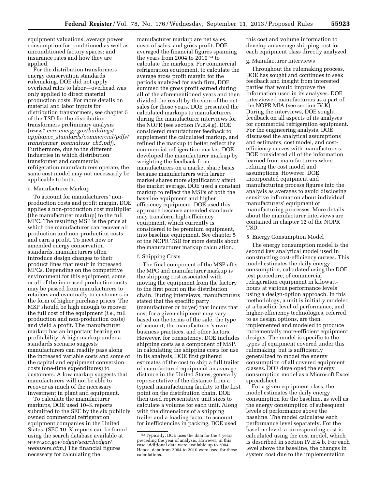equipment valuations; average power consumption for conditioned as well as unconditioned factory spaces; and insurance rates and how they are applied.

For the distribution transformers energy conservation standards rulemaking, DOE did not apply overhead rates to labor—overhead was only applied to direct material production costs. For more details on material and labor inputs for distribution transformers, see chapter 5 of the TSD for the distribution transformers preliminary analysis (*[www1.eere.energy.gov/buildings/](http://www1.eere.energy.gov/buildings/appliance_standards/commercial/pdfs/transformer_preanalysis_ch5.pdf) appliance*\_*[standards/commercial/pdfs/](http://www1.eere.energy.gov/buildings/appliance_standards/commercial/pdfs/transformer_preanalysis_ch5.pdf) [transformer](http://www1.eere.energy.gov/buildings/appliance_standards/commercial/pdfs/transformer_preanalysis_ch5.pdf)*\_*preanalysis*\_*ch5.pdf*). Furthermore, due to the different industries in which distribution transformer and commercial refrigeration manufacturers operate, the same cost model may not necessarily be applicable to both.

#### e. Manufacturer Markup

To account for manufacturers' nonproduction costs and profit margin, DOE applies a non-production cost multiplier (the manufacturer markup) to the full MPC. The resulting MSP is the price at which the manufacturer can recover all production and non-production costs and earn a profit. To meet new or amended energy conservation standards, manufacturers often introduce design changes to their product lines that result in increased MPCs. Depending on the competitive environment for this equipment, some or all of the increased production costs may be passed from manufacturers to retailers and eventually to customers in the form of higher purchase prices. The MSP should be high enough to recover the full cost of the equipment (*i.e.,* full production and non-production costs) and yield a profit. The manufacturer markup has an important bearing on profitability. A high markup under a standards scenario suggests manufacturers can readily pass along the increased variable costs and some of the capital and equipment conversion costs (one-time expenditures) to customers. A low markup suggests that manufacturers will not be able to recover as much of the necessary investment in plant and equipment.

To calculate the manufacturer markups, DOE used 10–K reports submitted to the SEC by the six publicly owned commercial refrigeration equipment companies in the United States. (SEC 10–K reports can be found using the search database available at *[www.sec.gov/edgar/searchedgar/](http://www.sec.gov/edgar/searchedgar/webusers.htm) [webusers.htm](http://www.sec.gov/edgar/searchedgar/webusers.htm)*.) The financial figures necessary for calculating the

manufacturer markup are net sales, costs of sales, and gross profit. DOE averaged the financial figures spanning the years from 2004 to 2010 53 to calculate the markups. For commercial refrigeration equipment, to calculate the average gross profit margin for the periods analyzed for each firm, DOE summed the gross profit earned during all of the aforementioned years and then divided the result by the sum of the net sales for those years. DOE presented the calculated markups to manufacturers during the manufacturer interviews for the NOPR (see section IV.E.4.g). DOE considered manufacturer feedback to supplement the calculated markup, and refined the markup to better reflect the commercial refrigeration market. DOE developed the manufacturer markup by weighting the feedback from manufacturers on a market share basis because manufacturers with larger market shares more significantly affect the market average. DOE used a constant markup to reflect the MSPs of both the baseline equipment and higher efficiency equipment. DOE used this approach because amended standards may transform high-efficiency equipment, which currently is considered to be premium equipment, into baseline equipment. See chapter 5 of the NOPR TSD for more details about the manufacturer markup calculation.

#### f. Shipping Costs

The final component of the MSP after the MPC and manufacturer markup is the shipping cost associated with moving the equipment from the factory to the first point on the distribution chain. During interviews, manufacturers stated that the specific party (manufacturer or buyer) that incurs that cost for a given shipment may vary based on the terms of the sale, the type of account, the manufacturer's own business practices, and other factors. However, for consistency, DOE includes shipping costs as a component of MSP. In calculating the shipping costs for use in its analysis, DOE first gathered estimates of the cost to ship a full trailer of manufactured equipment an average distance in the United States, generally representative of the distance from a typical manufacturing facility to the first point on the distribution chain. DOE then used representative unit sizes to calculate a volume for each unit. Along with the dimensions of a shipping trailer and a loading factor to account for inefficiencies in packing, DOE used

this cost and volume information to develop an average shipping cost for each equipment class directly analyzed.

#### g. Manufacturer Interviews

Throughout the rulemaking process, DOE has sought and continues to seek feedback and insight from interested parties that would improve the information used in its analyses. DOE interviewed manufacturers as a part of the NOPR MIA (see section IV.K). During the interviews, DOE sought feedback on all aspects of its analyses for commercial refrigeration equipment. For the engineering analysis, DOE discussed the analytical assumptions and estimates, cost model, and costefficiency curves with manufacturers. DOE considered all of the information learned from manufacturers when refining the cost model and assumptions. However, DOE incorporated equipment and manufacturing process figures into the analysis as averages to avoid disclosing sensitive information about individual manufacturers' equipment or manufacturing processes. More details about the manufacturer interviews are contained in chapter 12 of the NOPR TSD.

#### 5. Energy Consumption Model

The energy consumption model is the second key analytical model used in constructing cost-efficiency curves. This model estimates the daily energy consumption, calculated using the DOE test procedure, of commercial refrigeration equipment in kilowatthours at various performance levels using a design-option approach. In this methodology, a unit is initially modeled at a baseline level of performance, and higher-efficiency technologies, referred to as design options, are then implemented and modeled to produce incrementally more-efficient equipment designs. The model is specific to the types of equipment covered under this rulemaking, but is sufficiently generalized to model the energy consumption of all covered equipment classes. DOE developed the energy consumption model as a Microsoft Excel spreadsheet.

For a given equipment class, the model estimates the daily energy consumption for the baseline, as well as the energy consumption of subsequent levels of performance above the baseline. The model calculates each performance level separately. For the baseline level, a corresponding cost is calculated using the cost model, which is described in section IV.E.4.b. For each level above the baseline, the changes in system cost due to the implementation

<sup>53</sup>Typically, DOE uses the data for the 5 years preceding the year of analysis. However, in this case additional data were available up to 2004. Hence, data from 2004 to 2010 were used for these calculations.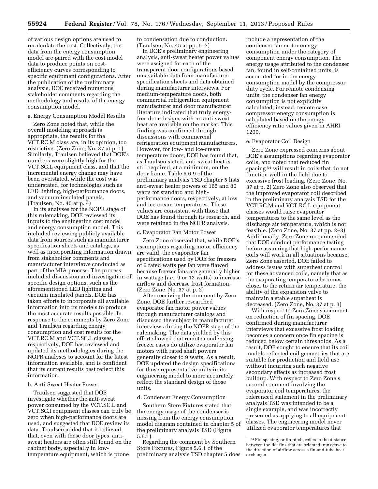of various design options are used to recalculate the cost. Collectively, the data from the energy consumption model are paired with the cost model data to produce points on costefficiency curves corresponding to specific equipment configurations. After the publication of the preliminary analysis, DOE received numerous stakeholder comments regarding the methodology and results of the energy consumption model.

#### a. Energy Consumption Model Results

Zero Zone noted that, while the overall modeling approach is appropriate, the results for the VCT.RC.M class are, in its opinion, too restrictive. (Zero Zone, No. 37 at p. 1) Similarly, Traulsen believed that DOE's numbers were slightly high for the VCT.SC.L equipment class, and that the incremental energy change may have been overstated, while the cost was understated, for technologies such as LED lighting, high-performance doors, and vacuum insulated panels. (Traulsen, No. 45 at p. 4)

In its analyses for the NOPR stage of this rulemaking, DOE reviewed its inputs to the engineering cost model and energy consumption model. This included reviewing publicly available data from sources such as manufacturer specification sheets and catalogs, as well as incorporating information drawn from stakeholder comments and manufacturer interviews conducted as part of the MIA process. The process included discussion and investigation of specific design options, such as the aforementioned LED lighting and vacuum insulated panels. DOE has taken efforts to incorporate all available information into its models to produce the most accurate results possible. In response to the comments by Zero Zone and Traulsen regarding energy consumption and cost results for the VCT.RC.M and VCT.SC.L classes, respectively, DOE has reviewed and updated its methodologies during the NOPR analyses to account for the latest information available, and is confident that its current results best reflect this information.

#### b. Anti-Sweat Heater Power

Traulsen suggested that DOE investigate whether the anti-sweat power consumed by the VCT.SC.L and VCT.SC.I equipment classes can truly be zero when high-performance doors are used, and suggested that DOE review its data. Traulsen added that it believed that, even with these door types, antisweat heaters are often still found on the cabinet body, especially in lowtemperature equipment, which is prone

to condensation due to conduction. (Traulsen, No. 45 at pp. 6–7)

In DOE's preliminary engineering analysis, anti-sweat heater power values were assigned for each of the transparent door configurations based on available data from manufacturer specification sheets and data obtained during manufacturer interviews. For medium-temperature doors, both commercial refrigeration equipment manufacturer and door manufacturer literature indicated that truly energyfree door designs with no anti-sweat heat are available on the market. This finding was confirmed through discussions with commercial refrigeration equipment manufacturers. However, for low- and ice-cream temperature doors, DOE has found that, as Traulsen stated, anti-sweat heat is still required, at a minimum, on the door frame. Table 5.6.9 of the preliminary analysis TSD chapter 5 lists anti-sweat heater powers of 165 and 80 watts for standard and highperformance doors, respectively, at low and ice-cream temperatures. These values are consistent with those that DOE has found through its research, and were retained in the NOPR analysis.

#### c. Evaporator Fan Motor Power

Zero Zone observed that, while DOE's assumptions regarding motor efficiency are valid, the evaporator fan specifications used by DOE for freezers of 6 rated watts per fan were flawed because freezer fans are generally higher in wattage (*i.e.,* 9 or 12 watts) to increase airflow and decrease frost formation. (Zero Zone, No. 37 at p. 2)

After receiving the comment by Zero Zone, DOE further researched evaporator fan motor power values through manufacturer catalogs and discussed the subject in manufacturer interviews during the NOPR stage of the rulemaking. The data yielded by this effort showed that remote condensing freezer cases do utilize evaporator fan motors with rated shaft powers generally closer to 9 watts. As a result, DOE updated the design specifications for those representative units in its engineering model to more accurately reflect the standard design of those units.

#### d. Condenser Energy Consumption

Southern Store Fixtures stated that the energy usage of the condenser is missing from the energy consumption model diagram contained in chapter 5 of the preliminary analysis TSD (Figure 5.6.1).

Regarding the comment by Southern Store Fixtures, Figure 5.6.1 of the preliminary analysis TSD chapter 5 does

include a representation of the condenser fan motor energy consumption under the category of component energy consumption. The energy usage attributed to the condenser fan, found in self-contained units, is accounted for in the energy consumption model by the compressor duty cycle. For remote condensing units, the condenser fan energy consumption is not explicitly calculated; instead, remote case compressor energy consumption is calculated based on the energy efficiency ratio values given in AHRI 1200.

#### e. Evaporator Coil Design

Zero Zone expressed concerns about DOE's assumptions regarding evaporator coils, and noted that reduced fin spacing 54 will result in coils that do not function well in the field due to excessive frost loading. (Zero Zone, No. 37 at p. 2) Zero Zone also observed that the improved evaporator coil described in the preliminary analysis TSD for the VCT.RC.M and VCT.RC.L equipment classes would raise evaporator temperatures to the same level as the discharge air temperature, which is not feasible. (Zero Zone, No. 37 at pp. 2–3) Additionally, Zero Zone recommended that DOE conduct performance testing before assuming that high-performance coils will work in all situations because, Zero Zone asserted, DOE failed to address issues with superheat control for these advanced coils, namely that as the evaporating temperature becomes closer to the return air temperature, the ability of the expansion valve to maintain a stable superheat is decreased. (Zero Zone, No. 37 at p. 3)

With respect to Zero Zone's comment on reduction of fin spacing, DOE confirmed during manufacturer interviews that excessive frost loading becomes a concern once fin spacing is reduced below certain thresholds. As a result, DOE sought to ensure that its coil models reflected coil geometries that are suitable for production and field use without incurring such negative secondary effects as increased frost buildup. With respect to Zero Zone's second comment involving the evaporator coil temperatures, the referenced statement in the preliminary analysis TSD was intended to be a single example, and was incorrectly presented as applying to all equipment classes. The engineering model never utilized evaporator temperatures that

<sup>54</sup>Fin spacing, or fin pitch, refers to the distance between the flat fins that are oriented transverse to the direction of airflow across a fin-and-tube heat exchanger.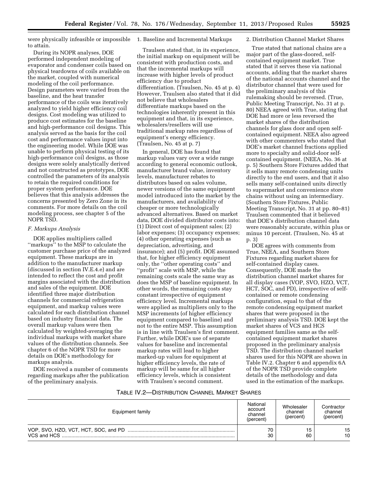were physically infeasible or impossible to attain.

During its NOPR analyses, DOE performed independent modeling of evaporator and condenser coils based on physical teardowns of coils available on the market, coupled with numerical modeling of the coil performance. Design parameters were varied from the baseline, and the heat transfer performance of the coils was iteratively analyzed to yield higher efficiency coil designs. Cost modeling was utilized to produce cost estimates for the baseline and high-performance coil designs. This analysis served as the basis for the coil cost and performance values input into the engineering model. While DOE was unable to perform physical testing of its high-performance coil designs, as those designs were solely analytically derived and not constructed as prototypes, DOE controlled the parameters of its analysis to retain the required conditions for proper system performance. DOE believes that this analysis addresses the concerns presented by Zero Zone in its comments. For more details on the coil modeling process, see chapter 5 of the NOPR TSD.

#### *F. Markups Analysis*

DOE applies multipliers called "markups" to the MSP to calculate the customer purchase price of the analyzed equipment. These markups are in addition to the manufacturer markup (discussed in section IV.E.4.e) and are intended to reflect the cost and profit margins associated with the distribution and sales of the equipment. DOE identified three major distribution channels for commercial refrigeration equipment, and markup values were calculated for each distribution channel based on industry financial data. The overall markup values were then calculated by weighted-averaging the individual markups with market share values of the distribution channels. See chapter 6 of the NOPR TSD for more details on DOE's methodology for markups analysis.

DOE received a number of comments regarding markups after the publication of the preliminary analysis.

1. Baseline and Incremental Markups

Traulsen stated that, in its experience, the initial markup on equipment will be consistent with production costs, and that the incremental markups will increase with higher levels of product efficiency due to product differentiation. (Traulsen, No. 45 at p. 4) However, Traulsen also stated that it did not believe that wholesalers differentiate markups based on the technologies inherently present in this equipment and that, in its experience, wholesalers/resellers will use traditional markup rates regardless of equipment's energy efficiency. (Traulsen, No. 45 at p. 7)

In general, DOE has found that markup values vary over a wide range according to general economic outlook, manufacturer brand value, inventory levels, manufacturer rebates to distributors based on sales volume, newer versions of the same equipment model introduced into the market by the manufacturers, and availability of cheaper or more technologically advanced alternatives. Based on market data, DOE divided distributor costs into: (1) Direct cost of equipment sales; (2) labor expenses; (3) occupancy expenses; (4) other operating expenses (such as depreciation, advertising, and insurance); and (5) profit. DOE assumed that, for higher efficiency equipment only, the ''other operating costs'' and ''profit'' scale with MSP, while the remaining costs scale the same way as does the MSP of baseline equipment. In other words, the remaining costs stay constant irrespective of equipment efficiency level. Incremental markups were applied as multipliers only to the MSP increments (of higher efficiency equipment compared to baseline) and not to the entire MSP. This assumption is in line with Traulsen's first comment. Further, while DOE's use of separate values for baseline and incremental markup rates will lead to higher marked-up values for equipment at higher efficiency levels, the rate of markup will be same for all higher efficiency levels, which is consistent with Traulsen's second comment.

#### 2. Distribution Channel Market Shares

True stated that national chains are a major part of the glass-doored, selfcontained equipment market. True stated that it serves these via national accounts, adding that the market shares of the national accounts channel and the distributor channel that were used for the preliminary analysis of this rulemaking should be reversed. (True, Public Meeting Transcript, No. 31 at p. 80) NEEA agreed with True, stating that DOE had more or less reversed the market shares of the distribution channels for glass door and open selfcontained equipment. NEEA also agreed with other commenters who stated that DOE's market channel fractions applied more to specialty and solid-door selfcontained equipment. (NEEA, No. 36 at p. 5) Southern Store Fixtures added that it sells many remote condensing units directly to the end users, and that it also sells many self-contained units directly to supermarket and convenience store chains without using an intermediary. (Southern Store Fixtures, Public Meeting Transcript, No. 31 at pp. 80–81) Traulsen commented that it believed that DOE's distribution channel data were reasonably accurate, within plus or minus 10 percent. (Traulsen, No. 45 at p. 3)

DOE agrees with comments from True, NEEA, and Southern Store Fixtures regarding market shares for self-contained display cases. Consequently, DOE made the distribution channel market shares for all display cases (VOP, SVO, HZO, VCT, HCT, SOC, and PD), irrespective of selfcontained or remote condensing configuration, equal to that of the remote condensing equipment market shares that were proposed in the preliminary analysis TSD. DOE kept the market shares of VCS and HCS equipment families same as the selfcontained equipment market shares proposed in the preliminary analysis TSD. The distribution channel market shares used for this NOPR are shown in Table IV.2. Chapter 6 and appendix 6A of the NOPR TSD provide complete details of the methodology and data used in the estimation of the markups.

#### TABLE IV.2—DISTRIBUTION CHANNEL MARKET SHARES

| Equipment family | National<br>account<br>channel<br>(percent) | Wholesaler<br>channel<br>(percent) | Contractor<br>channel<br>(percent) |  |
|------------------|---------------------------------------------|------------------------------------|------------------------------------|--|
| VCS and HCS      | 70<br>30                                    | 60                                 | 15<br>10                           |  |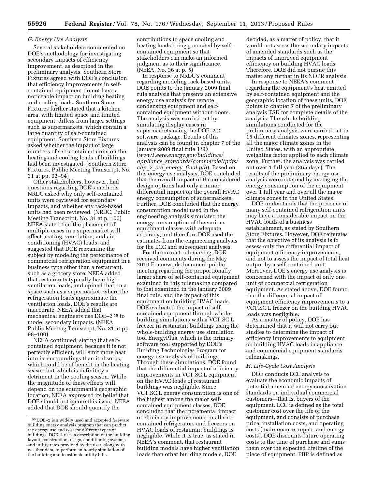### *G. Energy Use Analysis*

Several stakeholders commented on DOE's methodology for investigating secondary impacts of efficiency improvement, as described in the preliminary analysis. Southern Store Fixtures agreed with DOE's conclusion that efficiency improvements in selfcontained equipment do not have a noticeable impact on building heating and cooling loads. Southern Store Fixtures further stated that a kitchen area, with limited space and limited equipment, differs from larger settings such as supermarkets, which contain a large quantity of self-contained equipment. Southern Store Fixtures asked whether the impact of large numbers of self-contained units on the heating and cooling loads of buildings had been investigated. (Southern Store Fixtures, Public Meeting Transcript, No. 31 at pp. 93–94)

Other stakeholders, however, had questions regarding DOE's methods. NRDC asked why only self-contained units were reviewed for secondary impacts, and whether any rack-based units had been reviewed. (NRDC, Public Meeting Transcript, No. 31 at p. 100) NEEA stated that the placement of multiple cases in a supermarket will affect heating, ventilation, and airconditioning (HVAC) loads, and suggested that DOE reexamine the subject by modeling the performance of commercial refrigeration equipment in a business type other than a restaurant, such as a grocery store. NEEA added that restaurants typically have high ventilation loads, and opined that, in a space such as a supermarket, where the refrigeration loads approximate the ventilation loads, DOE's results are inaccurate. NEEA added that mechanical engineers use DOE–2 55 to model secondary impacts. (NEEA, Public Meeting Transcript, No. 31 at pp. 98–100)

NEEA continued, stating that selfcontained equipment, because it is not perfectly efficient, will emit more heat into its surroundings than it absorbs, which could be of benefit in the heating season but which is definitely a detriment in the cooling season. While the magnitude of these effects will depend on the equipment's geographic location, NEEA expressed its belief that DOE should not ignore this issue. NEEA added that DOE should quantify the

contributions to space cooling and heating loads being generated by selfcontained equipment so that stakeholders can make an informed judgment as to their significance. (NEEA, No. 36 at p. 5)

In response to NRDC's comment regarding modeling rack-based units, DOE points to the January 2009 final rule analysis that presents an extensive energy use analysis for remote condensing equipment and selfcontained equipment without doors. The analysis was carried out by simulating display cases in supermarkets using the DOE–2.2 software package. Details of this analysis can be found in chapter 7 of the January 2009 final rule TSD (*[www1.eere.energy.gov/buildings/](http://www1.eere.energy.gov/buildings/appliance_standards/commercial/pdfs/chp_7_cre_energy_final.pdf) appliance*\_*[standards/commercial/pdfs/](http://www1.eere.energy.gov/buildings/appliance_standards/commercial/pdfs/chp_7_cre_energy_final.pdf) chp*\_*7*\_*cre*\_*energy*\_*[final.pdf](http://www1.eere.energy.gov/buildings/appliance_standards/commercial/pdfs/chp_7_cre_energy_final.pdf)*). Based on this energy use analysis, DOE concluded that the overall impact of the considered design options had only a minor differential impact on the overall HVAC energy consumption of supermarkets. Further, DOE concluded that the energy consumption model used in the engineering analysis simulated the energy consumption of the various equipment classes with adequate accuracy, and therefore DOE used the estimates from the engineering analysis for the LCC and subsequent analyses.

For the current rulemaking, DOE received comments during the May 2010 Framework document public meeting regarding the proportionally larger share of self-contained equipment examined in this rulemaking compared to that examined in the January 2009 final rule, and the impact of this equipment on building HVAC loads. DOE evaluated the impact of selfcontained equipment through wholebuilding simulations with a VCT.SC.L freezer in restaurant buildings using the whole-building energy use simulation tool EnergyPlus, which is the primary software tool supported by DOE's Building Technologies Program for energy use analysis of buildings. Through these simulations, DOE found that the differential impact of efficiency improvements in VCT.SC.L equipment on the HVAC loads of restaurant buildings was negligible. Since VCT.SC.L energy consumption is one of the highest among the major selfcontained equipment classes, DOE concluded that the incremental impact of efficiency improvements in all selfcontained refrigerators and freezers on HVAC loads of restaurant buildings is negligible. While it is true, as stated in NEEA's comment, that restaurant building models have higher ventilation loads than other building models, DOE

decided, as a matter of policy, that it would not assess the secondary impacts of amended standards such as the impacts of improved equipment efficiency on building HVAC loads. Therefore, DOE did not pursue this matter any further in its NOPR analysis.

In response to NEEA's comment regarding the equipment's heat emitted by self-contained equipment and the geographic location of these units, DOE points to chapter 7 of the preliminary analysis TSD for complete details of the analysis. The whole-building simulations conducted for the preliminary analysis were carried out in 15 different climates zones, representing all the major climate zones in the United States, with an appropriate weighting factor applied to each climate zone. Further, the analysis was carried out over 1 full year (365 days). The results of the preliminary energy use analysis were obtained by averaging the energy consumption of the equipment over 1 full year and over all the major climate zones in the United States.

DOE understands that the presence of many self-contained refrigeration units may have a considerable impact on the HVAC loads of a business establishment, as stated by Southern Store Fixtures. However, DOE reiterates that the objective of its analysis is to assess only the differential impact of equipment efficiency improvements, and not to assess the impact of total heat output by a self-contained unit. Moreover, DOE's energy use analysis is concerned with the impact of only one unit of commercial refrigeration equipment. As stated above, DOE found that the differential impact of equipment efficiency improvements to a VCT.SC.L freezer on the building HVAC loads was negligible.

As a matter of policy, DOE has determined that it will not carry out studies to determine the impact of efficiency improvements to equipment on building HVAC loads in appliance and commercial equipment standards rulemakings.

#### *H. Life-Cycle Cost Analysis*

DOE conducts LCC analysis to evaluate the economic impacts of potential amended energy conservation standards on individual commercial customers—that is, buyers of the equipment. LCC is defined as the total customer cost over the life of the equipment, and consists of purchase price, installation costs, and operating costs (maintenance, repair, and energy costs). DOE discounts future operating costs to the time of purchase and sums them over the expected lifetime of the piece of equipment. PBP is defined as

<sup>55</sup> DOE–2 is a widely used and accepted freeware building energy analysis program that can predict the energy use and cost for different types of buildings. DOE–2 uses a description of the building layout, construction, usage, conditioning systems and utility rates provided by the user, along with weather data, to perform an hourly simulation of the building and to estimate utility bills.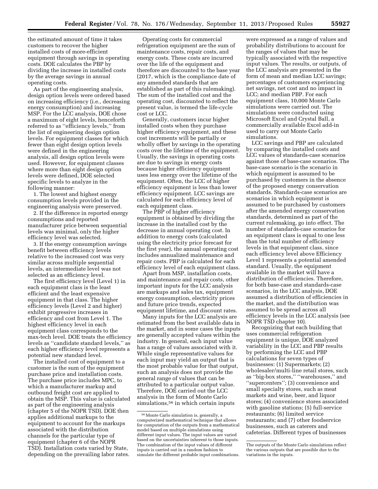the estimated amount of time it takes customers to recover the higher installed costs of more-efficient equipment through savings in operating costs. DOE calculates the PBP by dividing the increase in installed costs by the average savings in annual operating costs.

As part of the engineering analysis, design option levels were ordered based on increasing efficiency (i.e., decreasing energy consumption) and increasing MSP. For the LCC analysis, DOE chose a maximum of eight levels, henceforth referred to as ''efficiency levels,'' from the list of engineering design option levels. For equipment classes for which fewer than eight design option levels were defined in the engineering analysis, all design option levels were used. However, for equipment classes where more than eight design option levels were defined, DOE selected specific levels to analyze in the following manner:

1. The lowest and highest energy consumption levels provided in the engineering analysis were preserved.

2. If the difference in reported energy consumptions and reported manufacturer price between sequential levels was minimal, only the higher efficiency level was selected.

3. If the energy consumption savings benefit between efficiency levels relative to the increased cost was very similar across multiple sequential levels, an intermediate level was not selected as an efficiency level.

The first efficiency level (Level 1) in each equipment class is the least efficient and the least expensive equipment in that class. The higher efficiency levels (Level 2 and higher) exhibit progressive increases in efficiency and cost from Level 1. The highest efficiency level in each equipment class corresponds to the max-tech level. DOE treats the efficiency levels as ''candidate standard levels,'' as each higher efficiency level represents a potential new standard level.

The installed cost of equipment to a customer is the sum of the equipment purchase price and installation costs. The purchase price includes MPC, to which a manufacturer markup and outbound freight cost are applied to obtain the MSP. This value is calculated as part of the engineering analysis (chapter 5 of the NOPR TSD). DOE then applies additional markups to the equipment to account for the markups associated with the distribution channels for the particular type of equipment (chapter 6 of the NOPR TSD). Installation costs varied by State, depending on the prevailing labor rates.

Operating costs for commercial refrigeration equipment are the sum of maintenance costs, repair costs, and energy costs. These costs are incurred over the life of the equipment and therefore are discounted to the base year (2017, which is the compliance date of any amended standards that are established as part of this rulemaking). The sum of the installed cost and the operating cost, discounted to reflect the present value, is termed the life-cycle cost or LCC.

Generally, customers incur higher installed costs when they purchase higher efficiency equipment, and these cost increments will be partially or wholly offset by savings in the operating costs over the lifetime of the equipment. Usually, the savings in operating costs are due to savings in energy costs because higher efficiency equipment uses less energy over the lifetime of the equipment. Often, the LCC of higher efficiency equipment is less than lower efficiency equipment. LCC savings are calculated for each efficiency level of each equipment class.

The PBP of higher efficiency equipment is obtained by dividing the increase in the installed cost by the decrease in annual operating cost. In addition to energy costs (calculated using the electricity price forecast for the first year), the annual operating cost includes annualized maintenance and repair costs. PBP is calculated for each efficiency level of each equipment class.

Apart from MSP, installation costs, and maintenance and repair costs, other important inputs for the LCC analysis are markups and sales tax, equipment energy consumption, electricity prices and future price trends, expected equipment lifetime, and discount rates.

Many inputs for the LCC analysis are estimated from the best available data in the market, and in some cases the inputs are generally accepted values within the industry. In general, each input value has a range of values associated with it. While single representative values for each input may yield an output that is the most probable value for that output, such an analysis does not provide the general range of values that can be attributed to a particular output value. Therefore, DOE carried out the LCC analysis in the form of Monte Carlo simulations,<sup>56</sup> in which certain inputs

were expressed as a range of values and probability distributions to account for the ranges of values that may be typically associated with the respective input values. The results, or outputs, of the LCC analysis are presented in the form of mean and median LCC savings; percentages of customers experiencing net savings, net cost and no impact in LCC; and median PBP. For each equipment class, 10,000 Monte Carlo simulations were carried out. The simulations were conducted using Microsoft Excel and Crystal Ball, a commercially available Excel add-in used to carry out Monte Carlo simulations.

LCC savings and PBP are calculated by comparing the installed costs and LCC values of standards-case scenarios against those of base-case scenarios. The base-case scenario is the scenario in which equipment is assumed to be purchased by customers in the absence of the proposed energy conservation standards. Standards-case scenarios are scenarios in which equipment is assumed to be purchased by customers after the amended energy conservation standards, determined as part of the current rulemaking, go into effect. The number of standards-case scenarios for an equipment class is equal to one less than the total number of efficiency levels in that equipment class, since each efficiency level above Efficiency Level 1 represents a potential amended standard. Usually, the equipment available in the market will have a distribution of efficiencies. Therefore, for both base-case and standards-case scenarios, in the LCC analysis, DOE assumed a distribution of efficiencies in the market, and the distribution was assumed to be spread across all efficiency levels in the LCC analysis (see NOPR TSD chapter 10).

Recognizing that each building that uses commercial refrigeration equipment is unique, DOE analyzed variability in the LCC and PBP results by performing the LCC and PBP calculations for seven types of businesses: (1) Supermarkets; (2) wholesaler/multi-line retail stores, such as ''big-box stores,'' ''warehouses,'' and ''supercenters''; (3) convenience and small specialty stores, such as meat markets and wine, beer, and liquor stores; (4) convenience stores associated with gasoline stations; (5) full-service restaurants; (6) limited service restaurants; and (7) other foodservice businesses, such as caterers and cafeterias. Different types of businesses

<sup>56</sup>Monte Carlo simulation is, generally, a computerized mathematical technique that allows for computation of the outputs from a mathematical model based on multiple simulations using different input values. The input values are varied based on the uncertainties inherent to those inputs. The combination of the input values of different inputs is carried out in a random fashion to simulate the different probable input combinations.

The outputs of the Monte Carlo simulations reflect the various outputs that are possible due to the variations in the inputs.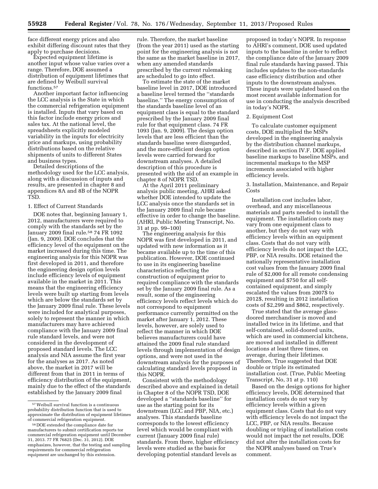face different energy prices and also exhibit differing discount rates that they apply to purchase decisions.

Expected equipment lifetime is another input whose value varies over a range. Therefore, DOE assumed a distribution of equipment lifetimes that are defined by Weibull survival functions.<sup>57</sup>

Another important factor influencing the LCC analysis is the State in which the commercial refrigeration equipment is installed. Inputs that vary based on this factor include energy prices and sales tax. At the national level, the spreadsheets explicitly modeled variability in the inputs for electricity price and markups, using probability distributions based on the relative shipments of units to different States and business types.

Detailed descriptions of the methodology used for the LCC analysis, along with a discussion of inputs and results, are presented in chapter 8 and appendices 8A and 8B of the NOPR TSD.

#### 1. Effect of Current Standards

DOE notes that, beginning January 1, 2012, manufacturers were required to comply with the standards set by the January 2009 final rule.58 74 FR 1092 (Jan. 9, 2009). DOE concludes that the efficiency level of the equipment on the market increased during this time*.* The engineering analysis for this NOPR was first developed in 2011, and therefore the engineering design option levels include efficiency levels of equipment available in the market in 2011. This means that the engineering efficiency levels were built up starting from levels which are below the standards set by the January 2009 final rule. These levels were included for analytical purposes solely to represent the manner in which manufacturers may have achieved compliance with the January 2009 final rule standard levels, and were not considered in the development of proposed standard levels. The LCC analysis and NIA assume the first year for the analyses as 2017. As noted above, the market in 2017 will be different from that in 2011 in terms of efficiency distribution of the equipment, mainly due to the effect of the standards established by the January 2009 final

rule. Therefore, the market baseline (from the year 2011) used as the starting point for the engineering analysis is not the same as the market baseline in 2017, when any amended standards prescribed by the current rulemaking are scheduled to go into effect.

To estimate the state of the market baseline level in 2017, DOE introduced a baseline level termed the ''standards baseline.'' The energy consumption of the standards baseline level of an equipment class is equal to the standard prescribed by the January 2009 final rule for that equipment class. 74 FR 1093 (Jan. 9, 2009). The design option levels that are less efficient than the standards baseline were disregarded, and the more-efficient design option levels were carried forward for downstream analyses. A detailed description of this procedure is presented with the aid of an example in chapter 8 of NOPR TSD.

At the April 2011 preliminary analysis public meeting, AHRI asked whether DOE intended to update the LCC analysis once the standards set in the January 2009 final rule became effective in order to change the baseline. (AHRI, Public Meeting Transcript, No. 31 at pp. 99–100)

The engineering analysis for this NOPR was first developed in 2011, and updated with new information as it became available up to the time of this publication. However, DOE continued to use in its engineering baseline characteristics reflecting the construction of equipment prior to required compliance with the standards set by the January 2009 final rule. As a result, some of the engineering efficiency levels reflect levels which do not correspond to equipment performance currently permitted on the market after January 1, 2012. These levels, however, are solely used to reflect the manner in which DOE believes manufacturers could have attained the 2009 final rule standard levels through implementation of design options, and were not used in the downstream analysis for the purposes of calculating standard levels proposed in this NOPR.

Consistent with the methodology described above and explained in detail in Chapter 8 of the NOPR TSD, DOE developed a ''standards baseline'' for use as the starting point for its downstream (LCC and PBP, NIA, etc.) analyses. This standards baseline corresponds to the lowest efficiency level which would be compliant with current (January 2009 final rule) standards. From there, higher efficiency levels were studied as the basis for developing potential standard levels as

proposed in today's NOPR. In response to AHRI's comment, DOE used updated inputs to the baseline in order to reflect the compliance date of the January 2009 final rule standards having passed. This includes updates to the non-standards case efficiency distribution and other inputs to the downstream analyses. These inputs were updated based on the most recent available information for use in conducting the analysis described in today's NOPR.

#### 2. Equipment Cost

To calculate customer equipment costs, DOE multiplied the MSPs developed in the engineering analysis by the distribution channel markups, described in section IV.F. DOE applied baseline markups to baseline MSPs, and incremental markups to the MSP increments associated with higher efficiency levels.

3. Installation, Maintenance, and Repair Costs

Installation cost includes labor, overhead, and any miscellaneous materials and parts needed to install the equipment. The installation costs may vary from one equipment class to another, but they do not vary with efficiency levels within an equipment class. Costs that do not vary with efficiency levels do not impact the LCC, PBP, or NIA results. DOE retained the nationally representative installation cost values from the January 2009 final rule of \$2,000 for all remote condensing equipment and \$750 for all selfcontained equipment, and simply escalated the values from 2007\$ to 2012\$, resulting in 2012 installation costs of \$2,299 and \$862, respectively.

True stated that the average glassdoored merchandiser is moved and installed twice in its lifetime, and that self-contained, solid-doored units, which are used in commercial kitchens, are moved and installed in different locations at least three times, on average, during their lifetimes. Therefore, True suggested that DOE double or triple its estimated installation cost. (True, Public Meeting Transcript, No, 31 at p. 110)

Based on the design options for higher efficiency levels, DOE determined that installation costs do not vary by efficiency levels within a given equipment class. Costs that do not vary with efficiency levels do not impact the LCC, PBP, or NIA results. Because doubling or tripling of installation costs would not impact the net results, DOE did not alter the installation costs for the NOPR analyses based on True's comment.

<sup>57</sup>Weibull survival function is a continuous probability distribution function that is used to approximate the distribution of equipment lifetimes of commercial refrigeration equipment.

<sup>58</sup> DOE extended the compliance date for manufacturers to submit certification reports tor commercial refrigeration equipment until December 31, 2013. 77 FR 76825 (Dec. 31, 2012). DOE emphasizes, however, that the testing and sampling requirements for commercial refrigeration equipment are unchanged by this extension.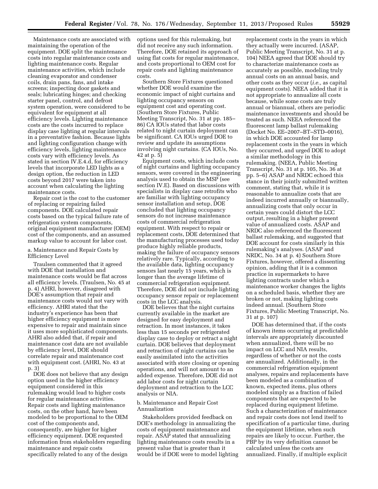Maintenance costs are associated with maintaining the operation of the equipment. DOE split the maintenance costs into regular maintenance costs and lighting maintenance costs. Regular maintenance activities, which include cleaning evaporator and condenser coils, drain pans, fans, and intake screens; inspecting door gaskets and seals; lubricating hinges; and checking starter panel, control, and defrost system operation, were considered to be equivalent for equipment at all efficiency levels. Lighting maintenance costs are the costs incurred to replace display case lighting at regular intervals in a preventative fashion. Because lights and lighting configuration change with efficiency levels, lighting maintenance costs vary with efficiency levels. As stated in section IV.E.4.d, for efficiency levels that incorporate LED lights as a design option, the reduction in LED costs beyond 2017 were taken into account when calculating the lighting maintenance costs.

Repair cost is the cost to the customer of replacing or repairing failed components. DOE calculated repair costs based on the typical failure rate of refrigeration system components, original equipment manufacturer (OEM) cost of the components, and an assumed markup value to account for labor cost.

a. Maintenance and Repair Costs by Efficiency Level

Traulsen commented that it agreed with DOE that installation and maintenance costs would be flat across all efficiency levels. (Traulsen, No. 45 at p. 4) AHRI, however, disagreed with DOE's assumption that repair and maintenance costs would not vary with efficiency. AHRI stated that the industry's experience has been that higher efficiency equipment is more expensive to repair and maintain since it uses more sophisticated components. AHRI also added that, if repair and maintenance cost data are not available by efficiency level, DOE should correlate repair and maintenance cost with equipment cost. (AHRI, No. 43 at p. 3)

DOE does not believe that any design option used in the higher efficiency equipment considered in this rulemaking would lead to higher costs for regular maintenance activities. Repair costs and lighting maintenance costs, on the other hand, have been modeled to be proportional to the OEM cost of the components and, consequently, are higher for higher efficiency equipment. DOE requested information from stakeholders regarding maintenance and repair costs specifically related to any of the design

options used for this rulemaking, but did not receive any such information. Therefore, DOE retained its approach of using flat costs for regular maintenance, and costs proportional to OEM cost for repair costs and lighting maintenance costs.

Southern Store Fixtures questioned whether DOE would examine the economic impact of night curtains and lighting occupancy sensors on equipment cost and operating cost. (Southern Store Fixtures, Public Meeting Transcript, No. 31 at pp. 185– 86) CA IOUs stated that labor costs related to night curtain deployment can be significant. CA IOUs urged DOE to review and update its assumptions involving night curtains. (CA IOUs, No. 42 at p. 5)

Equipment costs, which include costs of night curtains and lighting occupancy sensors, were covered in the engineering analysis used to obtain the MSP (see section IV.E). Based on discussions with specialists in display case retrofits who are familiar with lighting occupancy sensor installation and setup, DOE concluded that lighting occupancy sensors do not increase maintenance costs of commercial refrigeration equipment. With respect to repair or replacement costs, DOE determined that the manufacturing processes used today produce highly reliable products, making the failure of occupancy sensors relatively rare. Typically, according to the available data, lighting occupancy sensors last nearly 15 years, which is longer than the average lifetime of commercial refrigeration equipment. Therefore, DOE did not include lighting occupancy sensor repair or replacement costs in the LCC analysis.

DOE believes that the night curtains currently available in the market are designed for easy deployment and retraction. In most instances, it takes less than 15 seconds per refrigerated display case to deploy or retract a night curtain. DOE believes that deployment and retraction of night curtains can be easily assimilated into the activities associated with store closing or opening operations, and will not amount to an added expense. Therefore, DOE did not add labor costs for night curtain deployment and retraction to the LCC analysis or NIA.

### b. Maintenance and Repair Cost Annualization

Stakeholders provided feedback on DOE's methodology in annualizing the costs of equipment maintenance and repair. ASAP stated that annualizing lighting maintenance costs results in a present value that is greater than it would be if DOE were to model lighting

replacement costs in the years in which they actually were incurred. (ASAP, Public Meeting Transcript, No. 31 at p. 104) NEEA agreed that DOE should try to characterize maintenance costs as accurately as possible, modeling truly annual costs on an annual basis, and other costs as they occur (*i.e.,* as capital equipment costs). NEEA added that it is not appropriate to annualize all costs because, while some costs are truly annual or biannual, others are periodic maintenance investments and should be treated as such. NEEA referenced the fluorescent lamp ballast rulemaking (Docket No. EE–2007–BT–STD–0016), in which DOE accounted for lamp replacement costs in the years in which they occurred, and urged DOE to adopt a similar methodology in this rulemaking. (NEEA, Public Meeting Transcript, No. 31 at p. 105, No. 36 at pp. 5–6) ASAP and NRDC echoed this stance in their jointly submitted written comment, stating that, while it is reasonable to annualize costs that are indeed incurred annually or biannually, annualizing costs that only occur in certain years could distort the LCC output, resulting in a higher present value of annualized costs. ASAP and NRDC also referenced the fluorescent ballast rulemaking, and suggested that DOE account for costs similarly in this rulemaking's analyses. (ASAP and NRDC, No. 34 at p. 4) Southern Store Fixtures, however, offered a dissenting opinion, adding that it is a common practice in supermarkets to have lighting contracts under which a maintenance worker changes the lights on a scheduled basis, whether they are broken or not, making lighting costs indeed annual. (Southern Store Fixtures, Public Meeting Transcript, No. 31 at p. 107)

DOE has determined that, if the costs of known items occurring at predictable intervals are appropriately discounted when annualized, there will be no impact on LCC and NIA results, regardless of whether or not the costs are annualized. Additionally, in the commercial refrigeration equipment analyses, repairs and replacements have been modeled as a combination of known, expected items, plus others modeled simply as a fraction of failed components that are expected to be replaced during equipment lifetime. Such a characterization of maintenance and repair costs does not lend itself to specification of a particular time, during the equipment lifetime, when such repairs are likely to occur. Further, the PBP by its very definition cannot be calculated unless the costs are annualized. Finally, if multiple explicit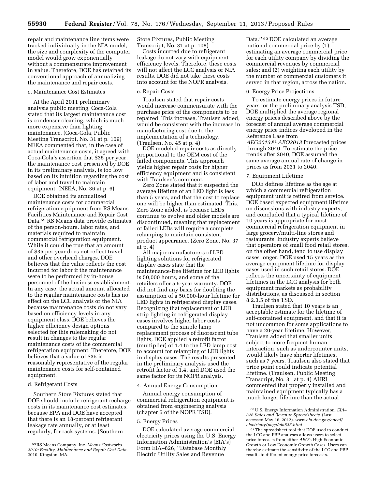repair and maintenance line items were tracked individually in the NIA model, the size and complexity of the computer model would grow exponentially without a commensurate improvement in value. Therefore, DOE has retained its conventional approach of annualizing the maintenance and repair costs.

#### c. Maintenance Cost Estimates

At the April 2011 preliminary analysis public meeting, Coca-Cola stated that its largest maintenance cost is condenser cleaning, which is much more expensive than lighting maintenance. (Coca-Cola, Public Meeting Transcript, No. 31 at p. 109) NEEA commented that, in the case of actual maintenance costs, it agreed with Coca-Cola's assertion that \$35 per year, the maintenance cost presented by DOE in its preliminary analysis, is too low based on its intuition regarding the cost of labor and travel to maintain equipment. (NEEA, No. 36 at p. 6)

DOE obtained its annualized maintenance costs for commercial refrigeration equipment from RS Means Facilities Maintenance and Repair Cost Data.59 RS Means data provide estimates of the person-hours, labor rates, and materials required to maintain commercial refrigeration equipment. While it could be true that an amount of \$35 per year does not reflect travel and other overhead charges, DOE believes that the value reflects the cost incurred for labor if the maintenance were to be performed by in-house personnel of the business establishment. In any case, the actual amount allocated to the regular maintenance costs has no effect on the LCC analysis or the NIA because maintenance costs do not vary based on efficiency levels in any equipment class. DOE believes the higher efficiency design options selected for this rulemaking do not result in changes to the regular maintenance costs of the commercial refrigeration equipment. Therefore, DOE believes that a value of \$35 is reasonably representative of the regular maintenance costs for self-contained equipment.

#### d. Refrigerant Costs

Southern Store Fixtures stated that DOE should include refrigerant recharge costs in its maintenance cost estimates, because EPA and DOE have accepted that there is an 18-percent refrigerant leakage rate annually, or at least regularly, for rack systems. (Southern

Store Fixtures, Public Meeting Transcript, No. 31 at p. 108)

Costs incurred due to refrigerant leakage do not vary with equipment efficiency levels. Therefore, these costs will not affect the LCC analysis or NIA results. DOE did not take these costs into account for the NOPR analysis.

#### e. Repair Costs

Traulsen stated that repair costs would increase commensurate with the purchase price of the components to be repaired. This increase, Traulsen added, would be consistent with the increase in manufacturing cost due to the implementation of a technology. (Traulsen, No. 45 at p. 4)

DOE modeled repair costs as directly proportional to the OEM cost of the failed components. This approach yields higher repair costs for higher efficiency equipment and is consistent with Traulsen's comment.

Zero Zone stated that it suspected the average lifetime of an LED light is less than 5 years, and that the cost to replace one will be higher than estimated. This, Zero Zone added, is because LEDs continue to evolve and older models are discontinued, meaning that replacement of failed LEDs will require a complete relamping to maintain consistent product appearance. (Zero Zone, No. 37 at p. 4)

All major manufacturers of LED lighting solutions for refrigerated display cases state that the maintenance-free lifetime for LED lights is 50,000 hours, and some of the retailers offer a 5-year warranty. DOE did not find any basis for doubting the assumption of a 50,000-hour lifetime for LED lights in refrigerated display cases. Recognizing that replacement of LED strip lighting in refrigerated display cases involves higher labor costs compared to the simple lamp replacement process of fluorescent tube lights, DOE applied a retrofit factor (multiplier) of 1.4 to the LED lamp cost to account for relamping of LED lights in display cases. The results presented in the preliminary analysis used the retrofit factor of 1.4, and DOE used the same factor for its NOPR analysis.

#### 4. Annual Energy Consumption

Annual energy consumption of commercial refrigeration equipment is obtained from engineering analysis (chapter 5 of the NOPR TSD).

#### 5. Energy Prices

DOE calculated average commercial electricity prices using the U.S. Energy Information Administration's (EIA's) Form EIA–826, ''Database Monthly Electric Utility Sales and Revenue

Data.'' 60 DOE calculated an average national commercial price by (1) estimating an average commercial price for each utility company by dividing the commercial revenues by commercial sales; and (2) weighting each utility by the number of commercial customers it served in that region, across the nation.

### 6. Energy Price Projections

To estimate energy prices in future years for the preliminary analysis TSD, DOE multiplied the average regional energy prices described above by the forecast of annual average commercial energy price indices developed in the Reference Case from *AEO2013.*61*AEO2013* forecasted prices through 2040. To estimate the price trends after 2040, DOE assumed the same average annual rate of change in prices as from 2031 to 2040.

#### 7. Equipment Lifetime

DOE defines lifetime as the age at which a commercial refrigeration equipment unit is retired from service. DOE based expected equipment lifetime on discussions with industry experts, and concluded that a typical lifetime of 10 years is appropriate for most commercial refrigeration equipment in large grocery/multi-line stores and restaurants. Industry experts believe that operators of small food retail stores, on the other hand, tend to use display cases longer. DOE used 15 years as the average equipment lifetime for display cases used in such retail stores. DOE reflects the uncertainty of equipment lifetimes in the LCC analysis for both equipment markets as probability distributions, as discussed in section 8.2.3.5 of the TSD.

Traulsen stated that 10 years is an acceptable estimate for the lifetime of self-contained equipment, and that it is not uncommon for some applications to have a 20-year lifetime. However, Traulsen added that smaller units subject to more frequent human interaction, such as undercounter units, would likely have shorter lifetimes, such as 7 years. Traulsen also stated that price point could indicate potential lifetime. (Traulsen, Public Meeting Transcript, No. 31 at p. 4) AHRI commented that properly installed and maintained equipment typically has a much longer lifetime than the actual

<sup>59</sup>RS Means Company, Inc. *Means Costworks 2010: Facility, Maintenance and Repair Cost Data.*  2010. Kingston, MA.

<sup>60</sup>U.S. Energy Information Administration. *EIA– 826 Sales and Revenue Spreadsheets.* (Last accessed May 16, 2012). *[www.eia.doe.gov/cneaf/](http://www.eia.doe.gov/cneaf/electricity/page/eia826.html) [electricity/page/eia826.html](http://www.eia.doe.gov/cneaf/electricity/page/eia826.html)* 

<sup>61</sup>The spreadsheet tool that DOE used to conduct the LCC and PBP analyses allows users to select price forecasts from either *AEO*'s High Economic Growth or Low Economic Growth Cases. Users can thereby estimate the sensitivity of the LCC and PBP results to different energy price forecasts.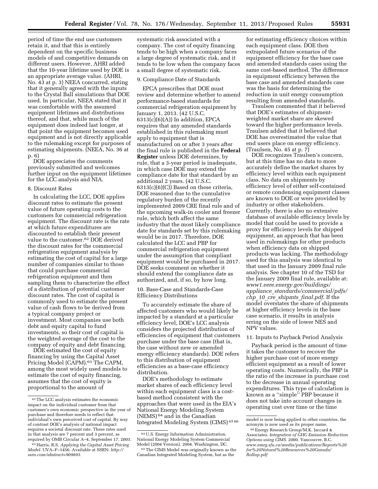period of time the end use customers retain it, and that this is entirely dependent on the specific business models of and competitive demands on different users. However, AHRI added that the 10-year lifetime used by DOE is an appropriate average value. (AHRI, No. 43 at p. 3) NEEA concurred, stating that it generally agreed with the inputs to the Crystal Ball simulations that DOE used. In particular, NEEA stated that it was comfortable with the assumed equipment lifetimes and distributions thereof, and that, while much of the equipment does indeed last longer, at that point the equipment becomes used equipment and is not directly applicable to the rulemaking except for purposes of estimating shipments. (NEEA, No. 36 at p. 6)

DOE appreciates the comments previously submitted and welcomes further input on the equipment lifetimes for the LCC analysis and NIA.

### 8. Discount Rates

In calculating the LCC, DOE applies discount rates to estimate the present value of future operating costs to the customers for commercial refrigeration equipment. The discount rate is the rate at which future expenditures are discounted to establish their present value to the customer.62 DOE derived the discount rates for the commercial refrigeration equipment analysis by estimating the cost of capital for a large number of companies similar to those that could purchase commercial refrigeration equipment and then sampling them to characterize the effect of a distribution of potential customer discount rates. The cost of capital is commonly used to estimate the present value of cash flows to be derived from a typical company project or investment. Most companies use both debt and equity capital to fund investments, so their cost of capital is the weighted average of the cost to the company of equity and debt financing.

DOE estimated the cost of equity financing by using the Capital Asset Pricing Model (CAPM).<sup>63</sup> The CAPM, among the most widely used models to estimate the cost of equity financing, assumes that the cost of equity is proportional to the amount of

systematic risk associated with a company. The cost of equity financing tends to be high when a company faces a large degree of systematic risk, and it tends to be low when the company faces a small degree of systematic risk.

#### 9. Compliance Date of Standards

EPCA prescribes that DOE must review and determine whether to amend performance-based standards for commercial refrigeration equipment by January 1, 2013. (42 U.S.C.  $6313(c)(6)(A)$  In addition, EPCA requires that any amended standards established in this rulemaking must apply to equipment that is manufactured on or after 3 years after the final rule is published in the **Federal Register** unless DOE determines, by rule, that a 3-year period is inadequate, in which case DOE may extend the compliance date for that standard by an additional 2 years. (42 U.S.C.  $6313(c)(6)(C)$  Based on these criteria, DOE reasoned due to the cumulative regulatory burden of the recently implemented 2009 CRE final rule and of the upcoming walk-in cooler and freezer rule, which both affect the same industry that the most likely compliance date for standards set by this rulemaking would be in 2017. Therefore, DOE calculated the LCC and PBP for commercial refrigeration equipment under the assumption that compliant equipment would be purchased in 2017. DOE seeks comment on whether it should extend the compliance date as authorized, and, if so, by how long.

10. Base-Case and Standards-Case Efficiency Distributions

To accurately estimate the share of affected customers who would likely be impacted by a standard at a particular efficiency level, DOE's LCC analysis considers the projected distribution of efficiencies of equipment that customers purchase under the base case (that is, the case without new or amended energy efficiency standards). DOE refers to this distribution of equipment efficiencies as a base-case efficiency distribution.

DOE's methodology to estimate market shares of each efficiency level within each equipment class is a costbased method consistent with the approaches that were used in the EIA's National Energy Modeling System (NEMS) 64 and in the Canadian Integrated Modeling System (CIMS) 65 66

for estimating efficiency choices within each equipment class. DOE then extrapolated future scenarios of the equipment efficiency for the base case and amended standards cases using the same cost-based method. The difference in equipment efficiency between the base case and amended standards case was the basis for determining the reduction in unit energy consumption resulting from amended standards.

Traulsen commented that it believed that DOE's estimates of shipmentweighted market share are skewed toward the higher performance levels. Traulsen added that it believed that DOE has overestimated the value that end users place on energy efficiency. (Traulsen, No. 45 at p. 7)

DOE recognizes Traulsen's concern, but at this time has no data to more accurately define the market shares by efficiency level within each equipment class. No data on shipments by efficiency level of either self-contained or remote condensing equipment classes are known to DOE or were provided by industry or other stakeholders. Currently, there is also no extensive database of available efficiency levels by model that could be used to provide a proxy for efficiency levels for shipped equipment, an approach that has been used in rulemakings for other products when efficiency data on shipped products was lacking. The methodology used for this analysis was identical to that used in the January 2009 final rule analysis. See chapter 10 of the TSD for the January 2009 final rule, available at: *[www1.eere.energy.gov/buildings/](http://www1.eere.energy.gov/buildings/appliance_standards/commercial/pdfs/chp_10_cre_shipmts_final.pdf) appliance*\_*[standards/commercial/pdfs/](http://www1.eere.energy.gov/buildings/appliance_standards/commercial/pdfs/chp_10_cre_shipmts_final.pdf) chp*\_*10*\_*cre*\_*shipmts*\_*[final.pdf](http://www1.eere.energy.gov/buildings/appliance_standards/commercial/pdfs/chp_10_cre_shipmts_final.pdf)*. If the model overstates the share of shipments at higher efficiency levels in the base case scenario, it results in analysis erring on the side of lower NES and NPV values.

### 11. Inputs to Payback Period Analysis

Payback period is the amount of time it takes the customer to recover the higher purchase cost of more energy efficient equipment as a result of lower operating costs. Numerically, the PBP is the ratio of the increase in purchase cost to the decrease in annual operating expenditures. This type of calculation is known as a ''simple'' PBP because it does not take into account changes in operating cost over time or the time

 $^{62}\mathrm{The}\ LCC$  analysis estimates the economic impact on the individual customer from that customer's own economic perspective in the year of purchase and therefore needs to reflect that individual's own perceived cost of capital. By way of contrast DOE's analysis of national impact requires a societal discount rate. These rates used in that analysis are 7 percent and 3 percent, as required by OMB Circular A–4, September 17, 2003.

<sup>63</sup>Harris, R.S. *Applying the Capital Asset Pricing Model.* UVA–F–1456. Available at SSRN: *[http://](http://ssrn.com/abstract=909893) [ssrn.com/abstract=909893](http://ssrn.com/abstract=909893)*.

<sup>64</sup>U.S. Energy Information Administration. National Energy Modeling System Commercial Model (2004 Version). 2004. Washington, DC. 65The CIMS Model was originally known as the

Canadian Integrated Modeling System, but as the

model is now being applied to other countries, the acronym is now used as its proper name.

<sup>66</sup>Energy Research Group/M.K. Jaccard & Associates. *Integration of GHG Emission Reduction Options using CIMS.* 2000. Vancouver, B.C. *[www.emrg.sfu.ca/media/publications/Reports%20](http://www.emrg.sfu.ca/media/publications/Reports%20for%20Natural%20Resources%20Canada/Rollup.pdf) [for%20Natural%20Resources%20Canada/](http://www.emrg.sfu.ca/media/publications/Reports%20for%20Natural%20Resources%20Canada/Rollup.pdf) [Rollup.pdf](http://www.emrg.sfu.ca/media/publications/Reports%20for%20Natural%20Resources%20Canada/Rollup.pdf)*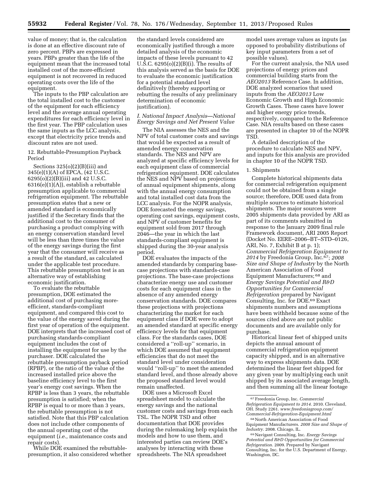value of money; that is, the calculation is done at an effective discount rate of zero percent. PBPs are expressed in years. PBPs greater than the life of the equipment mean that the increased total installed cost of the more-efficient equipment is not recovered in reduced operating costs over the life of the equipment.

The inputs to the PBP calculation are the total installed cost to the customer of the equipment for each efficiency level and the average annual operating expenditures for each efficiency level in the first year. The PBP calculation uses the same inputs as the LCC analysis, except that electricity price trends and discount rates are not used.

### 12. Rebuttable-Presumption Payback Period

Sections 325(o)(2)(B)(iii) and 345(e)(1)(A) of EPCA, (42 U.S.C. 6295(o)(2)(B)(iii) and 42 U.S.C. 6316(e)(1)(A)), establish a rebuttable presumption applicable to commercial refrigeration equipment. The rebuttable presumption states that a new or amended standard is economically justified if the Secretary finds that the additional cost to the consumer of purchasing a product complying with an energy conservation standard level will be less than three times the value of the energy savings during the first year that the consumer will receive as a result of the standard, as calculated under the applicable test procedure. This rebuttable presumption test is an alternative way of establishing economic justification.

To evaluate the rebuttable presumption, DOE estimated the additional cost of purchasing moreefficient, standards-compliant equipment, and compared this cost to the value of the energy saved during the first year of operation of the equipment. DOE interprets that the increased cost of purchasing standards-compliant equipment includes the cost of installing the equipment for use by the purchaser. DOE calculated the rebuttable presumption payback period (RPBP), or the ratio of the value of the increased installed price above the baseline efficiency level to the first year's energy cost savings. When the RPBP is less than 3 years, the rebuttable presumption is satisfied; when the RPBP is equal to or more than 3 years, the rebuttable presumption is not satisfied. Note that this PBP calculation does not include other components of the annual operating cost of the equipment (*i.e.,* maintenance costs and repair costs).

While DOE examined the rebuttablepresumption, it also considered whether the standard levels considered are economically justified through a more detailed analysis of the economic impacts of these levels pursuant to 42 U.S.C.  $6295(0)(2)(B)(i)$ . The results of this analysis served as the basis for DOE to evaluate the economic justification for a potential standard level definitively (thereby supporting or rebutting the results of any preliminary determination of economic justification).

#### *I. National Impact Analysis—National Energy Savings and Net Present Value*

The NIA assesses the NES and the NPV of total customer costs and savings that would be expected as a result of amended energy conservation standards. The NES and NPV are analyzed at specific efficiency levels for each equipment class of commercial refrigeration equipment. DOE calculates the NES and NPV based on projections of annual equipment shipments, along with the annual energy consumption and total installed cost data from the LCC analysis. For the NOPR analysis, DOE forecasted the energy savings, operating cost savings, equipment costs, and NPV of customer benefits for equipment sold from 2017 through 2046—the year in which the last standards-compliant equipment is shipped during the 30-year analysis period.

DOE evaluates the impacts of the amended standards by comparing basecase projections with standards-case projections. The base-case projections characterize energy use and customer costs for each equipment class in the absence of any amended energy conservation standards. DOE compares these projections with projections characterizing the market for each equipment class if DOE were to adopt an amended standard at specific energy efficiency levels for that equipment class. For the standards cases, DOE considered a ''roll-up'' scenario, in which DOE assumed that equipment efficiencies that do not meet the standard level under consideration would ''roll-up'' to meet the amended standard level, and those already above the proposed standard level would remain unaffected.

DOE uses a Microsoft Excel spreadsheet model to calculate the energy savings and the national customer costs and savings from each TSL. The NOPR TSD and other documentation that DOE provides during the rulemaking help explain the models and how to use them, and interested parties can review DOE's analyses by interacting with these spreadsheets. The NIA spreadsheet

model uses average values as inputs (as opposed to probability distributions of key input parameters from a set of possible values).

For the current analysis, the NIA used projections of energy prices and commercial building starts from the *AEO2013* Reference Case. In addition, DOE analyzed scenarios that used inputs from the *AEO2013* Low Economic Growth and High Economic Growth Cases. These cases have lower and higher energy price trends, respectively, compared to the Reference Case. NIA results based on these cases are presented in chapter 10 of the NOPR TSD.

A detailed description of the procedure to calculate NES and NPV, and inputs for this analysis are provided in chapter 10 of the NOPR TSD.

#### 1. Shipments

Complete historical shipments data for commercial refrigeration equipment could not be obtained from a single source; therefore, DOE used data from multiple sources to estimate historical shipments. The major sources were 2005 shipments data provided by ARI as part of its comments submitted in response to the January 2009 final rule Framework document, ARI 2005 Report (Docket No. EERE–2006–BT–STD–0126, ARI, No. 7, Exhibit B at p. 1); *Commercial Refrigeration Equipment to 2014* by Freedonia Group, Inc.67; *2008 Size and Shape of Industry* by the North American Association of Food Equipment Manufacturers; 68 and *Energy Savings Potential and R&D Opportunities for Commercial Refrigeration* prepared by Navigant Consulting, Inc. for DOE.69 Exact shipments numbers and assumptions have been withheld because some of the sources cited above are not public documents and are available only for purchase.

Historical linear feet of shipped units depicts the annual amount of commercial refrigeration equipment capacity shipped, and is an alternative way to express shipments data. DOE determined the linear feet shipped for any given year by multiplying each unit shipped by its associated average length, and then summing all the linear footage

<sup>67</sup>Freedonia Group, Inc. *Commercial Refrigeration Equipment to 2014.* 2010. Cleveland, OH. Study 2261. *[www.freedoniagroup.com/](http://www.freedoniagroup.com/Commercial-Refrigeration-Equipment.html) [Commercial-Refrigeration-Equipment.html](http://www.freedoniagroup.com/Commercial-Refrigeration-Equipment.html)*  68North American Association of Food

Equipment Manufacturers. *2008 Size and Shape of Industry.* 2008. Chicago, IL.

<sup>69</sup>Navigant Consulting, Inc. *Energy Savings Potential and R&D Opportunities for Commercial Refrigeration.* 2009. Prepared by Navigant Consulting, Inc. for the U.S. Department of Energy, Washington, DC.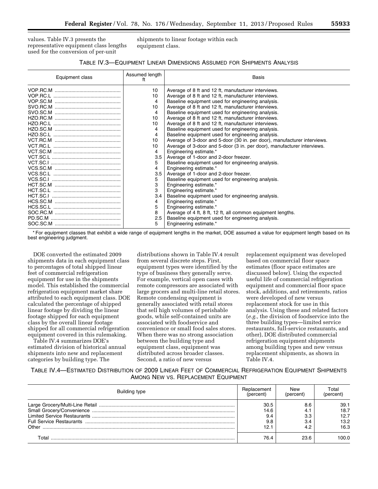values. Table IV.3 presents the representative equipment class lengths used for the conversion of per-unit

shipments to linear footage within each equipment class.

| Equipment class | Assumed length<br>ft | <b>Basis</b>                                                             |
|-----------------|----------------------|--------------------------------------------------------------------------|
|                 | 10                   | Average of 8 ft and 12 ft, manufacturer interviews.                      |
|                 | 10                   | Average of 8 ft and 12 ft, manufacturer interviews.                      |
|                 | 4                    | Baseline equipment used for engineering analysis.                        |
|                 | 10                   | Average of 8 ft and 12 ft, manufacturer interviews.                      |
|                 | 4                    | Baseline equipment used for engineering analysis.                        |
|                 | 10                   | Average of 8 ft and 12 ft, manufacturer interviews.                      |
|                 | 10                   | Average of 8 ft and 12 ft, manufacturer interviews.                      |
|                 | 4                    | Baseline equipment used for engineering analysis.                        |
|                 | 4                    | Baseline equipment used for engineering analysis.                        |
|                 | 10                   | Average of 3-door and 5-door (30 in. per door), manufacturer interviews. |
|                 | 10                   | Average of 3-door and 5-door (3 in. per door), manufacturer interviews.  |
|                 | 4                    | Engineering estimate.*                                                   |
|                 | 3.5                  | Average of 1-door and 2-door freezer.                                    |
|                 | 5                    | Baseline equipment used for engineering analysis.                        |
|                 | 4                    | Engineering estimate.*                                                   |
|                 | 3.5                  | Average of 1-door and 2-door freezer.                                    |
|                 | 5                    | Baseline equipment used for engineering analysis.                        |
|                 | 3                    | Engineering estimate.*                                                   |
|                 | 3                    | Engineering estimate.*                                                   |
|                 | 3.4                  | Baseline equipment used for engineering analysis.                        |
|                 | 4                    | Engineering estimate.*                                                   |
|                 | 5                    | Engineering estimate.*                                                   |
|                 | 8                    | Average of 4 ft, 8 ft, 12 ft, all common equipment lengths.              |
|                 | 2.5                  | Baseline equipment used for engineering analysis.                        |
|                 | 5                    | Engineering estimate.*                                                   |

\* For equipment classes that exhibit a wide range of equipment lengths in the market, DOE assumed a value for equipment length based on its best engineering judgment.

DOE converted the estimated 2009 shipments data in each equipment class to percentages of total shipped linear feet of commercial refrigeration equipment for use in the shipments model. This established the commercial refrigeration equipment market share attributed to each equipment class. DOE calculated the percentage of shipped linear footage by dividing the linear footage shipped for each equipment class by the overall linear footage shipped for all commercial refrigeration equipment covered in this rulemaking.

Table IV.4 summarizes DOE's estimated division of historical annual shipments into new and replacement categories by building type. The

distributions shown in Table IV.4 result from several discrete steps. First, equipment types were identified by the type of business they generally serve. For example, vertical open cases with remote compressors are associated with large grocers and multi-line retail stores. Remote condensing equipment is generally associated with retail stores that sell high volumes of perishable goods, while self-contained units are associated with foodservice and convenience or small food sales stores. When there was no strong association between the building type and equipment class, equipment was distributed across broader classes. Second, a ratio of new versus

replacement equipment was developed based on commercial floor space estimates (floor space estimates are discussed below). Using the expected useful life of commercial refrigeration equipment and commercial floor space stock, additions, and retirements, ratios were developed of new versus replacement stock for use in this analysis. Using these and related factors (*e.g.,* the division of foodservice into the three building types—limited service restaurants, full-service restaurants, and other), DOE distributed commercial refrigeration equipment shipments among building types and new versus replacement shipments, as shown in Table IV.4.

TABLE IV.4—ESTIMATED DISTRIBUTION OF 2009 LINEAR FEET OF COMMERCIAL REFRIGERATION EQUIPMENT SHIPMENTS AMONG NEW VS. REPLACEMENT EQUIPMENT

| Building type | Replacement<br>(percent) | New<br>(percent | Total<br>(percent) |  |
|---------------|--------------------------|-----------------|--------------------|--|
|               | 30.5                     |                 |                    |  |
|               | 14.6<br>9.4              | -4.<br>3.3      | 18.7<br>12.7       |  |
|               | 9.8                      |                 | 13.2               |  |
|               | 12.1                     |                 | 16.3               |  |
|               | 76.4                     | 23.6            | LOO O              |  |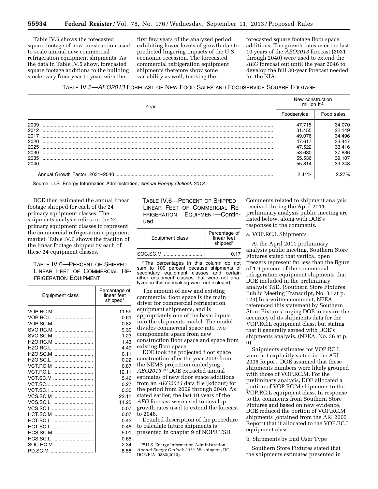Table IV.5 shows the forecasted square footage of new construction used to scale annual new commercial refrigeration equipment shipments. As the data in Table IV.5 show, forecasted square footage additions to the building stocks vary from year to year, with the

first few years of the analyzed period exhibiting lower levels of growth due to predicted lingering impacts of the U.S. economic recession. The forecasted commercial refrigeration equipment shipments therefore show some variability as well, tracking the

forecasted square footage floor space additions. The growth rates over the last 10 years of the *AEO2013* forecast (2031 through 2040) were used to extend the *AEO* forecast out until the year 2046 to develop the full 30-year forecast needed for the NIA.

### TABLE IV.5—*AEO2013* FORECAST OF NEW FOOD SALES AND FOODSERVICE SQUARE FOOTAGE

| Year | New construction<br>million $ft2$ |            |  |
|------|-----------------------------------|------------|--|
|      | Foodservice                       | Food sales |  |
| 2009 | 47.715                            | 34.070     |  |
| 2012 | 31.455                            | 22.149     |  |
| 2017 | 49.076                            | 34.496     |  |
| 2020 | 47.617                            | 33.447     |  |
| 2025 | 47.522                            | 33.416     |  |
| 2030 | 53.630                            | 37.836     |  |
| 2035 | 55.536                            | 39.107     |  |
| 2040 | 55.814                            | 39.243     |  |
|      | 2.41%                             | 2.27%      |  |

Source: U.S. Energy Information Administration, *Annual Energy Outlook 2013.* 

DOE then estimated the annual linear footage shipped for each of the 24 primary equipment classes. The shipments analysis relies on the 24 primary equipment classes to represent the commercial refrigeration equipment market. Table IV.6 shows the fraction of the linear footage shipped by each of these 24 equipment classes.

## TABLE IV.6—PERCENT OF SHIPPED LINEAR FEET OF COMMERCIAL RE-FRIGERATION EQUIPMENT

| Equipment class | Percentage of<br>linear feet<br>shipped* |
|-----------------|------------------------------------------|
| VOP.RC.M        | 11.59                                    |
| VOP.RC.L        | 0.61                                     |
| VOP.SC.M        | 0.82                                     |
| SVO.RC.M        | 9.30                                     |
| SVO.SC.M        | 1.23                                     |
| HZO.RC.M        | 1.43                                     |
| HZO.RC.L        | 4.49                                     |
| HZO.SC.M        | 0.11                                     |
| HZO.SC.L        | 0.22                                     |
| VCT.RC.M        | 0.87                                     |
| VCT.RC.L        | 12.11                                    |
| VCT.SC.M        | 5.46                                     |
| VCT.SC.L        | 0.27                                     |
| VCT.SC.I        | 0.30                                     |
| VCS.SC.M        | 22.11                                    |
| VCS.SC.L        | 11.25                                    |
| VCS.SC.I        | 0.07                                     |
| HCT.SC.M        | 0.07                                     |
| HCT.SC.L        | 0.43                                     |
| HCT.SC.I        | 0.48                                     |
| HCS.SC.M        | 5.01                                     |
| HCS.SC.L        | 0.65                                     |
| SOC.RC.M        | 2.34                                     |
| PD.SC.M         | 8.58                                     |

TABLE IV.6—PERCENT OF SHIPPED LINEAR FEET OF COMMERCIAL RE-FRIGERATION EQUIPMENT—Continued

| Equipment class | Percentage of<br>linear feet<br>shipped* |
|-----------------|------------------------------------------|
| SOC.SC.M        | 0.17                                     |

\* The percentages in this column do not sum to 100 percent because shipments of secondary equipment classes and certain other equipment classes that were not analyzed in this rulemaking were not included.

The amount of new and existing commercial floor space is the main driver for commercial refrigeration equipment shipments, and is appropriately one of the basic inputs into the shipments model. The model divides commercial space into two components: space from new construction floor space and space from existing floor space. DOE took the projected floor space

construction after the year 2009 from the NEMS projection underlying *AEO2013.*70 DOE extracted annual estimates of new floor space additions from an *AEO2013* data file (kdbout) for the period from 2009 through 2040. As stated earlier, the last 10 years of the *AEO* forecast were used to develop growth rates used to extend the forecast to 2046. Detailed description of the procedure to calculate future shipments is

presented in chapter 9 of NOPR TSD.

Comments related to shipment analysis received during the April 2011 preliminary analysis public meeting are listed below, along with DOE's responses to the comments.

### a. VOP.RC.L Shipments

At the April 2011 preliminary analysis public meeting, Southern Store Fixtures stated that vertical open freezers represent far less than the figure of 1.9 percent of the commercial refrigeration equipment shipments that DOE included in the preliminary analysis TSD. (Southern Store Fixtures, Public Meeting Transcript, No. 31 at p. 123) In a written comment, NEEA referenced this statement by Southern Store Fixtures, urging DOE to ensure the accuracy of its shipments data for the VOP.RC.L equipment class, but stating that it generally agreed with DOE's shipments analysis. (NEEA, No. 36 at p. 6)

Shipments estimates for VOP.RC.L were not explicitly stated in the ARI 2005 Report. DOE assumed that these shipments numbers were likely grouped with those of VOP.RC.M. For the preliminary analysis, DOE allocated a portion of VOP.RC.M shipments to the VOP.RC.L equipment class. In response to the comments from Southern Store Fixtures and based on new evidence, DOE reduced the portion of VOP.RC.M shipments (obtained from the ARI 2005 Report) that it allocated to the VOP.RC.L equipment class.

b. Shipments by End User Type

Southern Store Fixtures stated that the shipments estimates presented in

<sup>70</sup>U.S. Energy Information Administration. *Annual Energy Outlook 2013.* Washington, DC.

DOE/EIA–0383(2013).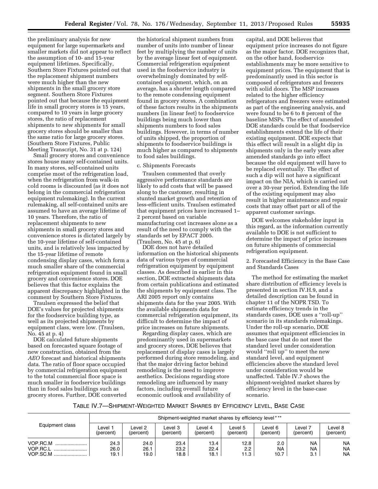the preliminary analysis for new equipment for large supermarkets and smaller markets did not appear to reflect the assumption of 10- and 15-year equipment lifetimes. Specifically, Southern Store Fixtures pointed out that the replacement shipment numbers were much higher than the new shipments in the small grocery store segment. Southern Store Fixtures pointed out that because the equipment life in small grocery stores is 15 years, compared to 10 years in large grocery stores, the ratio of replacement shipments to new shipments for small grocery stores should be smaller than the same ratio for large grocery stores. (Southern Store Fixtures, Public Meeting Transcript, No. 31 at p. 124)

Small grocery stores and convenience stores house many self-contained units. In many stores, self-contained units comprise most of the refrigeration load, when the refrigeration from walk-in cold rooms is discounted (as it does not belong in the commercial refrigeration equipment rulemaking). In the current rulemaking, all self-contained units are assumed to have an average lifetime of 10 years. Therefore, the ratio of replacement shipments to new shipments in small grocery stores and convenience stores is dictated largely by the 10-year lifetime of self-contained units, and is relatively less impacted by the 15-year lifetime of remote condensing display cases, which form a much smaller share of the commercial refrigeration equipment found in small grocery and convenience stores. DOE believes that this factor explains the apparent discrepancy highlighted in the comment by Southern Store Fixtures.

Traulsen expressed the belief that DOE's values for projected shipments for the foodservice building type, as well as its projected shipments by equipment class, were low. (Traulsen, No. 45 at p. 4)

DOE calculated future shipments based on forecasted square footage of new construction, obtained from the *AEO* forecast and historical shipments data. The ratio of floor space occupied by commercial refrigeration equipment to the total commercial floor space is much smaller in foodservice buildings than in food sales buildings such as grocery stores. Further, DOE converted

the historical shipment numbers from number of units into number of linear feet by multiplying the number of units by the average linear feet of equipment. Commercial refrigeration equipment used in the foodservice industry is overwhelmingly dominated by selfcontained equipment, which, on an average, has a shorter length compared to the remote condensing equipment found in grocery stores. A combination of these factors results in the shipments numbers (in linear feet) to foodservice buildings being much lower than shipments numbers to food sales buildings. However, in terms of number of units shipped, the proportion of shipments to foodservice buildings is much higher as compared to shipments to food sales buildings.

### c. Shipments Forecasts

Traulsen commented that overly aggressive performance standards are likely to add costs that will be passed along to the customer, resulting in stunted market growth and retention of less-efficient units. Traulsen estimated that equipment prices have increased 1– 2 percent based on variable manufacturing cost increases alone as a result of the need to comply with the standards set by EPACT 2005. (Traulsen, No. 45 at p. 6)

DOE does not have detailed information on the historical shipments data of various types of commercial refrigeration equipment by equipment classes. As described in earlier in this section, DOE extracted shipments data from certain publications and estimated the shipments by equipment class. The ARI 2005 report only contains shipments data for the year 2005. With the available shipments data for commercial refrigeration equipment, its difficult to determine the impact of price increases on future shipments.

Regarding display cases, which are predominantly used in supermarkets and grocery stores, DOE believes that replacement of display cases is largely performed during store remodeling, and that the major driving factor behind remodeling is the need to improve aesthetics. Decisions regarding store remodeling are influenced by many factors, including overall future economic outlook and availability of

capital, and DOE believes that equipment price increases do not figure as the major factor. DOE recognizes that, on the other hand, foodservice establishments may be more sensitive to equipment prices. The equipment that is predominantly used in this sector is composed of refrigerators and freezers with solid doors. The MSP increases related to the higher efficiency refrigerators and freezers were estimated as part of the engineering analysis, and were found to be 6 to 8 percent of the baseline MSPs. The effect of amended DOE standards could be that foodservice establishments extend the life of their existing equipment. DOE expects that this effect will result in a slight dip in shipments only in the early years after amended standards go into effect because the old equipment will have to be replaced eventually. The effect of such a dip will not have a significant impact on the NIA, which is carried out over a 30-year period. Extending the life of the existing equipment may also result in higher maintenance and repair costs that may offset part or all of the apparent customer savings.

DOE welcomes stakeholder input in this regard, as the information currently available to DOE is not sufficient to determine the impact of price increases on future shipments of commercial refrigeration equipment.

2. Forecasted Efficiency in the Base Case and Standards Cases

The method for estimating the market share distribution of efficiency levels is presented in section IV.H.9, and a detailed description can be found in chapter 11 of the NOPR TSD. To estimate efficiency trends in the standards cases, DOE uses a ''roll-up'' scenario in its standards rulemakings. Under the roll-up scenario, DOE assumes that equipment efficiencies in the base case that do not meet the standard level under consideration would ''roll up'' to meet the new standard level, and equipment efficiencies above the standard level under consideration would be unaffected. Table IV.7 shows the shipment-weighted market shares by efficiency level in the base-case scenario.

### TABLE IV.7—SHIPMENT-WEIGHTED MARKET SHARES BY EFFICIENCY LEVEL, BASE CASE

|                                      | Shipment-weighted market shares by efficiency level*** |                      |                      |                      |                      |                      |                               |                                     |
|--------------------------------------|--------------------------------------------------------|----------------------|----------------------|----------------------|----------------------|----------------------|-------------------------------|-------------------------------------|
| Equipment class                      | _evel ·<br>(percent)                                   | Level 2<br>(percent) | Level 3<br>(percent) | Level 4<br>(percent) | Level 5<br>(percent) | Level 6<br>(percent) | Level 7<br>(percent)          | Level 8<br>(percent)                |
| VOP.RC.M<br><br>VOP.RC.L<br>VOP.SC.M | 24.3<br>26.0<br>19.1                                   | 24.0<br>26.1<br>19.0 | 23.4<br>23.2<br>18.8 | 13.4<br>22.4<br>18.1 | 12.8<br>2.2<br>11.3  | 2.0<br>NA<br>10.7    | <b>NA</b><br><b>NA</b><br>3.1 | <b>NA</b><br><b>NA</b><br><b>NA</b> |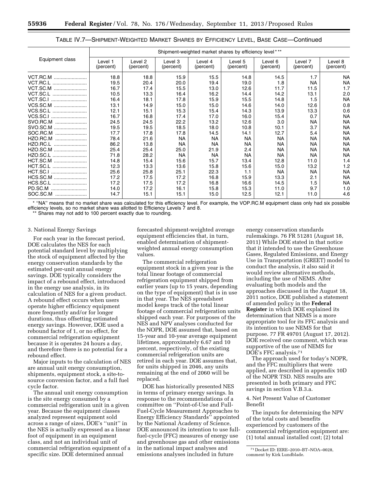|                 | Shipment-weighted market shares by efficiency level*** |                      |                      |                      |                      |                      |                      |                      |
|-----------------|--------------------------------------------------------|----------------------|----------------------|----------------------|----------------------|----------------------|----------------------|----------------------|
| Equipment class | Level 1<br>(percent)                                   | Level 2<br>(percent) | Level 3<br>(percent) | Level 4<br>(percent) | Level 5<br>(percent) | Level 6<br>(percent) | Level 7<br>(percent) | Level 8<br>(percent) |
| VCT.RC.M        | 18.8                                                   | 18.8                 | 15.9                 | 15.5                 | 14.8                 | 14.5                 | 1.7                  | <b>NA</b>            |
| VCT.RC.L        | 19.5                                                   | 20.4                 | 20.0                 | 19.4                 | 19.0                 | 1.8                  | <b>NA</b>            | <b>NA</b>            |
| VCT.SC.M        | 16.7                                                   | 17.4                 | 15.5                 | 13.0                 | 12.6                 | 11.7                 | 11.5                 | 1.7                  |
| VCT.SC.L        | 10.5                                                   | 13.3                 | 16.4                 | 16.2                 | 14.4                 | 14.2                 | 13.1                 | 2.0                  |
| VCT.SC.I        | 16.4                                                   | 18.1                 | 17.8                 | 15.9                 | 15.5                 | 14.8                 | 1.5                  | <b>NA</b>            |
| VCS.SC.M        | 13.1                                                   | 14.9                 | 15.0                 | 15.0                 | 14.6                 | 14.0                 | 12.6                 | 0.8                  |
| VCS.SC.L        | 12.1                                                   | 15.1                 | 15.3                 | 15.4                 | 14.3                 | 13.9                 | 13.3                 | 0.6                  |
| VCS.SC.I        | 16.7                                                   | 16.8                 | 17.4                 | 17.0                 | 16.0                 | 15.4                 | 0.7                  | <b>NA</b>            |
| SVO.RC.M        | 24.5                                                   | 24.5                 | 22.2                 | 13.2                 | 12.6                 | 3.0                  | NA                   | <b>NA</b>            |
| SVO.SC.M        | 19.5                                                   | 19.5                 | 18.5                 | 18.0                 | 10.8                 | 10.1                 | 3.7                  | <b>NA</b>            |
| SOC.RC.M        | 17.7                                                   | 17.8                 | 17.8                 | 14.5                 | 14.1                 | 12.7                 | 5.4                  | <b>NA</b>            |
| HZO.RC.M        | 78.4                                                   | 21.6                 | <b>NA</b>            | <b>NA</b>            | <b>NA</b>            | NA.                  | <b>NA</b>            | <b>NA</b>            |
| HZO.RC.L        | 86.2                                                   | 13.8                 | ΝA                   | NА                   | NA.                  | NA.                  | ΝA                   | <b>NA</b>            |
| HZO.SC.M        | 25.4                                                   | 25.4                 | 25.0                 | 21.9                 | 2.4                  | NA                   | NА                   | <b>NA</b>            |
| HZO.SC.L        | 71.8                                                   | 28.2                 | <b>NA</b>            | <b>NA</b>            | <b>NA</b>            | NA                   | <b>NA</b>            | <b>NA</b>            |
| HCT.SC.M        | 14.8                                                   | 15.4                 | 15.6                 | 15.7                 | 13.4                 | 12.8                 | 11.0                 | 1.4                  |
| HCT.SC.L        | 12.3                                                   | 13.3                 | 13.6                 | 15.8                 | 15.6                 | 15.0                 | 13.2                 | 1.2                  |
| HCT.SC.I        | 25.6                                                   | 25.8                 | 25.1                 | 22.3                 | 1.1                  | NA                   | NA                   | <b>NA</b>            |
| HCS.SC.M        | 17.2                                                   | 17.5                 | 17.2                 | 16.8                 | 15.9                 | 13.3                 | 2.1                  | <b>NA</b>            |
| HCS.SC.L        | 17.2                                                   | 17.5                 | 17.2                 | 16.8                 | 16.6                 | 14.5                 | 1.5                  | <b>NA</b>            |
| PD.SC.M         | 14.0                                                   | 17.2                 | 16.1                 | 15.8                 | 15.3                 | 11.0                 | 9.7                  | 1.0                  |
| SOC.SC.M        | 14.7                                                   | 15.1                 | 15.1                 | 15.0                 | 12.5                 | 12.1                 | 11.0                 | 4.6                  |

TABLE IV.7—SHIPMENT-WEIGHTED MARKET SHARES BY EFFICIENCY LEVEL, BASE CASE—Continued

\* ''NA'' means that no market share was calculated for this efficiency level. For example, the VOP.RC.M equipment class only had six possible efficiency levels, so no market share was allotted to Efficiency Levels 7 and 8.

Shares may not add to 100 percent exactly due to rounding.

#### 3. National Energy Savings

For each year in the forecast period, DOE calculates the NES for each potential standard level by multiplying the stock of equipment affected by the energy conservation standards by the estimated per-unit annual energy savings. DOE typically considers the impact of a rebound effect, introduced in the energy use analysis, in its calculation of NES for a given product. A rebound effect occurs when users operate higher efficiency equipment more frequently and/or for longer durations, thus offsetting estimated energy savings. However, DOE used a rebound factor of 1, or no effect, for commercial refrigeration equipment because it is operates 24 hours a day, and therefore there is no potential for a rebound effect.

Major inputs to the calculation of NES are annual unit energy consumption, shipments, equipment stock, a site-tosource conversion factor, and a full fuel cycle factor.

The annual unit energy consumption is the site energy consumed by a commercial refrigeration unit in a given year. Because the equipment classes analyzed represent equipment sold across a range of sizes, DOE's ''unit'' in the NES is actually expressed as a linear foot of equipment in an equipment class, and not an individual unit of commercial refrigeration equipment of a specific size. DOE determined annual

forecasted shipment-weighted average equipment efficiencies that, in turn, enabled determination of shipmentweighted annual energy consumption values.

The commercial refrigeration equipment stock in a given year is the total linear footage of commercial refrigeration equipment shipped from earlier years (up to 15 years, depending on the type of equipment) that is in use in that year. The NES spreadsheet model keeps track of the total linear footage of commercial refrigeration units shipped each year. For purposes of the NES and NPV analyses conducted for the NOPR, DOE assumed that, based on 15-year and 10-year average equipment lifetimes, approximately 6.67 and 10 percent, respectively, of the existing commercial refrigeration units are retired in each year. DOE assumes that, for units shipped in 2046, any units remaining at the end of 2060 will be replaced.

DOE has historically presented NES in terms of primary energy savings. In response to the recommendations of a committee on ''Point-of-Use and Full-Fuel-Cycle Measurement Approaches to Energy Efficiency Standards'' appointed by the National Academy of Science, DOE announced its intention to use fullfuel-cycle (FFC) measures of energy use and greenhouse gas and other emissions in the national impact analyses and emissions analyses included in future

energy conservation standards rulemakings. 76 FR 51281 (August 18, 2011) While DOE stated in that notice that it intended to use the Greenhouse Gases, Regulated Emissions, and Energy Use in Transportation (GREET) model to conduct the analysis, it also said it would review alternative methods, including the use of NEMS. After evaluating both models and the approaches discussed in the August 18, 2011 notice, DOE published a statement of amended policy in the **Federal Register** in which DOE explained its determination that NEMS is a more appropriate tool for its FFC analysis and its intention to use NEMS for that purpose. 77 FR 49701 (August 17, 2012). DOE received one comment, which was supportive of the use of NEMS for DOE's FFC analysis.71

The approach used for today's NOPR, and the FFC multipliers that were applied, are described in appendix 10D of the NOPR TSD. NES results are presented in both primary and FFC savings in section V.B.3.a.

4. Net Present Value of Customer Benefit

The inputs for determining the NPV of the total costs and benefits experienced by customers of the commercial refrigeration equipment are: (1) total annual installed cost; (2) total

<sup>71</sup> Docket ID: EERE–2010–BT–NOA–0028, comment by Kirk Lundblade.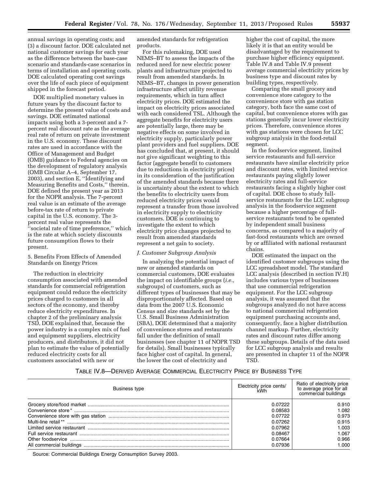annual savings in operating costs; and (3) a discount factor. DOE calculated net national customer savings for each year as the difference between the base-case scenario and standards-case scenarios in terms of installation and operating costs. DOE calculated operating cost savings over the life of each piece of equipment shipped in the forecast period.

DOE multiplied monetary values in future years by the discount factor to determine the present value of costs and savings. DOE estimated national impacts using both a 3-percent and a 7 percent real discount rate as the average real rate of return on private investment in the U.S. economy. These discount rates are used in accordance with the Office of Management and Budget (OMB) guidance to Federal agencies on the development of regulatory analysis (OMB Circular A–4, September 17, 2003), and section E, ''Identifying and Measuring Benefits and Costs,'' therein. DOE defined the present year as 2013 for the NOPR analysis. The 7-percent real value is an estimate of the average before-tax rate of return to private capital in the U.S. economy. The 3 percent real value represents the 'societal rate of time preference," which is the rate at which society discounts future consumption flows to their present.

#### 5. Benefits From Effects of Amended Standards on Energy Prices

The reduction in electricity consumption associated with amended standards for commercial refrigeration equipment could reduce the electricity prices charged to customers in all sectors of the economy, and thereby reduce electricity expenditures. In chapter 2 of the preliminary analysis TSD, DOE explained that, because the power industry is a complex mix of fuel and equipment suppliers, electricity producers, and distributors, it did not plan to estimate the value of potentially reduced electricity costs for all customers associated with new or

amended standards for refrigeration products.

For this rulemaking, DOE used NEMS–BT to assess the impacts of the reduced need for new electric power plants and infrastructure projected to result from amended standards. In NEMS–BT, changes in power generation infrastructure affect utility revenue requirements, which in turn affect electricity prices. DOE estimated the impact on electricity prices associated with each considered TSL. Although the aggregate benefits for electricity users are potentially large, there may be negative effects on some involved in electricity supply, particularly power plant providers and fuel suppliers. DOE has concluded that, at present, it should not give significant weighting to this factor (aggregate benefit to customers due to reductions in electricity prices) in its consideration of the justification of the amended standards because there is uncertainty about the extent to which the benefits to electricity users from reduced electricity prices would represent a transfer from those involved in electricity supply to electricity customers. DOE is continuing to investigate the extent to which electricity price changes projected to result from amended standards represent a net gain to society.

#### *J. Customer Subgroup Analysis*

In analyzing the potential impact of new or amended standards on commercial customers, DOE evaluates the impact on identifiable groups (*i.e.,*  subgroups) of customers, such as different types of businesses that may be disproportionately affected. Based on data from the 2007 U.S. Economic Census and size standards set by the U.S. Small Business Administration (SBA), DOE determined that a majority of convenience stores and restaurants fall under the definition of small businesses (see chapter 11 of NOPR TSD for details). Small businesses typically face higher cost of capital. In general, the lower the cost of electricity and

higher the cost of capital, the more likely it is that an entity would be disadvantaged by the requirement to purchase higher efficiency equipment. Table IV.8 and Table IV.9 present average commercial electricity prices by business type and discount rates by building types, respectively.

Comparing the small grocery and convenience store category to the convenience store with gas station category, both face the same cost of capital, but convenience stores with gas stations generally incur lower electricity prices. Therefore, convenience stores with gas stations were chosen for LCC subgroup analysis in the food-retail segment.

In the foodservice segment, limited service restaurants and full-service restaurants have similar electricity price and discount rates, with limited service restaurants paying slightly lower electricity rates and full-service restaurants facing a slightly higher cost of capital. DOE chose to study fullservice restaurants for the LCC subgroup analysis in the foodservice segment because a higher percentage of fullservice restaurants tend to be operated by independent small business concerns, as compared to a majority of fast-food restaurants which are owned by or affiliated with national restaurant chains.

DOE estimated the impact on the identified customer subgroups using the LCC spreadsheet model. The standard LCC analysis (described in section IV.H) includes various types of businesses that use commercial refrigeration equipment. For the LCC subgroup analysis, it was assumed that the subgroups analyzed do not have access to national commercial refrigeration equipment purchasing accounts and, consequently, face a higher distribution channel markup. Further, electricity rates and discount rates differ among these subgroups. Details of the data used for LCC subgroup analysis and results are presented in chapter 11 of the NOPR TSD.

#### TABLE IV.8—DERIVED AVERAGE COMMERCIAL ELECTRICITY PRICE BY BUSINESS TYPE

| Business type | Electricity price cents/<br>kWh | Ratio of electricity price<br>to average price for all<br>commercial buildings |
|---------------|---------------------------------|--------------------------------------------------------------------------------|
|               | በ በ7222                         | 0.910                                                                          |
|               | 0.08583                         | 1.082                                                                          |
|               | 0.07722                         | 0.973                                                                          |
|               | 0.07262                         | 0.915                                                                          |
|               | 0.07962                         | 1.003                                                                          |
|               | 0.08467                         | 1.067                                                                          |
|               | 0.07664                         | 0.966                                                                          |
|               | በ በ7936                         | 1.000.                                                                         |

Source: Commercial Buildings Energy Consumption Survey 2003.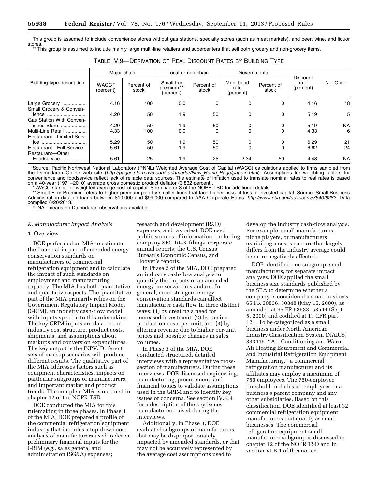This group is assumed to include convenience stores without gas stations, specialty stores (such as meat markets), and beer, wine, and liquor stores

This group is assumed to include mainly large multi-line retailers and supercenters that sell both grocery and non-grocery items.

|                                  |                                | Major chain         |                                     | Local or non-chain  |                                | Governmental        |                                      |                       |
|----------------------------------|--------------------------------|---------------------|-------------------------------------|---------------------|--------------------------------|---------------------|--------------------------------------|-----------------------|
| Building type description        | WACC <sup>*</sup><br>(percent) | Percent of<br>stock | Small frm<br>premium**<br>(percent) | Percent of<br>stock | Muni bond<br>rate<br>(percent) | Percent of<br>stock | <b>Discount</b><br>rate<br>(percent) | No. Obs. <sup>†</sup> |
| Large Grocery                    | 4.16                           | 100                 | 0.0                                 |                     | $\Omega$                       |                     | 4.16                                 | 18                    |
| Small Grocery & Conven-<br>ience | 4.20                           | 50                  | 1.9                                 | 50                  | 0                              |                     | 5.19                                 | 5                     |
| Gas Station With Conven-         |                                |                     |                                     |                     |                                |                     |                                      |                       |
| ience Store                      | 4.20                           | 50                  | 1.9                                 | 50                  |                                |                     | 5.19                                 | <b>NA</b>             |
| Multi-Line Retail                | 4.33                           | 100                 | 0.0                                 |                     | 0                              |                     | 4.33                                 | 6                     |
| <b>Restaurant-Limited Serv-</b>  |                                |                     |                                     |                     |                                |                     |                                      |                       |
| ice                              | 5.29                           | 50                  | 1.9                                 | 50                  |                                |                     | 6.29                                 | 21                    |
| Restaurant-Full Service          | 5.61                           | 50                  | 1.9                                 | 50                  |                                |                     | 6.62                                 | 24                    |
| Restaurant-Other                 |                                |                     |                                     |                     |                                |                     |                                      |                       |
| Foodservice<br>.                 | 5.61                           | 25                  | 1.9                                 | 25                  | 2.34                           | 50                  | 4.48                                 | <b>NA</b>             |

Source: Pacific Northwest National Laboratory (PNNL) Weighted Average Cost of Capital (WACC) calculations applied to firms sampled from the Damodaran Online web site (*[http://pages.stern.nyu.edu/](http://pages.stern.nyu.edu/~adamodar/New_Home_Page/papers.html)*∼*adamodar/New*\_*Home*\_*Page/papers.html*). Assumptions for weighting factors for convenience and foodservice reflect lack of reliable data sources. The estimate of inflation used to translate nominal rates to real rates is based on a 40-year (1971–2010) average gross domestic product deflator (3.832 percent).

\* WACC stands for weighted-average cost of capital. See chapter 8 of the NOPR TSD for additional details.

\*\* Small Firm Premium refers to higher premium paid by smaller firms that face higher risks of loss of invested capital. Source: Small Business Administration data on loans between \$10,000 and \$99,000 compared to AAA Corporate Rates. *[http://www.sba.gov/advocacy/7540/6282.](http://www.sba.gov/advocacy/7540/6282)* Data

<sup>† "'</sup>NA" means no Damodaran observations available.

#### *K. Manufacturer Impact Analysis*

#### 1. Overview

DOE performed an MIA to estimate the financial impact of amended energy conservation standards on manufacturers of commercial refrigeration equipment and to calculate the impact of such standards on employment and manufacturing capacity. The MIA has both quantitative and qualitative aspects. The quantitative part of the MIA primarily relies on the Government Regulatory Impact Model (GRIM), an industry cash-flow model with inputs specific to this rulemaking. The key GRIM inputs are data on the industry cost structure, product costs, shipments, and assumptions about markups and conversion expenditures. The key output is the INPV. Different sets of markup scenarios will produce different results. The qualitative part of the MIA addresses factors such as equipment characteristics, impacts on particular subgroups of manufacturers, and important market and product trends. The complete MIA is outlined in chapter 12 of the NOPR TSD.

DOE conducted the MIA for this rulemaking in three phases. In Phase 1 of the MIA, DOE prepared a profile of the commercial refrigeration equipment industry that includes a top-down cost analysis of manufacturers used to derive preliminary financial inputs for the GRIM (*e.g.,* sales general and administration (SG&A) expenses;

research and development (R&D) expenses; and tax rates). DOE used public sources of information, including company SEC 10–K filings, corporate annual reports, the U.S. Census Bureau's Economic Census, and Hoover's reports.

In Phase 2 of the MIA, DOE prepared an industry cash-flow analysis to quantify the impacts of an amended energy conservation standard. In general, more-stringent energy conservation standards can affect manufacturer cash flow in three distinct ways: (1) by creating a need for increased investment; (2) by raising production costs per unit; and (3) by altering revenue due to higher per-unit prices and possible changes in sales volumes.

In Phase 3 of the MIA, DOE conducted structured, detailed interviews with a representative crosssection of manufacturers. During these interviews, DOE discussed engineering, manufacturing, procurement, and financial topics to validate assumptions used in the GRIM and to identify key issues or concerns. See section IV.K.4 for a description of the key issues manufacturers raised during the interviews.

Additionally, in Phase 3, DOE evaluated subgroups of manufacturers that may be disproportionately impacted by amended standards, or that may not be accurately represented by the average cost assumptions used to

develop the industry cash-flow analysis. For example, small manufacturers, niche players, or manufacturers exhibiting a cost structure that largely differs from the industry average could be more negatively affected.

DOE identified one subgroup, small manufacturers, for separate impact analyses. DOE applied the small business size standards published by the SBA to determine whether a company is considered a small business. 65 FR 30836, 30848 (May 15, 2000), as amended at 65 FR 53533, 53544 (Sept. 5, 2000) and codified at 13 CFR part 121. To be categorized as a small business under North American Industry Classification System (NAICS) 333415, ''Air-Conditioning and Warm Air Heating Equipment and Commercial and Industrial Refrigeration Equipment Manufacturing,'' a commercial refrigeration manufacturer and its affiliates may employ a maximum of 750 employees. The 750-employee threshold includes all employees in a business's parent company and any other subsidiaries. Based on this classification, DOE identified at least 32 commercial refrigeration equipment manufacturers that qualify as small businesses. The commercial refrigeration equipment small manufacturer subgroup is discussed in chapter 12 of the NOPR TSD and in section VI.B.1 of this notice.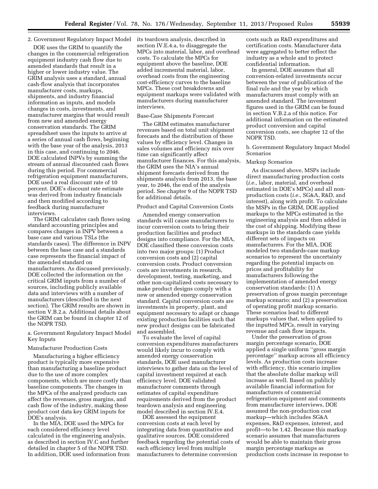#### 2. Government Regulatory Impact Model its teardown analysis, described in

DOE uses the GRIM to quantify the changes in the commercial refrigeration equipment industry cash flow due to amended standards that result in a higher or lower industry value. The GRIM analysis uses a standard, annual cash-flow analysis that incorporates manufacturer costs, markups, shipments, and industry financial information as inputs, and models changes in costs, investments, and manufacturer margins that would result from new and amended energy conservation standards. The GRIM spreadsheet uses the inputs to arrive at a series of annual cash flows, beginning with the base year of the analysis, 2013 in this case, and continuing to 2046. DOE calculated INPVs by summing the stream of annual discounted cash flows during this period. For commercial refrigeration equipment manufacturers, DOE used a real discount rate of 10 percent. DOE's discount rate estimate was derived from industry financials and then modified according to feedback during manufacturer interviews.

The GRIM calculates cash flows using standard accounting principles and compares changes in INPV between a base case and various TSLs (the standards cases). The difference in INPV between the base case and a standards case represents the financial impact of the amended standard on manufacturers. As discussed previously, DOE collected the information on the critical GRIM inputs from a number of sources, including publicly available data and interviews with a number of manufacturers (described in the next section). The GRIM results are shown in section V.B.2.a. Additional details about the GRIM can be found in chapter 12 of the NOPR TSD.

#### a. Government Regulatory Impact Model Key Inputs

#### Manufacturer Production Costs

Manufacturing a higher efficiency product is typically more expensive than manufacturing a baseline product due to the use of more complex components, which are more costly than baseline components. The changes in the MPCs of the analyzed products can affect the revenues, gross margins, and cash flow of the industry, making these product cost data key GRIM inputs for DOE's analysis.

In the MIA, DOE used the MPCs for each considered efficiency level calculated in the engineering analysis, as described in section IV.C and further detailed in chapter 5 of the NOPR TSD. In addition, DOE used information from

section IV.E.4.a, to disaggregate the MPCs into material, labor, and overhead costs. To calculate the MPCs for equipment above the baseline, DOE added incremental material, labor, overhead costs from the engineering cost-efficiency curves to the baseline MPCs. These cost breakdowns and equipment markups were validated with manufacturers during manufacturer interviews.

### Base-Case Shipments Forecast

The GRIM estimates manufacturer revenues based on total unit shipment forecasts and the distribution of these values by efficiency level. Changes in sales volumes and efficiency mix over time can significantly affect manufacturer finances. For this analysis, the GRIM uses the NIA's annual shipment forecasts derived from the shipments analysis from 2013, the base year, to 2046, the end of the analysis period. See chapter 9 of the NOPR TSD for additional details.

#### Product and Capital Conversion Costs

Amended energy conservation standards will cause manufacturers to incur conversion costs to bring their production facilities and product designs into compliance. For the MIA, DOE classified these conversion costs into two major groups: (1) Product conversion costs and (2) capital conversion costs. Product conversion costs are investments in research, development, testing, marketing, and other non-capitalized costs necessary to make product designs comply with a new or amended energy conservation standard. Capital conversion costs are investments in property, plant, and equipment necessary to adapt or change existing production facilities such that new product designs can be fabricated and assembled.

To evaluate the level of capital conversion expenditures manufacturers would likely incur to comply with amended energy conservation standards, DOE used manufacturer interviews to gather data on the level of capital investment required at each efficiency level. DOE validated manufacturer comments through estimates of capital expenditure requirements derived from the product teardown analysis and engineering model described in section IV.E.4.

DOE assessed the equipment conversion costs at each level by integrating data from quantitative and qualitative sources. DOE considered feedback regarding the potential costs of each efficiency level from multiple manufacturers to determine conversion

costs such as R&D expenditures and certification costs. Manufacturer data were aggregated to better reflect the industry as a whole and to protect confidential information.

In general, DOE assumes that all conversion-related investments occur between the year of publication of the final rule and the year by which manufacturers must comply with an amended standard. The investment figures used in the GRIM can be found in section V.B.2.a of this notice. For additional information on the estimated product conversion and capital conversion costs, see chapter 12 of the NOPR TSD.

b. Government Regulatory Impact Model Scenarios

### Markup Scenarios

As discussed above, MSPs include direct manufacturing production costs (*i.e.,* labor, material, and overhead estimated in DOE's MPCs) and all nonproduction costs (*i.e.,* SG&A, R&D, and interest), along with profit. To calculate the MSPs in the GRIM, DOE applied markups to the MPCs estimated in the engineering analysis and then added in the cost of shipping. Modifying these markups in the standards case yields different sets of impacts on manufacturers. For the MIA, DOE modeled two standards-case markup scenarios to represent the uncertainty regarding the potential impacts on prices and profitability for manufacturers following the implementation of amended energy conservation standards: (1) A preservation of gross margin percentage markup scenario; and (2) a preservation of operating profit markup scenario. These scenarios lead to different markups values that, when applied to the inputted MPCs, result in varying revenue and cash flow impacts.

Under the preservation of gross margin percentage scenario, DOE applied a single uniform ''gross margin percentage'' markup across all efficiency levels. As production costs increase with efficiency, this scenario implies that the absolute dollar markup will increase as well. Based on publicly available financial information for manufacturers of commercial refrigeration equipment and comments from manufacturer interviews, DOE assumed the non-production cost markup—which includes SG&A expenses, R&D expenses, interest, and profit—to be 1.42. Because this markup scenario assumes that manufacturers would be able to maintain their gross margin percentage markups as production costs increase in response to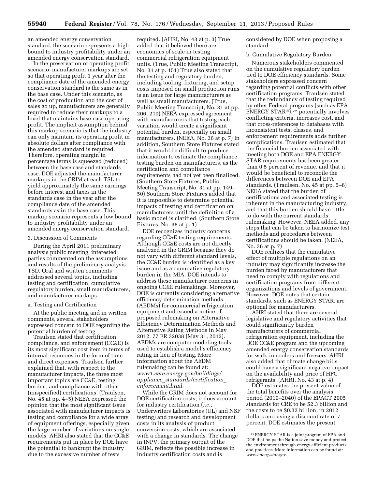an amended energy conservation standard, the scenario represents a high bound to industry profitability under an amended energy conservation standard.

In the preservation of operating profit scenario, manufacturer markups are set so that operating profit 1 year after the compliance date of the amended energy conservation standard is the same as in the base case. Under this scenario, as the cost of production and the cost of sales go up, manufacturers are generally required to reduce their markups to a level that maintains base-case operating profit. The implicit assumption behind this markup scenario is that the industry can only maintain its operating profit in absolute dollars after compliance with the amended standard is required. Therefore, operating margin in percentage terms is squeezed (reduced) between the base case and standards case. DOE adjusted the manufacturer markups in the GRIM at each TSL to yield approximately the same earnings before interest and taxes in the standards case in the year after the compliance date of the amended standards as in the base case. This markup scenario represents a low bound to industry profitability under an amended energy conservation standard.

#### 3. Discussion of Comments

During the April 2011 preliminary analysis public meeting, interested parties commented on the assumptions and results of the preliminary analysis TSD. Oral and written comments addressed several topics, including testing and certification, cumulative regulatory burden, small manufacturers, and manufacturer markups.

### a. Testing and Certification

At the public meeting and in written comments, several stakeholders expressed concern to DOE regarding the potential burden of testing.

Traulsen stated that certification, compliance, and enforcement (CC&E) is its most significant cost item in terms of internal resources in the form of time and direct expenses. Traulsen further explained that, with respect to the manufacturer impacts, the three most important topics are CC&E, testing burden, and compliance with other (unspecified) certifications. (Traulsen, No. 45 at pp. 4–5) NEEA expressed the opinion that the most significant issue associated with manufacturer impacts is testing and compliance for a wide array of equipment offerings, especially given the large number of variations on single models. AHRI also stated that the CC&E requirements put in place by DOE have the potential to bankrupt the industry due to the excessive number of tests

required. (AHRI, No. 43 at p. 3) True added that it believed there are economies of scale in testing commercial refrigeration equipment units. (True, Public Meeting Transcript, No. 31 at p. 151) True also stated that the testing and regulatory burden, including tooling, fixturing, and setup costs imposed on small production runs is an issue for large manufacturers as well as small manufacturers. (True, Public Meeting Transcript, No. 31 at pp. 206, 210) NEEA expressed agreement with manufacturers that testing each variation would create a significant potential burden, especially on small manufacturers. (NEEA, No. 36 at p. 7) In addition, Southern Store Fixtures stated that it would be difficult to produce information to estimate the compliance testing burden on manufacturers, as the certification and compliance requirements had not yet been finalized. (Southern Store Fixtures, Public Meeting Transcript, No. 31 at pp. 149– 50) Southern Store Fixtures added that it is impossible to determine potential impacts of testing and certification on manufacturers until the definition of a basic model is clarified. (Southern Store Fixtures, No. 38 at p. 1)

DOE recognizes industry concerns regarding CC&E testing requirements. Although CC&E costs are not directly analyzed in the GRIM because they do not vary with different standard levels, the CC&E burden is identified as a key issue and as a cumulative regulatory burden in the MIA. DOE intends to address these manufacturer concerns in ongoing CC&E rulemakings. Moreover, DOE is currently considering alternative efficiency determination methods (AEDMs) for commercial refrigeration equipment and issued a notice of proposed rulemaking on Alternative Efficiency Determination Methods and Alternative Rating Methods in May 2012. 77 FR 32038 (May 31, 2012). AEDMs are computer modeling tools used to establish a model's efficiency rating in lieu of testing. More information about the AEDM rulemaking can be found at: *[www1.eere.energy.gov/buildings/](http://www1.eere.energy.gov/buildings/appliance_standards/certification_enforcement.html) appliance*\_*[standards/certification](http://www1.eere.energy.gov/buildings/appliance_standards/certification_enforcement.html)*\_ *[enforcement.html](http://www1.eere.energy.gov/buildings/appliance_standards/certification_enforcement.html)*.

While the GRIM does not account for DOE certification costs, it does account for industry certification (*i.e.,*  Underwriters Laboratories (UL) and NSF testing) and research and development costs in its analysis of product conversion costs, which are associated with a change in standards. The change in INPV, the primary output of the GRIM, reflects the possible increase in industry certification costs and is

considered by DOE when proposing a standard.

#### b. Cumulative Regulatory Burden

Numerous stakeholders commented on the cumulative regulatory burden tied to DOE efficiency standards. Some stakeholders expressed concern regarding potential conflicts with other certification programs. Traulsen stated that the redundancy of testing required by other Federal programs (such as EPA ENERGY STAR®),72 potentially involves conflicting criteria, increases cost, and that cross-references to databases with inconsistent tests, classes, and enforcement requirements adds further complications. Traulsen estimated that the financial burden associated with meeting both DOE and EPA ENERGY STAR requirements has been greater than 0.5 percent of revenue, and that it would be beneficial to reconcile the differences between DOE and EPA standards. (Traulsen, No. 45 at pp. 5–6) NEEA stated that the burden of certifications and associated testing is inherent in the manufacturing industry, and that this burden should have little to do with the current standards rulemaking. However, NEEA added, any steps that can be taken to harmonize test methods and procedures between certifications should be taken. (NEEA, No. 36 at p. 7)

DOE realizes that the cumulative effect of multiple regulations on an industry may significantly increase the burden faced by manufacturers that need to comply with regulations and certification programs from different organizations and levels of government. However, DOE notes that certain standards, such as ENERGY STAR, are optional for manufacturers.

AHRI stated that there are several legislative and regulatory activities that could significantly burden manufacturers of commercial refrigeration equipment, including the DOE CC&E program and the upcoming amended energy conservation standards for walk-in coolers and freezers. AHRI also added that climate change bills could have a significant negative impact on the availability and price of HFC refrigerants. (AHRI, No. 43 at p. 4)

DOE estimates the present value of the total benefits over the analysis period (2010–2040) of the EPACT 2005 standards for CRE to be \$2.3 billion and the costs to be \$0.32 billion, in 2012 dollars and using a discount rate of 7 percent. DOE estimates the present

<sup>72</sup>ENERGY STAR is a joint program of EPA and DOE that helps the Nation save money and protect the environment through energy efficient products and practices. More information can be found at: *[www.energystar.gov](http://www.energystar.gov)*.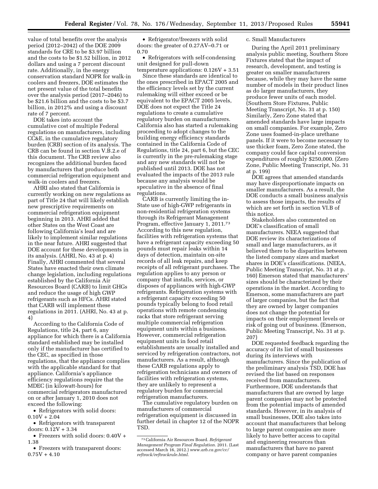value of total benefits over the analysis period (2012–2042) of the DOE 2009 standards for CRE to be \$3.97 billion and the costs to be \$1.52 billion, in 2012 dollars and using a 7 percent discount rate. Additionally, in the energy conservation standard NOPR for walk-in coolers and freezers, DOE estimates the net present value of the total benefits over the analysis period (2017–2046) to be \$21.6 billion and the costs to be \$3.7 billion, in 2012% and using a discount rate of 7 percent.

DOE takes into account the cumulative cost of multiple Federal regulations on manufacturers, including CC&E, in the cumulative regulatory burden (CRB) section of its analysis. The CRB can be found in section V.B.2.e of this document. The CRB review also recognizes the additional burden faced by manufacturers that produce both commercial refrigeration equipment and walk-in coolers and freezers.

AHRI also stated that California is currently working on new regulations as part of Title 24 that will likely establish new prescriptive requirements on commercial refrigeration equipment beginning in 2013. AHRI added that other States on the West Coast are following California's lead and are likely to implement similar regulations in the near future. AHRI suggested that DOE account for these developments in its analysis. (AHRI, No. 43 at p. 4) Finally, AHRI commented that several States have enacted their own climate change legislation, including regulations established by the California Air Resources Board (CARB) to limit GHGs and reduce the usage of high GWP refrigerants such as HFCs. AHRI stated that CARB will implement these regulations in 2011. (AHRI, No. 43 at p. 4)

According to the California Code of Regulations, title 24, part 6, any appliance for which there is a California standard established may be installed only if the manufacturer has certified to the CEC, as specified in those regulations, that the appliance complies with the applicable standard for that appliance. California's appliance efficiency regulations require that the MDEC (in kilowatt-hours) for commercial refrigerators manufactured on or after January 1, 2010 does not exceed the following:

• Refrigerators with solid doors:  $0.10V + 2.04$ 

• Refrigerators with transparent doors: 0.12V + 3.34

• Freezers with solid doors: 0.40V + 1.38

• Freezers with transparent doors:  $0.75V + 4.10$ 

• Refrigerator/freezers with solid doors: the greater of 0.27AV–0.71 or 0.70

• Refrigerators with self-condensing unit designed for pull-down temperature applications:  $0.126V + 3.51$ 

Since these standards are identical to the ones prescribed in EPACT 2005 and the efficiency levels set by the current rulemaking will either exceed or be equivalent to the EPACT 2005 levels, DOE does not expect the Title 24 regulations to create a cumulative regulatory burden on manufacturers. California also has started a rulemaking proceeding to adopt changes to the building energy efficiency standards contained in the California Code of Regulations, title 24, part 6, but the CEC is currently in the pre-rulemaking stage and any new standards will not be published until 2013. DOE has not evaluated the impacts of the 2013 rule because any analysis would be speculative in the absence of final regulations.

CARB is currently limiting the in-State use of high-GWP refrigerants in non-residential refrigeration systems through its Refrigerant Management Program, effective January 1, 2011.73 According to this new regulation, facilities with refrigeration systems that have a refrigerant capacity exceeding 50 pounds must repair leaks within 14 days of detection, maintain on-site records of all leak repairs, and keep receipts of all refrigerant purchases. The regulation applies to any person or company that installs, services, or disposes of appliances with high-GWP refrigerants. Refrigeration systems with a refrigerant capacity exceeding 50 pounds typically belong to food retail operations with remote condensing racks that store refrigerant serving multiple commercial refrigeration equipment units within a business. However, commercial refrigeration equipment units in food retail establishments are usually installed and serviced by refrigeration contractors, not manufacturers. As a result, although these CARB regulations apply to refrigeration technicians and owners of facilities with refrigeration systems, they are unlikely to represent a regulatory burden for commercial refrigeration manufacturers.

The cumulative regulatory burden on manufacturers of commercial refrigeration equipment is discussed in further detail in chapter 12 of the NOPR TSD.

#### c. Small Manufacturers

During the April 2011 preliminary analysis public meeting, Southern Store Fixtures stated that the impact of research, development, and testing is greater on smaller manufacturers because, while they may have the same number of models in their product lines as do larger manufacturers, they produce fewer units of each model. (Southern Store Fixtures, Public Meeting Transcript, No. 31 at p. 150) Similarly, Zero Zone stated that amended standards have large impacts on small companies. For example, Zero Zone uses foamed-in-place urethane panels. If it were to become necessary to use thicker foam, Zero Zone stated, the company could face capital conversion expenditures of roughly \$250,000. (Zero Zone, Public Meeting Transcript, No. 31 at p. 199)

DOE agrees that amended standards may have disproportionate impacts on smaller manufacturers. As a result, the DOE conducts a small business analysis to assess those impacts, the results of which are set forth in section VI.B of this notice.

Stakeholders also commented on DOE's classification of small manufacturers. NEEA suggested that DOE review its characterizations of small and large manufacturers, as it believed there to be disparities between the listed company sizes and market shares in DOE's classifications. (NEEA, Public Meeting Transcript, No. 31 at p. 160) Emerson stated that manufacturers' sizes should be characterized by their operations in the market. According to Emerson, some manufacturers are part of larger companies, but the fact that they are owned by larger companies does not change the potential for impacts on their employment levels or risk of going out of business. (Emerson, Public Meeting Transcript, No. 31 at p. 207)

DOE requested feedback regarding the accuracy of its list of small businesses during its interviews with manufacturers. Since the publication of the preliminary analysis TSD, DOE has revised the list based on responses received from manufacturers. Furthermore, DOE understands that manufacturers that are owned by large parent companies may not be protected from the potential impacts of amended standards. However, in its analysis of small businesses, DOE also takes into account that manufacturers that belong to large parent companies are more likely to have better access to capital and engineering resources than manufacturers that have no parent company or have parent companies

<sup>73</sup>California Air Resources Board. *Refrigerant Management Program Final Regulation*. 2011. (Last accessed March 16, 2012.) *[www.arb.ca.gov/cc/](http://www.arb.ca.gov/cc/reftrack/reftrackrule.html) [reftrack/reftrackrule.html](http://www.arb.ca.gov/cc/reftrack/reftrackrule.html)*.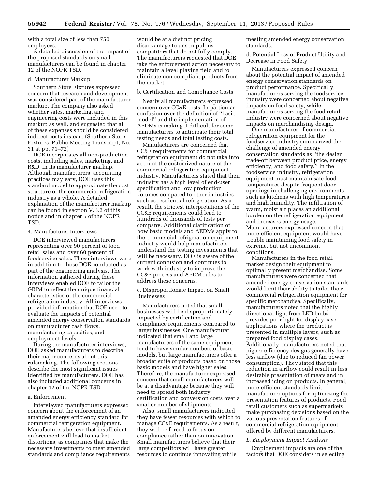with a total size of less than 750 employees.

A detailed discussion of the impact of the proposed standards on small manufacturers can be found in chapter 12 of the NOPR TSD.

#### d. Manufacturer Markup

Southern Store Fixtures expressed concern that research and development was considered part of the manufacturer markup. The company also asked whether sales, marketing, and engineering costs were included in this markup as well, and suggested that all of these expenses should be considered indirect costs instead. (Southern Store Fixtures, Public Meeting Transcript, No. 31 at pp. 71–72)

DOE incorporates all non-production costs, including sales, marketing, and R&D, in its manufacturer markup. Although manufacturers' accounting practices may vary, DOE uses this standard model to approximate the cost structure of the commercial refrigeration industry as a whole. A detailed explanation of the manufacturer markup can be found in section V.B.2 of this notice and in chapter 5 of the NOPR TSD.

#### 4. Manufacturer Interviews

DOE interviewed manufacturers representing over 90 percent of food retail sales and over 60 percent of foodservice sales. These interviews were in addition to those DOE conducted as part of the engineering analysis. The information gathered during these interviews enabled DOE to tailor the GRIM to reflect the unique financial characteristics of the commercial refrigeration industry. All interviews provided information that DOE used to evaluate the impacts of potential amended energy conservation standards on manufacturer cash flows, manufacturing capacities, and employment levels.

During the manufacturer interviews, DOE asked manufacturers to describe their major concerns about this rulemaking. The following sections describe the most significant issues identified by manufacturers. DOE has also included additional concerns in chapter 12 of the NOPR TSD.

#### a. Enforcement

Interviewed manufacturers expressed concern about the enforcement of an amended energy efficiency standard for commercial refrigeration equipment. Manufacturers believe that insufficient enforcement will lead to market distortions, as companies that make the necessary investments to meet amended standards and compliance requirements

would be at a distinct pricing disadvantage to unscrupulous competitors that do not fully comply. The manufacturers requested that DOE take the enforcement action necessary to maintain a level playing field and to eliminate non-compliant products from the market.

#### b. Certification and Compliance Costs

Nearly all manufacturers expressed concern over CC&E costs. In particular, confusion over the definition of ''basic model'' and the implementation of AEDMs is making it difficult for some manufacturers to anticipate their total testing needs and total testing costs.

Manufacturers are concerned that CC&E requirements for commercial refrigeration equipment do not take into account the customized nature of the commercial refrigeration equipment industry. Manufacturers stated that their industry has a high level of end-user specification and low production volumes compared to other industries, such as residential refrigeration. As a result, the strictest interpretations of the CC&E requirements could lead to hundreds of thousands of tests per company. Additional clarification of how basic models and AEDMs apply to the commercial refrigeration equipment industry would help manufacturers understand the testing investments that will be necessary. DOE is aware of the current confusion and continues to work with industry to improve the CC&E process and AEDM rules to address these concerns.

c. Disproportionate Impact on Small Businesses

Manufacturers noted that small businesses will be disproportionately impacted by certification and compliance requirements compared to larger businesses. One manufacturer indicated that small and large manufacturers of the same equipment tend to have similar numbers of basic models, but large manufacturers offer a broader suite of products based on those basic models and have higher sales. Therefore, the manufacturer expressed concern that small manufacturers will be at a disadvantage because they will need to spread both industry certification and conversion costs over a smaller number of shipments.

Also, small manufacturers indicated they have fewer resources with which to manage CC&E requirements. As a result, they will be forced to focus on compliance rather than on innovation. Small manufacturers believe that their large competitors will have greater resources to continue innovating while

meeting amended energy conservation standards.

d. Potential Loss of Product Utility and Decrease in Food Safety

Manufacturers expressed concern about the potential impact of amended energy conservation standards on product performance. Specifically, manufacturers serving the foodservice industry were concerned about negative impacts on food safety, while manufacturers serving the food retail industry were concerned about negative impacts on merchandising design.

One manufacturer of commercial refrigeration equipment for the foodservice industry summarized the challenge of amended energy conservation standards as ''the design trade-off between product price, energy efficiency, and food safety.'' In the foodservice industry, refrigeration equipment must maintain safe food temperatures despite frequent door openings in challenging environments, such as kitchens with high temperatures and high humidity. The infiltration of warm, moist air places an additional burden on the refrigeration equipment and increases energy usage. Manufacturers expressed concern that more-efficient equipment would have trouble maintaining food safety in extreme, but not uncommon, conditions.

Manufacturers in the food retail market design their equipment to optimally present merchandise. Some manufacturers were concerned that amended energy conservation standards would limit their ability to tailor their commercial refrigeration equipment for specific merchandise. Specifically, manufacturers noted that the highly directional light from LED bulbs provides poor light for display case applications where the product is presented in multiple layers, such as prepared food display cases. Additionally, manufacturers noted that higher efficiency designs generally have less airflow (due to reduced fan power consumption). They stated that this reduction in airflow could result in less desirable presentation of meats and in increased icing on products. In general, more-efficient standards limit manufacturer options for optimizing the presentation features of products. Food retail customers such as supermarkets make purchasing decisions based on the various presentation features of commercial refrigeration equipment offered by different manufacturers.

### *L. Employment Impact Analysis*

Employment impacts are one of the factors that DOE considers in selecting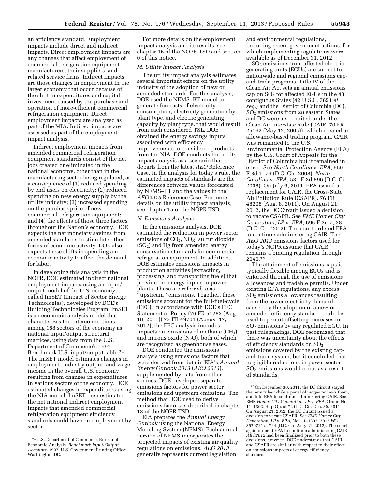an efficiency standard. Employment impacts include direct and indirect impacts. Direct employment impacts are any changes that affect employment of commercial refrigeration equipment manufacturers, their suppliers, and related service firms. Indirect impacts are those changes in employment in the larger economy that occur because of the shift in expenditures and capital investment caused by the purchase and operation of more-efficient commercial refrigeration equipment. Direct employment impacts are analyzed as part of the MIA. Indirect impacts are assessed as part of the employment impact analysis.

Indirect employment impacts from amended commercial refrigeration equipment standards consist of the net jobs created or eliminated in the national economy, other than in the manufacturing sector being regulated, as a consequence of (1) reduced spending by end users on electricity; (2) reduced spending on new energy supply by the utility industry; (3) increased spending on the purchase price of new commercial refrigeration equipment; and (4) the effects of those three factors throughout the Nation's economy. DOE expects the net monetary savings from amended standards to stimulate other forms of economic activity. DOE also expects these shifts in spending and economic activity to affect the demand for labor.

In developing this analysis in the NOPR, DOE estimated indirect national employment impacts using an input/ output model of the U.S. economy, called ImSET (Impact of Sector Energy Technologies), developed by DOE's Building Technologies Program. ImSET is an economic analysis model that characterizes the interconnections among 188 sectors of the economy as national input/output structural matrices, using data from the U.S. Department of Commerce's 1997 Benchmark U.S. input/output table.74 The ImSET model estimates changes in employment, industry output, and wage income in the overall U.S. economy resulting from changes in expenditures in various sectors of the economy. DOE estimated changes in expenditures using the NIA model. ImSET then estimated the net national indirect employment impacts that amended commercial refrigeration equipment efficiency standards could have on employment by sector.

For more details on the employment impact analysis and its results, see chapter 16 of the NOPR TSD and section 0 of this notice.

### *M. Utility Impact Analysis*

The utility impact analysis estimates several important effects on the utility industry of the adoption of new or amended standards. For this analysis, DOE used the NEMS–BT model to generate forecasts of electricity consumption, electricity generation by plant type, and electric generating capacity by plant type, that would result from each considered TSL. DOE obtained the energy savings inputs associated with efficiency improvements to considered products from the NIA. DOE conducts the utility impact analysis as a scenario that departs from the latest *AEO* Reference Case. In the analysis for today's rule, the estimated impacts of standards are the differences between values forecasted by NEMS–BT and the values in the *AEO2013* Reference Case. For more details on the utility impact analysis, see chapter 15 of the NOPR TSD.

#### *N. Emissions Analysis*

In the emissions analysis, DOE estimated the reduction in power sector emissions of  $CO<sub>2</sub>$ , NO<sub>X</sub>, sulfur dioxide  $(SO<sub>2</sub>)$  and Hg from amended energy conservation standards for commercial refrigeration equipment. In addition, DOE estimates emissions impacts in production activities (extracting, processing, and transporting fuels) that provide the energy inputs to power plants. These are referred to as ''upstream'' emissions. Together, these emissions account for the full-fuel-cycle (FFC). In accordance with DOE's FFC Statement of Policy (76 FR 51282 (Aug. 18, 2011)) 77 FR 49701 (August 17, 2012), the FFC analysis includes impacts on emissions of methane  $(CH<sub>4</sub>)$ and nitrous oxide  $(N_2O)$ , both of which are recognized as greenhouse gases.

DOE conducted the emissions analysis using emissions factors that were derived from data in EIA's *Annual Energy Outlook 2013* (*AEO 2013*), supplemented by data from other sources. DOE developed separate emissions factors for power sector emissions and upstream emissions. The method that DOE used to derive emissions factors is described in chapter 13 of the NOPR TSD.

EIA prepares the *Annual Energy Outlook* using the National Energy Modeling System (NEMS). Each annual version of NEMS incorporates the projected impacts of existing air quality regulations on emissions. *AEO 2013*  generally represents current legislation

and environmental regulations, including recent government actions, for which implementing regulations were available as of December 31, 2012.

SO2 emissions from affected electric generating units (EGUs) are subject to nationwide and regional emissions capand-trade programs. Title IV of the Clean Air Act sets an annual emissions cap on  $SO<sub>2</sub>$  for affected EGUs in the 48 contiguous States (42 U.S.C. 7651 *et seq.*) and the District of Columbia (DC). SO2 emissions from 28 eastern States and DC were also limited under the Clean Air Interstate Rule (CAIR; 70 FR 25162 (May 12, 2005)), which created an allowance-based trading program. CAIR was remanded to the U.S. Environmental Protection Agency (EPA) by the U.S. Court of Appeals for the District of Columbia but it remained in effect. See *North Carolina* v. *EPA,* 550 F.3d 1176 (D.C. Cir. 2008); *North Carolina* v. *EPA,* 531 F.3d 896 (D.C. Cir. 2008). On July 6, 2011, EPA issued a replacement for CAIR, the Cross-State Air Pollution Rule (CSAPR). 76 FR 48208 (Aug. 8, 2011). On August 21, 2012, the DC Circuit issued a decision to vacate CSAPR. See *EME Homer City Generation, LP* v. *EPA,* 696 F.3d 7, 38 (D.C. Cir. 2012). The court ordered EPA to continue administering CAIR. The *AEO 2013* emissions factors used for today's NOPR assume that CAIR remains a binding regulation through 2040.75

The attainment of emissions caps is typically flexible among EGUs and is enforced through the use of emissions allowances and tradable permits. Under existing EPA regulations, any excess SO2 emissions allowances resulting from the lower electricity demand caused by the adoption of a new or amended efficiency standard could be used to permit offsetting increases in SO2 emissions by any regulated EGU. In past rulemakings, DOE recognized that there was uncertainty about the effects of efficiency standards on  $SO<sub>2</sub>$ emissions covered by the existing capand-trade system, but it concluded that negligible reductions in power sector SO2 emissions would occur as a result of standards.

<sup>74</sup>U.S. Department of Commerce, Bureau of Economic Analysis. *Benchmark Input-Output Accounts.* 1997. U.S. Government Printing Office: Washington, DC.

<sup>75</sup>On December 30, 2011, the DC Circuit stayed the new rules while a panel of judges reviews them, and told EPA to continue administering CAIR. See EME *Homer City Generation, LP* v. *EPA,* Order, No. 11–1302, Slip Op. at \*2 (D.C. Cir. Dec. 30, 2011). On August 21, 2012, the DC Circuit issued a decision to vacate CSAPR. See *EME Homer City Generation, LP* v. *EPA,* No. 11–1302, 2012 WL 3570721 at \*24 (D.C. Cir. Aug. 21, 2012). The court again ordered EPA to continue administering CAIR. *AEO2012* had been finalized prior to both these decisions, however. DOE understands that CAIR and CSAPR are similar with respect to their effect on emissions impacts of energy efficiency standards.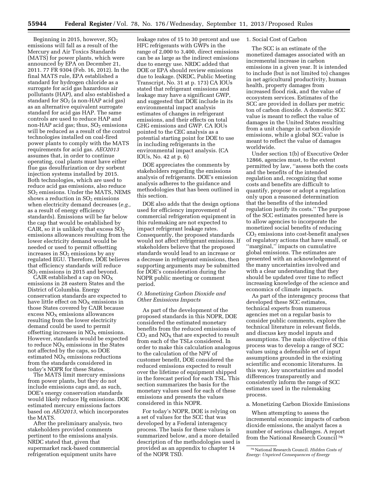Beginning in 2015, however,  $SO<sub>2</sub>$ emissions will fall as a result of the Mercury and Air Toxics Standards (MATS) for power plants, which were announced by EPA on December 21, 2011. 77 FR 9304 (Feb. 16, 2012). In the final MATS rule, EPA established a standard for hydrogen chloride as a surrogate for acid gas hazardous air pollutants (HAP), and also established a standard for  $SO<sub>2</sub>$  (a non-HAP acid gas) as an alternative equivalent surrogate standard for acid gas HAP. The same controls are used to reduce HAP and non-HAP acid gas; thus,  $SO<sub>2</sub>$  emissions will be reduced as a result of the control technologies installed on coal-fired power plants to comply with the MATS requirements for acid gas. *AEO2013*  assumes that, in order to continue operating, coal plants must have either flue gas desulfurization or dry sorbent injection systems installed by 2015. Both technologies, which are used to reduce acid gas emissions, also reduce SO2 emissions. Under the MATS, NEMS shows a reduction in  $SO<sub>2</sub>$  emissions when electricity demand decreases (*e.g.,*  as a result of energy efficiency standards). Emissions will be far below the cap that would be established by CAIR, so it is unlikely that excess  $SO_2$ emissions allowances resulting from the lower electricity demand would be needed or used to permit offsetting increases in  $SO<sub>2</sub>$  emissions by any regulated EGU. Therefore, DOE believes that efficiency standards will reduce SO2 emissions in 2015 and beyond.

CAIR established a cap on  $NO<sub>X</sub>$ emissions in 28 eastern States and the District of Columbia. Energy conservation standards are expected to have little effect on  $NO<sub>x</sub>$  emissions in those States covered by CAIR because excess  $NO<sub>x</sub>$  emissions allowances resulting from the lower electricity demand could be used to permit offsetting increases in  $NO<sub>x</sub>$  emissions. However, standards would be expected to reduce  $NO<sub>x</sub>$  emissions in the States not affected by the caps, so DOE estimated  $NO<sub>x</sub>$  emissions reductions from the standards considered in today's NOPR for these States.

The MATS limit mercury emissions from power plants, but they do not include emissions caps and, as such, DOE's energy conservation standards would likely reduce Hg emissions. DOE estimated mercury emissions factors based on *AEO2013,* which incorporates the MATS.

After the preliminary analysis, two stakeholders provided comments pertinent to the emissions analysis. NRDC stated that, given that supermarket rack-based commercial refrigeration equipment units have

leakage rates of 15 to 30 percent and use HFC refrigerants with GWPs in the range of 2,000 to 3,400, direct emissions can be as large as the indirect emissions due to energy use. NRDC added that DOE or EPA should review emissions due to leakage. (NRDC, Public Meeting Transcript, No. 31 at p. 173) CA IOUs stated that refrigerant emissions and leakage may have a significant GWP, and suggested that DOE include in its environmental impact analysis estimates of changes in refrigerant emissions, and their effects on total GHG emissions and GWP. CA IOUs pointed to the CEC analysis as a potential starting point for DOE to use in including refrigerants in the environmental impact analysis. (CA IOUs, No. 42 at p. 6)

DOE appreciates the comments by stakeholders regarding the emissions analysis of refrigerants. DOE's emission analysis adheres to the guidance and methodologies that has been outlined in this section.

DOE also adds that the design options used for efficiency improvement of commercial refrigeration equipment in this rulemaking are not expected to impact refrigerant leakage rates. Consequently, the proposed standards would not affect refrigerant emissions. If stakeholders believe that the proposed standards would lead to an increase or a decrease in refrigerant emissions, then supporting arguments may be submitted for DOE's consideration during the NOPR public meeting or comment period.

### *O. Monetizing Carbon Dioxide and Other Emissions Impacts*

As part of the development of the proposed standards in this NOPR, DOE considered the estimated monetary benefits from the reduced emissions of  $CO<sub>2</sub>$  and  $NO<sub>X</sub>$  that are expected to result from each of the TSLs considered. In order to make this calculation analogous to the calculation of the NPV of customer benefit, DOE considered the reduced emissions expected to result over the lifetime of equipment shipped in the forecast period for each TSL. This section summarizes the basis for the monetary values used for each of these emissions and presents the values considered in this NOPR.

For today's NOPR, DOE is relying on a set of values for the SCC that was developed by a Federal interagency process. The basis for these values is summarized below, and a more detailed description of the methodologies used is provided as an appendix to chapter 14 of the NOPR TSD.

### 1. Social Cost of Carbon

The SCC is an estimate of the monetized damages associated with an incremental increase in carbon emissions in a given year. It is intended to include (but is not limited to) changes in net agricultural productivity, human health, property damages from increased flood risk, and the value of ecosystem services. Estimates of the SCC are provided in dollars per metric ton of carbon dioxide. A domestic SCC value is meant to reflect the value of damages in the United States resulting from a unit change in carbon dioxide emissions, while a global SCC value is meant to reflect the value of damages worldwide.

Under section 1(b) of Executive Order 12866, agencies must, to the extent permitted by law, ''assess both the costs and the benefits of the intended regulation and, recognizing that some costs and benefits are difficult to quantify, propose or adopt a regulation only upon a reasoned determination that the benefits of the intended regulation justify its costs.'' The purpose of the SCC estimates presented here is to allow agencies to incorporate the monetized social benefits of reducing CO2 emissions into cost-benefit analyses of regulatory actions that have small, or ''marginal,'' impacts on cumulative global emissions. The estimates are presented with an acknowledgement of the many uncertainties involved and with a clear understanding that they should be updated over time to reflect increasing knowledge of the science and economics of climate impacts.

As part of the interagency process that developed these SCC estimates, technical experts from numerous agencies met on a regular basis to consider public comments, explore the technical literature in relevant fields, and discuss key model inputs and assumptions. The main objective of this process was to develop a range of SCC values using a defensible set of input assumptions grounded in the existing scientific and economic literatures. In this way, key uncertainties and model differences transparently and consistently inform the range of SCC estimates used in the rulemaking process.

#### a. Monetizing Carbon Dioxide Emissions

When attempting to assess the incremental economic impacts of carbon dioxide emissions, the analyst faces a number of serious challenges. A report from the National Research Council 76

<sup>76</sup>National Research Council. *Hidden Costs of Energy: Unpriced Consequences of Energy*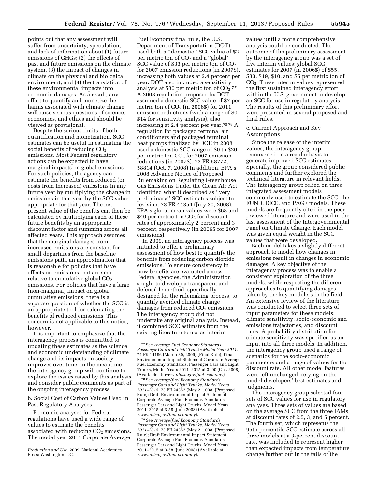points out that any assessment will suffer from uncertainty, speculation, and lack of information about (1) future emissions of GHGs; (2) the effects of past and future emissions on the climate system, (3) the impact of changes in climate on the physical and biological environment, and (4) the translation of these environmental impacts into economic damages. As a result, any effort to quantify and monetize the harms associated with climate change will raise serious questions of science, economics, and ethics and should be viewed as provisional.

Despite the serious limits of both quantification and monetization, SCC estimates can be useful in estimating the social benefits of reducing  $CO<sub>2</sub>$ emissions. Most Federal regulatory actions can be expected to have marginal impacts on global emissions. For such policies, the agency can estimate the benefits from reduced (or costs from increased) emissions in any future year by multiplying the change in emissions in that year by the SCC value appropriate for that year. The net present value of the benefits can then be calculated by multiplying each of these future benefits by an appropriate discount factor and summing across all affected years. This approach assumes that the marginal damages from increased emissions are constant for small departures from the baseline emissions path, an approximation that is reasonable for policies that have effects on emissions that are small relative to cumulative global  $CO<sub>2</sub>$ emissions. For policies that have a large (non-marginal) impact on global cumulative emissions, there is a separate question of whether the SCC is an appropriate tool for calculating the benefits of reduced emissions. This concern is not applicable to this notice, however.

It is important to emphasize that the interagency process is committed to updating these estimates as the science and economic understanding of climate change and its impacts on society improves over time. In the meantime, the interagency group will continue to explore the issues raised by this analysis and consider public comments as part of the ongoing interagency process.

b. Social Cost of Carbon Values Used in Past Regulatory Analyses

Economic analyses for Federal regulations have used a wide range of values to estimate the benefits associated with reducing  $CO<sub>2</sub>$  emissions. The model year 2011 Corporate Average

Fuel Economy final rule, the U.S. Department of Transportation (DOT) used both a ''domestic'' SCC value of \$2 per metric ton of  $CO<sub>2</sub>$  and a "global" SCC value of \$33 per metric ton of  $CO<sub>2</sub>$ for 2007 emission reductions (in 2007\$), increasing both values at 2.4 percent per year. DOT also included a sensitivity analysis at \$80 per metric ton of  $CO<sub>2</sub>$ .77 A 2008 regulation proposed by DOT assumed a domestic SCC value of \$7 per metric ton of  $CO<sub>2</sub>$  (in 2006\$) for 2011 emission reductions (with a range of \$0– \$14 for sensitivity analysis), also increasing at 2.4 percent per year.78 79 A regulation for packaged terminal air conditioners and packaged terminal heat pumps finalized by DOE in 2008 used a domestic SCC range of \$0 to \$20 per metric ton  $CO<sub>2</sub>$  for 2007 emission reductions (in 2007\$). 73 FR 58772, 58814 (Oct. 7, 2008) In addition, EPA's 2008 Advance Notice of Proposed Rulemaking on Regulating Greenhouse Gas Emissions Under the Clean Air Act identified what it described as ''very preliminary'' SCC estimates subject to revision. 73 FR 44354 (July 30, 2008). EPA's global mean values were \$68 and  $$40$  per metric ton  $CO<sub>2</sub>$  for discount rates of approximately 2 percent and 3 percent, respectively (in 2006\$ for 2007 emissions).

In 2009, an interagency process was initiated to offer a preliminary assessment of how best to quantify the benefits from reducing carbon dioxide emissions. To ensure consistency in how benefits are evaluated across Federal agencies, the Administration sought to develop a transparent and defensible method, specifically designed for the rulemaking process, to quantify avoided climate change damages from reduced  $CO<sub>2</sub>$  emissions. The interagency group did not undertake any original analysis. Instead, it combined SCC estimates from the existing literature to use as interim

78See *Average/fuel Economy Standards, Passenger Cars and Light Trucks, Model Years 2011–2015*, 73 FR 24352 (May 2, 1008) (Proposed Rule); Draft Environmental Impact Statement Corporate Average Fuel Economy Standards, Passenger Cars and Light Trucks, Model Years 2011–2015 at 3-58 (June 2008) (Available at *[www.nhtsa.gov/fuel-economy](http://www.nhtsa.gov/fuel-economy)*).

79See *Average/fuel Economy Standards, Passenger Cars and Light Trucks, Model Years 2011–2015*, 73 FR 24352 (May 2, 1008) (Proposed Rule); Draft Environmental Impact Statement Corporate Average Fuel Economy Standards, Passenger Cars and Light Trucks, Model Years 2011–2015 at 3-58 (June 2008) (Available at *[www.nhtsa.gov/fuel-economy](http://www.nhtsa.gov/fuel-economy)*).

values until a more comprehensive analysis could be conducted. The outcome of the preliminary assessment by the interagency group was a set of five interim values: global SCC estimates for 2007 (in 2006\$) of \$55, \$33, \$19, \$10, and \$5 per metric ton of CO2. These interim values represented the first sustained interagency effort within the U.S. government to develop an SCC for use in regulatory analysis. The results of this preliminary effort were presented in several proposed and final rules.

c. Current Approach and Key Assumptions

Since the release of the interim values, the interagency group reconvened on a regular basis to generate improved SCC estimates. Specially, the group considered public comments and further explored the technical literature in relevant fields. The interagency group relied on three integrated assessment models commonly used to estimate the SCC: the FUND, DICE, and PAGE models. These models are frequently cited in the peerreviewed literature and were used in the last assessment of the Intergovernmental Panel on Climate Change. Each model was given equal weight in the SCC values that were developed.

Each model takes a slightly different approach to model how changes in emissions result in changes in economic damages. A key objective of the interagency process was to enable a consistent exploration of the three models, while respecting the different approaches to quantifying damages taken by the key modelers in the field. An extensive review of the literature was conducted to select three sets of input parameters for these models: climate sensitivity, socio-economic and emissions trajectories, and discount rates. A probability distribution for climate sensitivity was specified as an input into all three models. In addition, the interagency group used a range of scenarios for the socio-economic parameters and a range of values for the discount rate. All other model features were left unchanged, relying on the model developers' best estimates and judgments.

The interagency group selected four sets of SCC values for use in regulatory analyses. Three sets of values are based on the average SCC from the three IAMs, at discount rates of 2.5, 3, and 5 percent. The fourth set, which represents the 95th percentile SCC estimate across all three models at a 3-percent discount rate, was included to represent higher than expected impacts from temperature change further out in the tails of the

*Production and Use.* 2009. National Academies Press: Washington, DC.

<sup>77</sup>See *Average Fuel Economy Standards Passenger Cars and Light Trucks Model Year 2011,*  74 FR 14196 (March 30, 2009) (Final Rule); Final Environmental Impact Statement Corporate Average Fuel Economy Standards, Passenger Cars and Light Trucks, Model Years 2011–2015 at 3–90 (Oct. 2008) (Available at: *[www.nhtsa.gov/fuel-economy](http://www.nhtsa.gov/fuel-economy)*).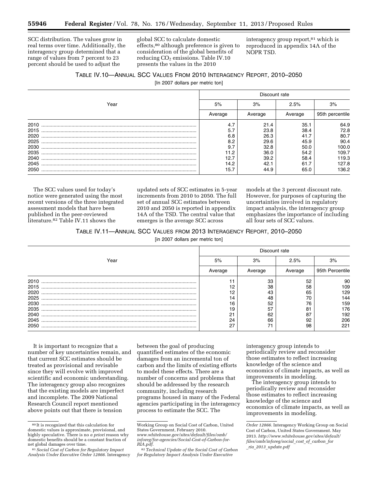SCC distribution. The values grow in real terms over time. Additionally, the interagency group determined that a range of values from 7 percent to 23 percent should be used to adjust the

global SCC to calculate domestic effects,80 although preference is given to consideration of the global benefits of reducing  $CO<sub>2</sub>$  emissions. Table IV.10 presents the values in the 2010

interagency group report,<sup>81</sup> which is reproduced in appendix 14A of the NOPR TSD.

### TABLE IV.10—ANNUAL SCC VALUES FROM 2010 INTERAGENCY REPORT, 2010–2050

[In 2007 dollars per metric ton]

|      | Discount rate |         |         |                 |  |  |  |
|------|---------------|---------|---------|-----------------|--|--|--|
| Year | 5%            | 3%      | 2.5%    | 3%              |  |  |  |
|      | Average       | Average | Average | 95th percentile |  |  |  |
| 2010 | 4.7           | 21.4    | 35.1    | 64.9            |  |  |  |
| 2015 | 5.7           | 23.8    | 38.4    | 72.8            |  |  |  |
| 2020 | 6.8           | 26.3    | 41.7    | 80.7            |  |  |  |
| 2025 | 8.2           | 29.6    | 45.9    | 90.4            |  |  |  |
| 2030 | 9.7           | 32.8    | 50.0    | 100.0           |  |  |  |
| 2035 | 11.2          | 36.0    | 54.2    | 109.7           |  |  |  |
| 2040 | 12.7          | 39.2    | 58.4    | 119.3           |  |  |  |
| 2045 | 14.2          | 42.1    | 61.7    | 127.8           |  |  |  |
| 2050 | 15.7          | 44.9    | 65.0    | 136.2           |  |  |  |

The SCC values used for today's notice were generated using the most recent versions of the three integrated assessment models that have been published in the peer-reviewed literature.<sup>82</sup> Table IV.11 shows the

updated sets of SCC estimates in 5-year increments from 2010 to 2050. The full set of annual SCC estimates between 2010 and 2050 is reported in appendix 14A of the TSD. The central value that emerges is the average SCC across

models at the 3 percent discount rate. However, for purposes of capturing the uncertainties involved in regulatory impact analysis, the interagency group emphasizes the importance of including all four sets of SCC values.

TABLE IV.11—ANNUAL SCC VALUES FROM 2013 INTERAGENCY REPORT, 2010–2050

[in 2007 dollars per metric ton]

|      | Discount rate |         |         |                 |  |  |
|------|---------------|---------|---------|-----------------|--|--|
| Year | 5%            | 3%      | 2.5%    | 3%              |  |  |
|      | Average       | Average | Average | 95th Percentile |  |  |
| 2010 |               | 33      | 52      | 90              |  |  |
| 2015 | 12            | 38      | 58      | 109             |  |  |
| 2020 | 12            | 43      | 65      | 129             |  |  |
| 2025 | 14            | 48      | 70      | 144             |  |  |
| 2030 | 16            | 52      | 76      | 159             |  |  |
| 2035 | 19            | 57      | 81      | 176             |  |  |
| 2040 | 21            | 62      | 87      | 192             |  |  |
| 2045 | 24            | 66      | 92      | 206             |  |  |
| 2050 | 27            | 71      | 98      | 221             |  |  |

It is important to recognize that a number of key uncertainties remain, and that current SCC estimates should be treated as provisional and revisable since they will evolve with improved scientific and economic understanding. The interagency group also recognizes that the existing models are imperfect and incomplete. The 2009 National Research Council report mentioned above points out that there is tension

between the goal of producing quantified estimates of the economic damages from an incremental ton of carbon and the limits of existing efforts to model these effects. There are a number of concerns and problems that should be addressed by the research community, including research programs housed in many of the Federal agencies participating in the interagency process to estimate the SCC. The

interagency group intends to periodically review and reconsider those estimates to reflect increasing knowledge of the science and economics of climate impacts, as well as improvements in modeling.

The interagency group intends to periodically review and reconsider those estimates to reflect increasing knowledge of the science and economics of climate impacts, as well as improvements in modeling.

<sup>80</sup> It is recognized that this calculation for domestic values is approximate, provisional, and highly speculative. There is no *a priori* reason why domestic benefits should be a constant fraction of<br>net global damages over time.

<sup>&</sup>lt;sup>81</sup> Social Cost of Carbon for Regulatory Impact *Analysis Under Executive Order 12866.* Interagency

Working Group on Social Cost of Carbon, United States Government, February 2010. *[www.whitehouse.gov/sites/default/files/omb/](http://www.whitehouse.gov/sites/default/files/omb/inforeg/for-agencies/Social-Cost-of-Carbon-for-RIA.pdf)  [inforeg/for-agencies/Social-Cost-of-Carbon-for-](http://www.whitehouse.gov/sites/default/files/omb/inforeg/for-agencies/Social-Cost-of-Carbon-for-RIA.pdf)*

*[RIA.pdf](http://www.whitehouse.gov/sites/default/files/omb/inforeg/for-agencies/Social-Cost-of-Carbon-for-RIA.pdf)*. 82*Technical Update of the Social Cost of Carbon for Regulatory Impact Analysis Under Executive* 

*Order 12866.* Interagency Working Group on Social Cost of Carbon, United States Government. May 2013. *[http://www.whitehouse.gov/sites/default/](http://www.whitehouse.gov/sites/default/files/omb/inforeg/social_cost_of_carbon_for_ria_2013_update.pdf)  [files/omb/inforeg/social](http://www.whitehouse.gov/sites/default/files/omb/inforeg/social_cost_of_carbon_for_ria_2013_update.pdf)*\_*cost*\_*of*\_*carbon*\_*for* \_*ria*\_*2013*\_*[update.pdf](http://www.whitehouse.gov/sites/default/files/omb/inforeg/social_cost_of_carbon_for_ria_2013_update.pdf)*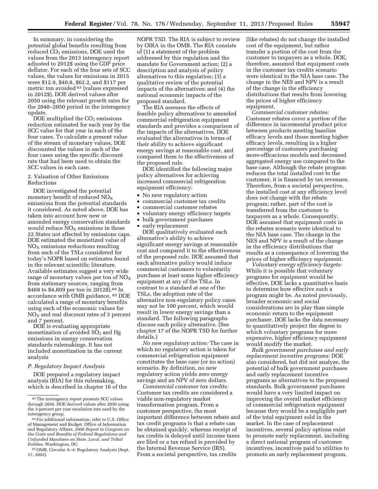In summary, in considering the potential global benefits resulting from reduced  $CO<sub>2</sub>$  emissions, DOE used the values from the 2013 interagency report adjusted to 2012\$ using the GDP price deflator. For each of the four sets of SCC values, the values for emissions in 2015 were \$12.9, \$40.8, \$62.2, and \$117 per metric ton avoided 83 (values expressed in 2012\$). DOE derived values after 2050 using the relevant growth rates for the 2040–2050 period in the interagency update.

DOE multiplied the  $CO<sub>2</sub>$  emissions reduction estimated for each year by the SCC value for that year in each of the four cases. To calculate a present value of the stream of monetary values, DOE discounted the values in each of the four cases using the specific discount rate that had been used to obtain the SCC values in each case.

### 2. Valuation of Other Emissions Reductions

DOE investigated the potential monetary benefit of reduced  $NO<sub>X</sub>$ emissions from the potential standards it considered. As noted above, DOE has taken into account how new or amended energy conservation standards would reduce  $NO<sub>X</sub>$  emissions in those 22 States not affected by emissions caps. DOE estimated the monetized value of  $NO<sub>x</sub>$  emissions reductions resulting from each of the TSLs considered for today's NOPR based on estimates found in the relevant scientific literature. Available estimates suggest a very wide range of monetary values per ton of  $NO<sub>x</sub>$ from stationary sources, ranging from \$468 to \$4,809 per ton in 2012\$).<sup>84</sup> In accordance with OMB guidance, 85 DOE calculated a range of monetary benefits using each of the economic values for  $NO<sub>x</sub>$  and real discount rates of 3 percent and 7 percent.

DOE is evaluating appropriate monetization of avoided  $SO<sub>2</sub>$  and Hg emissions in energy conservation standards rulemakings. It has not included monetization in the current analysis

#### *P. Regulatory Impact Analysis*

DOE prepared a regulatory impact analysis (RIA) for this rulemaking, which is described in chapter 16 of the

NOPR TSD. The RIA is subject to review by OIRA in the OMB. The RIA consists of (1) a statement of the problem addressed by this regulation and the mandate for Government action; (2) a description and analysis of policy alternatives to this regulation; (3) a qualitative review of the potential impacts of the alternatives; and (4) the national economic impacts of the proposed standard.

The RIA assesses the effects of feasible policy alternatives to amended commercial refrigeration equipment standards and provides a comparison of the impacts of the alternatives. DOE evaluated the alternatives in terms of their ability to achieve significant energy savings at reasonable cost, and compared them to the effectiveness of the proposed rule.

DOE identified the following major policy alternatives for achieving increased commercial refrigeration equipment efficiency:

- No new regulatory action
- commercial customer tax credits
- commercial customer rebates
- voluntary energy efficiency targets
- bulk government purchases
- early replacement

DOE qualitatively evaluated each alternative's ability to achieve significant energy savings at reasonable cost and compared it to the effectiveness of the proposed rule. DOE assumed that each alternative policy would induce commercial customers to voluntarily purchase at least some higher efficiency equipment at any of the TSLs. In contrast to a standard at one of the TSLs, the adoption rate of the alternative non-regulatory policy cases may not be 100 percent, which would result in lower energy savings than a standard. The following paragraphs discuss each policy alternative. (See chapter 17 of the NOPR TSD for further details.)

*No new regulatory action:* The case in which no regulatory action is taken for commercial refrigeration equipment constitutes the base case (or no action) scenario. By definition, no new regulatory action yields zero energy savings and an NPV of zero dollars.

*Commercial customer tax credits:*  Customer tax credits are considered a viable non-regulatory market transformation program. From a customer perspective, the most important difference between rebate and tax credit programs is that a rebate can be obtained quickly, whereas receipt of tax credits is delayed until income taxes are filed or a tax refund is provided by the Internal Revenue Service (IRS). From a societal perspective, tax credits

(like rebates) do not change the installed cost of the equipment, but rather transfer a portion of the cost from the customer to taxpayers as a whole. DOE, therefore, assumed that equipment costs in the customer tax credits scenario were identical to the NIA base case. The change in the NES and NPV is a result of the change in the efficiency distributions that results from lowering the prices of higher efficiency equipment.

*Commercial customer rebates:*  Customer rebates cover a portion of the difference in incremental product price between products meeting baseline efficacy levels and those meeting higher efficacy levels, resulting in a higher percentage of customers purchasing more-efficacious models and decreased aggregated energy use compared to the base case. Although the rebate program reduces the total installed cost to the customer, it is financed by tax revenues. Therefore, from a societal perspective, the installed cost at any efficiency level does *not* change with the rebate program; rather, part of the cost is transferred from the customer to taxpayers as a whole. Consequently, DOE assumed that equipment costs in the rebates scenario were identical to the NIA base case. The change in the NES and NPV is a result of the change in the efficiency distributions that results as a consequence of lowering the prices of higher efficiency equipment.

*Voluntary energy efficiency targets:*  While it is possible that voluntary programs for equipment would be effective, DOE lacks a quantitative basis to determine how effective such a program might be. As noted previously, broader economic and social considerations are in play than simple economic return to the equipment purchaser. DOE lacks the data necessary to quantitatively project the degree to which voluntary programs for more expensive, higher efficiency equipment would modify the market.

*Bulk government purchases and early replacement incentive programs:* DOE also considered, but did not analyze, the potential of bulk government purchases and early replacement incentive programs as alternatives to the proposed standards. Bulk government purchases would have a very limited impact on improving the overall market efficiency of commercial refrigeration equipment because they would be a negligible part of the total equipment sold in the market. In the case of replacement incentives, several policy options exist to promote early replacement, including a direct national program of customer incentives, incentives paid to utilities to promote an early replacement program,

<sup>83</sup>The interagency report presents SCC values through 2050. DOE derived values after 2050 using the 3-percent per year escalation rate used by the interagency group.

<sup>84</sup>For additional information, refer to U.S. Office of Management and Budget, Office of Information and Regulatory Affairs, *2006 Report to Congress on the Costs and Benefits of Federal Regulations and Unfunded Mandates on State, Local, and Tribal Entities,* Washington, DC.

<sup>85</sup>OMB, Circular A–4: Regulatory Analysis (Sept. 17, 2003).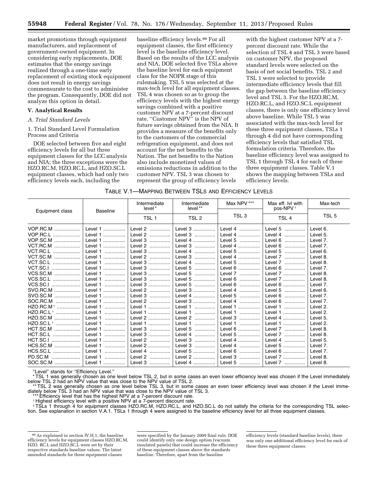market promotions through equipment manufacturers, and replacement of government-owned equipment. In considering early replacements, DOE estimates that the energy savings realized through a one-time early replacement of existing stock equipment does not result in energy savings commensurate to the cost to administer the program. Consequently, DOE did not analyze this option in detail.

#### **V. Analytical Results**

#### *A. Trial Standard Levels*

1. Trial Standard Level Formulation Process and Criteria

DOE selected between five and eight efficiency levels for all but three equipment classes for the LCC analysis and NIA; the three exceptions were the HZO.RC.M, HZO.RC.L, and HZO.SC.L equipment classes, which had only two efficiency levels each, including the

baseline efficiency levels.86 For all equipment classes, the first efficiency level is the baseline efficiency level. Based on the results of the LCC analysis and NIA, DOE selected five TSLs above the baseline level for each equipment class for the NOPR stage of this rulemaking. TSL 5 was selected at the max-tech level for all equipment classes. TSL 4 was chosen so as to group the efficiency levels with the highest energy savings combined with a positive customer NPV at a 7-percent discount rate. ''Customer NPV'' is the NPV of future savings obtained from the NIA. It provides a measure of the benefits only to the customers of the commercial refrigeration equipment, and does not account for the net benefits to the Nation. The net benefits to the Nation also include monetized values of emissions reductions in addition to the customer NPV. TSL 3 was chosen to represent the group of efficiency levels

with the highest customer NPV at a 7 percent discount rate. While the selection of TSL 4 and TSL 3 were based on customer NPV, the proposed standard levels were selected on the basis of net social benefits. TSL 2 and TSL 1 were selected to provide intermediate efficiency levels that fill the gap between the baseline efficiency level and TSL 3. For the HZO.RC.M, HZO.RC.L, and HZO.SC.L equipment classes, there is only one efficiency level above baseline. While TSL 5 was associated with the max-tech level for these three equipment classes, TSLs 1 through 4 did not have corresponding efficiency levels that satisfied TSL formulation criteria. Therefore, the baseline efficiency level was assigned to TSL 1 through TSL 4 for each of these three equipment classes. Table V.1 shows the mapping between TSLs and efficiency levels.

|  | TABLE V.1—MAPPING BETWEEN TSLS AND EFFICIENCY LEVELS |
|--|------------------------------------------------------|
|--|------------------------------------------------------|

| Equipment class            | <b>Baseline</b> | Intermediate<br>level* | Intermediate<br>level** | Max NPV ***      | Max eff. Ivl with<br>pos-NPV <sup>+</sup> | Max-tech         |
|----------------------------|-----------------|------------------------|-------------------------|------------------|-------------------------------------------|------------------|
|                            |                 | TSL <sub>1</sub>       | TSL 2                   | TSL <sub>3</sub> | TSL <sub>4</sub>                          | TSL <sub>5</sub> |
| VOP.RC.M<br>.              | Level 1<br>.    | Level 2<br>.           | Level 3<br>.            | Level 4<br>.     | Level 5<br>.                              | Level 6.         |
| VOP.RC.L                   | Level 1<br>.    | Level 2<br>.           | Level 3<br>.            | Level 4          | Level 4<br>.                              | Level 5.         |
| VOP.SC.M                   | Level 1<br>.    | Level 3<br>.           | Level 4                 | Level 5          | Level 6<br>.                              | Level 7.         |
| VCT.RC.M                   | Level 1         | Level 2                | Level 3                 | Level 4          | Level 6<br>.                              | Level 7.         |
| VCT.RC.L                   | Level 1<br>     | Level 3                | Level 4<br>.            | Level 5          | Level 5<br>.                              | Level 6.         |
| VCT.SC.M<br>.              | Level 1<br>.    | Level 2<br>.           | Level 3<br>.            | Level 4          | Level 7<br>.                              | Level 8.         |
| VCT.SC.L                   | Level 1<br>     | Level 3<br>.           | Level 4<br>.            | Level 5<br>.     | Level 7<br>.                              | Level 8.         |
| VCT.SC.I                   | Level 1<br>.    | Level 3<br>.           | Level 5<br>             | Level 6          | Level 6<br>.                              | Level 7.         |
| <b>VCS.SC.M</b>            | Level 1<br>.    | Level 3                | Level 5<br>.            | Level 7<br>.     | Level 7                                   | Level 8.         |
| VCS.SC.L                   | Level 1<br>     | Level 3<br>.           | Level 5<br>.            | Level 6<br>.     | Level 7                                   | Level 8.         |
| VCS.SC.I                   | Level 1<br>.    | Level 3<br>.           | Level 5<br>.            | Level 6<br>.     | Level 6<br>.                              | Level 7.         |
| SVO.RC.M                   | Level 1<br>.    | Level 2<br>            | Level 3                 | Level 4<br>.     | Level 5<br>.                              | Level 6.         |
| SVO.SC.M<br>               | Level 1<br>.    | Level 3<br>.           | Level 4                 | Level 5<br>.     | Level 6<br>.                              | Level 7.         |
| SOC.RC.M<br>.              | Level 1<br>.    | Level 2<br>.           | Level 3                 | Level 4<br>.     | Level 6<br>                               | Level 7.         |
| $HZO.RC.M$ <sup>†</sup>    | Level 1<br>.    | Level 1                | Level 1<br>.            | Level 1<br>.     | Level 1<br>.                              | Level 2.         |
| HZO.RC.L <sup>+</sup><br>. | Level 1<br>.    | Level 1<br>.           | Level 1<br>.            | Level 1<br>.     | Level 1<br>.                              | Level 2.         |
| HZO.SC.M<br>.              | Level 1<br>.    | Level 2                | Level <sub>2</sub><br>. | Level 3<br>.     | Level 4                                   | Level 5.         |
| HZO.SC.L <sup>+</sup><br>. | Level 1<br>     | Level 1<br>.           | Level 1<br>.            | Level 1<br>.     | Level 1<br>.                              | Level 2.         |
| HCT.SC.M                   | Level 1<br>.    | Level 3<br>.           | Level 5<br>             | Level 6<br>      | Level 7<br>                               | Level 8.         |
| HCT.SC.L                   | Level 1<br>.    | Level 3                | Level 4<br>.            | Level 5          | Level 7<br>                               | Level 8.         |
| HCT.SC.I                   | Level 1<br>.    | Level 2<br>.           | Level 3<br>             | Level 4<br>      | Level 4<br>                               | Level 5.         |
| HCS.SC.M                   | Level 1<br>.    | Level 2                | Level 3<br>.            | Level 4          | Level 5                                   | Level 7.         |
| HCS.SC.L                   | Level 1         | Level 4<br>.           | Level 5<br>             | Level 6<br>.     | Level 6<br>.                              | Level 7.         |
| PD.SC.M                    | Level 1         | Level 2                | Level 2                 | Level 3<br>.     | Level 7                                   | Level 8.         |
| SOC.SC.M                   | Level 1<br>.    | Level 3<br>.           | Level 4                 | Level 5<br>.     | Level 7<br>.                              | Level 8.         |

''Level'' stands for ''Efficiency Level.''

\* TSL 1 was generally chosen as one level below TSL 2, but in some cases an even lower efficiency level was chosen if the Level immediately below TSL 2 had an NPV value that was close to the NPV value of TSL 2.

\*\* TSL 2 was generally chosen as one level below TSL 3, but in some cases an even lower efficiency level was chosen if the Level immediately below TSL 3 had an NPV value that was close to the NPV value of TSL 3.

\*\*\* Efficiency level that has the highest NPV at a 7-percent discount rate.

† Highest efficiency level with a positive NPV at a 7-percent discount rate.

‡TSLs 1 through 4 for equipment classes HZO.RC.M, HZO.RC.L, and HZO.SC.L do not satisfy the criteria for the corresponding TSL selection. See explanation in section V.A.1. TSLs 1 through 4 were assigned to the baseline efficiency level for all three equipment classes.

efficiency levels (standard baseline levels), there was only one additional efficiency level for each of these three equipment classes.

<sup>86</sup>As explained in section IV.H.1, the baseline efficiency levels for equipment classes HZO.RC.M, HZO. RC.L and HZO.SC.L were set by their respective standards baseline values. The latest amended standards for these equipment classes

were specified by the January 2009 final rule. DOE could identify only one design option (vacuum insulated panels) that could increase the efficiency of these equipment classes above the standards baseline. Therefore, apart from the baseline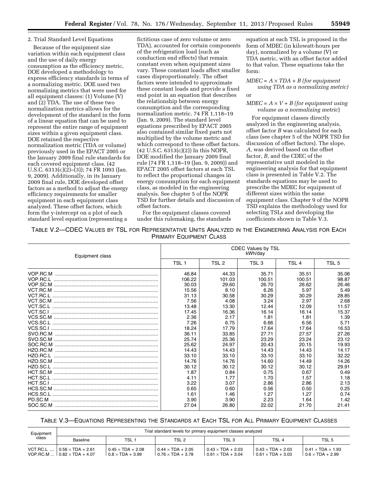### 2. Trial Standard Level Equations

Because of the equipment size variation within each equipment class and the use of daily energy consumption as the efficiency metric, DOE developed a methodology to express efficiency standards in terms of a normalizing metric. DOE used two normalizing metrics that were used for all equipment classes: (1) Volume (V) and (2) TDA. The use of these two normalization metrics allows for the development of the standard in the form of a linear equation that can be used to represent the entire range of equipment sizes within a given equipment class. DOE retained the respective normalization metric (TDA or volume) previously used in the EPACT 2005 or the January 2009 final rule standards for each covered equipment class. (42 U.S.C. 6313(c)(2)–(3)); 74 FR 1093 (Jan. 9, 2009). Additionally, in its January 2009 final rule, DOE developed offset factors as a method to adjust the energy efficiency requirements for smaller equipment in each equipment class analyzed. These offset factors, which form the y-intercept on a plot of each standard level equation (representing a

fictitious case of zero volume or zero TDA), accounted for certain components of the refrigeration load (such as conduction end effects) that remain constant even when equipment sizes vary. These constant loads affect smaller cases disproportionately. The offset factors were intended to approximate these constant loads and provide a fixed end point in an equation that describes the relationship between energy consumption and the corresponding normalization metric. 74 FR 1,118–19 (Jan. 9, 2009). The standard level equations prescribed by EPACT 2005 also contained similar fixed parts not multiplied by the volume metric and which correspond to these offset factors. (42 U.S.C. 6313(c)(2)) In this NOPR, DOE modified the January 2009 final rule (74 FR 1,118–19 (Jan. 9, 2009)) and EPACT 2005 offset factors at each TSL to reflect the proportional changes in energy consumption for each equipment class, as modeled in the engineering analysis. See chapter 5 of the NOPR TSD for further details and discussion of offset factors.

For the equipment classes covered under this rulemaking, the standards

equation at each TSL is proposed in the form of MDEC (in kilowatt-hours per day), normalized by a volume (V) or TDA metric, with an offset factor added to that value. These equations take the form:

# $MDEC = A \times TDA + B$  (for equipment *using TDA as a normalizing metric)*

or

## $MDEC = A \times V + B$  (for equipment using *volume as a normalizing metric*)

For equipment classes directly analyzed in the engineering analysis, offset factor *B* was calculated for each class (see chapter 5 of the NOPR TSD for discussion of offset factors). The slope, *A,* was derived based on the offset factor, *B,* and the CDEC of the representative unit modeled in the engineering analysis for that equipment class is presented in Table V.2. The standards equations may be used to prescribe the MDEC for equipment of different sizes within the same equipment class. Chapter 9 of the NOPR TSD explains the methodology used for selecting TSLs and developing the coefficients shown in Table V.3.

TABLE V.2—CDEC VALUES BY TSL FOR REPRESENTATIVE UNITS ANALYZED IN THE ENGINEERING ANALYSIS FOR EACH PRIMARY EQUIPMENT CLASS

| Equipment class | <b>CDEC Values by TSL</b><br>kWh/dav |        |                  |        |                  |  |  |  |
|-----------------|--------------------------------------|--------|------------------|--------|------------------|--|--|--|
|                 | TSL <sub>1</sub>                     | TSL 2  | TSL <sub>3</sub> | TSL 4  | TSL <sub>5</sub> |  |  |  |
|                 | 46.84                                | 44.33  | 35.71            | 35.51  | 35.06            |  |  |  |
|                 | 106.22                               | 101.03 | 100.51           | 100.51 | 98.87            |  |  |  |
|                 | 30.03                                | 29.60  | 26.70            | 26.62  | 26.46            |  |  |  |
|                 | 15.56                                | 8.10   | 6.26             | 5.97   | 5.49             |  |  |  |
|                 | 31.13                                | 30.58  | 30.29            | 30.29  | 28.85            |  |  |  |
|                 | 7.56                                 | 4.08   | 3.24             | 2.97   | 2.68             |  |  |  |
|                 | 13.48                                | 13.30  | 12.44            | 12.09  | 11.57            |  |  |  |
|                 | 17.45                                | 16.36  | 16.14            | 16.14  | 15.37            |  |  |  |
|                 | 2.36                                 | 2.17   | 1.81             | 1.81   | 1.39             |  |  |  |
|                 | 7.26                                 | 6.75   | 6.66             | 6.56   | 5.71             |  |  |  |
|                 | 18.24                                | 17.79  | 17.64            | 17.64  | 16.53            |  |  |  |
|                 | 36.11                                | 33.85  | 27.71            | 27.57  | 27.26            |  |  |  |
|                 | 25.74                                | 25.36  | 23.29            | 23.24  | 23.12            |  |  |  |
|                 | 25.62                                | 24.97  | 20.43            | 20.15  | 19.93            |  |  |  |
|                 | 14.43                                | 14.43  | 14.43            | 14.43  | 14.17            |  |  |  |
|                 | 33.10                                | 33.10  | 33.10            | 33.10  | 32.22            |  |  |  |
|                 | 14.76                                | 14.76  | 14.60            | 14.49  | 14.26            |  |  |  |
|                 | 30.12                                | 30.12  | 30.12            | 30.12  | 29.91            |  |  |  |
|                 | 1.87                                 | 0.84   | 0.75             | 0.67   | 0.49             |  |  |  |
|                 | 4.11                                 | 1.77   | 1.70             | 1.57   | 1.18             |  |  |  |
|                 | 3.22                                 | 3.07   | 2.86             | 2.86   | 2.13             |  |  |  |
|                 | 0.65                                 | 0.60   | 0.56             | 0.50   | 0.25             |  |  |  |
|                 | 1.61                                 | 1.46   | 1.27             | 1.27   | 0.74             |  |  |  |
|                 | 3.90                                 | 3.90   | 2.23             | 1.64   | 1.42             |  |  |  |
|                 | 27.04                                | 26.80  | 22.02            | 21.70  | 21.41            |  |  |  |

## TABLE V.3—EQUATIONS REPRESENTING THE STANDARDS AT EACH TSL FOR ALL PRIMARY EQUIPMENT CLASSES

| Equipment<br>class | Trial standard levels for primary equipment classes analyzed                 |                                                     |                                                      |                                                      |                                                      |                                                     |  |  |  |
|--------------------|------------------------------------------------------------------------------|-----------------------------------------------------|------------------------------------------------------|------------------------------------------------------|------------------------------------------------------|-----------------------------------------------------|--|--|--|
|                    | Baseline                                                                     | TSL <sub>1</sub>                                    | TSL <sub>2</sub>                                     | TSL <sub>3</sub>                                     | TSL <sub>4</sub>                                     | TSL <sub>5</sub>                                    |  |  |  |
|                    | VCT.RC.L    0.56 $\times$ TDA + 2.61<br>VOP.RC.M    0.82 $\times$ TDA + 4.07 | $0.45 \times TDA + 2.08$<br>$0.8 \times$ TDA + 3.99 | $0.44 \times TDA + 2.05$<br>$0.76 \times TDA + 3.78$ | $0.43 \times TDA + 2.03$<br>$0.61 \times TDA + 3.04$ | $0.43 \times TDA + 2.03$<br>$0.61 \times TDA + 3.03$ | $0.41 \times TDA + 1.93$<br>$0.6 \times TDA + 2.99$ |  |  |  |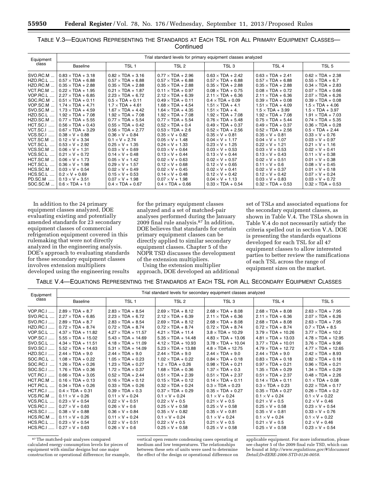| Equipment        | Trial standard levels for primary equipment classes analyzed |                          |                          |                          |                          |                          |  |  |  |
|------------------|--------------------------------------------------------------|--------------------------|--------------------------|--------------------------|--------------------------|--------------------------|--|--|--|
| class            | <b>Baseline</b>                                              | TSL <sub>1</sub>         | TSL <sub>2</sub>         | TSL <sub>3</sub>         | TSL <sub>4</sub>         | TSL <sub>5</sub>         |  |  |  |
| SVO.RC.M         | $0.83 \times TDA + 3.18$                                     | $0.82 \times TDA + 3.16$ | $0.77 \times TDA + 2.96$ | $0.63 \times TDA + 2.42$ | $0.63 \times TDA + 2.41$ | $0.62 \times TDA + 2.38$ |  |  |  |
| <b>HZO.RC.L</b>  | $0.57 \times TDA + 6.88$                                     | $0.57 \times TDA + 6.88$ | $0.57 \times TDA + 6.88$ | $0.57 \times TDA + 6.88$ | $0.57 \times TDA + 6.88$ | $0.55 \times TDA + 6.7$  |  |  |  |
| HZO.RC.M         | $0.35 \times TDA + 2.88$                                     | $0.35 \times TDA + 2.88$ | $0.35 \times TDA + 2.88$ | $0.35 \times TDA + 2.88$ | $0.35 \times TDA + 2.88$ | $0.34 \times TDA + 2.83$ |  |  |  |
| VCT.RC.M         | $0.22 \times TDA + 1.95$                                     | $0.21 \times TDA + 1.87$ | $0.11 \times TDA + 0.97$ | $0.08 \times TDA + 0.75$ | $0.08 \times TDA + 0.72$ | $0.07 \times TDA + 0.66$ |  |  |  |
| VOP.RC.L         | $2.27 \times TDA + 6.85$                                     | $2.23 \times TDA + 6.72$ | $2.12 \times TDA + 6.39$ | $2.11 \times TDA + 6.36$ | $2.11 \times TDA + 6.36$ | $2.07 \times TDA + 6.26$ |  |  |  |
| SOC.RC.M.        | $0.51 \times TDA + 0.11$                                     | $0.5 \times TDA + 0.11$  | $0.49 \times TDA + 0.11$ | $0.4 \times TDA + 0.09$  | $0.39 \times TDA + 0.08$ | $0.39 \times TDA + 0.08$ |  |  |  |
| VOP.SC.M         | $1.74 \times TDA + 4.71$                                     | $1.7 \times$ TDA + 4.61  | $1.68 \times TDA + 4.54$ | $1.51 \times TDA + 4.1$  | $1.51 \times TDA + 4.09$ | $1.5 \times TDA + 4.06$  |  |  |  |
| SVO.SC.M         | $1.73 \times TDA + 4.59$                                     | $1.67 \times TDA + 4.42$ | $1.64 \times TDA + 4.35$ | $1.51 \times TDA + 4$ .  | $1.5 \times TDA + 3.99$  | $1.5 \times TDA + 3.97$  |  |  |  |
| <b>HZO.SC.L</b>  | $1.92 \times TDA + 7.08$                                     | $1.92 \times TDA + 7.08$ | $1.92 \times TDA + 7.08$ | $1.92 \times TDA + 7.08$ | $1.92 \times TDA + 7.08$ | $1.91 \times TDA + 7.03$ |  |  |  |
| <b>HZO.SC.M</b>  | $0.77 \times TDA + 5.55$                                     | $0.77 \times TDA + 5.54$ | $0.77 \times TDA + 5.54$ | $0.76 \times TDA + 5.48$ | $0.75 \times TDA + 5.44$ | $0.74 \times TDA + 5.35$ |  |  |  |
| HCT.SC.I         | $0.56 \times TDA + 0.43$                                     | $0.55 \times TDA + 0.42$ | $0.52 \times TDA + 0.4$  | $0.49 \times TDA + 0.37$ | $0.49 \times TDA + 0.37$ | $0.36 \times TDA + 0.28$ |  |  |  |
| <b>VCT.SC.I </b> | $0.67 \times TDA + 3.29$                                     | $0.56 \times TDA + 2.77$ | $0.53 \times TDA + 2.6$  | $0.52 \times TDA + 2.56$ | $0.52 \times TDA + 2.56$ | $0.5 \times TDA + 2.44$  |  |  |  |
| <b>VCS.SC.I </b> | $0.38 \times V + 0.88$                                       | $0.36 \times V + 0.84$   | $0.35 \times V + 0.82$   | $0.35 \times V + 0.81$   | $0.35 \times V + 0.81$   | $0.33 \times V + 0.76$   |  |  |  |
| VCT.SC.M         | $0.12 \times V + 3.34$                                       | $0.1 \times V + 2.74$    | $0.05 \times V + 1.48$   | $0.04 \times V + 1.17$   | $0.04 \times V + 1.07$   | $0.03 \times V + 0.97$   |  |  |  |
| VCT.SC.L         | $0.53 \times V + 2.92$                                       | $0.25 \times V + 1.35$   | $0.24 \times V + 1.33$   | $0.23 \times V + 1.25$   | $0.22 \times V + 1.21$   | $0.21 \times V + 1.16$   |  |  |  |
| VCS.SC.M         | $0.06 \times V + 1.31$                                       | $0.03 \times V + 0.69$   | $0.03 \times V + 0.64$   | $0.03 \times V + 0.53$   | $0.03 \times V + 0.53$   | $0.02 \times V + 0.41$   |  |  |  |
| VCS.SC.L         | $0.21 \times V + 0.72$                                       | $0.14 \times V + 0.48$   | $0.13 \times V + 0.44$   | $0.13 \times V + 0.44$   | $0.13 \times V + 0.43$   | $0.11 \times V + 0.38$   |  |  |  |
| HCT.SC.M         | $0.06 \times V + 1.73$                                       | $0.05 \times V + 1.42$   | $0.02 \times V + 0.63$   | $0.02 \times V + 0.57$   | $0.02 \times V + 0.51$   | $0.01 \times V + 0.38$   |  |  |  |
| HCT.SC.L         | $0.36 \times V + 1.98$                                       | $0.29 \times V + 1.57$   | $0.12 \times V + 0.68$   | $0.12 \times V + 0.65$   | $0.11 \times V + 0.6$    | $0.08 \times V + 0.45$   |  |  |  |
| HCS.SC.M         | $0.03 \times V + 0.54$                                       | $0.02 \times V + 0.49$   | $0.02 \times V + 0.45$   | $0.02 \times V + 0.41$   | $0.02 \times V + 0.37$   | $0.01 \times V + 0.18$   |  |  |  |
| HCS.SC.L         | $0.2 \times V + 0.69$                                        | $0.15 \times V + 0.53$   | $0.14 \times V + 0.48$   | $0.12 \times V + 0.42$   | $0.12 \times V + 0.42$   | $0.07 \times V + 0.24$   |  |  |  |
| PD.SC.M          | $0.13 \times V + 3.51$                                       | $0.07 \times V + 1.98$   | $0.07 \times V + 1.98$   | $0.04 \times V + 1.13$   | $0.03 \times V + 0.83$   | $0.03 \times V + 0.72$   |  |  |  |
| SOC.SC.M         | $0.6 \times TDA + 1.0$                                       | $0.4 \times TDA + 0.67$  | $0.4 \times TDA + 0.66$  | $0.33 \times TDA + 0.54$ | $0.32 \times TDA + 0.53$ | $0.32 \times TDA + 0.53$ |  |  |  |

TABLE V.3—EQUATIONS REPRESENTING THE STANDARDS AT EACH TSL FOR ALL PRIMARY EQUIPMENT CLASSES— **Continued** 

In addition to the 24 primary equipment classes analyzed, DOE evaluating existing and potentially amended standards for 23 secondary equipment classes of commercial refrigeration equipment covered in this rulemaking that were not directly analyzed in the engineering analysis. DOE's approach to evaluating standards for these secondary equipment classes involves extension multipliers developed using the engineering results

for the primary equipment classes analyzed and a set of matched-pair analyses performed during the January 2009 final rule analysis.87 In addition, DOE believes that standards for certain primary equipment classes can be directly applied to similar secondary equipment classes. Chapter 5 of the NOPR TSD discusses the development of the extension multipliers.

Using the extension multiplier approach, DOE developed an additional

set of TSLs and associated equations for the secondary equipment classes, as shown in Table V.4. The TSLs shown in Table V.4 do not necessarily satisfy the criteria spelled out in section V.A. DOE is presenting the standards equations developed for each TSL for all 47 equipment classes to allow interested parties to better review the ramifications of each TSL across the range of equipment sizes on the market.

### TABLE V.4—EQUATIONS REPRESENTING THE STANDARDS AT EACH TSL FOR ALL SECONDARY EQUIPMENT CLASSES

| Equipment        | Trial standard levels for secondary equipment classes analyzed |                           |                           |                           |                           |                           |  |  |  |
|------------------|----------------------------------------------------------------|---------------------------|---------------------------|---------------------------|---------------------------|---------------------------|--|--|--|
| class            | <b>Baseline</b>                                                | TSL <sub>1</sub>          | TSL 2                     | TSL <sub>3</sub>          | TSL <sub>4</sub>          | TSL <sub>5</sub>          |  |  |  |
| <b>VOP.RC.I </b> | $2.89 \times TDA + 8.7$                                        | $2.83 \times TDA + 8.54$  | $2.69 \times TDA + 8.12$  | $2.68 \times TDA + 8.08$  | $2.68 \times TDA + 8.08$  | $2.63 \times TDA + 7.95$  |  |  |  |
| SVO.RC.L         | $2.27 \times TDA + 6.85$                                       | $2.23 \times TDA + 6.72$  | $2.12 \times TDA + 6.39$  | $2.11 \times TDA + 6.36$  | $2.11 \times TDA + 6.36$  | $2.07 \times TDA + 6.26$  |  |  |  |
| SVO.RC.I         | $2.89 \times TDA + 8.7$                                        | $2.83 \times TDA + 8.54$  | $2.69 \times TDA + 8.12$  | $2.68 \times TDA + 8.08$  | $2.68 \times TDA + 8.08$  | $2.63 \times TDA + 7.95$  |  |  |  |
| <b>HZO.RC.I </b> | $0.72 \times TDA + 8.74$                                       | $0.72 \times TDA + 8.74$  | $0.72 \times TDA + 8.74$  | $0.72 \times TDA + 8.74$  | $0.72 \times TDA + 8.74$  | $0.7 \times TDA + 8.5$    |  |  |  |
| VOP.SC.L         | $4.37 \times TDA + 11.82$                                      | $4.27 \times TDA + 11.57$ | $4.21 \times TDA + 11.4$  | $3.8 \times TDA + 10.29$  | $3.79 \times TDA + 10.26$ | $3.77 \times TDA + 10.2$  |  |  |  |
| VOP.SC.I         | $5.55 \times TDA + 15.02$                                      | $5.43 \times TDA + 14.69$ | $5.35 \times TDA + 14.48$ | $4.83 \times TDA + 13.06$ | $4.81 \times TDA + 13.03$ | $4.78 \times TDA + 12.95$ |  |  |  |
| SVO.SC.L         | $4.34 \times TDA + 11.51$                                      | $4.18 \times TDA + 11.09$ | $4.12 \times TDA + 10.93$ | $3.78 \times TDA + 10.04$ | $3.77 \times TDA + 10.01$ | $3.76 \times TDA + 9.96$  |  |  |  |
| SVO.SC.I         | $5.52 \times TDA + 14.63$                                      | $5.31 \times TDA + 14.09$ | $5.23 \times TDA + 13.88$ | $4.8 \times TDA + 12.75$  | $4.79 \times TDA + 12.72$ | $4.77 \times TDA + 12.65$ |  |  |  |
| HZO.SC.I         | $2.44 \times TDA + 9.0$                                        | $2.44 \times TDA + 9.0$   | $2.44 \times TDA + 9.0$   | $2.44 \times TDA + 9.0$   | $2.44 \times TDA + 9.0$   | $2.42 \times TDA + 8.93$  |  |  |  |
| SOC.RC.L         | $1.08 \times TDA + 0.22$                                       | $1.05 \times TDA + 0.23$  | $1.02 \times TDA + 0.22$  | $0.84 \times TDA + 0.18$  | $0.83 \times TDA + 0.18$  | $0.82 \times TDA + 0.18$  |  |  |  |
| SOC.RC.I         | $1.26 \times TDA + 0.26$                                       | $1.23 \times TDA + 0.27$  | $1.2 \times TDA + 0.26$   | $0.98 \times TDA + 0.21$  | $0.97 \times TDA + 0.21$  | $0.96 \times TDA + 0.21$  |  |  |  |
| SOC.SC.I         | $1.76 \times TDA + 0.36$                                       | $1.72 \times TDA + 0.37$  | $1.68 \times TDA + 0.36$  | $1.37 \times TDA + 0.3$   | $1.35 \times TDA + 0.29$  | $1.34 \times TDA + 0.29$  |  |  |  |
| VCT.RC.I         | $0.66 \times TDA + 3.05$                                       | $0.52 \times TDA + 2.44$  | $0.51 \times TDA + 2.39$  | $0.51 \times TDA + 2.37$  | $0.51 \times TDA + 2.37$  | $0.48 \times TDA + 2.26$  |  |  |  |
| HCT.RC.M         | $0.16 \times TDA + 0.13$                                       | $0.16 \times TDA + 0.12$  | $0.15 \times TDA + 0.12$  | $0.14 \times TDA + 0.11$  | $0.14 \times TDA + 0.11$  | $0.1 \times TDA + 0.08$   |  |  |  |
| HCT.RC.L         | $0.34 \times TDA + 0.26$                                       | $0.33 \times TDA + 0.26$  | $0.32 \times TDA + 0.24$  | $0.3 \times TDA + 0.23$   | $0.3 \times TDA + 0.23$   | $0.22 \times TDA + 0.17$  |  |  |  |
| HCT.RC.I         | $0.4 \times TDA + 0.31$                                        | $0.39 \times TDA + 0.3$   | $0.37 \times TDA + 0.29$  | $0.35 \times TDA + 0.27$  | $0.35 \times TDA + 0.27$  | $0.26 \times TDA + 0.2$   |  |  |  |
| VCS.RC.M         | $0.11 \times V + 0.26$                                         | $0.11 \times V + 0.24$    | $0.1 \times V + 0.24$     | $0.1 \times V + 0.24$     | $0.1 \times V + 0.24$     | $0.1 \times V + 0.22$     |  |  |  |
| VCS.RC.L         | $0.23 \times V + 0.54$                                         | $0.22 \times V + 0.51$    | $0.22 \times V + 0.5$     | $0.21 \times V + 0.5$     | $0.21 \times V + 0.5$     | $0.2 \times V + 0.46$     |  |  |  |
| <b>VCS.RC.I </b> | $0.27 \times V + 0.63$                                         | $0.26 \times V + 0.6$     | $0.25 \times V + 0.58$    | $0.25 \times V + 0.58$    | $0.25 \times V + 0.58$    | $0.23 \times V + 0.54$    |  |  |  |
| <b>HCS.SC.I </b> | $0.38 \times V + 0.88$                                         | $0.36 \times V + 0.84$    | $0.35 \times V + 0.82$    | $0.35 \times V + 0.81$    | $0.35 \times V + 0.81$    | $0.33 \times V + 0.76$    |  |  |  |
| HCS.RC.M         | $0.11 \times V + 0.26$                                         | $0.11 \times V + 0.24$    | $0.1 \times V + 0.24$     | $0.1 \times V + 0.24$     | $0.1 \times V + 0.24$     | $0.1 \times V + 0.22$     |  |  |  |
| HCS.RC.L         | $0.23 \times V + 0.54$                                         | $0.22 \times V + 0.51$    | $0.22 \times V + 0.5$     | $0.21 \times V + 0.5$     | $0.21 \times V + 0.5$     | $0.2 \times V + 0.46$     |  |  |  |
| $HCS.RC.I$       | $0.27 \times V + 0.63$                                         | $0.26 \times V + 0.6$     | $0.25 \times V + 0.58$    | $0.25 \times V + 0.58$    | $0.25 \times V + 0.58$    | $0.23 \times V + 0.54$    |  |  |  |

87The matched-pair analyses compared calculated energy consumption levels for pieces of equipment with similar designs but one major construction or operational difference; for example,

vertical open remote condensing cases operating at medium and low temperatures. The relationships between these sets of units were used to determine the effect of the design or operational difference on

applicable equipment. For more information, please see chapter 5 of the 2009 final rule TSD, which can be found at *[http://www.regulations.gov/#!document](http://www.regulations.gov/#!documentDetail;D=EERE-2006-STD-0126-0058) [Detail;D=EERE-2006-STD-0126-0058](http://www.regulations.gov/#!documentDetail;D=EERE-2006-STD-0126-0058)*.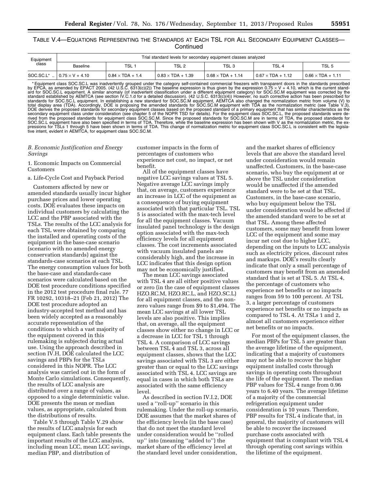TABLE V.4—EQUATIONS REPRESENTING THE STANDARDS AT EACH TSL FOR ALL SECONDARY EQUIPMENT CLASSES— **Continued** 

| Equipment<br>class | Trial standard levels for secondary equipment classes analyzed |                         |                          |                          |                          |                          |  |  |  |
|--------------------|----------------------------------------------------------------|-------------------------|--------------------------|--------------------------|--------------------------|--------------------------|--|--|--|
|                    | Baseline                                                       | TSL 1                   | TSL <sub>2</sub>         | TSL <sub>3</sub>         | TSL <sub>4</sub>         | TSL 5                    |  |  |  |
| SOC.SC.L*          | $0.75 \times V + 4.10$                                         | $0.84 \times TDA + 1.4$ | $0.83 \times TDA + 1.39$ | $0.68 \times TDA + 1.14$ | $0.67 \times TDA + 1.12$ | $0.66 \times TDA + 1.11$ |  |  |  |

\*Equipment class SOC.SC.L was inadvertently grouped under the category self-contained commercial freezers with transparent doors in the standards prescribed<br>by EPCA, as amended by EPACT 2005. (42 U.S.C. 6313(c)(2)) The bas total display area (TDA). Accordingly, DOE is proposing the amended standards for SOC.SC.M equipment with TDA as the normalization metric (see Table V.3),<br>DOE derives the proposed standards for secondary equipment classes rived from the proposed standards for equipment class SOC.SC.M. Since the proposed standards for SOC.SC.M are in terms of TDA, the proposed standards for<br>SOC.SC.L equipment have also been specified in terms of TDA. Therefo pressions for TSLs 1 through 5 have been shown in terms of TDA. This change of normalization metric for equipment class SOC.SC.L is consistent with the legislative intent, evident in AEMTCA, for equipment class SOC.SC.M.

### *B. Economic Justification and Energy Savings*

1. Economic Impacts on Commercial Customers

a. Life-Cycle Cost and Payback Period

Customers affected by new or amended standards usually incur higher purchase prices and lower operating costs. DOE evaluates these impacts on individual customers by calculating the LCC and the PBP associated with the TSLs. The results of the LCC analysis for each TSL were obtained by comparing the installed and operating costs of the equipment in the base-case scenario (scenario with no amended energy conservation standards) against the standards-case scenarios at each TSL. The energy consumption values for both the base-case and standards-case scenarios were calculated based on the DOE test procedure conditions specified in the 2012 test procedure final rule. 77 FR 10292, 10318–21 (Feb 21, 2012) The DOE test procedure adopted an industry-accepted test method and has been widely accepted as a reasonably accurate representation of the conditions to which a vast majority of the equipment covered in this rulemaking is subjected during actual use. Using the approach described in section IV.H, DOE calculated the LCC savings and PBPs for the TSLs considered in this NOPR. The LCC analysis was carried out in the form of Monte Carlo simulations. Consequently, the results of LCC analysis are distributed over a range of values, as opposed to a single deterministic value. DOE presents the mean or median values, as appropriate, calculated from the distributions of results.

Table V.5 through Table V.29 show the results of LCC analysis for each equipment class. Each table presents the important results of the LCC analysis, including mean LCC, mean LCC savings, median PBP, and distribution of

customer impacts in the form of percentages of customers who experience net cost, no impact, or net benefit.

All of the equipment classes have negative LCC savings values at TSL 5. Negative average LCC savings imply that, on average, customers experience an increase in LCC of the equipment as a consequence of buying equipment associated with that particular TSL. TSL 5 is associated with the max-tech level for all the equipment classes. Vacuum insulated panel technology is the design option associated with the max-tech efficiency levels for all equipment classes. The cost increments associated with vacuum insulated panels are considerably high, and the increase in LCC indicates that this design option may not be economically justified.

The mean LCC savings associated with TSL 4 are all either positive values or zero (in the case of equipment classes HZO.RC.M, HZO.RC.L, and HZO.SC.L) for all equipment classes, and the nonzero values range from \$9 to \$1,494. The mean LCC savings at all lower TSL levels are also positive. This implies that, on average, all the equipment classes show either no change in LCC or a decrease in LCC for TSL 1 through TSL 4. A comparison of LCC savings between TSL 4 and TSL 3, across all equipment classes, shows that the LCC savings associated with TSL 3 are either greater than or equal to the LCC savings associated with TSL 4. LCC savings are equal in cases in which both TSLs are associated with the same efficiency level.

As described in section IV.I.2, DOE used a ''roll-up'' scenario in this rulemaking. Under the roll-up scenario, DOE assumes that the market shares of the efficiency levels (in the base case) that do not meet the standard level under consideration would be ''rolled up'' into (meaning ''added to'') the market share of the efficiency level at the standard level under consideration,

and the market shares of efficiency levels that are above the standard level under consideration would remain unaffected. Customers, in the base-case scenario, who buy the equipment at or above the TSL under consideration would be unaffected if the amended standard were to be set at that TSL. Customers, in the base-case scenario, who buy equipment below the TSL under consideration would be affected if the amended standard were to be set at that TSL. Among these affected customers, some may benefit from lower LCC of the equipment and some may incur net cost due to higher LCC, depending on the inputs to LCC analysis such as electricity prices, discount rates and markups. DOE's results clearly indicate that only a small percentage of customers may benefit from an amended standard that is set at TSL 5. At TSL 4, the percentage of customers who experience net benefits or no impacts ranges from 59 to 100 percent. At TSL 3, a larger percentage of customers experience net benefits or no impacts as compared to TSL 4. At TSLs 1 and 2, almost all customers experience either net benefits or no impacts.

For most of the equipment classes, the median PBPs for TSL 5 are greater than the average lifetime of the equipment, indicating that a majority of customers may not be able to recover the higher equipment installed costs through savings in operating costs throughout the life of the equipment. The median PBP values for TSL 4 range from 0.96 years to 6.40 years. The average lifetime of a majority of the commercial refrigeration equipment under consideration is 10 years. Therefore, PBP results for TSL 4 indicate that, in general, the majority of customers will be able to recover the increased purchase costs associated with equipment that is compliant with TSL 4 through operating cost savings within the lifetime of the equipment.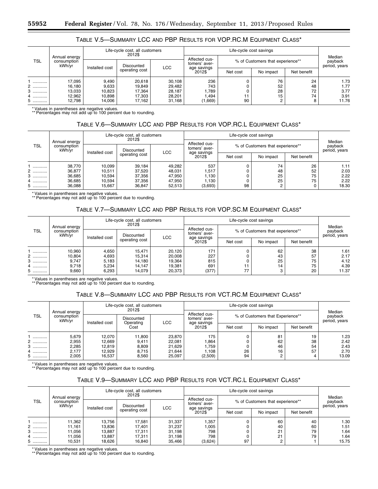## TABLE V.5—SUMMARY LCC AND PBP RESULTS FOR VOP.RC.M EQUIPMENT CLASS\*

| Annual energy<br>TSL<br>consumption<br>kWh/vr |                | Life-cycle cost, all customers<br>2012\$ |        |                                |                                  |          |           |                                    |       |
|-----------------------------------------------|----------------|------------------------------------------|--------|--------------------------------|----------------------------------|----------|-----------|------------------------------------|-------|
|                                               | Installed cost | Discounted<br><b>LCC</b>                 |        | Affected cus-<br>tomers' aver- | % of Customers that experience** |          |           | Median<br>payback<br>period, years |       |
|                                               |                | operating cost                           |        |                                | age savings<br>2012\$            | Net cost | No impact | Net benefit                        |       |
|                                               | 17.095         | 9,490                                    | 20,618 | 30.108                         | 236                              |          | 76        | 24                                 | 1.73  |
| 2                                             | 16.180         | 9,633                                    | 19.849 | 29.482                         | 743                              |          | 52        | 48                                 | 1.77  |
| 3<br>                                         | 13,033         | 10,823                                   | 17,364 | 28.187                         | 1.789                            |          | 28        | 72                                 | 3.77  |
| .                                             | 12.962         | 10,898                                   | 17.303 | 28.201                         | l.494                            |          | 15        | 74                                 | 3.91  |
| 5<br>.                                        | 12,798         | 14.006                                   | 17.162 | 31.168                         | (1,669)                          | 90       |           | 8                                  | 11.76 |

\* Values in parentheses are negative values. \*\* Percentages may not add up to 100 percent due to rounding.

### TABLE V.6—SUMMARY LCC AND PBP RESULTS FOR VOP.RC.L EQUIPMENT CLASS\*

| Annual energy<br><b>TSL</b><br>consumption<br>kWh/vr |                | Life-cycle cost, all customers<br>2012\$ |            |                       |                                  |           |             |                                    |       |
|------------------------------------------------------|----------------|------------------------------------------|------------|-----------------------|----------------------------------|-----------|-------------|------------------------------------|-------|
|                                                      | Installed cost | Discounted                               |            |                       | % of Customers that experience** |           |             | Median<br>payback<br>period, years |       |
|                                                      |                | operating cost                           | <b>LCC</b> | age savings<br>2012\$ | Net cost                         | No impact | Net benefit |                                    |       |
|                                                      | 38.770         | 10.099                                   | 39.184     | 49.282                | 537                              |           | 74          | 26                                 | 1.11  |
| 2                                                    | 36,877         | 10,511                                   | 37,520     | 48.031                | 1,517                            |           | 48          | 52                                 | 2.03  |
| 3                                                    | 36,685         | 10.594                                   | 37,356     | 47.950                | 1.130                            |           | 25          | 75                                 | 2.22  |
| 4                                                    | 36,685         | 10.594                                   | 37,356     | 47.950                | 1,130                            |           | 25          | 75                                 | 2.22  |
| 5                                                    | 36,088         | 15,667                                   | 36,847     | 52,513                | (3,693)                          | 98        | 2           | 0                                  | 18.30 |

\* Values in parentheses are negative values. \*\* Percentages may not add up to 100 percent due to rounding.

# TABLE V.7—SUMMARY LCC AND PBP RESULTS FOR VOP.SC.M EQUIPMENT CLASS\*

| Annual energy<br><b>TSL</b><br>consumption<br>kWh/vr |                | Life-cycle cost, all customers<br>2012\$ |                |        |                                  | Median<br>payback<br>period, years |           |             |       |
|------------------------------------------------------|----------------|------------------------------------------|----------------|--------|----------------------------------|------------------------------------|-----------|-------------|-------|
|                                                      | Installed cost | Discounted                               |                |        | % of Customers that experience** |                                    |           |             |       |
|                                                      |                |                                          | operating cost | LCC    | age savings<br>2012\$            | Net cost                           | No impact | Net benefit |       |
|                                                      | 10,960         | 4,650                                    | 15.471         | 20.120 | 171                              |                                    | 62        | 38          | 1.61  |
| .                                                    | 10,804         | 4,693                                    | 15,314         | 20,008 | 227                              |                                    | 43        | 57          | 2.17  |
|                                                      | 9.747          | 5,183                                    | 14.180         | 19.364 | 815                              |                                    | 25        | 75          | 4.12  |
| 4<br>.                                               | 9,718          | 5,234                                    | 14.147         | 19.381 | 691                              |                                    | 14        | 75          | 4.39  |
| 5.<br>.                                              | 9,660          | 6,293                                    | 14.079         | 20,373 | (377)                            | 77                                 | 3         | 20          | 11.37 |

\* Values in parentheses are negative values. \*\* Percentages may not add up to 100 percent due to rounding.

### TABLE V.8—SUMMARY LCC AND PBP RESULTS FOR VCT.RC.M EQUIPMENT CLASS\*

| <b>TSL</b> |                                        |        | Life-cycle cost, all customers<br>2012\$         |            |                                |                                  | Life-cycle cost savings |             |                                    |  |
|------------|----------------------------------------|--------|--------------------------------------------------|------------|--------------------------------|----------------------------------|-------------------------|-------------|------------------------------------|--|
|            | Annual energy<br>consumption<br>kWh/vr |        | <b>Discounted</b><br>Installed cost<br>Operating |            | Affected cus-<br>tomers' aver- | % of Customers that Experience** |                         |             | Median<br>payback<br>period, years |  |
|            |                                        |        | Cost                                             | <b>LCC</b> | age savings<br>2012\$          | Net cost                         | No impact               | Net benefit |                                    |  |
|            | 5,679                                  | 12,070 | 11,800                                           | 23.870     | 175                            |                                  | 81                      | 19          | 1.23                               |  |
| .          | 2,955                                  | 12.669 | 9,411                                            | 22.081     | .864                           |                                  | 62                      | 38          | 2.42                               |  |
| .          | 2,285                                  | 12,819 | 8,809                                            | 21.629     | .759                           |                                  | 46                      | 54          | 2.43                               |  |
| 4          | 2,177                                  | 12.929 | 8.715                                            | 21,644     | 1.108                          | 26                               | 16                      | 57          | 2.70                               |  |
| 5          | 2,005                                  | 16,537 | 8,560                                            | 25,097     | (2,509)                        | 94                               |                         | 4           | 13.09                              |  |

\* Values in parentheses are negative values.

\*\* Percentages may not add up to 100 percent due to rounding.

### TABLE V.9—SUMMARY LCC AND PBP RESULTS FOR VCT.RC.L EQUIPMENT CLASS\*

| <b>TSL</b> |                                        | Life-cycle cost, all customers<br>2012\$ |                          |        |                                |                                  |           |             |                                    |
|------------|----------------------------------------|------------------------------------------|--------------------------|--------|--------------------------------|----------------------------------|-----------|-------------|------------------------------------|
|            | Annual energy<br>consumption<br>kWh/vr | Installed cost                           | Discounted<br><b>LCC</b> |        | Affected cus-<br>tomers' aver- | % of Customers that experience** |           |             | Median<br>payback<br>period, years |
|            |                                        |                                          | operating cost           |        | age savings<br>2012\$          | Net cost                         | No impact | Net benefit |                                    |
|            | 11,362                                 | 13.756                                   | 17.581                   | 31.337 | .357                           |                                  | 60        | 40          | 1.30                               |
| 2          | 11,161                                 | 13.836                                   | 17.401                   | 31.237 | 005                            |                                  | 40        | 60          | 1.51                               |
| 3          | 11,056                                 | 13,887                                   | 17.311                   | 31.198 | 798                            |                                  | 21        | 79          | 1.64                               |
| 4          | 11,056                                 | 13.887                                   | 17.311                   | 31.198 | 798                            |                                  | 21        | 79          | 1.64                               |
| 5.<br>.    | 10,531                                 | 18.626                                   | 16.840                   | 35.466 | (3,624)                        | 97                               | ◠         |             | 15.75                              |

\* Values in parentheses are negative values.

\*\* Percentages may not add up to 100 percent due to rounding.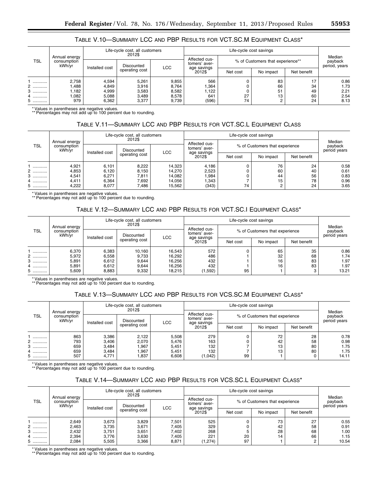# TABLE V.10—SUMMARY LCC AND PBP RESULTS FOR VCT.SC.M EQUIPMENT CLASS\*

| <b>TSL</b> | Annual energy<br>consumption<br>kWh/vr | Life-cycle cost, all customers<br>2012\$ |                              |                |                                               |                                  |           |             |                                    |
|------------|----------------------------------------|------------------------------------------|------------------------------|----------------|-----------------------------------------------|----------------------------------|-----------|-------------|------------------------------------|
|            |                                        |                                          | Discounted<br>Installed cost |                | Affected cus-<br>tomers' aver-<br>age savings | % of Customers that experience** |           |             | Median<br>payback<br>period, years |
|            |                                        |                                          | operating cost               | <b>LCC</b>     | 2012\$                                        | Net cost                         | No impact | Net benefit |                                    |
|            | 2.758                                  | 4.594                                    | 5,261                        | 9.855          | 566                                           |                                  | 83        | 17          | 0.86                               |
| 2<br>3     | ,488<br>.182                           | 4,849<br>4,999                           | 3,916<br>3,583               | 8,764<br>8,582 | .364<br>1,122                                 |                                  | 66<br>51  | 34<br>49    | 1.73<br>2.21                       |
| 4          | .082                                   | 5,088                                    | 3,489                        | 8,578          | 641                                           | 27                               | 13        | 60          | 2.54                               |
| 5<br>.     | 979                                    | 6,362                                    | 3,377                        | 9.739          | (596)                                         | 74                               | $\sim$    | 24          | 8.13                               |

\* Values in parentheses are negative values. \*\* Percentages may not add up to 100 percent due to rounding.

# TABLE V.11—SUMMARY LCC AND PBP RESULTS FOR VCT.SC.L EQUIPMENT CLASS

| <b>TSL</b> |                                        | Life-cycle cost, all customers<br>2012\$ |                |            |                                |                                |           |             |                                   |
|------------|----------------------------------------|------------------------------------------|----------------|------------|--------------------------------|--------------------------------|-----------|-------------|-----------------------------------|
|            | Annual energy<br>consumption<br>kWh/vr | Discounted<br>Installed cost             |                | <b>LCC</b> | Affected cus-<br>tomers' aver- | % of Customers that experience |           |             | Median<br>payback<br>period years |
|            |                                        |                                          | operating cost |            | age savings<br>2012\$          | Net cost                       | No impact | Net benefit |                                   |
|            | 4,921                                  | 6,101                                    | 8,222          | 14.323     | 4,186                          |                                | 76        | 24          | 0.58                              |
| 2          | 4,853                                  | 6,120                                    | 8,150          | 14.270     | 2,523                          |                                | 60        | 40          | 0.61                              |
| 3<br>.     | 4,541                                  | 6,271                                    | 7,811          | 14.082     | .984                           |                                | 44        | 56          | 0.83                              |
| 4          | 4,411                                  | 6,364                                    | 7,692          | 14.056     | ,343                           |                                | 15        | 78          | 0.96                              |
| 5<br>.     | 4,222                                  | 8,077                                    | 7,486          | 15.562     | (343)                          | 74                             |           | 24          | 3.65                              |

\* Values in parentheses are negative values. \*\* Percentages may not add up to 100 percent due to rounding.

## TABLE V.12—SUMMARY LCC AND PBP RESULTS FOR VCT.SC.I EQUIPMENT CLASS\*

| <b>TSL</b> |                                        | Life-cycle cost, all customers<br>2012\$ |                              |            |                                |                                |           |             |                                   |
|------------|----------------------------------------|------------------------------------------|------------------------------|------------|--------------------------------|--------------------------------|-----------|-------------|-----------------------------------|
|            | Annual energy<br>consumption<br>kWh/vr |                                          | Discounted<br>Installed cost |            | Affected cus-<br>tomers' aver- | % of Customers that experience |           |             | Median<br>payback<br>period years |
|            |                                        |                                          | operating cost               | <b>LCC</b> | age savings<br>2012\$          | Net cost                       | No impact | Net benefit |                                   |
|            | 6,370                                  | 6,383                                    | 10.160                       | 16.543     | 572                            |                                | 65        | 35          | 0.86                              |
| 2          | 5,972                                  | 6,558                                    | 9,733                        | 16.292     | 486                            |                                | 32        | 68          | 1.74                              |
| 3<br>.     | 5,891                                  | 6,612                                    | 9,644                        | 16.256     | 432                            |                                | 16        | 83          | 1.97                              |
| 4.         | 5,891                                  | 6,612                                    | 9,644                        | 16,256     | 432                            |                                | 16        | 83          | 1.97                              |
| 5.<br>.    | 5,609                                  | 8,883                                    | 9,332                        | 18.215     | (1,592)                        | 95                             |           | 3           | 13.21                             |

\* Values in parentheses are negative values. \*\* Percentages may not add up to 100 percent due to rounding.

## TABLE V.13—SUMMARY LCC AND PBP RESULTS FOR VCS.SC.M EQUIPMENT CLASS\*

| <b>TSL</b> |                                        | Life-cycle cost, all customers<br>2012\$ |                |       |                                |          |                                |             |                                   |
|------------|----------------------------------------|------------------------------------------|----------------|-------|--------------------------------|----------|--------------------------------|-------------|-----------------------------------|
|            | Annual energy<br>consumption<br>kWh/vr | Discounted<br>Installed cost             |                |       | Affected cus-<br>tomers' aver- |          | % of Customers that experience |             | Median<br>payback<br>period years |
|            |                                        |                                          | operating cost | LCC   | age savings<br>2012\$          | Net cost | No impact                      | Net benefit |                                   |
|            | 863                                    | 3,386                                    | 2,122          | 5,508 | 279                            |          | 72                             | 28          | 0.78                              |
|            | 793                                    | 3,406                                    | 2,070          | 5,476 | 163                            |          | 42                             | 58          | 0.98                              |
|            | 659                                    | 3.484                                    | .967           | 5.451 | 132                            |          | 13                             | 80          | 1.75                              |
| 4<br>.     | 659                                    | 3.484                                    | .967           | 5.451 | 132                            |          | 13                             | 80          | 1.75                              |
| 5.<br>.    | 507                                    | 4,771                                    | 1,837          | 6,608 | (1,042)                        | 99       |                                | 0           | 14.11                             |

\* Values in parentheses are negative values.

\*\* Percentages may not add up to 100 percent due to rounding.

## TABLE V.14—SUMMARY LCC AND PBP RESULTS FOR VCS.SC.L EQUIPMENT CLASS\*

| <b>TSL</b> |                                        | Life-cycle cost, all customers<br>2012\$ |                |       |                                |                                |           |             |                                   |
|------------|----------------------------------------|------------------------------------------|----------------|-------|--------------------------------|--------------------------------|-----------|-------------|-----------------------------------|
|            | Annual energy<br>consumption<br>kWh/yr | Discounted                               |                |       | Affected cus-<br>tomers' aver- | % of Customers that experience |           |             | Median<br>payback<br>period years |
|            |                                        | Installed cost                           | operating cost | LCC   | age savings<br>2012\$          | Net cost                       | No impact | Net benefit |                                   |
|            | 2,649                                  | 3,673                                    | 3,829          | 7.501 | 525                            |                                | 73        | 27          | 0.55                              |
| 2          | 2,463                                  | 3,735                                    | 3,671          | 7.405 | 329                            |                                | 42        | 58          | 0.91                              |
| .          | 2,432                                  | 3,751                                    | 3,651          | 7,402 | 268                            |                                | 28        | 68          | 1.00                              |
| 4          | 2,394                                  | 3.776                                    | 3,630          | 7.405 | 221                            | 20                             | 14        | 66          | 1.15                              |
| 5          | 2,084                                  | 5,505                                    | 3,366          | 8,871 | (1, 274)                       | 97                             |           | C           | 10.54                             |

\* Values in parentheses are negative values.

\*\* Percentages may not add up to 100 percent due to rounding.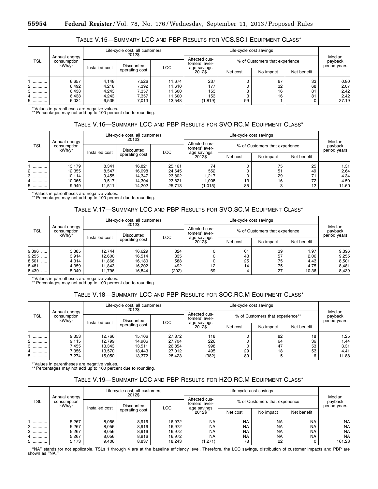| TABLE V.15—SUMMARY LCC AND PBP RESULTS FOR VCS.SC.I EQUIPMENT CLASS* |  |  |
|----------------------------------------------------------------------|--|--|
|----------------------------------------------------------------------|--|--|

| <b>TSL</b>       |                                        |                                            | Life-cycle cost, all customers<br>2012\$ |                                |                                |          |                                   |             |               |
|------------------|----------------------------------------|--------------------------------------------|------------------------------------------|--------------------------------|--------------------------------|----------|-----------------------------------|-------------|---------------|
|                  | Annual energy<br>consumption<br>kWh/yr | Discounted<br><b>LCC</b><br>Installed cost |                                          | Affected cus-<br>tomers' aver- | % of Customers that experience |          | Median<br>payback<br>period years |             |               |
|                  |                                        |                                            | operating cost                           |                                | age savings<br>2012\$          | Net cost | No impact                         | Net benefit |               |
|                  | 6,657<br>6,492                         | 4,148<br>4,218                             | 7,526<br>7,392                           | 11.674<br>11.610               | 237<br>177                     |          | 67<br>32                          | 33<br>68    | 0.80<br>2.07  |
| <br>3<br>        | 6,438                                  | 4,243                                      | 7,357                                    | 11.600                         | 153                            |          | 16                                | 81          | 2.42          |
| 4<br>.<br>5<br>. | 6,438<br>6,034                         | 4.243<br>6,535                             | 7,357<br>7,013                           | 11.600<br>13.548               | 153<br>(1, 819)                | 99       | 16                                | 81<br>0     | 2.42<br>27.19 |

\* Values in parentheses are negative values. \*\* Percentages may not add up to 100 percent due to rounding.

### TABLE V.16—SUMMARY LCC AND PBP RESULTS FOR SVO.RC.M EQUIPMENT CLASS\*

| <b>TSL</b> |                                        | Life-cycle cost, all customers<br>2012\$ |                          |        |                                |                                |           |             |                                   |
|------------|----------------------------------------|------------------------------------------|--------------------------|--------|--------------------------------|--------------------------------|-----------|-------------|-----------------------------------|
|            | Annual energy<br>consumption<br>kWh/vr | Installed cost                           | Discounted<br><b>LCC</b> |        | Affected cus-<br>tomers' aver- | % of Customers that experience |           |             | Median<br>payback<br>period years |
|            |                                        |                                          | operating cost           |        | age savings<br>2012\$          | Net cost                       | No impact | Net benefit |                                   |
|            | 13,179                                 | 8,341                                    | 16.821                   | 25.161 | 74                             |                                | 75        | 25          | 1.31                              |
| 2          | 12,355                                 | 8,547                                    | 16.098                   | 24.645 | 552                            |                                | 51        | 49          | 2.64                              |
| 3<br>.     | 10,114                                 | 9,455                                    | 14,347                   | 23.802 | 217,                           |                                | 29        | 71          | 4.34                              |
| 4          | 10,065                                 | 9,517                                    | 14.304                   | 23.821 | 0.008                          | 13                             | 16        | 72          | 4.50                              |
| 5          | 9,949                                  | 11,511                                   | 14.202                   | 25,713 | (1,015)                        | 85                             | 3         | 12          | 11.60                             |

\* Values in parentheses are negative values. \*\* Percentages may not add up to 100 percent due to rounding.

### TABLE V.17—SUMMARY LCC AND PBP RESULTS FOR SVO.SC.M EQUIPMENT CLASS\*

| <b>TSL</b> |                                        | Life-cycle cost, all customers<br>2012\$ |                |       |                                |                                |           |             |                                   |
|------------|----------------------------------------|------------------------------------------|----------------|-------|--------------------------------|--------------------------------|-----------|-------------|-----------------------------------|
|            | Annual energy<br>consumption<br>kWh/vr | Discounted<br>Installed cost             |                | LCC   | Affected cus-<br>tomers' aver- | % of Customers that experience |           |             | Median<br>payback<br>period years |
|            |                                        |                                          | operating cost |       | age savings<br>2012\$          | Net cost                       | No impact | Net benefit |                                   |
| 9,396      | 3,885                                  | 12.744                                   | 16.629         | 324   |                                | 61                             | 39        | 1.97        | 9,396                             |
| 9,255<br>  | 3,914                                  | 12.600                                   | 16.514         | 335   |                                | 43                             | 57        | 2.06        | 9,255                             |
| 8,501<br>  | 4.314                                  | 11.866                                   | 16.180         | 588   |                                | 25                             | 75        | 4.43        | 8,501                             |
| 8,481<br>  | 4,359                                  | 11.843                                   | 16.202         | 492   | 12                             | 14                             | 75        | 4.75        | 8,481                             |
| 8,439<br>. | 5.049                                  | 11.796                                   | 16.844         | (202) | 69                             |                                | 27        | 10.36       | 8,439                             |

\* Values in parentheses are negative values. \*\* Percentages may not add up to 100 percent due to rounding.

### TABLE V.18—SUMMARY LCC AND PBP RESULTS FOR SOC.RC.M EQUIPMENT CLASS\*

| <b>TSL</b> |                                        | Life-cycle cost, all customers<br>2012\$ |                |            |                                |                                  |           |             |                                   |
|------------|----------------------------------------|------------------------------------------|----------------|------------|--------------------------------|----------------------------------|-----------|-------------|-----------------------------------|
|            | Annual energy<br>consumption<br>kWh/vr | Discounted<br>Installed cost             |                | <b>LCC</b> | Affected cus-<br>tomers' aver- | % of Customers that experience** |           |             | Median<br>payback<br>period years |
|            |                                        |                                          | operating cost |            | age savings<br>2012\$          | Net cost                         | No impact | Net benefit |                                   |
|            | 9,353                                  | 12,766                                   | 15,106         | 27.872     | 118                            |                                  | 82        | 18          | 1.25                              |
| .          | 9,115                                  | 12,799                                   | 14,906         | 27.704     | 226                            |                                  | 64        | 36          | 1.44                              |
|            | 7,455                                  | 13,343                                   | 13.511         | 26,854     | 998                            |                                  | 47        | 53          | 3.31                              |
| 4          | 7,356                                  | 13,570                                   | 13.443         | 27,012     | 495                            | 29                               | 18        | 53          | 4.41                              |
| .          | 7,274                                  | 15.050                                   | 13.372         | 28.423     | (982)                          | 89                               |           | 6           | 11.88                             |

\* Values in parentheses are negative values.

\*\* Percentages may not add up to 100 percent due to rounding.

### TABLE V.19—SUMMARY LCC AND PBP RESULTS FOR HZO.RC.M EQUIPMENT CLASS\*

|            |                                        | Life-cycle cost, all customers<br>2012\$ |                          |        |                                |           |                                |             |                                   |
|------------|----------------------------------------|------------------------------------------|--------------------------|--------|--------------------------------|-----------|--------------------------------|-------------|-----------------------------------|
| <b>TSL</b> | Annual energy<br>consumption<br>kWh/vr | Installed cost                           | Discounted<br><b>LCC</b> |        | Affected cus-<br>tomers' aver- |           | % of Customers that experience |             | Median<br>payback<br>period years |
|            |                                        |                                          | operating cost           |        | age savings<br>2012\$          | Net cost  | No impact                      | Net benefit |                                   |
|            | 5,267                                  | 8.056                                    | 8.916                    | 16.972 | <b>NA</b>                      | <b>NA</b> | <b>NA</b>                      | <b>NA</b>   | <b>NA</b>                         |
| 2          | 5,267                                  | 8,056                                    | 8,916                    | 16.972 | <b>NA</b>                      | <b>NA</b> | <b>NA</b>                      | <b>NA</b>   | <b>NA</b>                         |
| 3<br>      | 5,267                                  | 8,056                                    | 8,916                    | 16.972 | <b>NA</b>                      | <b>NA</b> | <b>NA</b>                      | <b>NA</b>   | <b>NA</b>                         |
| 4          | 5,267                                  | 8,056                                    | 8,916                    | 16.972 | <b>NA</b>                      | <b>NA</b> | <b>NA</b>                      | <b>NA</b>   | <b>NA</b>                         |
| .          | 5,173                                  | 9,406                                    | 8,837                    | 18.243 | (1,271)                        | 78        | 22                             | 0           | 161.23                            |

''NA'' stands for not applicable. TSLs 1 through 4 are at the baseline efficiency level. Therefore, the LCC savings, distribution of customer impacts and PBP are shown as "NA."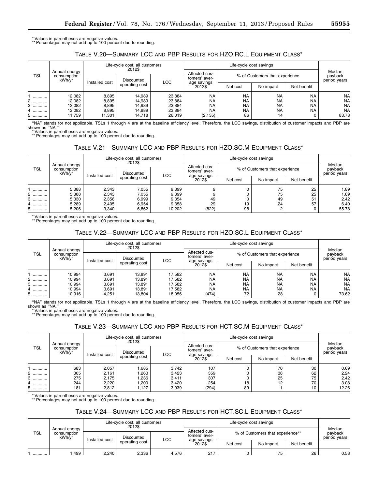\* Values in parentheses are negative values. \*\* Percentages may not add up to 100 percent due to rounding.

## TABLE V.20—SUMMARY LCC AND PBP RESULTS FOR HZO.RC.L EQUIPMENT CLASS\*

| <b>TSL</b><br>kWh/vr |                              |                | Life-cycle cost, all customers<br>2012\$ |        |                                |                                |           |                                   |           |
|----------------------|------------------------------|----------------|------------------------------------------|--------|--------------------------------|--------------------------------|-----------|-----------------------------------|-----------|
|                      | Annual energy<br>consumption | Installed cost | Discounted<br><b>LCC</b>                 |        | Affected cus-<br>tomers' aver- | % of Customers that experience |           | Median<br>payback<br>period years |           |
|                      |                              |                | operating cost                           |        | age savings<br>2012\$          | Net cost                       | No impact | Net benefit                       |           |
|                      | 12,082                       | 8,895          | 14.989                                   | 23.884 | <b>NA</b>                      | <b>NA</b>                      | <b>NA</b> | <b>NA</b>                         | <b>NA</b> |
| 2                    | 12,082                       | 8,895          | 14,989                                   | 23,884 | <b>NA</b>                      | <b>NA</b>                      | <b>NA</b> | <b>NA</b>                         | <b>NA</b> |
| 3                    | 12,082                       | 8,895          | 14,989                                   | 23.884 | <b>NA</b>                      | <b>NA</b>                      | <b>NA</b> | <b>NA</b>                         | <b>NA</b> |
| 4                    | 12,082                       | 8,895          | 14,989                                   | 23.884 | <b>NA</b>                      | <b>NA</b>                      | <b>NA</b> | <b>NA</b>                         | <b>NA</b> |
| 5                    | 11.759                       | 11,301         | 14.718                                   | 26.019 | (2, 135)                       | 86                             | 14        | 0                                 | 83.78     |

''NA'' stands for not applicable. TSLs 1 through 4 are at the baseline efficiency level. Therefore, the LCC savings, distribution of customer impacts and PBP are shown as ''NA.'' \* Values in parentheses are negative values. \*\* Percentages may not add up to 100 percent due to rounding.

# TABLE V.21—SUMMARY LCC AND PBP RESULTS FOR HZO.SC.M EQUIPMENT CLASS\*

|            |                                        |                | Life-cycle cost, all customers<br>2012\$ |        |                                |          | Life-cycle cost savings        |             |                                   |  |
|------------|----------------------------------------|----------------|------------------------------------------|--------|--------------------------------|----------|--------------------------------|-------------|-----------------------------------|--|
| <b>TSL</b> | Annual energy<br>consumption<br>kWh/yr |                | Discounted<br><b>LCC</b>                 |        | Affected cus-<br>tomers' aver- |          | % of Customers that experience |             | Median<br>payback<br>period years |  |
|            |                                        | Installed cost | operating cost                           |        | age savings<br>2012\$          | Net cost | No impact                      | Net benefit |                                   |  |
|            | 5,388                                  | 2,343          | 7,055                                    | 9,399  |                                |          | 75                             | 25          | 1.89                              |  |
| .          | 5,388                                  | 2,343          | 7,055                                    | 9,399  |                                |          | 75                             | 25          | 1.89                              |  |
| .          | 5,330                                  | 2,356          | 6,999                                    | 9,354  | 49                             |          | 49                             | 51          | 2.42                              |  |
| 4          | 5,289                                  | 2,405          | 6.954                                    | 9.358  | 29                             | 19       | 24                             | 57          | 6.40                              |  |
| 5          | 5,206                                  | 3,340          | 6,862                                    | 10.202 | (822)                          | 98       | C                              | 0           | 55.78                             |  |

\* Values in parentheses are negative values. \*\* Percentages may not add up to 100 percent due to rounding.

### TABLE V.22—SUMMARY LCC AND PBP RESULTS FOR HZO.SC.L EQUIPMENT CLASS\*

|            |                                        |       | Life-cycle cost, all customers<br>2012\$              |        |                                |           |                                |             |                                   |
|------------|----------------------------------------|-------|-------------------------------------------------------|--------|--------------------------------|-----------|--------------------------------|-------------|-----------------------------------|
| <b>TSL</b> | Annual energy<br>consumption<br>kWh/yr |       | Discounted<br>LCC<br>Installed cost<br>operating cost |        | Affected cus-<br>tomers' aver- |           | % of Customers that experience |             | Median<br>payback<br>period years |
|            |                                        |       |                                                       |        | age savings<br>2012\$          | Net cost  | No impact                      | Net benefit |                                   |
|            | 10,994                                 | 3.691 | 13.891                                                | 17.582 | <b>NA</b>                      | <b>NA</b> | <b>NA</b>                      | <b>NA</b>   | <b>NA</b>                         |
| 2          | 10,994                                 | 3,691 | 13,891                                                | 17.582 | <b>NA</b>                      | <b>NA</b> | <b>NA</b>                      | <b>NA</b>   | <b>NA</b>                         |
| .          | 10,994                                 | 3,691 | 13.891                                                | 17.582 | <b>NA</b>                      | <b>NA</b> | <b>NA</b>                      | <b>NA</b>   | <b>NA</b>                         |
| 4          | 10,994                                 | 3.691 | 13.891                                                | 17.582 | <b>NA</b>                      | <b>NA</b> | <b>NA</b>                      | <b>NA</b>   | <b>NA</b>                         |
| 5.<br>.    | 10,916                                 | 4,251 | 13,804                                                | 18.056 | (474)                          | 72        | 28                             | 0           | 73.62                             |

''NA'' stands for not applicable. TSLs 1 through 4 are at the baseline efficiency level. Therefore, the LCC savings, distribution of customer impacts and PBP are shown as "NA."

\* Values in parentheses are negative values. \*\* Percentages may not add up to 100 percent due to rounding.

# TABLE V.23—SUMMARY LCC AND PBP RESULTS FOR HCT.SC.M EQUIPMENT CLASS\*

| <b>TSL</b> |                                        |                | Life-cycle cost, all customers<br>2012\$ |            |                                |                                |           |                                   |       |
|------------|----------------------------------------|----------------|------------------------------------------|------------|--------------------------------|--------------------------------|-----------|-----------------------------------|-------|
|            | Annual energy<br>consumption<br>kWh/vr | Installed cost | Discounted                               | <b>LCC</b> | Affected cus-<br>tomers' aver- | % of Customers that experience |           | Median<br>payback<br>period years |       |
|            |                                        |                | operating cost                           |            | age savings<br>2012\$          | Net cost                       | No impact | Net benefit                       |       |
|            | 683                                    | 2,057          | .685                                     | 3,742      | 107                            |                                | 70        | 30                                | 0.69  |
| 2          | 305                                    | 2,161          | ,263                                     | 3,423      | 359                            |                                | 38        | 62                                | 2.24  |
| 3<br>.     | 275                                    | 2,175          | ,236                                     | 3,411      | 307                            |                                | 25        | 75                                | 2.42  |
| 4<br>.     | 244                                    | 2,220          | ,200                                     | 3.420      | 254                            | 18                             | 12        | 70                                | 3.08  |
| 5          | 181                                    | 2,812          | 1,127                                    | 3,939      | (294)                          | 89                             |           | 10                                | 12.26 |

\* Values in parentheses are negative values. \*\* Percentages may not add up to 100 percent due to rounding.

# TABLE V.24—SUMMARY LCC AND PBP RESULTS FOR HCT.SC.L EQUIPMENT CLASS\*

| <b>TSL</b> |                                        |                | Life-cycle cost, all customers |            |                                |          | Life-cycle cost savings          |             | Median       |  |
|------------|----------------------------------------|----------------|--------------------------------|------------|--------------------------------|----------|----------------------------------|-------------|--------------|--|
|            | Annual energy<br>consumption<br>kWh/yr |                | 2012\$<br>Discounted           |            | Affected cus-<br>tomers' aver- |          | % of Customers that experience** |             |              |  |
|            |                                        | Installed cost | operating cost                 | <b>LCC</b> | age savings<br>2012\$          | Net cost | No impact                        | Net benefit | period years |  |
|            | .499                                   | 2,240          | 2,336                          | 4.576      | 217                            |          | 75                               | 26          | 0.53         |  |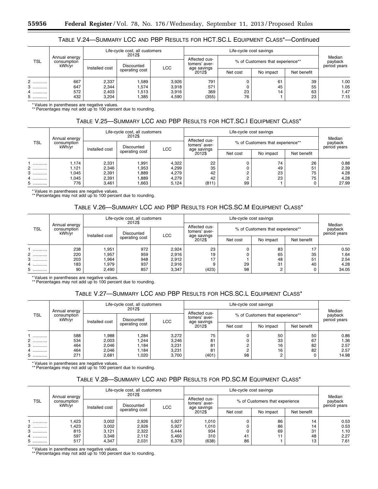## TABLE V.24—SUMMARY LCC AND PBP RESULTS FOR HCT.SC.L EQUIPMENT CLASS\*—Continued

| TSL       |                                        |                | Life-cycle cost, all customers<br>2012\$ |            |                       |                                  | Life-cycle cost savings |                                   |      |  |
|-----------|----------------------------------------|----------------|------------------------------------------|------------|-----------------------|----------------------------------|-------------------------|-----------------------------------|------|--|
|           | Annual energy<br>consumption<br>kWh/yr | Installed cost | Discounted                               |            |                       | % of Customers that experience** |                         | Median<br>payback<br>period years |      |  |
|           |                                        |                | operating cost                           | <b>LCC</b> | age savings<br>2012\$ | Net cost                         | No impact               | Net benefit                       |      |  |
| $2$ .<br> | 667                                    | 2,337          | .589                                     | 3.926      | 791                   |                                  | 61                      | 39                                | 1.00 |  |
| 3<br>     | 647                                    | 2,344          | .,574                                    | 3,918      | 571                   |                                  | 45                      | 55                                | 1.05 |  |
| .         | 572                                    | 2,403          | 1,513                                    | 3.916      | 369                   | 23                               | 14                      | 63                                | 1.47 |  |
| 5<br>     | 432                                    | 3,204          | 385، ا                                   | 4,590      | (355)                 | 76                               |                         | 23                                | 7.15 |  |

\* Values in parentheses are negative values. \*\* Percentages may not add up to 100 percent due to rounding.

## TABLE V.25—SUMMARY LCC AND PBP RESULTS FOR HCT.SC.I EQUIPMENT CLASS\*

| Annual energy<br><b>TSL</b><br>consumption<br>kWh/vr |       |                | Life-cycle cost, all customers<br>2012\$ |                       |          |                                  | Life-cycle cost savings |                                   |       |  |
|------------------------------------------------------|-------|----------------|------------------------------------------|-----------------------|----------|----------------------------------|-------------------------|-----------------------------------|-------|--|
|                                                      |       | Installed cost | Discounted                               |                       |          | % of Customers that experience** |                         | Median<br>payback<br>period years |       |  |
|                                                      |       | operating cost | <b>LCC</b>                               | age savings<br>2012\$ | Net cost | No impact                        | Net benefit             |                                   |       |  |
|                                                      | 1.174 | 2,331          | ,991                                     | 4.322                 | 22       |                                  | 74                      | 26                                | 0.88  |  |
| 2                                                    | ,121  | 2,346          | ,953                                     | 4,299                 | 35       |                                  | 49                      | 51                                | 2.39  |  |
| 3<br>.                                               | ,045  | 2,391          | ,889                                     | 4,279                 | 42       |                                  | 23                      | 75                                | 4.28  |  |
| 4                                                    | .045  | 2,391          | ,889                                     | 4,279                 | 42       |                                  | 23                      | 75                                | 4.28  |  |
| 5<br>.                                               | 776   | 3,461          | .663                                     | 5,124                 | (811)    | 99                               |                         | 0                                 | 27.99 |  |

\* Values in parentheses are negative values.

\*\* Percentages may not add up to 100 percent due to rounding.

# TABLE V.26—SUMMARY LCC AND PBP RESULTS FOR HCS.SC.M EQUIPMENT CLASS\*

|                                     |               |                | Life-cycle cost, all customers<br>2012\$ |                       |                                |                                  | Life-cycle cost savings |    |                                   |  |
|-------------------------------------|---------------|----------------|------------------------------------------|-----------------------|--------------------------------|----------------------------------|-------------------------|----|-----------------------------------|--|
| <b>TSL</b><br>consumption<br>kWh/vr | Annual energy | Installed cost | Discounted<br><b>LCC</b>                 |                       | Affected cus-<br>tomers' aver- | % of Customers that experience** |                         |    | Median<br>payback<br>period years |  |
|                                     |               | operating cost |                                          | age savings<br>2012\$ | Net cost                       | No impact                        | Net benefit             |    |                                   |  |
|                                     | 238           | 1,951          | 972                                      | 2,924                 | 23                             |                                  | 83                      | 17 | 0.50                              |  |
|                                     | 220           | ,957           | 959                                      | 2,916                 | 19                             |                                  | 65                      | 35 | 1.64                              |  |
| 3<br>.                              | 203           | .964           | 948                                      | 2,912                 | 17                             |                                  | 48                      | 51 | 2.54                              |  |
| 4                                   | 183           | 979,           | 937                                      | 2,916                 |                                | 29                               | 31                      | 40 | 4.28                              |  |
| 5                                   | 90            | 2,490          | 857                                      | 3.347                 | (423)                          | 98                               | 2                       | 0  | 34.05                             |  |

\* Values in parentheses are negative values. \*\* Percentages may not add up to 100 percent due to rounding.

## TABLE V.27—SUMMARY LCC AND PBP RESULTS FOR HCS.SC.L EQUIPMENT CLASS\*

|                                     |               |                | Life-cycle cost, all customers         |                       |                                |                                  |             |                                   |       |
|-------------------------------------|---------------|----------------|----------------------------------------|-----------------------|--------------------------------|----------------------------------|-------------|-----------------------------------|-------|
| <b>TSL</b><br>consumption<br>kWh/vr | Annual energy |                | 2012\$<br>Discounted<br>Installed cost |                       | Affected cus-<br>tomers' aver- | % of Customers that experience** |             | Median<br>payback<br>period years |       |
|                                     |               | operating cost | LCC                                    | age savings<br>2012\$ | Net cost                       | No impact                        | Net benefit |                                   |       |
|                                     | 588           | 1,988          | 1.284                                  | 3,272                 | 75                             |                                  | 50          | 50                                | 0.86  |
| 2                                   | 534           | 2,003          | .244                                   | 3.246                 | 81                             |                                  | 33          | 67                                | 1.36  |
| з<br>.                              | 464           | 2,046          | .184                                   | 3.231                 | 81                             |                                  | 16          | 82                                | 2.57  |
| 4                                   | 464           | 2,046          | .184                                   | 3.231                 | 81                             |                                  | 16          | 82                                | 2.57  |
| 5                                   | 271           | 2,681          | 1.020                                  | 3.700                 | (401)                          | 98                               | C           | 0                                 | 14.98 |

\* Values in parentheses are negative values. \*\* Percentages may not add up to 100 percent due to rounding.

## TABLE V.28—SUMMARY LCC AND PBP RESULTS FOR PD.SC.M EQUIPMENT CLASS\*

|            |                                        |       | Life-cycle cost, all customers<br>2012\$   |       |                                | Life-cycle cost savings |                                |             |                                   |  |
|------------|----------------------------------------|-------|--------------------------------------------|-------|--------------------------------|-------------------------|--------------------------------|-------------|-----------------------------------|--|
| <b>TSL</b> | Annual energy<br>consumption<br>kWh/yr |       | Discounted<br><b>LCC</b><br>Installed cost |       | Affected cus-<br>tomers' aver- |                         | % of Customers that experience |             | Median<br>payback<br>period years |  |
|            |                                        |       | operating cost                             |       | age savings<br>2012\$          | Net cost                | No impact                      | Net benefit |                                   |  |
|            | 423. ا                                 | 3,002 | 2,926                                      | 5.927 | 1,010                          |                         | 86                             | 14          | 0.53                              |  |
| 2          | .423                                   | 3,002 | 2,926                                      | 5.927 | 1,010                          |                         | 86                             | 14          | 0.53                              |  |
|            | 815                                    | 3,121 | 2,322                                      | 5.444 | 934                            |                         | 69                             | 31          | 1.10                              |  |
| 4<br>.     | 597                                    | 3,348 | 2.112                                      | 5.460 | 310                            | 41                      | 11                             | 48          | 2.27                              |  |
| 5.<br>.    | 517                                    | 4,347 | 2,031                                      | 6,379 | (638)                          | 86                      |                                | 13          | 7.61                              |  |

\* Values in parentheses are negative values.

\*\* Percentages may not add up to 100 percent due to rounding.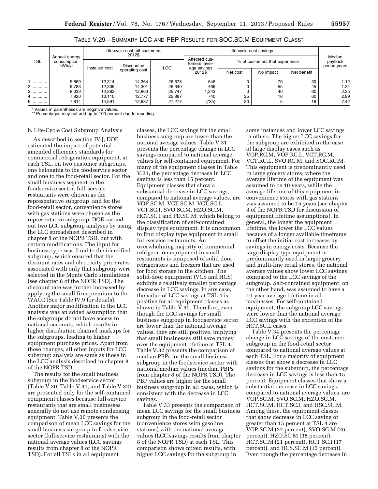|                      |                              |                | Life-cycle cost, all customers<br>2012\$ |            |                                |                                | Life-cycle cost savings |             |                                   |  |
|----------------------|------------------------------|----------------|------------------------------------------|------------|--------------------------------|--------------------------------|-------------------------|-------------|-----------------------------------|--|
| <b>TSL</b><br>kWh/yr | Annual energy<br>consumption |                | Discounted                               |            | Affected cus-<br>tomers' aver- | % of customers that experience |                         |             | Median<br>payback<br>period years |  |
|                      |                              | Installed cost | operating cost                           | <b>LCC</b> | age savings<br>2012\$          | Net cost                       | No impact               | Net benefit |                                   |  |
|                      | 9,869                        | 12,314         | 14.364                                   | 26,678     | 646                            |                                | 70                      | 30          | 1.12                              |  |
| 2                    | 9,783                        | 12,339         | 14,301                                   | 26,640     | 466                            |                                | 55                      | 45          | 1.24                              |  |
| 3                    | 8,039                        | 12.883         | 12,863                                   | 25.747     | 242                            |                                | 40                      | 60          | 2.35                              |  |
| 4.                   | 7,920                        | 13.110         | 12.777                                   | 25,887     | 740                            | 25                             | 16                      | 60          | 2.99                              |  |
| 5.<br>.              | 7,814                        | 14.591         | 12.687                                   | 27.277     | (735)                          | 80                             | 5                       | 16          | 7.42                              |  |

TABLE V.29—SUMMARY LCC AND PBP RESULTS FOR SOC.SC.M EQUIPMENT CLASS\*

Values in parentheses are negative values.

\*\* Percentages may not add up to 100 percent due to rounding.

### b. Life-Cycle Cost Subgroup Analysis

As described in section IV.J, DOE estimated the impact of potential amended efficiency standards for commercial refrigeration equipment, at each TSL, on two customer subgroups, one belonging to the foodservice sector and one to the food-retail sector. For the small business segment in the foodservice sector, full-service restaurants were chosen as the representative subgroup, and for the food-retail sector, convenience stores with gas stations were chosen as the representative subgroup. DOE carried out two LCC subgroup analyses by using the LCC spreadsheet described in chapter 8 of the NOPR TSD, but with certain modifications. The input for business type was fixed to the identified subgroup, which ensured that the discount rates and electricity price rates associated with only that subgroup were selected in the Monte Carlo simulations (see chapter 8 of the NOPR TSD). The discount rate was further increased by applying the small firm premium to the WACC (See Table IV.9 for details). Another major modification to the LCC analysis was an added assumption that the subgroups do not have access to national accounts, which results in higher distribution channel markups for the subgroups, leading to higher equipment purchase prices. Apart from these changes, all other inputs for LCC subgroup analysis are same as those in the LCC analysis described in chapter 8 of the NOPR TSD.

The results for the small business subgroup in the foodservice sector (Table V.30, Table V.31, and Table V.32) are presented only for the self-contained equipment classes because full-service restaurants that are small businesses generally do not use remote condensing equipment. Table V.30 presents the comparison of mean LCC savings for the small business subgroup in foodservice sector (full-service restaurants) with the national average values (LCC savings results from chapter 8 of the NOPR TSD). For all TSLs in all equipment

classes, the LCC savings for the small business subgroup are lower than the national average values. Table V.31 presents the percentage change in LCC savings compared to national average values for self-contained equipment. For many of the equipment classes in Table V.31, the percentage decrease in LCC savings is less than 15 percent. Equipment classes that show a substantial decrease in LCC savings, compared to national average values, are VOP.SC.M, VCT.SC.M, VCT.SC.L, VCT.SC.I, SVO.SC.M, HZO.SC.M, HCT.SC.I and PD.SC.M, which belong to the classification of self-contained display type equipment. It is uncommon to find display type equipment in small full-service restaurants. An overwhelming majority of commercial refrigeration equipment in small restaurants is composed of solid door refrigerators and freezers that are used for food storage in the kitchen. The solid-door equipment (VCS and HCS) exhibits a relatively smaller percentage decrease in LCC savings. In any case, the value of LCC savings at TSL 4 is positive for all equipment classes as shown in Table V.30. Therefore, even though the LCC savings for small business subgroup in foodservice sector are lower than the national average values, they are still positive, implying that small businesses still save money over the equipment lifetime at TSL 4. Table V.32 presents the comparison of median PBPs for the small business subgroup in the foodservice sector with national median values (median PBPs from chapter 8 of the NOPR TSD). The PBP values are higher for the small business subgroup in all cases, which is consistent with the decrease in LCC savings.

Table V.33 presents the comparison of mean LCC savings for the small business subgroup in the food-retail sector (convenience stores with gasoline stations) with the national average values (LCC savings results from chapter 8 of the NOPR TSD) at each TSL. This comparison shows mixed results, with higher LCC savings for the subgroup in

some instances and lower LCC savings in others. The higher LCC savings for the subgroup are exhibited in the case of large display cases such as VOP.RC.M, VOP.RC.L, VCT.RC.M, VCT.RC.L, SVO.RC.M, and SOC.RC.M. This equipment is predominantly used in large grocery stores, where the average lifetime of the equipment was assumed to be 10 years, while the average lifetime of this equipment in convenience stores with gas stations was assumed to be 15 years (see chapter 8 of the NOPR TSD for discussion of equipment lifetime assumptions). In general, the longer the equipment lifetime, the lower the LCC values because of a longer available timeframe to offset the initial cost increases by savings in energy costs. Because the large display type equipment is predominantly used in larger grocery and multi-line retail stores, the national average values show lower LCC savings compared to the LCC savings of the subgroup. Self-contained equipment, on the other hand, was assumed to have a 10-year average lifetime in all businesses. For self-contained equipment, the subgroup LCC savings were lower than the national average LCC savings with the exception of the HCT.SC.L cases.

Table V.34 presents the percentage change in LCC savings of the customer subgroup in the food-retail sector compared to national average values at each TSL. For a majority of equipment classes that show a decrease in LCC savings for the subgroup, the percentage decrease in LCC savings is less than 15 percent. Equipment classes that show a substantial decrease in LCC savings, compared to national average values, are VOP.SC.M, SVO.SC.M, HZO.SC.M, HCT.SC.M, HCT.SC.I, and HSC.SC.M. Among these, the equipment classes that show decrease in LCC saving of greater than 15 percent at TSL 4 are VOP.SC.M (27 percent), SVO.SC.M (26 percent), HZO.SC.M (38 percent), HCT.SC.M (21 percent), HCT.SC.I (17 percent), and HCS.SC.M (15 percent). Even though the percentage decrease in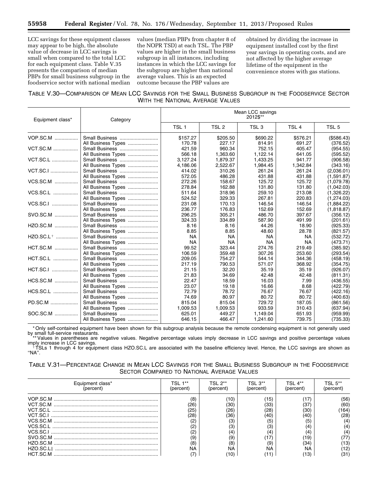LCC savings for these equipment classes may appear to be high, the absolute value of decrease in LCC savings is small when compared to the total LCC for each equipment class. Table V.35 presents the comparison of median PBPs for small business subgroup in the foodservice sector with national median

values (median PBPs from chapter 8 of the NOPR TSD) at each TSL. The PBP values are higher in the small business subgroup in all instances, including instances in which the LCC savings for the subgroup are higher than national average values. This is an expected outcome because the PBP values are

obtained by dividing the increase in equipment installed cost by the first year savings in operating costs, and are not affected by the higher average lifetime of the equipment in the convenience stores with gas stations.

## TABLE V.30—COMPARISON OF MEAN LCC SAVINGS FOR THE SMALL BUSINESS SUBGROUP IN THE FOODSERVICE SECTOR WITH THE NATIONAL AVERAGE VALUES

| Equipment class*      | Category                             | Mean LCC savings<br>2012\$** |                  |                  |                  |                      |
|-----------------------|--------------------------------------|------------------------------|------------------|------------------|------------------|----------------------|
|                       |                                      | TSL <sub>1</sub>             | TSL 2            | TSL <sub>3</sub> | TSL 4            | TSL <sub>5</sub>     |
| <b>VOP.SC.M</b>       | Small Business                       | \$157.27                     | \$205.50         | \$690.22         | \$576.21         | (\$586.43)           |
|                       | All Business Types                   | 170.78                       | 227.17           | 814.91           | 691.27           | (376.52)             |
| <b>VCT.SC.M </b>      | Small Business                       | 421.59                       | 960.34           | 752.15           | 405.47           | (954.55)             |
|                       | All Business Types                   | 566.18                       | 1,363.60         | 1,122.14         | 641.05           | (595.52)             |
| <b>VCT.SC.L</b>       | Small Business                       | 3.127.24                     | 1,879.37         | 1,433.25         | 941.77           | (906.58)             |
|                       | All Business Types                   | 4,186.06                     | 2,522.67         | 1,984.45         | 1,342.84         | (343.16)             |
| <b>VCT.SC.I</b>       | Small Business                       | 414.02                       | 310.26           | 261.24           | 261.24           | (2,036.01)           |
|                       | All Business Types                   | 572.05                       | 486.28           | 431.88           | 431.88           | (1,591.87)           |
| <b>VCS.SC.M</b>       | Small Business                       | 272.26                       | 158.67           | 125.72           | 125.72           | (1,079.78)           |
|                       | All Business Types                   | 278.84                       | 162.88           | 131.80           | 131.80           | (1,042.03)           |
| VCS.SC.L              | Small Business                       | 511.64                       | 318.96           | 259.10           | 213.08           | (1,326.22)           |
|                       | All Business Types                   | 524.52                       | 329.33           | 267.81           | 220.83           | (1,274.03)           |
| VCS.SC.I              | Small Business                       | 231.08                       | 170.13           | 146.54           | 146.54           | (1,884.22)           |
|                       | All Business Types                   | 236.77                       | 176.83           | 152.69           | 152.69           | (1,818.87)           |
| SVO.SC.M              | Small Business                       | 296.25<br>324.33             | 305.21<br>334.89 | 486.70<br>587.90 | 397.67<br>491.99 | (356.12)             |
| HZO.SC.M              | All Business Types<br>Small Business | 8.16                         | 8.16<br>8.85     | 44.26<br>48.60   | 18.90<br>28.78   | (201.61)<br>(925.33) |
| HZO.SC.L <sup>†</sup> | All Business Types<br>Small Business | 8.85<br><b>NA</b>            | <b>NA</b>        | <b>NA</b>        | <b>NA</b>        | (821.57)<br>(532.72) |
| <b>HCT.SC.M</b>       | All Business Types                   | <b>NA</b>                    | <b>NA</b>        | <b>NA</b>        | <b>NA</b>        | (473.71)             |
|                       | Small Business                       | 99.52                        | 323.44           | 274.76           | 219.49           | (385.92)             |
| HCT.SC.L              | All Business Types                   | 106.59                       | 359.48           | 307.26           | 253.60           | (293.54)             |
|                       | Small Business                       | 209.05                       | 754.27           | 544.14           | 344.36           | (458.19)             |
| HCT.SC.I              | All Business Types                   | 217.19                       | 790.53           | 571.07           | 368.92           | (354.75)             |
|                       | Small Business                       | 21.15                        | 32.20            | 35.19            | 35.19            | (926.07)             |
| HCS.SC.M              | All Business Types                   | 21.83                        | 34.69            | 42.48            | 42.48            | (811.31)             |
|                       | Small Business                       | 22.47                        | 18.59            | 16.03            | 7.99             | (436.55)             |
| HCS.SC.L              | All Business Types                   | 23.07                        | 19.18            | 16.66            | 8.68             | (422.79)             |
|                       | Small Business                       | 72.79                        | 78.72            | 76.67            | 76.67            | (422.16)             |
| PD.SC.M               | All Business Types                   | 74.69                        | 80.97            | 80.72            | 80.72            | (400.63)             |
|                       | Small Business                       | 815.04                       | 815.04           | 729.72           | 187.05           | (861.56)             |
| SOC.SC.M              | All Business Types                   | 1,009.53                     | 1,009.53         | 933.59           | 310.43           | (637.94)             |
|                       | Small Business                       | 625.01                       | 449.27           | 1,149.04         | 651.93           | (959.99)             |
|                       | All Business Types                   | 646.15                       | 466.47           | 1,241.60         | 739.75           | (735.33)             |

\*Only self-contained equipment have been shown for this subgroup analysis because the remote condensing equipment is not generally used<br>by small full-service restaurants.<br>\*\*Values in parentheses are negative values. Negati

imply increase in LCC savings.<br>
<sup>†</sup>TSLs 1 through 4 for equipment class HZO.SC.L are associated with the baseline efficiency level. Hence, the LCC savings are shown as

''NA''.

TABLE V.31—PERCENTAGE CHANGE IN MEAN LCC SAVINGS FOR THE SMALL BUSINESS SUBGROUP IN THE FOODSERVICE SECTOR COMPARED TO NATIONAL AVERAGE VALUES

| Equipment class*<br>(percent) | TSI 1**<br>(percent) | TSI 2**<br>(percent | TSI 3**<br>(percent) | TSI 4**<br>(percent) | TSL 5**<br>(percent) |
|-------------------------------|----------------------|---------------------|----------------------|----------------------|----------------------|
|                               | (8)                  |                     | $^{\prime}$ 15)      |                      | (56)                 |
|                               | 26)                  | ί30                 | (33)                 | '37                  | (60)                 |
|                               | 25                   | 26                  | (28                  | '30                  | 164)                 |
|                               | (28)                 | 36                  | (40)                 | '40                  | (28)                 |
| VCS.SC.M                      |                      | Έ.                  | (5)                  |                      |                      |
|                               |                      | Έ.                  | 3)                   |                      |                      |
| VCS.SC.I                      |                      |                     | Ί4                   |                      |                      |
| SVO SC M                      |                      | Έ.                  |                      | 19'                  |                      |
|                               | (8)                  | ΄8                  | (9)                  | 134                  | 13)                  |
| HZO.SC.Lt                     | <b>NA</b>            | NA                  | <b>NA</b>            | ΝA                   | 12)                  |
|                               |                      | 10)                 | (11)                 | '13)                 | ΄31                  |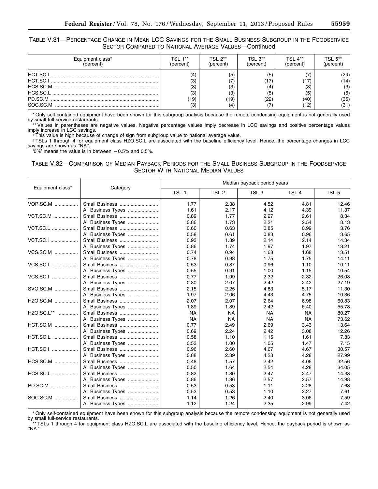TABLE V.31—PERCENTAGE CHANGE IN MEAN LCC SAVINGS FOR THE SMALL BUSINESS SUBGROUP IN THE FOODSERVICE SECTOR COMPARED TO NATIONAL AVERAGE VALUES—Continued

| Equipment class* | "SI 1**                         | TSI 2**              | TSI 3**                          | TSI 4**         | TSI 5**                                    |
|------------------|---------------------------------|----------------------|----------------------------------|-----------------|--------------------------------------------|
| (percent)        | percent                         | oercent`             | percent)                         | percent         | percenti                                   |
| SOC.SC.M         | (3)<br>(3)<br>(3)<br>19)<br>(3) | 5<br>΄3<br>΄3<br>19) | (5)<br>'17<br>(4)<br>(5)<br>(22) | (8<br>ί5΄<br>40 | (29)<br>(14)<br>(3)<br>(5)<br>(35)<br>(31) |

\* Only self-contained equipment have been shown for this subgroup analysis because the remote condensing equipment is not generally used by small full-service restaurants.

\*\* Values in parentheses are negative values. Negative percentage values imply decrease in LCC savings and positive percentage values imply increase in LCC savings.

†This value is high because of change of sign from subgroup value to national average value.

‡TSLs 1 through 4 for equipment class HZO.SC.L are associated with the baseline efficiency level. Hence, the percentage changes in LCC savings are shown as ''NA''.

'0%' means the value is in between  $-0.5$ % and 0.5%.

TABLE V.32—COMPARISON OF MEDIAN PAYBACK PERIODS FOR THE SMALL BUSINESS SUBGROUP IN THE FOODSERVICE SECTOR WITH NATIONAL MEDIAN VALUES

|                  | Category           | Median payback period years |                  |                  |                  |                  |
|------------------|--------------------|-----------------------------|------------------|------------------|------------------|------------------|
| Equipment class* |                    | TSL <sub>1</sub>            | TSL <sub>2</sub> | TSL <sub>3</sub> | TSL <sub>4</sub> | TSL <sub>5</sub> |
| VOP.SC.M         | Small Business     | 1.77                        | 2.38             | 4.52             | 4.81             | 12.46            |
|                  | All Business Types | 1.61                        | 2.17             | 4.12             | 4.39             | 11.37            |
| <b>VCT.SC.M</b>  | Small Business     | 0.89                        | 1.77             | 2.27             | 2.61             | 8.34             |
|                  | All Business Types | 0.86                        | 1.73             | 2.21             | 2.54             | 8.13             |
| <b>VCT.SC.L </b> | Small Business     | 0.60                        | 0.63             | 0.85             | 0.99             | 3.76             |
|                  | All Business Types | 0.58                        | 0.61             | 0.83             | 0.96             | 3.65             |
| VCT.SC.I         | Small Business     | 0.93                        | 1.89             | 2.14             | 2.14             | 14.34            |
|                  | All Business Types | 0.86                        | 1.74             | 1.97             | 1.97             | 13.21            |
| VCS.SC.M         | Small Business     | 0.74                        | 0.94             | 1.68             | 1.68             | 13.51            |
|                  | All Business Types | 0.78                        | 0.98             | 1.75             | 1.75             | 14.11            |
| VCS.SC.L         | Small Business     | 0.53                        | 0.87             | 0.96             | 1.10             | 10.11            |
|                  | All Business Types | 0.55                        | 0.91             | 1.00             | 1.15             | 10.54            |
| VCS.SC.I         | Small Business     | 0.77                        | 1.99             | 2.32             | 2.32             | 26.08            |
|                  | All Business Types | 0.80                        | 2.07             | 2.42             | 2.42             | 27.19            |
| SVO.SC.M         | Small Business     | 2.15                        | 2.25             | 4.83             | 5.17             | 11.30            |
|                  | All Business Types | 1.97                        | 2.06             | 4.43             | 4.75             | 10.36            |
| HZO.SC.M         | Small Business     | 2.07                        | 2.07             | 2.64             | 6.98             | 60.83            |
|                  | All Business Types | 1.89                        | 1.89             | 2.42             | 6.40             | 55.78            |
| HZO.SC.L**       | Small Business     | <b>NA</b>                   | <b>NA</b>        | <b>NA</b>        | <b>NA</b>        | 80.27            |
|                  | All Business Types | <b>NA</b>                   | <b>NA</b>        | <b>NA</b>        | <b>NA</b>        | 73.62            |
| HCT.SC.M         | Small Business     | 0.77                        | 2.49             | 2.69             | 3.43             | 13.64            |
|                  | All Business Types | 0.69                        | 2.24             | 2.42             | 3.08             | 12.26            |
| HCT.SC.L         | Small Business     | 0.58                        | 1.10             | 1.15             | 1.61             | 7.83             |
|                  | All Business Types | 0.53                        | 1.00             | 1.05             | 1.47             | 7.15             |
| HCT.SC.I         | Small Business     | 0.96                        | 2.60             | 4.67             | 4.67             | 30.57            |
|                  | All Business Types | 0.88                        | 2.39             | 4.28             | 4.28             | 27.99            |
| HCS.SC.M         | Small Business     | 0.48                        | 1.57             | 2.42             | 4.06             | 32.56            |
|                  | All Business Types | 0.50                        | 1.64             | 2.54             | 4.28             | 34.05            |
| HCS.SC.L         | Small Business     | 0.82                        | 1.30             | 2.47             | 2.47             | 14.38            |
|                  | All Business Types | 0.86                        | 1.36             | 2.57             | 2.57             | 14.98            |
| PD.SC.M          | Small Business     | 0.53                        | 0.53             | 1.11             | 2.28             | 7.63             |
|                  | All Business Types | 0.53                        | 0.53             | 1.10             | 2.27             | 7.61             |
| SOC.SC.M         | Small Business     | 1.14                        | 1.26             | 2.40             | 3.06             | 7.59             |
|                  | All Business Types | 1.12                        | 1.24             | 2.35             | 2.99             | 7.42             |

\* Only self-contained equipment have been shown for this subgroup analysis because the remote condensing equipment is not generally used by small full-service restaurants.

\*\* TSLs 1 through 4 for equipment class HZO.SC.L are associated with the baseline efficiency level. Hence, the payback period is shown as ''NA.''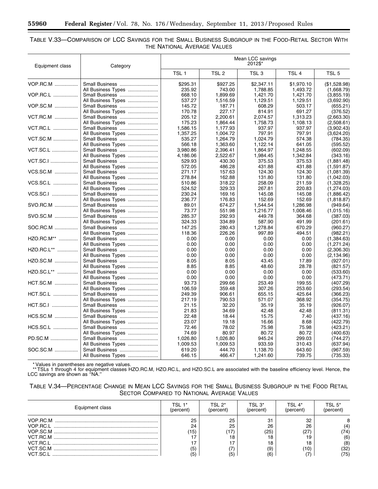۳

### TABLE V.33—COMPARISON OF LCC SAVINGS FOR THE SMALL BUSINESS SUBGROUP IN THE FOOD-RETAIL SECTOR WITH THE NATIONAL AVERAGE VALUES

| Equipment class  | Category                             | Mean LCC savings<br>2012\$* |                  |                  |                  |                           |
|------------------|--------------------------------------|-----------------------------|------------------|------------------|------------------|---------------------------|
|                  |                                      | TSL <sub>1</sub>            | TSL <sub>2</sub> | TSL <sub>3</sub> | TSL <sub>4</sub> | TSL <sub>5</sub>          |
| VOP.RC.M         | Small Business                       | \$295.31                    | \$927.25         | \$2.347.11       | \$1.970.10       | (S1.528.98)               |
|                  | All Business Types                   | 235.92                      | 743.00           | 1,788.85         | 1,493.72         | (1,668.79)                |
| VOP.RC.L         | Small Business                       | 668.10                      | 1,899.69         | 1,421.70         | 1,421.70         | (3,855.19)                |
|                  | All Business Types                   | 537.27                      | 1,516.59         | 1,129.51         | 1,129.51         | (3,692.90)                |
| VOP.SC.M         | Small Business                       | 145.72                      | 187.71           | 608.29           | 503.17           | (655.21)                  |
|                  | All Business Types                   | 170.78                      | 227.17           | 814.91           | 691.27           | (376.52)                  |
| VCT.RC.M         | Small Business                       | 205.12                      | 2,200.61         | 2,074.57         | 1,313.23         | (2,663.30)                |
|                  | All Business Types                   | 175.23                      | 1,864.44         | 1,758.73         | 1,108.13         | (2,508.61)                |
| VCT.RC.L         | Small Business                       | 1,586.15                    | 1,177.93         | 937.97           | 937.97           | (3,902.43)                |
|                  | All Business Types                   | 1,357.25                    | 1,004.72         | 797.91           | 797.91           | (3,624.20)                |
| <b>VCT.SC.M </b> | Small Business                       | 535.27                      | 1,264.79         | 1,024.79         | 574.38           | (784.35)                  |
|                  | All Business Types                   | 566.18                      | 1,363.60         | 1.122.14         | 641.05           | (595.52)                  |
| <b>VCT.SC.L</b>  | Small Business                       | 3,980.86                    | 2,396.41         | 1,864.97         | 1,248.55         | (602.09)                  |
|                  | All Business Types                   | 4,186.06                    | 2,522.67         | 1,984.45         | 1,342.84         | (343.16)                  |
| VCT.SC.I         | Small Business                       | 529.93                      | 430.30           | 375.53           | 375.53           | (1,881.48)                |
|                  | All Business Types                   | 572.05                      | 486.28           | 431.88           | 431.88           | (1,591.87)                |
| VCS.SC.M         | Small Business                       | 271.17                      | 157.63           | 124.30           | 124.30           | (1,081.39)                |
|                  | All Business Types                   | 278.84                      | 162.88           | 131.80           | 131.80           | (1,042.03)                |
| VCS.SC.L         | Small Business                       | 510.86                      | 318.22           | 258.09           | 211.59           | (1,328.25)                |
|                  | All Business Types                   | 524.52                      | 329.33           | 267.81           | 220.83           | (1, 274.03)               |
| VCS.SC.I         | Small Business                       | 230.24                      | 169.16           | 145.08           | 145.08           | (1,886.42)                |
|                  | All Business Types                   | 236.77                      | 176.83           | 152.69           | 152.69           | (1,818.87)                |
| SVO.RC.M         | Small Business                       | 89.01                       | 674.27           | 1,544.54         | 1.286.98         | (949.64)                  |
|                  | All Business Types                   | 73.77                       | 551.98           | 1,216.77         | 1,008.46         | (1,015.16)                |
| SVO.SC.M         | Small Business                       | 285.37                      | 292.93           | 449.78           | 364.68           | (387.03)                  |
|                  | All Business Types                   | 324.33                      | 334.89           | 587.90           | 491.99           | (201.61)                  |
| SOC.RC.M         | Small Business                       | 147.25                      | 280.43           | 1,278.84         | 670.29           | (960.27)                  |
|                  | All Business Types                   | 118.36                      | 226.26           | 997.89           | 494.51           | (982.21)                  |
| HZO.RC.M**       | Small Business                       | 0.00                        | 0.00             | 0.00<br>0.00     | 0.00             | (1,384.63)                |
| HZO.RC.L**       | All Business Types                   | 0.00<br>0.00                | 0.00             | 0.00             | 0.00             | (1,271.24)                |
|                  | Small Business                       | 0.00                        | 0.00<br>0.00     | 0.00             | 0.00<br>0.00     | (2,306.30)<br>(2, 134.96) |
| HZO.SC.M         | All Business Types<br>Small Business | 8.05                        | 8.05             | 43.45            | 17.89            | (927.01)                  |
|                  | All Business Types                   | 8.85                        | 8.85             | 48.60            | 28.78            | (821.57)                  |
| HZO.SC.L**       | Small Business                       | 0.00                        | 0.00             | 0.00             | 0.00             | (533.60)                  |
|                  | All Business Types                   | 0.00                        | 0.00             | 0.00             | 0.00             | (473.71)                  |
| HCT.SC.M         | Small Business                       | 93.73                       | 299.66           | 253.49           | 199.55           | (407.29)                  |
|                  | All Business Types                   | 106.59                      | 359.48           | 307.26           | 253.60           | (293.54)                  |
| HCT.SC.L         | Small Business                       | 249.39                      | 906.61           | 655.15           | 425.64           | (366.23)                  |
|                  | All Business Types                   | 217.19                      | 790.53           | 571.07           | 368.92           | (354.75)                  |
| HCT.SC.I         | Small Business                       | 21.15                       | 32.20            | 35.19            | 35.19            | (926.07)                  |
|                  | All Business Types                   | 21.83                       | 34.69            | 42.48            | 42.48            | (811.31)                  |
| HCS.SC.M         | Small Business                       | 22.48                       | 18.44            | 15.75            | 7.40             | (437.16)                  |
|                  | All Business Types                   | 23.07                       | 19.18            | 16.66            | 8.68             | (422.79)                  |
| HCS.SC.L         | Small Business                       | 72.46                       | 78.02            | 75.98            | 75.98            | (423.21)                  |
|                  | All Business Types                   | 74.69                       | 80.97            | 80.72            | 80.72            | (400.63)                  |
| PD.SC.M          | Small Business                       | 1,026.80                    | 1,026.80         | 945.24           | 299.03           | (744.27)                  |
|                  | All Business Types                   | 1,009.53                    | 1,009.53         | 933.59           | 310.43           | (637.94)                  |
| SOC.SC.M         | Small Business                       | 619.20                      | 444.70           | 1,138.70         | 643.60           | (967.59)                  |
|                  | All Business Types                   | 646.15                      | 466.47           | 1,241.60         | 739.75           | (735.33)                  |

\* Values in parentheses are negative values.

\*\* TSLs 1 through 4 for equipment classes HZO.RC.M, HZO.RC.L, and HZO.SC.L are associated with the baseline efficiency level. Hence, the LCC savings are shown as ''NA.''

## TABLE V.34—PERCENTAGE CHANGE IN MEAN LCC SAVINGS FOR THE SMALL BUSINESS SUBGROUP IN THE FOOD RETAIL SECTOR COMPARED TO NATIONAL AVERAGE VALUES

| Equipment class | TSL 1*<br>(percent) | TSI 2*<br>(percent | TSI 3*<br>(percent) | TSI 4*<br>(percent) | TSI 5*<br>(percent) |
|-----------------|---------------------|--------------------|---------------------|---------------------|---------------------|
| VOP RC M        | 25                  | 25                 | 31                  | 32                  |                     |
|                 | 24                  | 25                 | 26                  | 26                  | 41                  |
|                 | (15)                |                    | (25)                |                     | '74)                |
|                 |                     |                    | 18                  |                     | (6)                 |
|                 |                     |                    | 18                  |                     | (8)                 |
|                 | (5                  |                    | (9)                 | 10                  | (32)                |
|                 | (5)                 | 5                  | (6)                 |                     | (75)                |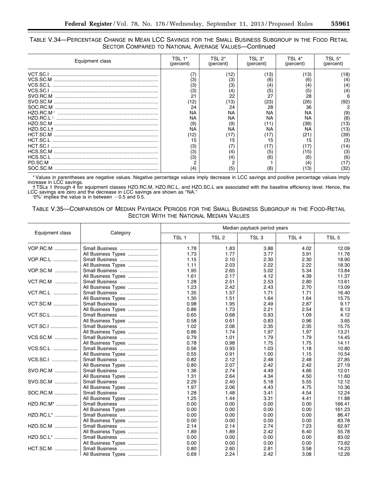## TABLE V.34—PERCENTAGE CHANGE IN MEAN LCC SAVINGS FOR THE SMALL BUSINESS SUBGROUP IN THE FOOD RETAIL SECTOR COMPARED TO NATIONAL AVERAGE VALUES—Continued

| Equipment class | TSL<br>(percent) | TSL 2*<br>(percent) | (percent) | (percent) | (percent) |
|-----------------|------------------|---------------------|-----------|-----------|-----------|
|                 |                  | (12)                | (13)      | 13'       | '18)      |
|                 | (3)              | 3'                  | (6)       | (6)       |           |
| VCS.SC.L        | (3)              | 3'                  | (4)       |           | (4)       |
|                 | (3)              | $\left( 4\right)$   | (5)       | (5)       | (4)       |
|                 | 21               | 22                  | 27        | 28        |           |
|                 | (12)             | 13)                 | (23)      | 26        | (92       |
| SOC.RC.M        | 24               | 24                  | 28        | 36        |           |
|                 | NA               | NA                  | NA        | ΝA        | (9)       |
| $HZO.RC.I$ †    | NA               | NA                  | <b>NA</b> | ΝA        | (8)       |
|                 | (9)              | (9)                 |           | '38'      | '13)      |
|                 | <b>NA</b>        | ΝA                  | ΝA        | ΝA        | '13)      |
|                 | (12)             |                     | (17)      |           | (39)      |
|                 | 15               |                     | 15        |           | (3)       |
|                 | (3)              |                     | 17        |           | 14)       |
|                 | (3)              | '4,                 | (5)       | 15)       | (3)       |
|                 | (3)              | 4                   | (6)       | (6)       | (6)       |
| PD.SC.M         |                  |                     |           |           | '17)      |
| SOC.SC.M        | (4)              | 5                   | (8)       |           | '32'      |

\* Values in parentheses are negative values. Negative percentage values imply decrease in LCC savings and positive percentage values imply increase in LCC savings.

† TSLs 1 through 4 for equipment classes HZO.RC.M, HZO.RC.L, and HZO.SC.L are associated with the baseline efficiency level. Hence, the LCC savings are zero and the decrease in LCC savings are shown as "NA." <br>'0%' implies the value is in between -0.5 and 0.5.

## TABLE V.35—COMPARISON OF MEDIAN PAYBACK PERIODS FOR THE SMALL BUSINESS SUBGROUP IN THE FOOD-RETAIL SECTOR WITH THE NATIONAL MEDIAN VALUES

|                  |                    | Median payback period years |                  |                  |                  |                  |  |  |
|------------------|--------------------|-----------------------------|------------------|------------------|------------------|------------------|--|--|
| Equipment class  | Category           | TSL <sub>1</sub>            | TSL <sub>2</sub> | TSL <sub>3</sub> | TSL <sub>4</sub> | TSL <sub>5</sub> |  |  |
| VOP.RC.M         | Small Business     | 1.78                        | 1.83             | 3.88             | 4.02             | 12.09            |  |  |
|                  | All Business Types | 1.73                        | 1.77             | 3.77             | 3.91             | 11.76            |  |  |
| VOP.RC.L         | Small Business     | 1.15                        | 2.10             | 2.30             | 2.30             | 18.90            |  |  |
|                  | All Business Types | 1.11                        | 2.03             | 2.22             | 2.22             | 18.30            |  |  |
| VOP.SC.M         | Small Business     | 1.95                        | 2.65             | 5.02             | 5.34             | 13.84            |  |  |
|                  | All Business Types | 1.61                        | 2.17             | 4.12             | 4.39             | 11.37            |  |  |
| VCT.RC.M         | Small Business     | 1.28                        | 2.51             | 2.53             | 2.80             | 13.61            |  |  |
|                  | All Business Types | 1.23                        | 2.42             | 2.43             | 2.70             | 13.09            |  |  |
| VCT.RC.L         | Small Business     | 1.35                        | 1.57             | 1.71             | 1.71             | 16.40            |  |  |
|                  | All Business Types | 1.30                        | 1.51             | 1.64             | 1.64             | 15.75            |  |  |
| <b>VCT.SC.M</b>  | Small Business     | 0.98                        | 1.95             | 2.49             | 2.87             | 9.17             |  |  |
|                  | All Business Types | 0.86                        | 1.73             | 2.21             | 2.54             | 8.13             |  |  |
| <b>VCT.SC.L </b> | Small Business     | 0.65                        | 0.68             | 0.93             | 1.09             | 4.12             |  |  |
|                  | All Business Types | 0.58                        | 0.61             | 0.83             | 0.96             | 3.65             |  |  |
| <b>VCT.SC.I </b> | Small Business     | 1.02                        | 2.08             | 2.35             | 2.35             | 15.75            |  |  |
|                  | All Business Types | 0.86                        | 1.74             | 1.97             | 1.97             | 13.21            |  |  |
| VCS.SC.M         | Small Business     | 0.79                        | 1.01             | 1.79             | 1.79             | 14.45            |  |  |
|                  | All Business Types | 0.78                        | 0.98             | 1.75             | 1.75             | 14.11            |  |  |
| VCS.SC.L         | Small Business     | 0.56                        | 0.93             | 1.03             | 1.18             | 10.80            |  |  |
|                  | All Business Types | 0.55                        | 0.91             | 1.00             | 1.15             | 10.54            |  |  |
| VCS.SC.I         | Small Business     | 0.82                        | 2.12             | 2.48             | 2.48             | 27.85            |  |  |
|                  | All Business Types | 0.80                        | 2.07             | 2.42             | 2.42             | 27.19            |  |  |
| SVO.RC.M         | Small Business     | 1.36                        | 2.74             | 4.49             | 4.66             | 12.01            |  |  |
|                  | All Business Types | 1.31                        | 2.64             | 4.34             | 4.50             | 11.60            |  |  |
| SVO.SC.M         | Small Business     | 2.29                        | 2.40             | 5.18             | 5.55             | 12.12            |  |  |
|                  | All Business Types | 1.97                        | 2.06             | 4.43             | 4.75             | 10.36            |  |  |
| SOC.RC.M         | Small Business     | 1.28                        | 1.48             | 3.41             | 4.54             | 12.24            |  |  |
|                  | All Business Types | 1.25                        | 1.44             | 3.31             | 4.41             | 11.88            |  |  |
| HZO.RC.M*        | Small Business     | 0.00                        | 0.00             | 0.00             | 0.00             | 166.41           |  |  |
|                  | All Business Types | 0.00                        | 0.00             | 0.00             | 0.00             | 161.23           |  |  |
| HZO.RC.L*        | Small Business     | 0.00                        | 0.00             | 0.00             | 0.00             | 86.47            |  |  |
|                  | All Business Types | 0.00                        | 0.00             | 0.00             | 0.00             | 83.78            |  |  |
| HZO.SC.M         | Small Business     | 2.14                        | 2.14             | 2.74             | 7.23             | 62.97            |  |  |
|                  | All Business Types | 1.89                        | 1.89             | 2.42             | 6.40             | 55.78            |  |  |
| HZO.SC.L*        | Small Business     | 0.00                        | 0.00             | 0.00             | 0.00             | 83.02            |  |  |
|                  | All Business Types | 0.00                        | 0.00             | 0.00             | 0.00             | 73.62            |  |  |
| <b>HCT.SC.M</b>  | Small Business     | 0.80                        | 2.60             | 2.81             | 3.58             | 14.23            |  |  |
|                  | All Business Types | 0.69                        | 2.24             | 2.42             | 3.08             | 12.26            |  |  |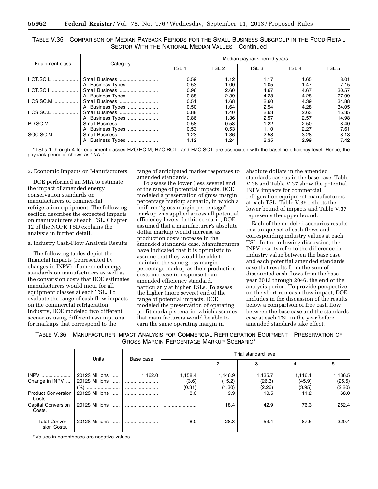TABLE V.35—COMPARISON OF MEDIAN PAYBACK PERIODS FOR THE SMALL BUSINESS SUBGROUP IN THE FOOD-RETAIL SECTOR WITH THE NATIONAL MEDIAN VALUES—Continued

|                 |                    | Median payback period years |       |       |                  |       |  |
|-----------------|--------------------|-----------------------------|-------|-------|------------------|-------|--|
| Equipment class | Category           | TSL <sub>1</sub>            | TSL 2 | TSL 3 | TSL <sub>4</sub> | TSL 5 |  |
| HCT.SC.L        | Small Business     | 0.59                        | 1.12  | 1.17  | 1.65             | 8.01  |  |
|                 | All Business Types | 0.53                        | 1.00  | 1.05  | 1.47             | 7.15  |  |
| HCT.SC.I        | Small Business     | 0.96                        | 2.60  | 4.67  | 4.67             | 30.57 |  |
|                 | All Business Types | 0.88                        | 2.39  | 4.28  | 4.28             | 27.99 |  |
| HCS.SC.M        | Small Business     | 0.51                        | 1.68  | 2.60  | 4.39             | 34.88 |  |
|                 | All Business Types | 0.50                        | 1.64  | 2.54  | 4.28             | 34.05 |  |
| HCS.SC.L        | Small Business     | 0.88                        | 1.40  | 2.63  | 2.63             | 15.35 |  |
|                 | All Business Types | 0.86                        | 1.36  | 2.57  | 2.57             | 14.98 |  |
| PD.SC.M         | Small Business     | 0.58                        | 0.58  | 1.22  | 2.50             | 8.40  |  |
|                 | All Business Types | 0.53                        | 0.53  | 1.10  | 2.27             | 7.61  |  |
| SOC.SC.M        | Small Business     | 1.23                        | 1.36  | 2.58  | 3.28             | 8.13  |  |
|                 | All Business Types | 1.12                        | 1.24  | 2.35  | 2.99             | 7.42  |  |

\* TSLs 1 through 4 for equipment classes HZO.RC.M, HZO.RC.L, and HZO.SC.L are associated with the baseline efficiency level. Hence, the payback period is shown as ''NA.''

2. Economic Impacts on Manufacturers

DOE performed an MIA to estimate the impact of amended energy conservation standards on manufacturers of commercial refrigeration equipment. The following section describes the expected impacts on manufacturers at each TSL. Chapter 12 of the NOPR TSD explains the analysis in further detail.

a. Industry Cash-Flow Analysis Results

The following tables depict the financial impacts (represented by changes in INPV) of amended energy standards on manufacturers as well as the conversion costs that DOE estimates manufacturers would incur for all equipment classes at each TSL. To evaluate the range of cash flow impacts on the commercial refrigeration industry, DOE modeled two different scenarios using different assumptions for markups that correspond to the

range of anticipated market responses to amended standards.

To assess the lower (less severe) end of the range of potential impacts, DOE modeled a preservation of gross margin percentage markup scenario, in which a uniform ''gross margin percentage'' markup was applied across all potential efficiency levels. In this scenario, DOE assumed that a manufacturer's absolute dollar markup would increase as production costs increase in the amended standards case. Manufacturers have indicated that it is optimistic to assume that they would be able to maintain the same gross margin percentage markup as their production costs increase in response to an amended efficiency standard, particularly at higher TSLs. To assess the higher (more severe) end of the range of potential impacts, DOE modeled the preservation of operating profit markup scenario, which assumes that manufacturers would be able to earn the same operating margin in

absolute dollars in the amended standards case as in the base case. Table V.36 and Table V.37 show the potential INPV impacts for commercial refrigeration equipment manufacturers at each TSL: Table V.36 reflects the lower bound of impacts and Table V.37 represents the upper bound.

Each of the modeled scenarios results in a unique set of cash flows and corresponding industry values at each TSL. In the following discussion, the INPV results refer to the difference in industry value between the base case and each potential amended standards case that results from the sum of discounted cash flows from the base year 2013 through 2046, the end of the analysis period. To provide perspective on the short-run cash flow impact, DOE includes in the discussion of the results below a comparison of free cash flow between the base case and the standards case at each TSL in the year before amended standards take effect.

TABLE V.36—MANUFACTURER IMPACT ANALYSIS FOR COMMERCIAL REFRIGERATION EQUIPMENT—PRESERVATION OF GROSS MARGIN PERCENTAGE MARKUP SCENARIO\*

|                                     |                      | Units<br>Base case |         | Trial standard level |         |         |         |  |  |
|-------------------------------------|----------------------|--------------------|---------|----------------------|---------|---------|---------|--|--|
|                                     |                      |                    |         | 2                    | 3       | 4       | 5       |  |  |
| <b>INPV</b>                         | 2012\$ Millions      | 1,162.0            | 1,158.4 | 1,146.9              | 1,135.7 | 1,116.1 | 1,136.5 |  |  |
| Change in INPV                      | 2012\$ Millions      |                    | (3.6)   | (15.2)               | (26.3)  | (45.9)  | (25.5)  |  |  |
|                                     | (%)                  |                    | (0.31)  | (1.30)               | (2.26)  | (3.95)  | (2.20)  |  |  |
| <b>Product Conversion</b><br>Costs. | 2012\$ Millions      |                    | 8.0     | 9.9                  | 10.5    | 11.2    | 68.0    |  |  |
| <b>Capital Conversion</b><br>Costs. | 2012\$ Millions<br>  |                    |         | 18.4                 | 42.9    | 76.3    | 252.4   |  |  |
| <b>Total Conver-</b><br>sion Costs. | 2012\$ Millions<br>. |                    | 8.0     | 28.3                 | 53.4    | 87.5    | 320.4   |  |  |

\* Values in parentheses are negative values.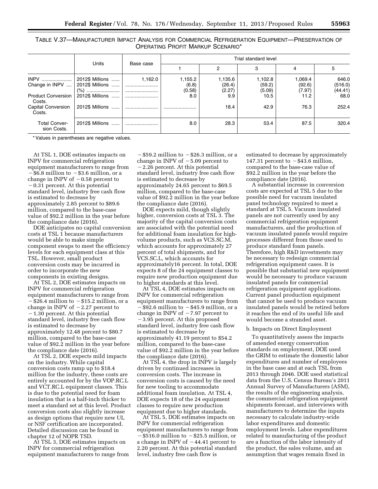| TABLE V.37—MANUFACTURER IMPACT ANALYSIS FOR COMMERCIAL REFRIGERATION EQUIPMENT—PRESERVATION OF |                                   |  |  |
|------------------------------------------------------------------------------------------------|-----------------------------------|--|--|
|                                                                                                | OPERATING PROFIT MARKUP SCENARIO* |  |  |

|                                     |                                                |           | Trial standard level       |                             |                             |                             |                             |
|-------------------------------------|------------------------------------------------|-----------|----------------------------|-----------------------------|-----------------------------|-----------------------------|-----------------------------|
|                                     | Units                                          | Base case |                            | 2                           | 3                           | 4                           | 5                           |
| <b>INPV</b><br>Change in INPV       | 2012\$ Millions<br>2012\$ Millions<br>(% )<br> | 1.162.0   | 1,155.2<br>(6.8)<br>(0.58) | 1,135.6<br>(26.4)<br>(2.27) | 1,102.8<br>(59.2)<br>(5.09) | 1,069.4<br>(92.6)<br>(7.97) | 646.0<br>(516.0)<br>(44.41) |
| <b>Product Conversion</b><br>Costs. | 2012\$ Millions                                |           | 8.0                        | 9.9                         | 10.5                        | 11.2                        | 68.0                        |
| <b>Capital Conversion</b><br>Costs. | 2012\$ Millions                                |           |                            | 18.4                        | 42.9                        | 76.3                        | 252.4                       |
| <b>Total Conver-</b><br>sion Costs. | 2012\$ Millions<br>1.1.1.1.1                   |           | 8.0                        | 28.3                        | 53.4                        | 87.5                        | 320.4                       |

\* Values in parentheses are negative values.

At TSL 1, DOE estimates impacts on INPV for commercial refrigeration equipment manufacturers to range from  $-$  \$6.8 million to  $-$  \$3.6 million, or a change in INPV of  $-0.58$  percent to  $-0.31$  percent. At this potential standard level, industry free cash flow is estimated to decrease by approximately 2.85 percent to \$89.6 million, compared to the base-case value of \$92.2 million in the year before the compliance date (2016).

DOE anticipates no capital conversion costs at TSL 1 because manufacturers would be able to make simple component swaps to meet the efficiency levels for each equipment class at this TSL. However, small product conversion costs may be incurred in order to incorporate the new components in existing designs.

At TSL 2, DOE estimates impacts on INPV for commercial refrigeration equipment manufacturers to range from  $-$ \$26.4 million to  $-$ \$15.2 million, or a change in INPV of  $-2.27$  percent to  $-1.30$  percent. At this potential standard level, industry free cash flow is estimated to decrease by approximately 12.48 percent to \$80.7 million, compared to the base-case value of \$92.2 million in the year before the compliance date (2016).

At TSL 2, DOE expects mild impacts on the industry. While capital conversion costs ramp up to \$18.4 million for the industry, these costs are entirely accounted for by the VOP.RC.L and VCT.RC.L equipment classes. This is due to the potential need for foam insulation that is a half-inch thicker to meet a standard set at this level. Product conversion costs also slightly increase as design options that require new UL or NSF certification are incorporated. Detailed discussion can be found in chapter 12 of NOPR TSD.

At TSL 3, DOE estimates impacts on INPV for commercial refrigeration equipment manufacturers to range from

 $-$ \$59.2 million to  $-$ \$26.3 million, or a change in INPV of  $-5.09$  percent to  $-2.26$  percent. At this potential standard level, industry free cash flow is estimated to decrease by approximately 24.65 percent to \$69.5 million, compared to the base-case value of \$92.2 million in the year before the compliance date (2016).

DOE expects mild, though slightly higher, conversion costs at TSL 3. The majority of the capital conversion costs are associated with the potential need for additional foam insulation for highvolume products, such as VCS.SC.M, which accounts for approximately 27 percent of total shipments, and for VCS.SC.L, which accounts for approximately16 percent. In total, DOE expects 8 of the 24 equipment classes to require new production equipment due to higher standards at this level.

At TSL 4, DOE estimates impacts on INPV for commercial refrigeration equipment manufacturers to range from  $-\$92.6$  million to  $-\$45.9$  million, or a change in INPV of  $-7.97$  percent to  $-3.95$  percent. At this proposed standard level, industry free cash flow is estimated to decrease by approximately 41.19 percent to \$54.2 million, compared to the base-case value of \$92.2 million in the year before the compliance date (2016).

At TSL 4, the drop in INPV is largely driven by continued increases in conversion costs. The increase in conversion costs is caused by the need for new tooling to accommodate additional foam insulation. At TSL 4, DOE expects 18 of the 24 equipment classes to require new production equipment due to higher standards.

At TSL 5, DOE estimates impacts on INPV for commercial refrigeration equipment manufacturers to range from  $-\$516.0$  million to  $-\$25.5$  million, or a change in INPV of  $-44.41$  percent to 2.20 percent. At this potential standard level, industry free cash flow is

estimated to decrease by approximately 147.31 percent to  $-\$43.6$  million, compared to the base-case value of \$92.2 million in the year before the compliance date (2016).

A substantial increase in conversion costs are expected at TSL 5 due to the possible need for vacuum insulated panel technology required to meet a standard at TSL 5. Vacuum insulated panels are not currently used by any commercial refrigeration equipment manufacturers, and the production of vacuum insulated panels would require processes different from those used to produce standard foam panels. Therefore, high R&D investments may be necessary to redesign commercial refrigeration equipment cases. It is possible that substantial new equipment would be necessary to produce vacuum insulated panels for commercial refrigeration equipment applications. Current panel production equipment that cannot be used to produce vacuum insulated panels would be retired before it reaches the end of its useful life and would become a stranded asset.

#### b. Impacts on Direct Employment

To quantitatively assess the impacts of amended energy conservation standards on employment, DOE used the GRIM to estimate the domestic labor expenditures and number of employees in the base case and at each TSL from 2013 through 2046. DOE used statistical data from the U.S. Census Bureau's 2011 Annual Survey of Manufacturers (ASM), the results of the engineering analysis, the commercial refrigeration equipment shipments forecast, and interviews with manufacturers to determine the inputs necessary to calculate industry-wide labor expenditures and domestic employment levels. Labor expenditures related to manufacturing of the product are a function of the labor intensity of the product, the sales volume, and an assumption that wages remain fixed in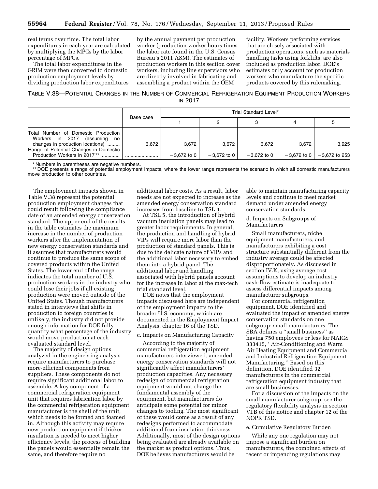real terms over time. The total labor expenditures in each year are calculated by multiplying the MPCs by the labor percentage of MPCs.

The total labor expenditures in the GRIM were then converted to domestic production employment levels by dividing production labor expenditures by the annual payment per production worker (production worker hours times the labor rate found in the U.S. Census Bureau's 2011 ASM). The estimates of production workers in this section cover workers, including line supervisors who are directly involved in fabricating and assembling a product within the OEM

facility. Workers performing services that are closely associated with production operations, such as materials handling tasks using forklifts, are also included as production labor. DOE's estimates only account for production workers who manufacture the specific products covered by this rulemaking.

TABLE V.38—POTENTIAL CHANGES IN THE NUMBER OF COMMERCIAL REFRIGERATION EQUIPMENT PRODUCTION WORKERS IN 2017

|                                                                                                               | Base case | Trial Standard Level* |               |               |               |                 |  |
|---------------------------------------------------------------------------------------------------------------|-----------|-----------------------|---------------|---------------|---------------|-----------------|--|
|                                                                                                               |           |                       |               |               | 4             | ٥               |  |
| Total Number of Domestic Production<br>Workers in 2017<br>(assuming<br>no<br>changes in production locations) | 3.672     | 3,672                 | 3.672         | 3,672         | 3.672         | 3,925           |  |
| Range of Potential Changes in Domestic<br>Production Workers in 2017 <sup>**</sup>                            |           | $-3.672$ to 0         | $-3.672$ to 0 | $-3.672$ to 0 | $-3.672$ to 0 | $-3,672$ to 253 |  |

\* Numbers in parentheses are negative numbers.

\*\* DOE presents a range of potential employment impacts, where the lower range represents the scenario in which all domestic manufacturers move production to other countries.

The employment impacts shown in Table V.38 represent the potential production employment changes that could result following the compliance date of an amended energy conservation standard. The upper end of the results in the table estimates the maximum increase in the number of production workers after the implementation of new energy conservation standards and it assumes that manufacturers would continue to produce the same scope of covered products within the United States. The lower end of the range indicates the total number of U.S. production workers in the industry who could lose their jobs if all existing production were moved outside of the United States. Though manufacturers stated in interviews that shifts in production to foreign countries is unlikely, the industry did not provide enough information for DOE fully quantify what percentage of the industry would move production at each evaluated standard level.

The majority of design options analyzed in the engineering analysis require manufacturers to purchase more-efficient components from suppliers. These components do not require significant additional labor to assemble. A key component of a commercial refrigeration equipment unit that requires fabrication labor by the commercial refrigeration equipment manufacturer is the shell of the unit, which needs to be formed and foamed in. Although this activity may require new production equipment if thicker insulation is needed to meet higher efficiency levels, the process of building the panels would essentially remain the same, and therefore require no

additional labor costs. As a result, labor needs are not expected to increase as the amended energy conservation standard increases from baseline to TSL 4.

At TSL 5, the introduction of hybrid vacuum insulation panels may lead to greater labor requirements. In general, the production and handling of hybrid VIPs will require more labor than the production of standard panels. This is due to the delicate nature of VIPs and the additional labor necessary to embed them into a hybrid panel. The additional labor and handling associated with hybrid panels account for the increase in labor at the max-tech trial standard level.

DOE notes that the employment impacts discussed here are independent of the employment impacts to the broader U.S. economy, which are documented in the Employment Impact Analysis, chapter 16 of the TSD.

## c. Impacts on Manufacturing Capacity

According to the majority of commercial refrigeration equipment manufacturers interviewed, amended energy conservation standards will not significantly affect manufacturers' production capacities. Any necessary redesign of commercial refrigeration equipment would not change the fundamental assembly of the equipment, but manufacturers do anticipate some potential for minor changes to tooling. The most significant of these would come as a result of any redesigns performed to accommodate additional foam insulation thickness. Additionally, most of the design options being evaluated are already available on the market as product options. Thus, DOE believes manufacturers would be

able to maintain manufacturing capacity levels and continue to meet market demand under amended energy conservation standards.

d. Impacts on Subgroups of Manufacturers

Small manufacturers, niche equipment manufacturers, and manufacturers exhibiting a cost structure substantially different from the industry average could be affected disproportionately. As discussed in section IV.K, using average cost assumptions to develop an industry cash-flow estimate is inadequate to assess differential impacts among manufacturer subgroups.

For commercial refrigeration equipment, DOE identified and evaluated the impact of amended energy conservation standards on one subgroup: small manufacturers. The SBA defines a ''small business'' as having 750 employees or less for NAICS 333415, ''Air-Conditioning and Warm Air Heating Equipment and Commercial and Industrial Refrigeration Equipment Manufacturing.'' Based on this definition, DOE identified 32 manufacturers in the commercial refrigeration equipment industry that are small businesses.

For a discussion of the impacts on the small manufacturer subgroup, see the regulatory flexibility analysis in section VI.B of this notice and chapter 12 of the NOPR TSD.

## e. Cumulative Regulatory Burden

While any one regulation may not impose a significant burden on manufacturers, the combined effects of recent or impending regulations may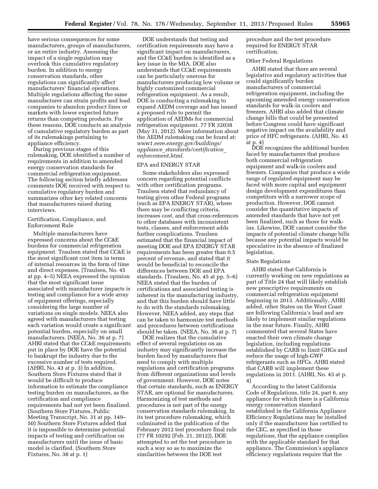have serious consequences for some manufacturers, groups of manufacturers, or an entire industry. Assessing the impact of a single regulation may overlook this cumulative regulatory burden. In addition to energy conservation standards, other regulations can significantly affect manufacturers' financial operations. Multiple regulations affecting the same manufacturer can strain profits and lead companies to abandon product lines or markets with lower expected future returns than competing products. For these reasons, DOE conducts an analysis of cumulative regulatory burden as part of its rulemakings pertaining to appliance efficiency.

During previous stages of this rulemaking, DOE identified a number of requirements in addition to amended energy conservation standards for commercial refrigeration equipment. The following section briefly addresses comments DOE received with respect to cumulative regulatory burden and summarizes other key related concerns that manufacturers raised during interviews.

### Certification, Compliance, and Enforcement Rule

Multiple manufacturers have expressed concerns about the CC&E burdens for commercial refrigeration equipment. Traulsen stated that CC&E is the most significant cost item in terms of internal resources in the form of time and direct expenses. (Traulsen, No. 45 at pp. 4–5) NEEA expressed the opinion that the most significant issue associated with manufacturer impacts is testing and compliance for a wide array of equipment offerings, especially considering the large number of variations on single models. NEEA also agreed with manufacturers that testing each variation would create a significant potential burden, especially on small manufacturers. (NEEA, No. 36 at p. 7) AHRI stated that the CC&E requirements put in place by DOE have the potential to bankrupt the industry due to the excessive number of tests required. (AHRI, No. 43 at p. 3) In addition, Southern Store Fixtures stated that it would be difficult to produce information to estimate the compliance testing burden on manufacturers, as the certification and compliance requirements had not yet been finalized. (Southern Store Fixtures, Public Meeting Transcript, No. 31 at pp. 149– 50) Southern Store Fixtures added that it is impossible to determine potential impacts of testing and certification on manufacturers until the issue of basic model is clarified. (Southern Store Fixtures, No. 38 at p. 1)

DOE understands that testing and certification requirements may have a significant impact on manufacturers, and the CC&E burden is identified as a key issue in the MIA. DOE also understands that CC&E requirements can be particularly onerous for manufacturers producing low volume or highly customized commercial refrigeration equipment. As a result, DOE is conducting a rulemaking to expand AEDM coverage and has issued a proposed rule to permit the application of AEDMs for commercial refrigeration equipment. 77 FR 32038 (May 31, 2012). More information about the AEDM rulemaking can be found at: *[www1.eere.energy.gov/buildings/](http://www1.eere.energy.gov/buildings/appliance_standards/certification_enforcement.html) appliance*\_*[standards/certification](http://www1.eere.energy.gov/buildings/appliance_standards/certification_enforcement.html)*\_ *[enforcement.html](http://www1.eere.energy.gov/buildings/appliance_standards/certification_enforcement.html)*.

## EPA and ENERGY STAR

Some stakeholders also expressed concern regarding potential conflicts with other certification programs. Traulsen stated that redundancy of testing given other Federal programs (such as EPA ENERGY STAR), where there may be conflicting criteria, increases cost, and that cross-references to other databases with inconsistent tests, classes, and enforcement adds further complications. Traulsen estimated that the financial impact of meeting DOE and EPA ENERGY STAR requirements has been greater than 0.5 percent of revenue, and stated that it would be beneficial to reconcile the differences between DOE and EPA standards. (Traulsen, No. 45 at pp. 5–6) NEEA stated that the burden of certifications and associated testing is inherent in the manufacturing industry, and that this burden should have little to do with the standards rulemaking. However, NEEA added, any steps that can be taken to harmonize test methods and procedures between certifications should be taken. (NEEA, No. 36 at p. 7)

DOE realizes that the cumulative effect of several regulations on an industry may significantly increase the burden faced by manufacturers that need to comply with multiple regulations and certification programs from different organizations and levels of government. However, DOE notes that certain standards, such as ENERGY STAR, are optional for manufacturers. Harmonizing of test methods and procedures is not part of the energy conservation standards rulemaking. In its test procedure rulemaking, which culminated in the publication of the February 2012 test procedure final rule (77 FR 10292 (Feb. 21, 2012)), DOE attempted to set the test procedure in such a way so as to maximize the similarities between the DOE test

procedure and the test procedure required for ENERGY STAR certification.

## Other Federal Regulations

AHRI stated that there are several legislative and regulatory activities that could significantly burden manufacturers of commercial refrigeration equipment, including the upcoming amended energy conservation standards for walk-in coolers and freezers. AHRI also added that climate change bills that could be presented before Congress could have significant negative impact on the availability and price of HFC refrigerants. (AHRI, No. 43 at p. 4)

DOE recognizes the additional burden faced by manufacturers that produce both commercial refrigeration equipment and walk-in coolers and freezers. Companies that produce a wide range of regulated equipment may be faced with more capital and equipment design development expenditures than competitors with a narrower scope of production. However, DOE cannot consider the quantitative impacts of amended standards that have not yet been finalized, such as those for walkins. Likewise, DOE cannot consider the impacts of potential climate change bills because any potential impacts would be speculative in the absence of finalized legislation.

#### State Regulations

AHRI stated that California is currently working on new regulations as part of Title 24 that will likely establish new prescriptive requirements on commercial refrigeration equipment beginning in 2013. Additionally, AHRI added, other States on the West Coast are following California's lead and are likely to implement similar regulations in the near future. Finally, AHRI commented that several States have enacted their own climate change legislation, including regulations established by CARB to limit GHGs and reduce the usage of high-GWP refrigerants such as HFCs. AHRI stated that CARB will implement these regulations in 2011. (AHRI, No. 43 at p. 4)

According to the latest California Code of Regulations, title 24, part 6, any appliance for which there is a California energy conservation standard established in the California Appliance Efficiency Regulations may be installed only if the manufacturer has certified to the CEC, as specified in those regulations, that the appliance complies with the applicable standard for that appliance. The Commission's appliance efficiency regulations require that the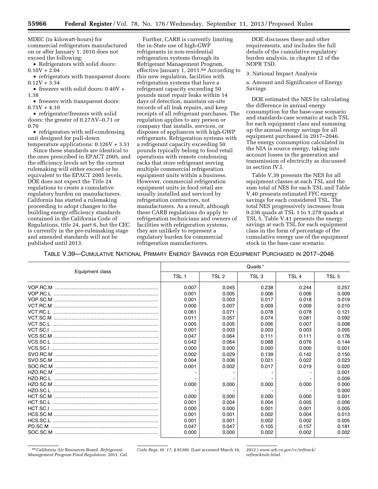MDEC (in kilowatt-hours) for commercial refrigerators manufactured on or after January 1, 2010 does not exceed the following:

• Refrigerators with solid doors:  $0.10V + 2.04$ 

• refrigerators with transparent doors:  $0.12V + 3.34$ 

• freezers with solid doors: 0.40V + 1.38

• freezers with transparent doors:  $0.75V + 4.10$ 

• refrigerator/freezers with solid doors: the greater of 0.27AV–0.71 or 0.70

• refrigerators with self-condensing unit designed for pull-down

temperature applications: 0.126V + 3.51 Since these standards are identical to the ones prescribed in EPACT 2005, and the efficiency levels set by the current rulemaking will either exceed or be equivalent to the EPACT 2005 levels, DOE does not expect the Title 24 regulations to create a cumulative regulatory burden on manufacturers. California has started a rulemaking proceeding to adopt changes to the building energy efficiency standards contained in the California Code of Regulations, title 24, part 6, but the CEC is currently in the pre-rulemaking stage and amended standards will not be published until 2013.

Further, CARB is currently limiting the in-State use of high-GWP refrigerants in non-residential refrigeration systems through its Refrigerant Management Program, effective January 1, 2011.88 According to this new regulation, facilities with refrigeration systems that have a refrigerant capacity exceeding 50 pounds must repair leaks within 14 days of detection, maintain on-site records of all leak repairs, and keep receipts of all refrigerant purchases. The regulation applies to any person or company that installs, services, or disposes of appliances with high-GWP refrigerants. Refrigeration systems with a refrigerant capacity exceeding 50 pounds typically belong to food retail operations with remote condensing racks that store refrigerant serving multiple commercial refrigeration equipment units within a business. However, commercial refrigeration equipment units in food retail are usually installed and serviced by refrigeration contractors, not manufacturers. As a result, although these CARB regulations do apply to refrigeration technicians and owners of facilities with refrigeration systems, they are unlikely to represent a regulatory burden for commercial refrigeration manufacturers.

DOE discusses these and other requirements, and includes the full details of the cumulative regulatory burden analysis, in chapter 12 of the NOPR TSD.

3. National Impact Analysis

a. Amount and Significance of Energy Savings

DOE estimated the NES by calculating the difference in annual energy consumption for the base-case scenario and standards-case scenario at each TSL for each equipment class and summing up the annual energy savings for all equipment purchased in 2017–2046. The energy consumption calculated in the NIA is source energy, taking into account losses in the generation and transmission of electricity as discussed in section IV.I.

Table V.39 presents the NES for all equipment classes at each TSL and the sum total of NES for each TSL and Table V.40 presents estimated FFC energy savings for each considered TSL. The total NES progressively increases from 0.236 quads at TSL 1 to 1.278 quads at TSL 5. Table V.41 presents the energy savings at each TSL for each equipment class in the form of percentage of the cumulative energy use of the equipment stock in the base case scenario.

TABLE V.39—CUMULATIVE NATIONAL PRIMARY ENERGY SAVINGS FOR EQUIPMENT PURCHASED IN 2017–2046

|                 |                  |                  | Quads <sup>*</sup> |                  |                  |
|-----------------|------------------|------------------|--------------------|------------------|------------------|
| Equipment class | TSL <sub>1</sub> | TSL <sub>2</sub> | TSL <sub>3</sub>   | TSL <sub>4</sub> | TSL <sub>5</sub> |
|                 | 0.007            | 0.045            | 0.238              | 0.244            | 0.257            |
|                 | 0.001            | 0.005            | 0.006              | 0.006            | 0.009            |
|                 | 0.001            | 0.003            | 0.017              | 0.018            | 0.019            |
|                 | 0.000            | 0.007            | 0.009              | 0.009            | 0.010            |
|                 | 0.061            | 0.071            | 0.078              | 0.078            | 0.121            |
|                 | 0.011            | 0.057            | 0.074              | 0.081            | 0.092            |
|                 | 0.005            | 0.005            | 0.006              | 0.007            | 0.008            |
|                 | 0.001            | 0.003            | 0.003              | 0.003            | 0.005            |
|                 | 0.047            | 0.064            | 0.111              | 0.111            | 0.176            |
|                 | 0.042            | 0.064            | 0.068              | 0.076            | 0.144            |
|                 | 0.000            | 0.000            | 0.000              | 0.000            | 0.001            |
|                 | 0.002            | 0.029            | 0.139              | 0.142            | 0.150            |
|                 | 0.004            | 0.006            | 0.021              | 0.022            | 0.023            |
|                 | 0.001            | 0.002            | 0.017              | 0.019            | 0.020            |
|                 |                  |                  |                    |                  | 0.001            |
|                 |                  |                  |                    |                  | 0.009            |
|                 | 0.000            | 0.000            | 0.000              | 0.000            | 0.000            |
|                 |                  |                  |                    |                  | 0.000            |
|                 | 0.000            | 0.000            | 0.000              | 0.000            | 0.001            |
|                 | 0.001            | 0.004            | 0.004              | 0.005            | 0.006            |
|                 | 0.000            | 0.000            | 0.001              | 0.001            | 0.005            |
|                 | 0.001            | 0.001            | 0.002              | 0.004            | 0.013            |
|                 | 0.001            | 0.001            | 0.002              | 0.002            | 0.005            |
| PD.SC.M         | 0.047            | 0.047            | 0.105              | 0.157            | 0.181            |
|                 | 0.000            | 0.000            | 0.002              | 0.002            | 0.002            |

88California Air Resources Board. *Refrigerant Management Program Final Regulation.* 2011. *Cal.*  *Code Regs. tit. 17, § 95386.* (Last accessed March 16, 2012.) *[www.arb.ca.gov/cc/reftrack/](http://www.arb.ca.gov/cc/reftrack/reftrackrule.html)*

*[reftrackrule.html](http://www.arb.ca.gov/cc/reftrack/reftrackrule.html)*.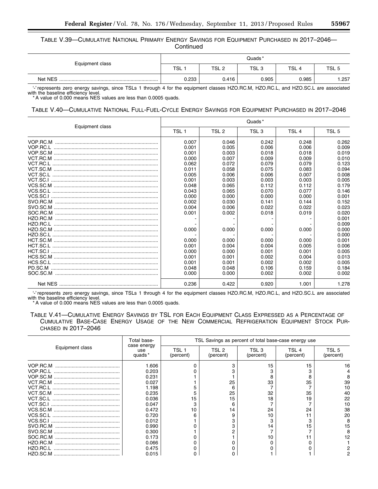TABLE V.39—CUMULATIVE NATIONAL PRIMARY ENERGY SAVINGS FOR EQUIPMENT PURCHASED IN 2017–2046— **Continued** 

| Equipment class | Quads*     |       |       |                  |                  |  |
|-----------------|------------|-------|-------|------------------|------------------|--|
|                 | <b>TSL</b> | TSL 2 | TSL 3 | TSL <sub>4</sub> | TSL <sub>t</sub> |  |
| Net NES         | 0.233      | 0.416 | 0.905 | 0.985            | 1.257            |  |

'-' represents zero energy savings, since TSLs 1 through 4 for the equipment classes HZO.RC.M, HZO.RC.L, and HZO.SC.L are associated with the baseline efficiency level.

\* A value of 0.000 means NES values are less than 0.0005 quads.

## TABLE V.40—CUMULATIVE NATIONAL FULL-FUEL-CYCLE ENERGY SAVINGS FOR EQUIPMENT PURCHASED IN 2017–2046

|                 |                  |                  | Quads*           |                  |                  |
|-----------------|------------------|------------------|------------------|------------------|------------------|
| Equipment class | TSL <sub>1</sub> | TSL <sub>2</sub> | TSL <sub>3</sub> | TSL <sub>4</sub> | TSL <sub>5</sub> |
|                 | 0.007            | 0.046            | 0.242            | 0.248            | 0.262            |
|                 | 0.001            | 0.005            | 0.006            | 0.006            | 0.009            |
|                 | 0.001            | 0.003            | 0.018            | 0.018            | 0.019            |
|                 | 0.000            | 0.007            | 0.009            | 0.009            | 0.010            |
|                 | 0.062            | 0.072            | 0.079            | 0.079            | 0.123            |
|                 | 0.011            | 0.058            | 0.075            | 0.083            | 0.094            |
|                 | 0.005            | 0.006            | 0.006            | 0.007            | 0.008            |
|                 | 0.001            | 0.003            | 0.003            | 0.003            | 0.005            |
|                 | 0.048            | 0.065            | 0.112            | 0.112            | 0.179            |
|                 | 0.043            | 0.065            | 0.070            | 0.077            | 0.146            |
|                 | 0.000            | 0.000            | 0.000            | 0.000            | 0.001            |
|                 | 0.002            | 0.030            | 0.141            | 0.144            | 0.152            |
|                 | 0.004            | 0.006            | 0.022            | 0.022            | 0.023            |
| SOC.RC.M        | 0.001            | 0.002            | 0.018            | 0.019            | 0.020            |
|                 |                  |                  |                  |                  | 0.001            |
|                 |                  |                  |                  |                  | 0.009            |
|                 | 0.000            | 0.000            | 0.000            | 0.000            | 0.000            |
|                 |                  |                  |                  |                  | 0.000            |
|                 | 0.000            | 0.000            | 0.000            | 0.000            | 0.001            |
|                 | 0.001            | 0.004            | 0.004            | 0.005            | 0.006            |
|                 | 0.000            | 0.000            | 0.001            | 0.001            | 0.005            |
|                 | 0.001            | 0.001            | 0.002            | 0.004            | 0.013            |
|                 | 0.001            | 0.001            | 0.002            | 0.002            | 0.005            |
| PD.SC.M         | 0.048            | 0.048            | 0.106            | 0.159            | 0.184            |
|                 | 0.000            | 0.000            | 0.002            | 0.002            | 0.002            |
|                 | 0.236            | 0.422            | 0.920            | 1.001            | 1.278            |

'-' represents zero energy savings, since TSLs 1 through 4 for the equipment classes HZO.RC.M, HZO.RC.L, and HZO.SC.L are associated with the baseline efficiency level.

\* A value of 0.000 means NES values are less than 0.0005 quads.

TABLE V.41—CUMULATIVE ENERGY SAVINGS BY TSL FOR EACH EQUIPMENT CLASS EXPRESSED AS A PERCENTAGE OF CUMULATIVE BASE-CASE ENERGY USAGE OF THE NEW COMMERCIAL REFRIGERATION EQUIPMENT STOCK PUR-CHASED IN 2017–2046

|                 | Total base-                  |                    |                    |                    | TSL Savings as percent of total base-case energy use |                    |
|-----------------|------------------------------|--------------------|--------------------|--------------------|------------------------------------------------------|--------------------|
| Equipment class | case energy<br>use<br>quads* | TSL 1<br>(percent) | TSL 2<br>(percent) | TSL 3<br>(percent) | TSL 4<br>(percent)                                   | TSL 5<br>(percent) |
| VOP.RC.M        | 1.606                        |                    |                    | 15                 | 15                                                   | 16                 |
| VOP.RC.L        | 0.203                        |                    |                    |                    |                                                      |                    |
|                 | 0.231                        |                    |                    |                    |                                                      |                    |
|                 | 0.027                        |                    | 25                 | 33                 | 35                                                   | 39                 |
|                 | 1.198                        |                    |                    |                    |                                                      | 10                 |
|                 | 0.235                        |                    | 25                 | 32                 | 35                                                   | 40                 |
| VCT.SC.L        | 0.036                        | 15                 | 15                 | 18                 | 19                                                   | 22                 |
|                 | 0.047                        |                    |                    |                    |                                                      | 10                 |
|                 | 0.472                        | 10                 | 14                 | 24                 | 24                                                   | 38                 |
|                 | 0.720                        | ิค                 |                    | 10                 |                                                      | 20                 |
| VCS.SC.I        | 0.012                        |                    |                    |                    |                                                      | 8                  |
| SVO.RC.M        | 0.990                        |                    |                    | 14                 | 15                                                   | 15                 |
|                 | 0.300                        |                    |                    |                    |                                                      |                    |
| SOC.RC.M        | 0.173                        |                    |                    | 10                 |                                                      | 12                 |
| HZO.RC.M        | 0.066                        |                    |                    |                    |                                                      |                    |
| HZO.RC.L        | 0.475                        |                    |                    |                    |                                                      |                    |
|                 | 0.015                        |                    |                    |                    |                                                      |                    |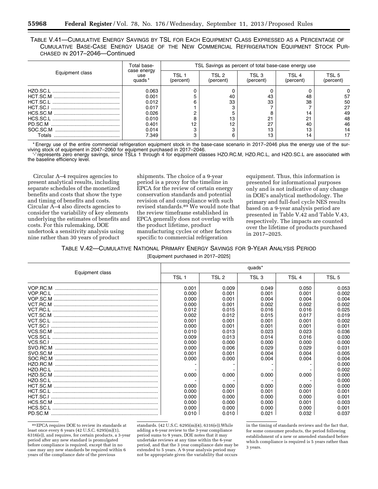TABLE V.41—CUMULATIVE ENERGY SAVINGS BY TSL FOR EACH EQUIPMENT CLASS EXPRESSED AS A PERCENTAGE OF CUMULATIVE BASE-CASE ENERGY USAGE OF THE NEW COMMERCIAL REFRIGERATION EQUIPMENT STOCK PUR-CHASED IN 2017–2046—Continued

|                 | Total base-                  | TSL Savings as percent of total base-case energy use |                    |                    |                    |                    |  |
|-----------------|------------------------------|------------------------------------------------------|--------------------|--------------------|--------------------|--------------------|--|
| Equipment class | case energy<br>use<br>quads* | TSL 1<br>(percent)                                   | TSL 2<br>(percent) | TSL 3<br>(percent) | TSL 4<br>(percent) | TSI 5<br>(percent) |  |
|                 | 0.063                        |                                                      |                    |                    |                    |                    |  |
| HCT.SC.M        | 0.001                        |                                                      | 40                 | 43                 | 48                 | 57                 |  |
|                 | 0.012                        |                                                      | 33                 | 33                 | 38                 | 50                 |  |
|                 | 0.017                        |                                                      |                    |                    |                    | 27                 |  |
|                 | 0.026                        |                                                      |                    | 8                  | 14                 | 49                 |  |
|                 | 0.010                        |                                                      | 13                 | 21                 | 21                 | 48                 |  |
|                 | 0.401                        | 12                                                   | 12                 | 27                 | 40                 | 46                 |  |
| SOC.SC.M        | 0.014                        |                                                      |                    | 13                 | 13                 | 14                 |  |
| Totals          | 7.349                        |                                                      |                    | 13                 | 14                 | 17                 |  |

\* Energy use of the entire commercial refrigeration equipment stock in the base-case scenario in 2017–2046 plus the energy use of the surviving stock of equipment in 2047–2060 for equipment purchased in 2017–2046.

'-' represents zero energy savings, since TSLs 1 through 4 for equipment classes HZO.RC.M, HZO.RC.L, and HZO.SC.L are associated with the baseline efficiency level.

Circular A–4 requires agencies to present analytical results, including separate schedules of the monetized benefits and costs that show the type and timing of benefits and costs. Circular A–4 also directs agencies to consider the variability of key elements underlying the estimates of benefits and costs. For this rulemaking, DOE undertook a sensitivity analysis using nine rather than 30 years of product

shipments. The choice of a 9-year period is a proxy for the timeline in EPCA for the review of certain energy conservation standards and potential revision of and compliance with such revised standards.89 We would note that the review timeframe established in EPCA generally does not overlap with the product lifetime, product manufacturing cycles or other factors specific to commercial refrigeration

equipment. Thus, this information is presented for informational purposes only and is not indicative of any change in DOE's analytical methodology. The primary and full-fuel cycle NES results based on a 9-year analysis period are presented in Table V.42 and Table V.43, respectively. The impacts are counted over the lifetime of products purchased in 2017–2025.

TABLE V.42—CUMULATIVE NATIONAL PRIMARY ENERGY SAVINGS FOR 9-YEAR ANALYSIS PERIOD

[Equipment purchased in 2017–2025]

|                 | quads*           |       |                  |                  |                  |  |
|-----------------|------------------|-------|------------------|------------------|------------------|--|
| Equipment class | TSL <sub>1</sub> | TSL 2 | TSL <sub>3</sub> | TSL <sub>4</sub> | TSL <sub>5</sub> |  |
|                 | 0.001            | 0.009 | 0.049            | 0.050            | 0.053            |  |
|                 | 0.000            | 0.001 | 0.001            | 0.001            | 0.002            |  |
|                 | 0.000            | 0.001 | 0.004            | 0.004            | 0.004            |  |
|                 | 0.000            | 0.001 | 0.002            | 0.002            | 0.002            |  |
|                 | 0.012            | 0.015 | 0.016            | 0.016            | 0.025            |  |
|                 | 0.002            | 0.012 | 0.015            | 0.017            | 0.019            |  |
|                 | 0.001            | 0.001 | 0.001            | 0.001            | 0.002            |  |
|                 | 0.000            | 0.001 | 0.001            | 0.001            | 0.001            |  |
|                 | 0.010            | 0.013 | 0.023            | 0.023            | 0.036            |  |
|                 | 0.009            | 0.013 | 0.014            | 0.016            | 0.030            |  |
|                 | 0.000            | 0.000 | 0.000            | 0.000            | 0.000            |  |
|                 | 0.000            | 0.006 | 0.029            | 0.029            | 0.031            |  |
|                 | 0.001            | 0.001 | 0.004            | 0.004            | 0.005            |  |
| SOC.RC.M        | 0.000            | 0.000 | 0.004            | 0.004            | 0.004            |  |
|                 |                  |       |                  |                  | 0.000            |  |
|                 |                  |       |                  |                  | 0.002            |  |
|                 | 0.000            | 0.000 | 0.000            | 0.000            | 0.000            |  |
|                 |                  |       |                  |                  | 0.000            |  |
|                 | 0.000            | 0.000 | 0.000            | 0.000            | 0.000            |  |
|                 | 0.000            | 0.001 | 0.001            | 0.001            | 0.001            |  |
|                 | 0.000            | 0.000 | 0.000            | 0.000            | 0.001            |  |
|                 | 0.000            | 0.000 | 0.000            | 0.001            | 0.003            |  |
|                 | 0.000            | 0.000 | 0.000            | 0.000            | 0.001            |  |
|                 | 0.010            | 0.010 | 0.021            | 0.032            | 0.037            |  |

89EPCA requires DOE to review its standards at least once every 6 years (42 U.S.C. 6295(m)(1), 6316(e)), and requires, for certain products, a 3-year period after any new standard is promulgated before compliance is required, except that in no case may any new standards be required within 6 years of the compliance date of the previous

standards. (42 U.S.C. 6295(m)(4), 6316(e)).While adding a 6-year review to the 3-year compliance period sums to 9 years, DOE notes that it may undertake reviews at any time within the 6-year period, and that the 3 year compliance date may be extended to 5 years. A 9-year analysis period may not be appropriate given the variability that occurs

in the timing of standards reviews and the fact that, for some consumer products, the period following establishment of a new or amended standard before which compliance is required is 5 years rather than 3 years.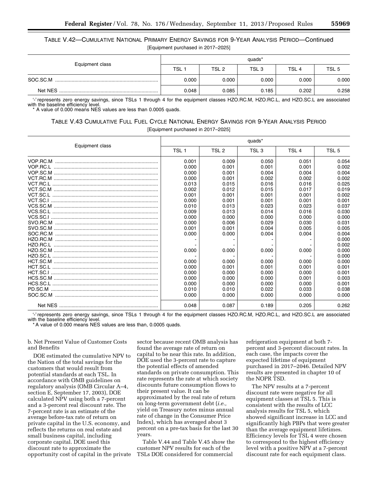# TABLE V.42—CUMULATIVE NATIONAL PRIMARY ENERGY SAVINGS FOR 9-YEAR ANALYSIS PERIOD—Continued [Equipment purchased in 2017–2025]

|                 | quads* |       |                  |                  |       |  |
|-----------------|--------|-------|------------------|------------------|-------|--|
| Equipment class | TSL    | TSL 2 | TSL <sub>3</sub> | TSL <sub>4</sub> | TSL 5 |  |
| SOC.SC.M        | 0.000  | 0.000 | 0.000            | 0.000            | 0.000 |  |
| Net NES         | 0.048  | 0.085 | 0.185            | 0.202            | 0.258 |  |

'-' represents zero energy savings, since TSLs 1 through 4 for the equipment classes HZO.RC.M, HZO.RC.L, and HZO.SC.L are associated with the baseline efficiency level.

A value of 0.000 means NES values are less than 0.0005 quads.

# TABLE V.43 CUMULATIVE FULL FUEL CYCLE NATIONAL ENERGY SAVINGS FOR 9-YEAR ANALYSIS PERIOD

[Equipment purchased in 2017–2025]

|                 | quads*           |                  |                  |                  |                  |  |
|-----------------|------------------|------------------|------------------|------------------|------------------|--|
| Equipment class | TSL <sub>1</sub> | TSL <sub>2</sub> | TSL <sub>3</sub> | TSL <sub>4</sub> | TSL <sub>5</sub> |  |
|                 | 0.001            | 0.009            | 0.050            | 0.051            | 0.054            |  |
|                 | 0.000            | 0.001            | 0.001            | 0.001            | 0.002            |  |
|                 | 0.000            | 0.001            | 0.004            | 0.004            | 0.004            |  |
|                 | 0.000            | 0.001            | 0.002            | 0.002            | 0.002            |  |
|                 | 0.013            | 0.015            | 0.016            | 0.016            | 0.025            |  |
|                 | 0.002            | 0.012            | 0.015            | 0.017            | 0.019            |  |
|                 | 0.001            | 0.001            | 0.001            | 0.001            | 0.002            |  |
|                 | 0.000            | 0.001            | 0.001            | 0.001            | 0.001            |  |
|                 | 0.010            | 0.013            | 0.023            | 0.023            | 0.037            |  |
|                 | 0.009            | 0.013            | 0.014            | 0.016            | 0.030            |  |
|                 | 0.000            | 0.000            | 0.000            | 0.000            | 0.000            |  |
|                 | 0.000            | 0.006            | 0.029            | 0.030            | 0.031            |  |
|                 | 0.001            | 0.001            | 0.004            | 0.005            | 0.005            |  |
|                 | 0.000            | 0.000            | 0.004            | 0.004            | 0.004            |  |
|                 |                  |                  |                  |                  | 0.000            |  |
|                 |                  |                  |                  |                  | 0.002            |  |
|                 | 0.000            | 0.000            | 0.000            | 0.000            | 0.000            |  |
|                 |                  |                  |                  |                  | 0.000            |  |
|                 | 0.000            | 0.000            | 0.000            | 0.000            | 0.000            |  |
|                 | 0.000            | 0.001            | 0.001            | 0.001            | 0.001            |  |
|                 | 0.000            | 0.000            | 0.000            | 0.000            | 0.001            |  |
|                 | 0.000            | 0.000            | 0.000            | 0.001            | 0.003            |  |
|                 | 0.000            | 0.000            | 0.000            | 0.000            | 0.001            |  |
|                 | 0.010            | 0.010            | 0.022            | 0.033            | 0.038            |  |
|                 | 0.000            | 0.000            | 0.000            | 0.000            | 0.000            |  |
|                 | 0.048            | 0.087            | 0.189            | 0.205            | 0.262            |  |

'-' represents zero energy savings, since TSLs 1 through 4 for the equipment classes HZO.RC.M, HZO.RC.L, and HZO.SC.L are associated with the baseline efficiency level.

A value of 0.000 means NES values are less than, 0.0005 quads.

b. Net Present Value of Customer Costs and Benefits

DOE estimated the cumulative NPV to the Nation of the total savings for the customers that would result from potential standards at each TSL. In accordance with OMB guidelines on regulatory analysis (OMB Circular A–4, section E, September 17, 2003), DOE calculated NPV using both a 7-percent and a 3-percent real discount rate. The 7-percent rate is an estimate of the average before-tax rate of return on private capital in the U.S. economy, and reflects the returns on real estate and small business capital, including corporate capital. DOE used this discount rate to approximate the opportunity cost of capital in the private sector because recent OMB analysis has found the average rate of return on capital to be near this rate. In addition, DOE used the 3-percent rate to capture the potential effects of amended standards on private consumption. This rate represents the rate at which society discounts future consumption flows to their present value. It can be approximated by the real rate of return on long-term government debt (*i.e.,*  yield on Treasury notes minus annual rate of change in the Consumer Price Index), which has averaged about 3 percent on a pre-tax basis for the last 30 years.

Table V.44 and Table V.45 show the customer NPV results for each of the TSLs DOE considered for commercial

refrigeration equipment at both 7 percent and 3-percent discount rates. In each case, the impacts cover the expected lifetime of equipment purchased in 2017–2046. Detailed NPV results are presented in chapter 10 of the NOPR TSD.

The NPV results at a 7-percent discount rate were negative for all equipment classes at TSL 5. This is consistent with the results of LCC analysis results for TSL 5, which showed significant increase in LCC and significantly high PBPs that were greater than the average equipment lifetimes. Efficiency levels for TSL 4 were chosen to correspond to the highest efficiency level with a positive NPV at a 7-percent discount rate for each equipment class.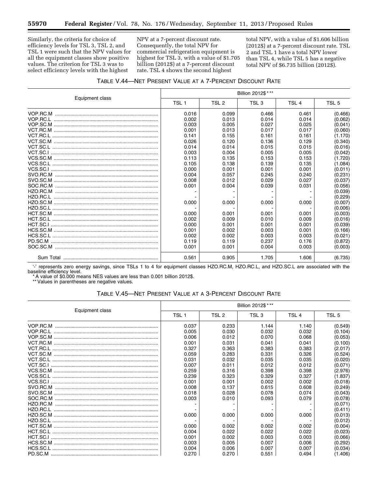Similarly, the criteria for choice of efficiency levels for TSL 3, TSL 2, and TSL 1 were such that the NPV values for all the equipment classes show positive values. The criterion for TSL 3 was to select efficiency levels with the highest

Ξ

NPV at a 7-percent discount rate. Consequently, the total NPV for commercial refrigeration equipment is highest for TSL 3, with a value of \$1.705 billion (2012\$) at a 7-percent discount rate. TSL 4 shows the second highest

total NPV, with a value of \$1.606 billion (2012\$) at a 7-percent discount rate. TSL 2 and TSL 1 have a total NPV lower than TSL 4, while TSL 5 has a negative total NPV of \$6.735 billion (2012\$).

|                 | Billion 2012\$ *** |                  |                  |                  |                  |  |
|-----------------|--------------------|------------------|------------------|------------------|------------------|--|
| Equipment class | TSL <sub>1</sub>   | TSL <sub>2</sub> | TSL <sub>3</sub> | TSL <sub>4</sub> | TSL <sub>5</sub> |  |
|                 | 0.016              | 0.099            | 0.466            | 0.461            | (0.466)          |  |
|                 | 0.002              | 0.013            | 0.014            | 0.014            | (0.062)          |  |
|                 | 0.003              | 0.005            | 0.027            | 0.025            | (0.041)          |  |
|                 | 0.001              | 0.013            | 0.017            | 0.017            | (0.060)          |  |
|                 | 0.141              | 0.155            | 0.161            | 0.161            | (1.170)          |  |
|                 | 0.026              | 0.120            | 0.136            | 0.129            | (0.340)          |  |
|                 | 0.014              | 0.014            | 0.015            | 0.015            | (0.016)          |  |
|                 | 0.003              | 0.004            | 0.005            | 0.005            | (0.042)          |  |
|                 | 0.113              | 0.135            | 0.153            | 0.153            | (1.720)          |  |
|                 | 0.105              | 0.138            | 0.139            | 0.135            | (1.084)          |  |
|                 | 0.000              | 0.001            | 0.001            | 0.001            | (0.011)          |  |
|                 | 0.004              | 0.057            | 0.245            | 0.240            | (0.231)          |  |
|                 | 0.008              | 0.012            | 0.029            | 0.027            | (0.037)          |  |
|                 | 0.001              | 0.004            | 0.039            | 0.031            | (0.056)          |  |
|                 |                    |                  |                  |                  | (0.039)          |  |
|                 |                    |                  |                  |                  | (0.229)          |  |
|                 | 0.000              | 0.000            | 0.000            | 0.000            | (0.007)          |  |
|                 |                    |                  |                  |                  | (0.006)          |  |
|                 | 0.000              | 0.001            | 0.001            | 0.001            | (0.003)          |  |
|                 | 0.002              | 0.009            | 0.010            | 0.009            | (0.016)          |  |
|                 | 0.000              | 0.001            | 0.001            | 0.001            | (0.039)          |  |
|                 | 0.001              | 0.002            | 0.003            | 0.001            | (0.166)          |  |
|                 | 0.002              | 0.002            | 0.003            | 0.003            | (0.021)          |  |
|                 | 0.119              | 0.119            | 0.237            | 0.176            | (0.872)          |  |
|                 | 0.001              | 0.001            | 0.004            | 0.003            | (0.003)          |  |
|                 | 0.561              | 0.905            | 1.705            | 1.606            | (6.735)          |  |

'-' represents zero energy savings, since TSLs 1 to 4 for equipment classes HZO.RC.M, HZO.RC.L, and HZO.SC.L are associated with the baseline efficiency level.

\* A value of \$0.000 means NES values are less than 0.001 billion 2012\$.

\*\* Values in parentheses are negative values.

## TABLE V.45—NET PRESENT VALUE AT A 3-PERCENT DISCOUNT RATE

|                 | Billion 2012\$ *** |       |       |                  |         |  |
|-----------------|--------------------|-------|-------|------------------|---------|--|
| Equipment class | TSL <sub>1</sub>   | TSL 2 | TSL 3 | TSL <sub>4</sub> | TSL 5   |  |
|                 | 0.037              | 0.233 | 1.144 | 1.140            | (0.549) |  |
|                 | 0.005              | 0.030 | 0.032 | 0.032            | (0.104) |  |
|                 | 0.006              | 0.012 | 0.070 | 0.068            | (0.053) |  |
|                 | 0.001              | 0.031 | 0.041 | 0.041            | (0.100) |  |
|                 | 0.327              | 0.363 | 0.383 | 0.383            | (2.017) |  |
|                 | 0.059              | 0.283 | 0.331 | 0.326            | (0.524) |  |
|                 | 0.031              | 0.032 | 0.035 | 0.035            | (0.020) |  |
|                 | 0.007              | 0.011 | 0.012 | 0.012            | (0.071) |  |
|                 | 0.259              | 0.316 | 0.398 | 0.398            | (2.976) |  |
|                 | 0.239              | 0.323 | 0.329 | 0.327            | (1.837) |  |
|                 | 0.001              | 0.001 | 0.002 | 0.002            | (0.018) |  |
|                 | 0.008              | 0.137 | 0.615 | 0.608            | (0.249) |  |
|                 | 0.018              | 0.028 | 0.078 | 0.074            | (0.043) |  |
|                 | 0.003              | 0.010 | 0.093 | 0.079            | (0.078) |  |
|                 |                    |       |       |                  | (0.071) |  |
|                 |                    |       |       |                  | (0.411) |  |
|                 | 0.000              | 0.000 | 0.000 | 0.000            | (0.013) |  |
|                 |                    |       |       |                  | (0.012) |  |
|                 | 0.000              | 0.002 | 0.002 | 0.002            | (0.004) |  |
|                 | 0.004              | 0.022 | 0.022 | 0.022            | (0.023) |  |
|                 | 0.001              | 0.002 | 0.003 | 0.003            | (0.066) |  |
|                 | 0.003              | 0.005 | 0.007 | 0.006            | (0.292) |  |
|                 | 0.004              | 0.006 | 0.007 | 0.007            | (0.034) |  |
|                 | 0.270              | 0.270 | 0.551 | 0.494            | (1.406) |  |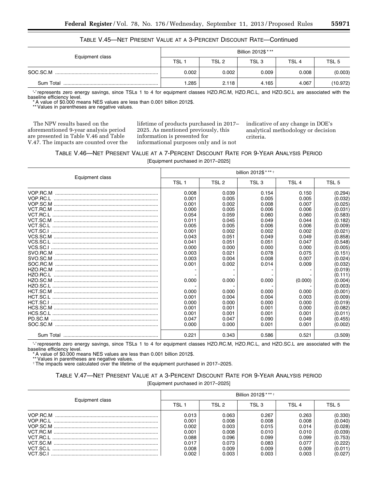| TABLE V.45—NET PRESENT VALUE AT A 3-PERCENT DISCOUNT RATE—Continued |
|---------------------------------------------------------------------|
|---------------------------------------------------------------------|

|                 | Billion 2012\$ *** |       |                  |                  |                  |  |
|-----------------|--------------------|-------|------------------|------------------|------------------|--|
| Equipment class | $TSL$ :            | TSL 2 | TSL <sub>3</sub> | TSL <sub>4</sub> | TSL <sub>5</sub> |  |
| SOC.SC.M        | 0.002              | 0.002 | 0.009            | 0.008            | (0.003)          |  |
| Sum Total       | .285               | 2.118 | 4.165            | 4.067            | (10.972)         |  |

'-' represents zero energy savings, since TSLs 1 to 4 for equipment classes HZO.RC.M, HZO.RC.L, and HZO.SC.L are associated with the baseline efficiency level.

\* A value of \$0.000 means NES values are less than 0.001 billion 2012\$.

\*\* Values in parentheses are negative values.

The NPV results based on the aforementioned 9-year analysis period are presented in Table V.46 and Table V.47. The impacts are counted over the

lifetime of products purchased in 2017– 2025. As mentioned previously, this information is presented for informational purposes only and is not

indicative of any change in DOE's analytical methodology or decision criteria.

| TABLE V.46—NET PRESENT VALUE AT A 7-PERCENT DISCOUNT RATE FOR 9-YEAR ANALYSIS PERIOD |  |  |  |  |  |  |  |  |
|--------------------------------------------------------------------------------------|--|--|--|--|--|--|--|--|
| $IT$ and a set and have been $\sim$ 0047.00051                                       |  |  |  |  |  |  |  |  |

[Equipment purchased in 2017–2025]

|                 | billion 2012\$ *** + |                  |                  |                  |                  |  |
|-----------------|----------------------|------------------|------------------|------------------|------------------|--|
| Equipment class | TSL <sub>1</sub>     | TSL <sub>2</sub> | TSL <sub>3</sub> | TSL <sub>4</sub> | TSL <sub>5</sub> |  |
|                 | 0.008                | 0.039            | 0.154            | 0.150            | (0.294)          |  |
|                 | 0.001                | 0.005            | 0.005            | 0.005            | (0.032)          |  |
|                 | 0.001                | 0.002            | 0.008            | 0.007            | (0.025)          |  |
|                 | 0.000                | 0.005            | 0.006            | 0.006            | (0.031)          |  |
|                 | 0.054                | 0.059            | 0.060            | 0.060            | (0.583)          |  |
|                 | 0.011                | 0.045            | 0.049            | 0.044            | (0.182)          |  |
|                 | 0.005                | 0.005            | 0.006            | 0.006            | (0.009)          |  |
|                 | 0.001                | 0.002            | 0.002            | 0.002            | (0.021)          |  |
|                 | 0.043                | 0.051            | 0.049            | 0.049            | (0.858)          |  |
|                 | 0.041                | 0.051            | 0.051            | 0.047            | (0.548)          |  |
|                 | 0.000                | 0.000            | 0.000            | 0.000            | (0.005)          |  |
|                 | 0.003                | 0.021            | 0.078            | 0.075            | (0.151)          |  |
|                 | 0.003                | 0.004            | 0.008            | 0.007            | (0.024)          |  |
|                 | 0.001                | 0.002            | 0.014            | 0.009            | (0.032)          |  |
|                 |                      |                  |                  |                  | (0.019)          |  |
|                 |                      |                  |                  |                  | (0.111)          |  |
|                 | 0.000                | 0.000            | 0.000            | (0.000)          | (0.004)          |  |
|                 |                      |                  |                  |                  | (0.003)          |  |
|                 | 0.000                | 0.000            | 0.000            | 0.000            | (0.001)          |  |
|                 | 0.001                | 0.004            | 0.004            | 0.003            | (0.009)          |  |
|                 | 0.000                | 0.000            | 0.000            | 0.000            | (0.019)          |  |
|                 | 0.001                | 0.001            | 0.001            | 0.000            | (0.082)          |  |
|                 | 0.001                | 0.001            | 0.001            | 0.001            | (0.011)          |  |
| PD.SC.M         | 0.047                | 0.047            | 0.090            | 0.049            | (0.455)          |  |
|                 | 0.000                | 0.000            | 0.001            | 0.001            | (0.002)          |  |
|                 | 0.221                | 0.343            | 0.586            | 0.521            | (3.509)          |  |

'-' represents zero energy savings, since TSLs 1 to 4 for equipment classes HZO.RC.M, HZO.RC.L, and HZO.SC.L are associated with the baseline efficiency level.<br>\*A value of \$0.000 means NES values are less than 0.001 billion 2012\$.<br>\*\*Values in parentheses are negative values.<br>†The impacts were calculated over the lifetime of the equipment purchased in 20

TABLE V.47—NET PRESENT VALUE AT A 3-PERCENT DISCOUNT RATE FOR 9-YEAR ANALYSIS PERIOD

[Equipment purchased in 2017–2025]

| Equipment class | Billion 2012\$ * ** + |       |       |       |         |  |
|-----------------|-----------------------|-------|-------|-------|---------|--|
|                 | TSI 1                 | TSI 2 | TSI 3 | TSI 4 | TSL 5   |  |
|                 | 0.013                 | 0.063 | 0.267 | 0.263 | (0.330) |  |
|                 | 0.001                 | 0.008 | 0.008 | 0.008 | (0.040) |  |
|                 | 0.002                 | 0.003 | 0.015 | 0.014 | (0.028) |  |
|                 | 0.001                 | 0.008 | 0.010 | 0.010 | (0.039) |  |
|                 | 0.088                 | 0.096 | 0.099 | 0.099 | (0.753) |  |
|                 | 0.017                 | 0.073 | 0.083 | 0.077 | (0.222) |  |
|                 | 0.008                 | 0.009 | 0.009 | 0.009 | (0.011) |  |
|                 | 0.002                 | 0.003 | 0.003 | 0.003 | (0.027) |  |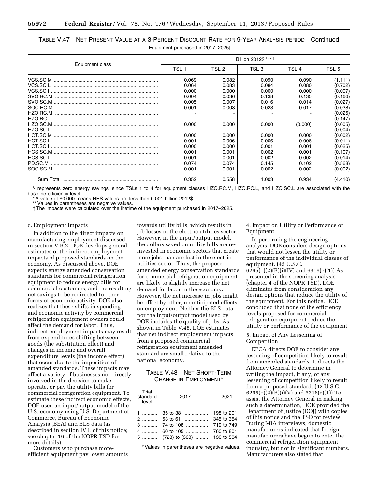| TABLE V.47—NET PRESENT VALUE AT A 3-PERCENT DISCOUNT RATE FOR 9-YEAR ANALYSIS PERIOD—Continued |  |
|------------------------------------------------------------------------------------------------|--|
| [Equipment purchased in 2017-2025]                                                             |  |

|                 | Billion 2012\$ *** *                                                                                              |                                                                                                                   |                                                                                                                   |                                                                                                                     |                                                                                                                                                                              |  |
|-----------------|-------------------------------------------------------------------------------------------------------------------|-------------------------------------------------------------------------------------------------------------------|-------------------------------------------------------------------------------------------------------------------|---------------------------------------------------------------------------------------------------------------------|------------------------------------------------------------------------------------------------------------------------------------------------------------------------------|--|
| Equipment class | TSL 1                                                                                                             | TSL 2                                                                                                             | TSL 3                                                                                                             | TSL <sub>4</sub>                                                                                                    | TSL <sub>5</sub>                                                                                                                                                             |  |
| HZO.RC.M        | 0.069<br>0.064<br>0.000<br>0.004<br>0.005<br>0.001<br>0.000<br>0.000<br>0.001<br>0.000<br>0.001<br>0.001<br>0.074 | 0.082<br>0.083<br>0.000<br>0.036<br>0.007<br>0.003<br>0.000<br>0.000<br>0.006<br>0.000<br>0.001<br>0.001<br>0.074 | 0.090<br>0.084<br>0.000<br>0.138<br>0.016<br>0.023<br>0.000<br>0.000<br>0.006<br>0.001<br>0.002<br>0.002<br>0.145 | 0.090<br>0.080<br>0.000<br>0.135<br>0.014<br>0.017<br>(0.000)<br>0.000<br>0.006<br>0.001<br>0.001<br>0.002<br>0.102 | (1.111)<br>(0.702)<br>(0.007)<br>(0.166)<br>(0.027)<br>(0.038)<br>(0.025)<br>(0.147)<br>(0.005)<br>(0.004)<br>(0.002)<br>(0.011)<br>(0.025)<br>(0.107)<br>(0.014)<br>(0.568) |  |
|                 | 0.001                                                                                                             | 0.001                                                                                                             | 0.002                                                                                                             | 0.002                                                                                                               | (0.002)                                                                                                                                                                      |  |
|                 | 0.352                                                                                                             | 0.558                                                                                                             | 1.003                                                                                                             | 0.934                                                                                                               | (4.410)                                                                                                                                                                      |  |

'-' represents zero energy savings, since TSLs 1 to 4 for equipment classes HZO.RC.M, HZO.RC.L, and HZO.SC.L are associated with the baseline efficiency level.

A value of \$0.000 means NES values are less than 0.001 billion 2012\$.

\*\* Values in parentheses are negative values.

† The impacts were calculated over the lifetime of the equipment purchased in 2017–2025.

## c. Employment Impacts

In addition to the direct impacts on manufacturing employment discussed in section V.B.2, DOE develops general estimates of the indirect employment impacts of proposed standards on the economy. As discussed above, DOE expects energy amended conservation standards for commercial refrigeration equipment to reduce energy bills for commercial customers, and the resulting net savings to be redirected to other forms of economic activity. DOE also realizes that these shifts in spending and economic activity by commercial refrigeration equipment owners could affect the demand for labor. Thus, indirect employment impacts may result from expenditures shifting between goods (the substitution effect) and changes in income and overall expenditure levels (the income effect) that occur due to the imposition of amended standards. These impacts may affect a variety of businesses not directly involved in the decision to make, operate, or pay the utility bills for commercial refrigeration equipment. To estimate these indirect economic effects, DOE used an input/output model of the U.S. economy using U.S. Department of Commerce, Bureau of Economic Analysis (BEA) and BLS data (as described in section IV.L of this notice; see chapter 16 of the NOPR TSD for more details).

Customers who purchase moreefficient equipment pay lower amounts

towards utility bills, which results in job losses in the electric utilities sector. However, in the input/output model, the dollars saved on utility bills are reinvested in economic sectors that create more jobs than are lost in the electric utilities sector. Thus, the proposed amended energy conservation standards for commercial refrigeration equipment are likely to slightly increase the net demand for labor in the economy. However, the net increase in jobs might be offset by other, unanticipated effects on employment. Neither the BLS data nor the input/output model used by DOE includes the quality of jobs. As shown in Table V.48, DOE estimates that net indirect employment impacts from a proposed commercial refrigeration equipment amended standard are small relative to the national economy.

## TABLE V.48—NET SHORT-TERM CHANGE IN EMPLOYMENT\*

| Trial<br>standard<br>2017<br>level                |                                                                                   | 2021                                                               |
|---------------------------------------------------|-----------------------------------------------------------------------------------|--------------------------------------------------------------------|
| $\sim$ 200<br>$3$ . The same set of $\sim$<br>$5$ | $35 \text{ to } 38$<br>53 to 61<br>74 to 108<br>60 to $105$<br>$(728)$ to $(363)$ | 198 to 201<br>345 to 354<br>719 to 749<br>760 to 801<br>130 to 504 |

\* Values in parentheses are negative values.

4. Impact on Utility or Performance of Equipment

In performing the engineering analysis, DOE considers design options that would not lessen the utility or performance of the individual classes of equipment. (42 U.S.C.  $6295(o)(2)(B)(i)(IV)$  and  $6316(e)(1))$  As presented in the screening analysis (chapter 4 of the NOPR TSD), DOE eliminates from consideration any design options that reduce the utility of the equipment. For this notice, DOE concluded that none of the efficiency levels proposed for commercial refrigeration equipment reduce the utility or performance of the equipment.

5. Impact of Any Lessening of Competition

EPCA directs DOE to consider any lessening of competition likely to result from amended standards. It directs the Attorney General to determine in writing the impact, if any, of any lessening of competition likely to result from a proposed standard. (42 U.S.C. 6295(o)(2)(B)(i)(V) and 6316(e)(1)) To assist the Attorney General in making such a determination, DOE provided the Department of Justice (DOJ) with copies of this notice and the TSD for review. During MIA interviews, domestic manufacturers indicated that foreign manufacturers have begun to enter the commercial refrigeration equipment industry, but not in significant numbers. Manufacturers also stated that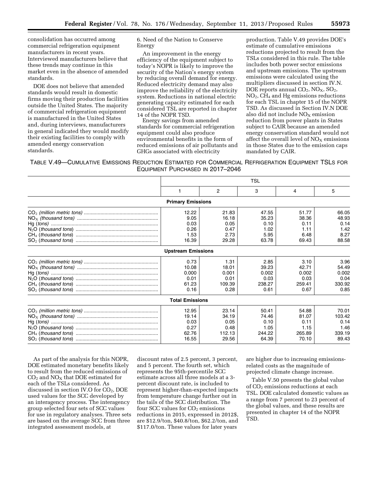consolidation has occurred among commercial refrigeration equipment manufacturers in recent years. Interviewed manufacturers believe that these trends may continue in this market even in the absence of amended standards.

DOE does not believe that amended standards would result in domestic firms moving their production facilities outside the United States. The majority of commercial refrigeration equipment is manufactured in the United States and, during interviews, manufacturers in general indicated they would modify their existing facilities to comply with amended energy conservation standards.

6. Need of the Nation to Conserve Energy

An improvement in the energy efficiency of the equipment subject to today's NOPR is likely to improve the security of the Nation's energy system by reducing overall demand for energy. Reduced electricity demand may also improve the reliability of the electricity system. Reductions in national electric generating capacity estimated for each considered TSL are reported in chapter 14 of the NOPR TSD.

Energy savings from amended standards for commercial refrigeration equipment could also produce environmental benefits in the form of reduced emissions of air pollutants and GHGs associated with electricity

production. Table V.49 provides DOE's estimate of cumulative emissions reductions projected to result from the TSLs considered in this rule. The table includes both power sector emissions and upstream emissions. The upstream emissions were calculated using the multipliers discussed in section IV.N. DOE reports annual  $CO<sub>2</sub>$ ,  $NO<sub>X</sub>$ ,  $SO<sub>2</sub>$ ,  $NO<sub>2</sub>$ , CH<sub>4</sub> and Hg emissions reductions for each TSL in chapter 15 of the NOPR TSD. As discussed in Section IV.N DOE also did not include  $NO<sub>x</sub>$  emission reduction from power plants in States subject to CAIR because an amended energy conservation standard would not affect the overall level of  $NO<sub>x</sub>$  emissions in those States due to the emission caps mandated by CAIR.

TABLE V.49—CUMULATIVE EMISSIONS REDUCTION ESTIMATED FOR COMMERCIAL REFRIGERATION EQUIPMENT TSLS FOR EQUIPMENT PURCHASED IN 2017–2046

| TSL   |        |                                                                                 |        |        |
|-------|--------|---------------------------------------------------------------------------------|--------|--------|
|       | 2      | 3                                                                               | 4      | 5      |
|       |        |                                                                                 |        |        |
| 12.22 | 21.83  | 47.55                                                                           | 51.77  | 66.05  |
| 9.05  | 16.18  | 35.23                                                                           | 38.36  | 48.93  |
| 0.03  | 0.05   | 0.10                                                                            | 0.11   | 0.14   |
| 0.26  | 0.47   | 1.02                                                                            | 1.11   | 1.42   |
| 1.53  | 2.73   | 5.95                                                                            | 6.48   | 8.27   |
| 16.39 | 29.28  | 63.78                                                                           | 69.43  | 88.58  |
|       |        |                                                                                 |        |        |
| 0.73  | 1.31   | 2.85                                                                            | 3.10   | 3.96   |
| 10.08 | 18.01  | 39.23                                                                           | 42.71  | 54.49  |
| 0.000 | 0.001  | 0.002                                                                           | 0.002  | 0.002  |
| 0.01  | 0.01   | 0.03                                                                            | 0.03   | 0.04   |
| 61.23 | 109.39 | 238.27                                                                          | 259.41 | 330.92 |
| 0.16  | 0.28   | 0.61                                                                            | 0.67   | 0.85   |
|       |        |                                                                                 |        |        |
| 12.95 | 23.14  | 50.41                                                                           | 54.88  | 70.01  |
| 19.14 | 34.19  | 74.46                                                                           | 81.07  | 103.42 |
| 0.03  | 0.05   | 0.10                                                                            | 0.11   | 0.14   |
| 0.27  | 0.48   | 1.05                                                                            | 1.15   | 1.46   |
| 62.76 | 112.13 | 244.22                                                                          | 265.89 | 339.19 |
| 16.55 | 29.56  | 64.39                                                                           | 70.10  | 89.43  |
|       |        | <b>Primary Emissions</b><br><b>Upstream Emissions</b><br><b>Total Emissions</b> |        |        |

As part of the analysis for this NOPR, DOE estimated monetary benefits likely to result from the reduced emissions of  $CO<sub>2</sub>$  and  $NO<sub>X</sub>$  that DOE estimated for each of the TSLs considered. As discussed in section IV.O for  $CO<sub>2</sub>$ , DOE used values for the SCC developed by an interagency process. The interagency group selected four sets of SCC values for use in regulatory analyses. Three sets are based on the average SCC from three integrated assessment models, at

discount rates of 2.5 percent, 3 percent, and 5 percent. The fourth set, which represents the 95th-percentile SCC estimate across all three models at a 3 percent discount rate, is included to represent higher-than-expected impacts from temperature change further out in the tails of the SCC distribution. The four SCC values for  $CO<sub>2</sub>$  emissions reductions in 2015, expressed in 2012\$, are \$12.9/ton, \$40.8/ton, \$62.2/ton, and \$117.0/ton. These values for later years

are higher due to increasing emissionsrelated costs as the magnitude of projected climate change increase.

Table V.50 presents the global value of CO<sub>2</sub> emissions reductions at each TSL. DOE calculated domestic values as a range from 7 percent to 23 percent of the global values, and these results are presented in chapter 14 of the NOPR TSD.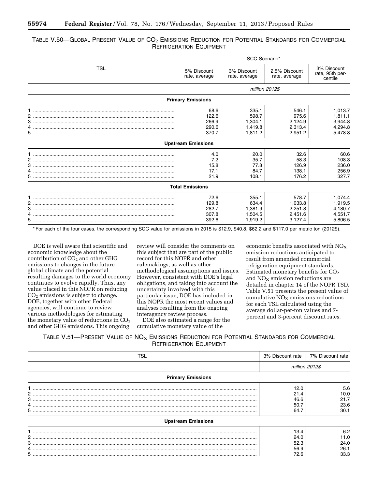## TABLE V.50—GLOBAL PRESENT VALUE OF  $CO<sub>2</sub>$  Emissions Reduction for Potential Standards for Commercial REFRIGERATION EQUIPMENT

|     | SCC Scenario*                |                              |                                |                                           |  |  |  |
|-----|------------------------------|------------------------------|--------------------------------|-------------------------------------------|--|--|--|
| TSL | 5% Discount<br>rate, average | 3% Discount<br>rate, average | 2.5% Discount<br>rate, average | 3% Discount<br>rate, 95th per-<br>centile |  |  |  |
|     | million 2012\$               |                              |                                |                                           |  |  |  |
|     | <b>Primary Emissions</b>     |                              |                                |                                           |  |  |  |
|     | 68.6<br>122.6                | 335.1<br>598.7               | 546.1<br>975.6                 | 1,013.7<br>1,811.1                        |  |  |  |
|     | 266.9<br>290.6               | 1,304.1<br>1,419.8           | 2,124.9<br>2,313.4             | 3,944.8<br>4,294.8                        |  |  |  |
|     | 370.7                        | 1,811.2                      | 2,951.2                        | 5,478.8                                   |  |  |  |
|     | <b>Upstream Emissions</b>    |                              |                                |                                           |  |  |  |
|     | 4.0<br>7.2                   | 20.0<br>35.7                 | 32.6<br>58.3                   | 60.6<br>108.3                             |  |  |  |
|     | 15.8<br>17.1                 | 77.8<br>84.7                 | 126.9<br>138.1                 | 236.0<br>256.9                            |  |  |  |
|     | 21.9                         | 108.1                        | 176.2                          | 327.7                                     |  |  |  |
|     | <b>Total Emissions</b>       |                              |                                |                                           |  |  |  |
|     | 72.6<br>129.8<br>282.7       | 355.1<br>634.4<br>1,381.9    | 578.7<br>1,033.8<br>2,251.8    | 1,074.4<br>1,919.5<br>4,180.7             |  |  |  |
| 4   | 307.8<br>392.6               | 1,504.5<br>1,919.2           | 2,451.6<br>3,127.4             | 4,551.7<br>5,806.5                        |  |  |  |

\* For each of the four cases, the corresponding SCC value for emissions in 2015 is \$12.9, \$40.8, \$62.2 and \$117.0 per metric ton (2012\$).

DOE is well aware that scientific and economic knowledge about the contribution of  $CO_2$  and other GHG emissions to changes in the future global climate and the potential resulting damages to the world economy continues to evolve rapidly. Thus, any value placed in this NOPR on reducing  $CO<sub>2</sub>$  emissions is subject to change. DOE, together with other Federal agencies, will continue to review various methodologies for estimating the monetary value of reductions in  $CO<sub>2</sub>$ and other GHG emissions. This ongoing

review will consider the comments on this subject that are part of the public record for this NOPR and other rulemakings, as well as other methodological assumptions and issues. However, consistent with DOE's legal obligations, and taking into account the uncertainty involved with this particular issue, DOE has included in this NOPR the most recent values and analyses resulting from the ongoing interagency review process.

DOE also estimated a range for the cumulative monetary value of the

economic benefits associated with  $NO<sub>x</sub>$ emission reductions anticipated to result from amended commercial refrigeration equipment standards. Estimated monetary benefits for  $CO<sub>2</sub>$ and  $NO<sub>X</sub>$  emission reductions are detailed in chapter 14 of the NOPR TSD. Table V.51 presents the present value of cumulative  $NO<sub>X</sub>$  emissions reductions for each TSL calculated using the average dollar-per-ton values and 7 percent and 3-percent discount rates.

TABLE V.51—PRESENT VALUE OF  $NO<sub>x</sub>$  EMISSIONS REDUCTION FOR POTENTIAL STANDARDS FOR COMMERCIAL REFRIGERATION EQUIPMENT

| TSL                                                                                                                                                                                                                                                                                                                                                                                                                                                                                                                                           | 3% Discount rate | 7% Discount rate |
|-----------------------------------------------------------------------------------------------------------------------------------------------------------------------------------------------------------------------------------------------------------------------------------------------------------------------------------------------------------------------------------------------------------------------------------------------------------------------------------------------------------------------------------------------|------------------|------------------|
|                                                                                                                                                                                                                                                                                                                                                                                                                                                                                                                                               | million 2012\$   |                  |
| <b>Primary Emissions</b>                                                                                                                                                                                                                                                                                                                                                                                                                                                                                                                      |                  |                  |
|                                                                                                                                                                                                                                                                                                                                                                                                                                                                                                                                               | 12.0             | 5.6              |
| 2                                                                                                                                                                                                                                                                                                                                                                                                                                                                                                                                             | 21.4             | 10.0             |
|                                                                                                                                                                                                                                                                                                                                                                                                                                                                                                                                               | 46.6             | 21.7             |
| 4                                                                                                                                                                                                                                                                                                                                                                                                                                                                                                                                             | 50.7             | 23.6             |
|                                                                                                                                                                                                                                                                                                                                                                                                                                                                                                                                               | 64.7             | 30.1             |
| <b>Upstream Emissions</b>                                                                                                                                                                                                                                                                                                                                                                                                                                                                                                                     |                  |                  |
| $\color{red} \vdots \color{red} \vdots \color{red} \vdots \color{red} \vdots \color{red} \vdots \color{red} \vdots \color{red} \vdots \color{red} \vdots \color{red} \vdots \color{red} \vdots \color{red} \vdots \color{red} \vdots \color{red} \vdots \color{red} \vdots \color{red} \vdots \color{red} \vdots \color{red} \vdots \color{red} \vdots \color{red} \vdots \color{red} \vdots \color{red} \vdots \color{red} \vdots \color{red} \vdots \color{red} \vdots \color{red} \vdots \color{red} \vdots \color{red} \vdots \color{red$ | 13.4             | 6.2              |
|                                                                                                                                                                                                                                                                                                                                                                                                                                                                                                                                               | 24.0             | 11.0             |
|                                                                                                                                                                                                                                                                                                                                                                                                                                                                                                                                               | 52.3             | 24.0             |
|                                                                                                                                                                                                                                                                                                                                                                                                                                                                                                                                               | 56.9             | 26.1             |
|                                                                                                                                                                                                                                                                                                                                                                                                                                                                                                                                               | 72.6             | 33.3             |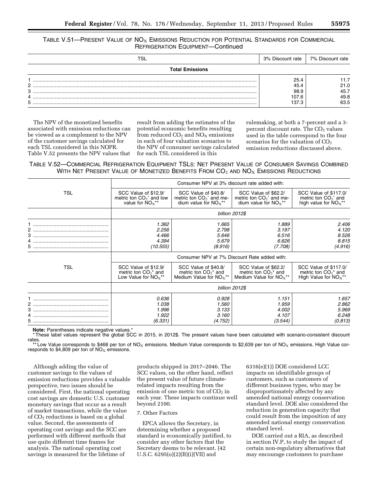## TABLE V.51—PRESENT VALUE OF  $NO<sub>X</sub>$  EMISSIONS REDUCTION FOR POTENTIAL STANDARDS FOR COMMERCIAL REFRIGERATION EQUIPMENT—Continued

| TSL                    | 3% Discount rate | 7% Discount rate |
|------------------------|------------------|------------------|
| <b>Total Emissions</b> |                  |                  |
|                        | 25.4             | 1.7              |
| ົ                      | 45.4             | 21.0             |
| з                      | 98.9             | 45.7             |
|                        | 107.6            | 49.8             |
| 5                      | 137.3            | 63.5             |

The NPV of the monetized benefits associated with emission reductions can be viewed as a complement to the NPV of the customer savings calculated for each TSL considered in this NOPR. Table V.52 presents the NPV values that

result from adding the estimates of the potential economic benefits resulting from reduced  $CO<sub>2</sub>$  and  $NO<sub>X</sub>$  emissions in each of four valuation scenarios to the NPV of consumer savings calculated for each TSL considered in this

rulemaking, at both a 7-percent and a 3 percent discount rate. The  $CO<sub>2</sub>$  values used in the table correspond to the four scenarios for the valuation of  $CO<sub>2</sub>$ emission reductions discussed above.

TABLE V.52—COMMERCIAL REFRIGERATION EQUIPMENT TSLS: NET PRESENT VALUE OF CONSUMER SAVINGS COMBINED WITH NET PRESENT VALUE OF MONETIZED BENEFITS FROM  $CO<sub>2</sub>$  and  $NO<sub>X</sub>$  Emissions Reductions

|            |                                                                            | Consumer NPV at 3% discount rate added with:                                     |                                                                                             |                                                                           |
|------------|----------------------------------------------------------------------------|----------------------------------------------------------------------------------|---------------------------------------------------------------------------------------------|---------------------------------------------------------------------------|
| <b>TSL</b> | SCC Value of \$12.9/<br>metric ton $CO_2^*$ and low<br>value for $NOx**$   | SCC Value of \$40.8/<br>metric ton $CO_2^*$ and me-<br>dium value for $NOx^{**}$ | SCC Value of \$62.2/<br>metric ton $CO_2$ <sup>*</sup> and me-<br>dium value for $NOx^{**}$ | SCC Value of \$117.0/<br>metric ton $CO2$ and<br>high value for $NOx**$   |
|            |                                                                            |                                                                                  | billion 2012\$                                                                              |                                                                           |
| 3<br>5.    | 1.362<br>2.256<br>4.466<br>4.394<br>(10.555)                               | 1.665<br>2.798<br>5.646<br>5.679<br>(8.916)                                      | 1.889<br>3.197<br>6.516<br>6.626<br>(7.708)                                                 | 2.406<br>4.120<br>8.526<br>8.815<br>(4.916)                               |
|            |                                                                            |                                                                                  | Consumer NPV at 7% Discount Rate added with:                                                |                                                                           |
| TSL        | SCC Value of \$12.9/<br>metric ton $CO2$ * and<br>Low Value for $NOx^{**}$ | SCC Value of \$40.8/<br>metric ton $CO_2^*$ and<br>Medium Value for $NOx**$      | SCC Value of \$62.2/<br>metric ton $CO_2^*$ and<br>Medium Value for $NOx**$                 | SCC Value of \$117.0/<br>metric ton $CO2$ * and<br>High Value for $NOx**$ |
|            |                                                                            |                                                                                  | billion 2012\$                                                                              |                                                                           |
| 3          | 0.636<br>1.038<br>1.996<br>1.922<br>(6.331)                                | 0.928<br>1.560<br>3.133<br>3.160<br>(4.752)                                      | 1.151<br>1.959<br>4.002<br>4.107<br>(3.544)                                                 | 1.657<br>2.862<br>5.969<br>6.248<br>(0.813)                               |

**Note:** Parentheses indicate negative values.\*

These label values represent the global SCC in 2015, in 2012\$. The present values have been calculated with scenario-consistent discount rates.

 $^{+81}_{-82}$  Low Value corresponds to \$468 per ton of NO<sub>X</sub> emissions. Medium Value corresponds to \$2,639 per ton of NO<sub>X</sub> emissions. High Value corresponds to \$4,809 per ton of  $NO<sub>x</sub>$  emissions.

Although adding the value of customer savings to the values of emission reductions provides a valuable perspective, two issues should be considered. First, the national operating cost savings are domestic U.S. customer monetary savings that occur as a result of market transactions, while the value of  $CO<sub>2</sub>$  reductions is based on a global value. Second, the assessments of operating cost savings and the SCC are performed with different methods that use quite different time frames for analysis. The national operating cost savings is measured for the lifetime of

products shipped in 2017–2046. The SCC values, on the other hand, reflect the present value of future climaterelated impacts resulting from the emission of one metric ton of  $CO<sub>2</sub>$  in each year. These impacts continue well beyond 2100.

## 7. Other Factors

EPCA allows the Secretary, in determining whether a proposed standard is economically justified, to consider any other factors that the Secretary deems to be relevant. (42 U.S.C. 6295(o)(2)(B)(i)(VII) and

6316(e)(1)) DOE considered LCC impacts on identifiable groups of customers, such as customers of different business types, who may be disproportionately affected by any amended national energy conservation standard level. DOE also considered the reduction in generation capacity that could result from the imposition of any amended national energy conservation standard level.

DOE carried out a RIA, as described in section IV.P, to study the impact of certain non-regulatory alternatives that may encourage customers to purchase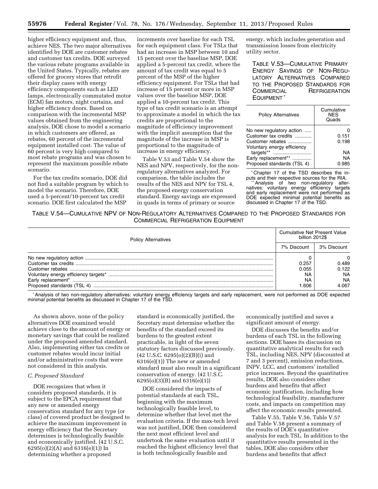higher efficiency equipment and, thus, achieve NES. The two major alternatives identified by DOE are customer rebates and customer tax credits. DOE surveyed the various rebate programs available in the United States. Typically, rebates are offered for grocery stores that retrofit their display cases with energy efficiency components such as LED lamps, electronically commutated motor (ECM) fan motors, night curtains, and higher efficiency doors. Based on comparison with the incremental MSP values obtained from the engineering analysis, DOE chose to model a scenario in which customers are offered, as rebates, 60 percent of the incremental equipment installed cost. The value of 60 percent is very high compared to most rebate programs and was chosen to represent the maximum possible rebate scenario.

For the tax credits scenario, DOE did not find a suitable program by which to model the scenario. Therefore, DOE used a 5-percent/10-percent tax credit scenario. DOE first calculated the MSP

increments over baseline for each TSL for each equipment class. For TSLs that had an increase in MSP between 10 and 15 percent over the baseline MSP, DOE applied a 5-percent tax credit, where the amount of tax credit was equal to 5 percent of the MSP of the higher efficiency equipment. For TSLs that had increase of 15 percent or more in MSP values over the baseline MSP, DOE applied a 10-percent tax credit. This type of tax credit scenario is an attempt to approximate a model in which the tax credits are proportional to the magnitude of efficiency improvement with the implicit assumption that the magnitude of the increase in MSP is proportional to the magnitude of increase in energy efficiency.

Table V.53 and Table V.54 show the NES and NPV, respectively, for the nonregulatory alternatives analyzed. For comparison, the table includes the results of the NES and NPV for TSL 4, the proposed energy conservation standard. Energy savings are expressed in quads in terms of primary or source

energy, which includes generation and transmission losses from electricity utility sector.

TABLE V.53—CUMULATIVE PRIMARY ENERGY SAVINGS OF NON-REGU-LATORY ALTERNATIVES COMPARED TO THE PROPOSED STANDARDS FOR COMMERCIAL REFRIGERATION **EQUIPMENT** 

| <b>Policy Alternatives</b>                                                                          | Cumulative<br><b>NFS</b><br>Quads |
|-----------------------------------------------------------------------------------------------------|-----------------------------------|
| No new regulatory action<br>Customer tax credits<br>Customer rebates<br>Voluntary energy efficiency | 0.151<br>0.198                    |
| targets**<br>Early replacement**<br>Proposed standards (TSL 4)                                      | NA<br>NA<br>0.985                 |
|                                                                                                     |                                   |

\* Chapter 17 of the TSD describes the in-<br>puts and their respective sources for the RIA.

puts and their respective sources for the RIA. \*\*Analysis of two non-regulatory alternatives: voluntary energy efficiency targets and early replacement were not performed as DOE expected minimal potential benefits as discussed in Chapter 17 of the TSD.

TABLE V.54—CUMULATIVE NPV OF NON-REGULATORY ALTERNATIVES COMPARED TO THE PROPOSED STANDARDS FOR COMMERCIAL REFRIGERATION EQUIPMENT

| <b>Policy Alternatives</b>                                                                                                | <b>Cumulative Net Present Value</b><br>billion 2012\$ |                                                   |  |
|---------------------------------------------------------------------------------------------------------------------------|-------------------------------------------------------|---------------------------------------------------|--|
|                                                                                                                           |                                                       | 3% Discount                                       |  |
| No new regulatory action<br>Customer tax credits.<br>Customer rebates<br>Early replacement*<br>Proposed standards (TSL 4) | 0.257<br>0.055<br>N٨<br>ΝA<br>.606                    | 0.489<br>0.122<br><b>NA</b><br><b>NA</b><br>4.067 |  |

\*Analysis of two non-regulatory alternatives: voluntary energy efficiency targets and early replacement, were not performed as DOE expected minimal potential benefits as discussed in Chapter 17 of the TSD.

As shown above, none of the policy alternatives DOE examined would achieve close to the amount of energy or monetary savings that could be realized under the proposed amended standard. Also, implementing either tax credits or customer rebates would incur initial and/or administrative costs that were not considered in this analysis.

## *C. Proposed Standard*

DOE recognizes that when it considers proposed standards, it is subject to the EPCA requirement that any new or amended energy conservation standard for any type (or class) of covered product be designed to achieve the maximum improvement in energy efficiency that the Secretary determines is technologically feasible and economically justified. (42 U.S.C. 6295(o)(2)(A) and 6316(e)(1)) In determining whether a proposed

standard is economically justified, the Secretary must determine whether the benefits of the standard exceed its burdens to the greatest extent practicable, in light of the seven statutory factors discussed previously. (42 U.S.C. 6295(o)(2)(B)(i) and 6316(e)(1)) The new or amended standard must also result in a significant conservation of energy. (42 U.S.C. 6295(o)(3)(B) and 6316(e)(1))

DOE considered the impacts of potential standards at each TSL, beginning with the maximum technologically feasible level, to determine whether that level met the evaluation criteria. If the max-tech level was not justified, DOE then considered the next most efficient level and undertook the same evaluation until it reached the highest efficiency level that is both technologically feasible and

economically justified and saves a significant amount of energy.

DOE discusses the benefits and/or burdens of each TSL in the following sections. DOE bases its discussion on quantitative analytical results for each TSL, including NES, NPV (discounted at 7 and 3 percent), emission reductions, INPV, LCC, and customers' installed price increases. Beyond the quantitative results, DOE also considers other burdens and benefits that affect economic justification, including how technological feasibility, manufacturer costs, and impacts on competition may affect the economic results presented.

Table V.55, Table V.56, Table V.57 and Table V.58 present a summary of the results of DOE's quantitative analysis for each TSL. In addition to the quantitative results presented in the tables, DOE also considers other burdens and benefits that affect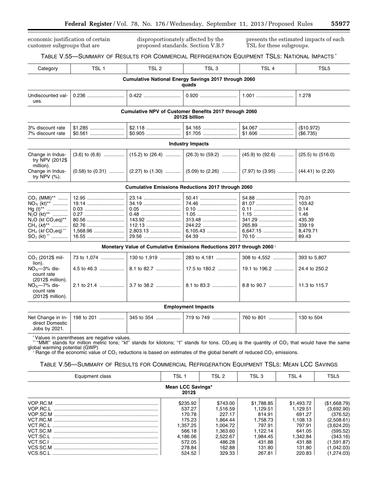economic justification of certain customer subgroups that are

disproportionately affected by the proposed standards. Section V.B.7 presents the estimated impacts of each TSL for these subgroups.

## TABLE V.55—SUMMARY OF RESULTS FOR COMMERCIAL REFRIGERATION EQUIPMENT TSLS: NATIONAL IMPACTS \* Category | TSL 1 | TSL 2 | TSL 3 | TSL 4 | TSL5 **Cumulative National Energy Savings 2017 through 2060 quads**  Undiscounted values. 0.236 ........................... 0.422 ........................... 0.920 ........................... 1.001 ........................... 1.278 **Cumulative NPV of Customer Benefits 2017 through 2060 2012\$ billion**  3% discount rate \$1.285 ......................... \$2.118 ......................... \$4.165 ......................... \$4.067 ......................... (\$10.972) 7% discount rate \$0.561 ......................... \$0.905 ......................... \$1.705 ......................... \$1.606 ......................... (\$6.735) **Industry Impacts**  Change in Industry NPV (2012\$ million).  $(3.6)$  to  $(6.8)$  ................ (15.2) to (26.4) ............ (26.3) to (59.2) ............ (45.9) to (92.6) ................. (25.5) to (516.0) Change in Industry NPV (%).  $(0.58)$  to  $(0.31)$  ...........  $(2.27)$  to  $(1.30)$  ...........  $(5.09)$  to  $(2.26)$  ...........  $(7.97)$  to  $(3.95)$  ............  $(44.41)$  to  $(2.20)$ **Cumulative Emissions Reductions 2017 through 2060**  CO2 (MMt)\*\* ....... 12.95 ........................... 23.14 ........................... 50.41 ........................... 54.88 ........................... 70.01 NOX (kt)\*\* ........... 19.14 ........................... 34.19 ........................... 74.46 ........................... 81.07 ........................... 103.42 Hg (t)\*\* ............... 0.03 ............................. 0.05 ............................. 0.10 ............................. 0.11 ............................. 0.14 N2O (kt)\*\* ........... 0.27 ............................. 0.48 ............................. 1.05 ............................. 1.15 ............................. 1.46 N2O (kt CO2eq)\*\* 80.56 ........................... 143.92 ......................... 313.48 ......................... 341.29 ......................... 435.39 CH4 (*kt*)\*\* ............ 62.76 ........................... 112.13 ......................... 244.22 ......................... 265.89 ......................... 339.19 CH<sup>4</sup> (*kt* CO2eq) \*\* 1,568.96 ...................... 2,803.13 ...................... 6,105.43 ...................... 6,647.15 ...................... 8,479.71 SO<sup>2</sup> (kt) \*\* ............ 16.55 ........................... 29.56 ........................... 64.39 ........................... 70.10 ........................... 89.43 **Monetary Value of Cumulative Emissions Reductions 2017 through 2060** † CO2 (2012\$ million). 73 to 1,074 ................. 130 to 1,919 ............... 283 to 4,181 ............... 308 to 4,552 ............... 393 to 5,807  $NO<sub>X</sub>$ -3% discount rate (2012\$ million). 4.5 to 46.3 .................. 8.1 to 82.7 .................. 17.5 to 180.2 .............. 19.1 to 196.2 .............. 24.4 to 250.2  $NO<sub>X</sub>$ -7% discount rate (2012\$ million). 2.1 to 21.4 .................. 3.7 to 38.2 .................. 8.1 to 83.3 .................. 8.8 to 90.7 .................. 11.3 to 115.7 **Employment Impacts**  Net Change in Indirect Domestic Jobs by 2021. 198 to 201 .................. 345 to 354 .................. 719 to 749 .................. 760 to 801 .................. 130 to 504 \*Values in parentheses are negative values. ""MMt" stands for million metric tons; "kt" stands for kilotons; "t" stands for tons. CO<sub>2</sub>eq is the quantity of CO<sub>2</sub> that would have the same global warming potential (GWP)  $\hat{\tau}$  Range of the economic value of CO<sub>2</sub> reductions is based on estimates of the global benefit of reduced CO<sub>2</sub> emissions. TABLE V.56—SUMMARY OF RESULTS FOR COMMERCIAL REFRIGERATION EQUIPMENT TSLS: MEAN LCC SAVINGS Equipment class TSL 1 TSL 1 TSL 2 TSL 3 TSL 4 TSL 5 **Mean LCC Savings\* 2012\$**

| \$235.92 | \$743.00 | \$1,788.85 | \$1,493.72 | (\$1,668.79) |
|----------|----------|------------|------------|--------------|
| 537.27   | 1.516.59 | 1.129.51   | 1.129.51   | (3.692.90)   |
| 170.78   | 227.17   | 814.91     | 691.27     | (376.52)     |
| 175.23   | 1.864.44 | 1.758.73   | 1.108.13   | (2.508.61)   |
| 1.357.25 | 1.004.72 | 797.91     | 797.91     | (3.624.20)   |
| 566.18   | 1.363.60 | 1.122.14   | 641.05     | (595.52)     |
| 4.186.06 | 2.522.67 | l.984.45   | 1.342.84   | (343.16)     |
| 572.05   | 486.28   | 431.88     | 431.88     | (1.591.87)   |
| 278.84   | 162.88   | 131.80     | 131.80     | (1,042.03)   |
| 524.52   | 329.33   | 267.81     | 220.83     | 1,274.03)    |
|          |          |            |            |              |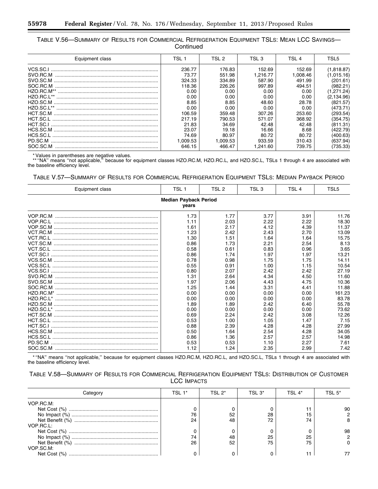| TABLE V.56—SUMMARY OF RESULTS FOR COMMERCIAL REFRIGERATION EQUIPMENT TSLS: MEAN LCC SAVINGS— |  |
|----------------------------------------------------------------------------------------------|--|
| Continued                                                                                    |  |

| Equipment class | TSL 1    | TSL 2    | TSL 3    | TSL 4    | TSL5        |
|-----------------|----------|----------|----------|----------|-------------|
|                 | 236.77   | 176.83   | 152.69   | 152.69   | (0.818.87)  |
|                 | 73.77    | 551.98   | 1.216.77 | 1.008.46 | l.015.16)   |
|                 | 324.33   | 334.89   | 587.90   | 491.99   | (201.61)    |
| SOC.RC.M        | 118.36   | 226.26   | 997.89   | 494.51   | (982.21)    |
|                 | 0.00     | 0.00     | 0.00     | 0.00     | .271.24)    |
| HZO.RC.L**      | 0.00     | 0.00     | 0.00     | 0.00     | (2, 134.96) |
|                 | 8.85     | 8.85     | 48.60    | 28.78    | (821.57)    |
| $HZO.SC.I$ **   | 0.00     | 0.00     | 0.00     | 0.00     | (473.71)    |
|                 | 106.59   | 359.48   | 307.26   | 253.60   | (293.54)    |
|                 | 217.19   | 790.53   | 571.07   | 368.92   | (354.75)    |
|                 | 21.83    | 34.69    | 42.48    | 42.48    | (811.31)    |
|                 | 23.07    | 19.18    | 16.66    | 8.68     | (422.79)    |
|                 | 74.69    | 80.97    | 80.72    | 80.72    | (400.63)    |
| PD.SC.M         | 1.009.53 | 1.009.53 | 933.59   | 310.43   | (637.94)    |
| SOC.SC.M        | 646.15   | 466.47   | 1.241.60 | 739.75   | (735.33)    |

۳

\* Values in parentheses are negative values. \*\* ''NA'' means ''not applicable,'' because for equipment classes HZO.RC.M, HZO.RC.L, and HZO.SC.L, TSLs 1 through 4 are associated with the baseline efficiency level.

TABLE V.57—SUMMARY OF RESULTS FOR COMMERCIAL REFRIGERATION EQUIPMENT TSLS: MEDIAN PAYBACK PERIOD

| Equipment class                       | TSL 1 | TSL 2 | TSL <sub>3</sub> | TSL <sub>4</sub> | TSL5   |  |  |  |
|---------------------------------------|-------|-------|------------------|------------------|--------|--|--|--|
| <b>Median Payback Period</b><br>vears |       |       |                  |                  |        |  |  |  |
|                                       | 1.73  | 1.77  | 3.77             | 3.91             | 11.76  |  |  |  |
|                                       | 1.11  | 2.03  | 2.22             | 2.22             | 18.30  |  |  |  |
|                                       | 1.61  | 2.17  | 4.12             | 4.39             | 11.37  |  |  |  |
|                                       | 1.23  | 2.42  | 2.43             | 2.70             | 13.09  |  |  |  |
|                                       | 1.30  | 1.51  | 1.64             | 1.64             | 15.75  |  |  |  |
|                                       | 0.86  | 1.73  | 2.21             | 2.54             | 8.13   |  |  |  |
|                                       | 0.58  | 0.61  | 0.83             | 0.96             | 3.65   |  |  |  |
|                                       | 0.86  | 1.74  | 1.97             | 1.97             | 13.21  |  |  |  |
|                                       | 0.78  | 0.98  | 1.75             | 1.75             | 14.11  |  |  |  |
|                                       | 0.55  | 0.91  | 1.00             | 1.15             | 10.54  |  |  |  |
|                                       | 0.80  | 2.07  | 2.42             | 2.42             | 27.19  |  |  |  |
|                                       | 1.31  | 2.64  | 4.34             | 4.50             | 11.60  |  |  |  |
|                                       | 1.97  | 2.06  | 4.43             | 4.75             | 10.36  |  |  |  |
|                                       | 1.25  | 1.44  | 3.31             | 4.41             | 11.88  |  |  |  |
|                                       | 0.00  | 0.00  | 0.00             | 0.00             | 161.23 |  |  |  |
|                                       | 0.00  | 0.00  | 0.00             | 0.00             | 83.78  |  |  |  |
|                                       | 1.89  | 1.89  | 2.42             | 6.40             | 55.78  |  |  |  |
|                                       | 0.00  | 0.00  | 0.00             | 0.00             | 73.62  |  |  |  |
|                                       | 0.69  | 2.24  | 2.42             | 3.08             | 12.26  |  |  |  |
|                                       | 0.53  | 1.00  | 1.05             | 1.47             | 7.15   |  |  |  |
|                                       | 0.88  | 2.39  | 4.28             | 4.28             | 27.99  |  |  |  |
|                                       | 0.50  | 1.64  | 2.54             | 4.28             | 34.05  |  |  |  |
|                                       | 0.86  | 1.36  | 2.57             | 2.57             | 14.98  |  |  |  |
| PD.SC.M                               | 0.53  | 0.53  | 1.10             | 2.27             | 7.61   |  |  |  |
|                                       | 1.12  | 1.24  | 2.35             | 2.99             | 7.42   |  |  |  |

\* ''NA'' means ''not applicable,'' because for equipment classes HZO.RC.M, HZO.RC.L, and HZO.SC.L, TSLs 1 through 4 are associated with the baseline efficiency level.

| TABLE V.58—SUMMARY OF RESULTS FOR COMMERCIAL REFRIGERATION EQUIPMENT TSLS: DISTRIBUTION OF CUSTOMER |  |
|-----------------------------------------------------------------------------------------------------|--|
| <b>LCC IMPACTS</b>                                                                                  |  |

| Category  | TSL 1* | TSL 2* | TSL 3* | TSI 4* | TSI 5* |
|-----------|--------|--------|--------|--------|--------|
| VOP.RC.M: |        |        |        |        |        |
|           |        |        |        |        | 90     |
|           | 76     | 52     | 28     |        |        |
|           | 24     | 48     | 72     | 74     |        |
| VOP.RC.L: |        |        |        |        |        |
|           |        |        |        |        | 98     |
|           | 74     |        | 25     | 25     |        |
|           | 26     | 52     | 75     | 75     |        |
| VOP.SC.M: |        |        |        |        |        |
|           |        |        |        |        |        |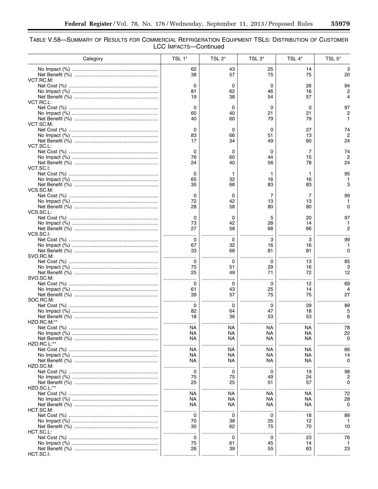$\equiv$ 

| Table V.58—Summary of Results for Commercial Refrigeration Equipment TSLs: Distribution of Customer |  |
|-----------------------------------------------------------------------------------------------------|--|
| LCC IMPACTS-Continued                                                                               |  |

| Category    | TSL 1*   | TSL <sub>2</sub> * | TSL 3*   | TSL 4*    | TSL 5*   |
|-------------|----------|--------------------|----------|-----------|----------|
|             | 62       | 43                 | 25       | 14        | з        |
| VCT.RC.M.   | 38       | 57                 | 75       | 75        | 20       |
|             | 0        | 0                  | 0        | 26        | 94       |
|             | 81       | 62                 | 46       | 16        |          |
| VCT.RC.L:   | 19       | 38                 | 54       | 57        |          |
|             | 0        | 0                  | 0        | 0         | 97       |
|             | 60       | 40                 | 21       | 21        |          |
| VCT.SC.M:   | 40       | 60                 | 79       | 79        |          |
|             | 0        | 0                  | 0        | 27        | 74       |
|             | 83<br>17 | 66<br>34           | 51<br>49 | 13<br>60  | 24       |
| VCT.SC.L:   |          |                    |          |           |          |
|             | 0        | 0                  | 0        | 7         | 74       |
|             | 76<br>24 | 60<br>40           | 44<br>56 | 15<br>78  | 24       |
| VCT.SC.I:   |          |                    |          |           |          |
|             | 0        | 1                  | 1        | 1         | 95       |
|             | 65<br>35 | 32<br>68           | 16<br>83 | 16<br>83  | 3        |
| VCS.SC.M:   |          |                    |          |           |          |
|             | 0        | 0                  | 7        | 7         | 99       |
|             | 72<br>28 | 42<br>58           | 13<br>80 | 13<br>80  |          |
| VCS.SC.L:   |          |                    |          |           |          |
|             | 0        | 0                  | 5        | 20        | 97       |
|             | 73<br>27 | 42<br>58           | 28<br>68 | 14<br>66  |          |
| VCS.SC.I:   | .        |                    |          |           |          |
|             | 0        | 0                  | 3        | 3         | 99       |
|             | 67<br>33 | 32<br>68           | 16<br>81 | 16<br>81  | O        |
| SVO.RC.M:   |          |                    |          |           |          |
|             | 0<br>75  | 0<br>51            | 0<br>29  | 13        | 85<br>з  |
|             | 25       | 49                 | 71       | 16<br>72  | 12       |
| SVO.SC.M.   |          |                    |          |           |          |
|             | 0<br>61  | 0<br>43            | 0<br>25  | 12<br>14  | 69       |
|             | 39       | 57                 | 75       | 75        | 27       |
| SOC.RC.M:   |          |                    |          |           |          |
|             | 0<br>82  | 0<br>64            | 0<br>47  | 29<br>18  | 89       |
|             | 18       | 36                 | 53       | 53        | 6        |
| HZO.RC.M:** |          |                    |          |           |          |
|             | NA<br>NA | NА<br>NА           | NA<br>NА | NA.<br>ΝA | 78<br>22 |
|             | ΝA       | NА                 | NA       | NA        | n        |
| HZO.RC.L:** | NА       |                    | ΝA       | ΝA        | 86       |
|             | NA       | NА<br>NА           | NА       | ΝA        | 14       |
|             | NА       | NА                 | NА       | ΝA        | O        |
| HZO.SC.M:   | 0        | 0                  | 0        | 19        | 98       |
|             | 75       | 75                 | 49       | 24        |          |
|             | 25       | 25                 | 51       | 57        |          |
| HZO.SC.L:** | ΝA       | <b>NA</b>          | NA       | ΝA        | 72       |
|             | ΝA       | NА                 | NА       | ΝA        | 28       |
|             | NA       | NA.                | NA       | ΝA        | O        |
| HCT.SC.M:   | 0        | 0                  | O        | 18        | 89       |
|             | 70       | 38                 | 25       | 12        |          |
|             | 30       | 62                 | 75       | 70        | 10       |
| HCT.SC.L:   | 0        | 0                  | 0        | 23        | 76       |
|             | 75       | 61                 | 45       | 14        |          |
|             | 26       | 39                 | 55       | 63        | 23       |
| HCT.SC.I:   |          |                    |          |           |          |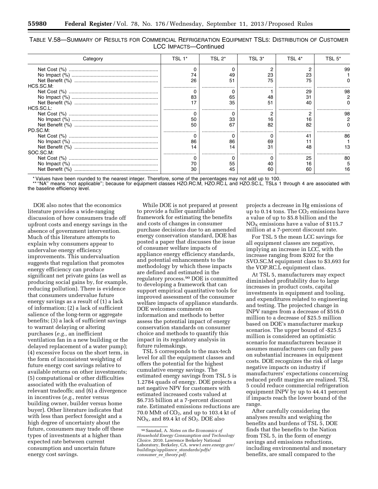TABLE V.58—SUMMARY OF RESULTS FOR COMMERCIAL REFRIGERATION EQUIPMENT TSLS: DISTRIBUTION OF CUSTOMER LCC IMPACTS—Continued

| Category  | TSL 1* | TSL 2* | TSL 3* | TSL 4* | TSL 5° |
|-----------|--------|--------|--------|--------|--------|
|           |        |        |        |        |        |
|           | 74     |        | 23     |        |        |
|           |        |        | 75     |        |        |
| HCS.SC.M: |        |        |        |        |        |
|           |        |        |        |        |        |
|           |        |        |        |        |        |
|           |        |        |        |        |        |
| HCS.SC.L: |        |        |        |        |        |
|           |        |        |        |        |        |
|           | 50     | 33     |        |        |        |
|           | 50     |        | 82     |        |        |
| PD.SC.M:  |        |        |        |        |        |
|           |        |        |        |        |        |
|           | 86     |        | 69     |        |        |
|           |        |        |        |        |        |
| SOC.SC.M: |        |        |        |        |        |
|           |        |        |        |        |        |
|           |        |        |        |        |        |
|           |        |        | 60     |        |        |

\* Values have been rounded to the nearest integer. Therefore, some of the percentages may not add up to 100.

\*\* "NA" means "not applicable"; because for equipment classes HZO.RC.M, HZO.RC.L and HZO.SC.L, TSLs 1 through 4 are associated with the baseline efficiency level.

DOE also notes that the economics literature provides a wide-ranging discussion of how consumers trade off upfront costs and energy savings in the absence of government intervention. Much of this literature attempts to explain why consumers appear to undervalue energy efficiency improvements. This undervaluation suggests that regulation that promotes energy efficiency can produce significant net private gains (as well as producing social gains by, for example, reducing pollution). There is evidence that consumers undervalue future energy savings as a result of (1) a lack of information; (2) a lack of sufficient salience of the long-term or aggregate benefits; (3) a lack of sufficient savings to warrant delaying or altering purchases (*e.g.,* an inefficient ventilation fan in a new building or the delayed replacement of a water pump); (4) excessive focus on the short term, in the form of inconsistent weighting of future energy cost savings relative to available returns on other investments; (5) computational or other difficulties associated with the evaluation of relevant tradeoffs; and (6) a divergence in incentives (*e.g.,* renter versus building owner, builder versus home buyer). Other literature indicates that with less than perfect foresight and a high degree of uncertainty about the future, consumers may trade off these types of investments at a higher than expected rate between current consumption and uncertain future energy cost savings.

While DOE is not prepared at present to provide a fuller quantifiable framework for estimating the benefits and costs of changes in consumer purchase decisions due to an amended energy conservation standard, DOE has posted a paper that discusses the issue of consumer welfare impacts of appliance energy efficiency standards, and potential enhancements to the methodology by which these impacts are defined and estimated in the regulatory process.90 DOE is committed to developing a framework that can support empirical quantitative tools for improved assessment of the consumer welfare impacts of appliance standards. DOE welcomes comments on information and methods to better assess the potential impact of energy conservation standards on consumer choice and methods to quantify this impact in its regulatory analysis in future rulemakings.

TSL 5 corresponds to the max-tech level for all the equipment classes and offers the potential for the highest cumulative energy savings. The estimated energy savings from TSL 5 is 1.2784 quads of energy. DOE projects a net negative NPV for customers with estimated increased costs valued at \$6.735 billion at a 7-percent discount rate. Estimated emissions reductions are 70.0 MMt of  $CO<sub>2</sub>$ , and up to 103.4 kt of NO<sub>X</sub>, and 89.4 kt of SO<sub>2</sub>. DOE also

projects a decrease in Hg emissions of up to 0.14 tons. The  $CO<sub>2</sub>$  emissions have a value of up to \$5.8 billion and the  $NO<sub>X</sub>$  emissions have a value of \$115.7 million at a 7-percent discount rate.

For TSL 5 the mean LCC savings for all equipment classes are negative, implying an increase in LCC, with the increase ranging from \$202 for the SVO.SC.M equipment class to \$3,693 for the VOP.RC.L equipment class.

At TSL 5, manufacturers may expect diminished profitability due to large increases in product costs, capital investments in equipment and tooling, and expenditures related to engineering and testing. The projected change in INPV ranges from a decrease of \$516.0 million to a decrease of \$25.5 million based on DOE's manufacturer markup scenarios. The upper bound of -\$25.5 million is considered an optimistic scenario for manufacturers because it assumes manufacturers can fully pass on substantial increases in equipment costs. DOE recognizes the risk of large negative impacts on industry if manufacturers' expectations concerning reduced profit margins are realized. TSL 5 could reduce commercial refrigeration equipment INPV by up to 44.41 percent if impacts reach the lower bound of the range.

After carefully considering the analyses results and weighing the benefits and burdens of TSL 5, DOE finds that the benefits to the Nation from TSL 5, in the form of energy savings and emissions reductions, including environmental and monetary benefits, are small compared to the

<sup>90</sup>Sanstad, A. *Notes on the Economics of Household Energy Consumption and Technology Choice.* 2010. Lawrence Berkeley National Laboratory, Berkeley, CA. *[www1.eere.energy.gov/](http://www1.eere.energy.gov/buildings/appliance_standards/pdfs/consumer_ee_theory.pdf) [buildings/appliance](http://www1.eere.energy.gov/buildings/appliance_standards/pdfs/consumer_ee_theory.pdf)*\_*standards/pdfs/ consumer*\_*ee*\_*[theory.pdf](http://www1.eere.energy.gov/buildings/appliance_standards/pdfs/consumer_ee_theory.pdf)*.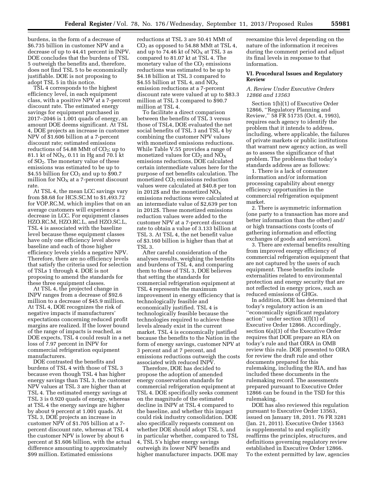burdens, in the form of a decrease of \$6.735 billion in customer NPV and a decrease of up to 44.41 percent in INPV. DOE concludes that the burdens of TSL 5 outweigh the benefits and, therefore, does not find TSL 5 to be economically justifiable. DOE is not proposing to adopt TSL 5 in this notice.

TSL 4 corresponds to the highest efficiency level, in each equipment class, with a positive NPV at a 7-percent discount rate. The estimated energy savings for equipment purchased in 2017–2046 is 1.001 quads of energy, an amount DOE deems significant. At TSL 4, DOE projects an increase in customer NPV of \$1.606 billion at a 7-percent discount rate; estimated emissions reductions of 54.88 MMt of  $CO<sub>2</sub>$ ; up to 81.1 kt of  $\rm{NO_{X}},$  0.11 in Hg and 70.1 kt of  $SO<sub>2</sub>$ . The monetary value of these emissions was estimated to be up to \$4.55 billion for  $CO<sub>2</sub>$  and up to \$90.7 million for  $NO<sub>X</sub>$  at a 7-percent discount rate.

At TSL 4, the mean LCC savings vary from \$8.68 for HCS.SC.M to \$1,493.72 for VOP.RC.M, which implies that on an average customers will experience a decrease in LCC. For equipment classes HZO.RC.M, HZO.RC.L, and HZO.SC.L, TSL 4 is associated with the baseline level because these equipment classes have only one efficiency level above baseline and each of those higher efficiency levels yields a negative NPV. Therefore, there are no efficiency levels that satisfy the criteria used for selection of TSLs 1 through 4. DOE is not proposing to amend the standards for these three equipment classes.

At TSL 4, the projected change in INPV ranges from a decrease of \$92.6 million to a decrease of \$45.9 million. At TSL 4, DOE recognizes the risk of negative impacts if manufacturers' expectations concerning reduced profit margins are realized. If the lower bound of the range of impacts is reached, as DOE expects, TSL 4 could result in a net loss of 7.97 percent in INPV for commercial refrigeration equipment manufacturers.

DOE contrasted the benefits and burdens of TSL 4 with those of TSL 3 because even though TSL 4 has higher energy savings than TSL 3, the customer NPV values at TSL 3 are higher than at TSL 4. The estimated energy savings at TSL 3 is 0.920 quads of energy, whereas at TSL 4 the energy savings are higher by about 9 percent at 1.001 quads. At TSL 3, DOE projects an increase in customer NPV of \$1.705 billion at a 7 percent discount rate, whereas at TSL 4 the customer NPV is lower by about 6 percent at \$1.606 billion, with the actual difference amounting to approximately \$99 million. Estimated emissions

reductions at TSL 3 are 50.41 MMt of  $CO<sub>2</sub>$  as opposed to 54.88 MMt at TSL 4, and up to 74.46 kt of  $NO<sub>X</sub>$  at TSL 3 as compared to 81.07 kt at TSL 4. The monetary value of the  $CO<sub>2</sub>$  emissions reductions was estimated to be up to \$4.18 billion at TSL 3 compared to \$4.55 billion at TSL 4, and  $\rm{NO_X}$ emission reductions at a 7-percent discount rate were valued at up to \$83.3 million at TSL 3 compared to \$90.7 million at TSL 4.

To facilitate a direct comparison between the benefits of TSL 3 versus those of TSL4, DOE evaluated the net social benefits of TSL 3 and TSL 4 by combining the customer NPV values with monetized emissions reductions. While Table V.55 provides a range of monetized values for  $CO<sub>2</sub>$  and  $NO<sub>X</sub>$ emissions reductions, DOE calculated certain intermediate values here for the purpose of net benefits calculation. The monetized  $CO<sub>2</sub>$  emissions reduction values were calculated at \$40.8 per ton in 2012\$ and the monetized  $NO<sub>x</sub>$ emissions reductions were calculated at an intermediate value of \$2,639 per ton in 2012\$. These monetized emissions reduction values were added to the customer NPV at a 7-percent discount rate to obtain a value of 3.133 billion at TSL 3. At TSL 4, the net benefit value of \$3.160 billion is higher than that at TSL 3.

After careful consideration of the analyses results, weighing the benefits and burdens of TSL 4, and comparing them to those of TSL 3, DOE believes that setting the standards for commercial refrigeration equipment at TSL 4 represents the maximum improvement in energy efficiency that is technologically feasible and economically justified. TSL 4 is technologically feasible because the technologies required to achieve these levels already exist in the current market. TSL 4 is economically justified because the benefits to the Nation in the form of energy savings, customer NPV at 3 percent and at 7 percent, and emissions reductions outweigh the costs associated with reduced INPV.

Therefore, DOE has decided to propose the adoption of amended energy conservation standards for commercial refrigeration equipment at TSL 4. DOE specifically seeks comment on the magnitude of the estimated decline in INPV at TSL 4 compared to the baseline, and whether this impact could risk industry consolidation. DOE also specifically requests comment on whether DOE should adopt TSL 5, and in particular whether, compared to TSL 4, TSL 5's higher energy savings outweigh its lower NPV benefits and higher manufacturer impacts. DOE may

reexamine this level depending on the nature of the information it receives during the comment period and adjust its final levels in response to that information.

### **VI. Procedural Issues and Regulatory Review**

## *A. Review Under Executive Orders 12866 and 13563*

Section 1(b)(1) of Executive Order 12866, ''Regulatory Planning and Review,'' 58 FR 51735 (Oct. 4, 1993), requires each agency to identify the problem that it intends to address, including, where applicable, the failures of private markets or public institutions that warrant new agency action, as well as to assess the significance of that problem. The problems that today's standards address are as follows:

1. There is a lack of consumer information and/or information processing capability about energy efficiency opportunities in the commercial refrigeration equipment market.

2. There is asymmetric information (one party to a transaction has more and better information than the other) and/ or high transactions costs (costs of gathering information and effecting exchanges of goods and services).

3. There are external benefits resulting from improved energy efficiency of commercial refrigeration equipment that are not captured by the users of such equipment. These benefits include externalities related to environmental protection and energy security that are not reflected in energy prices, such as reduced emissions of GHGs.

In addition, DOE has determined that today's regulatory action is an ''economically significant regulatory action'' under section 3(f)(1) of Executive Order 12866. Accordingly, section 6(a)(3) of the Executive Order requires that DOE prepare an RIA on today's rule and that OIRA in OMB review this rule. DOE presented to OIRA for review the draft rule and other documents prepared for this rulemaking, including the RIA, and has included these documents in the rulemaking record. The assessments prepared pursuant to Executive Order 12866 can be found in the TSD for this rulemaking.

DOE has also reviewed this regulation pursuant to Executive Order 13563, issued on January 18, 2011. 76 FR 3281 (Jan. 21, 2011). Executive Order 13563 is supplemental to and explicitly reaffirms the principles, structures, and definitions governing regulatory review established in Executive Order 12866. To the extent permitted by law, agencies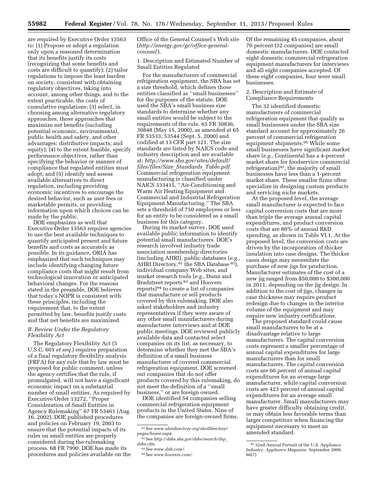are required by Executive Order 13563 to: (1) Propose or adopt a regulation only upon a reasoned determination that its benefits justify its costs (recognizing that some benefits and costs are difficult to quantify); (2) tailor regulations to impose the least burden on society, consistent with obtaining regulatory objectives, taking into account, among other things, and to the extent practicable, the costs of cumulative regulations; (3) select, in choosing among alternative regulatory approaches, those approaches that maximize net benefits (including potential economic, environmental, public health and safety, and other advantages; distributive impacts; and equity); (4) to the extent feasible, specify performance objectives, rather than specifying the behavior or manner of compliance that regulated entities must adopt; and (5) identify and assess available alternatives to direct regulation, including providing economic incentives to encourage the desired behavior, such as user fees or marketable permits, or providing information upon which choices can be made by the public.

DOE emphasizes as well that Executive Order 13563 requires agencies to use the best available techniques to quantify anticipated present and future benefits and costs as accurately as possible. In its guidance, ORIA has emphasized that such techniques may include identifying changing future compliance costs that might result from technological innovation or anticipated behavioral changes. For the reasons stated in the preamble, DOE believes that today's NOPR is consistent with these principles, including the requirement that, to the extent permitted by law, benefits justify costs and that net benefits are maximized.

### *B. Review Under the Regulatory Flexibility Act*

The Regulatory Flexibility Act (5 U.S.C. 601 *et seq.*) requires preparation of a final regulatory flexibility analysis (FRFA) for any rule that by law must be proposed for public comment, unless the agency certifies that the rule, if promulgated, will not have a significant economic impact on a substantial number of small entities. As required by Executive Order 13272, ''Proper Consideration of Small Entities in Agency Rulemaking'' 67 FR 53461 (Aug. 16, 2002), DOE published procedures and policies on February 19, 2003 to ensure that the potential impacts of its rules on small entities are properly considered during the rulemaking process. 68 FR 7990. DOE has made its procedures and policies available on the Office of the General Counsel's Web site (*[http://energy.gov/gc/office-general](http://energy.gov/gc/office-general-counsel)[counsel](http://energy.gov/gc/office-general-counsel)* ).

1. Description and Estimated Number of Small Entities Regulated

For the manufacturers of commercial refrigeration equipment, the SBA has set a size threshold, which defines those entities classified as ''small businesses'' for the purposes of the statute. DOE used the SBA's small business size standards to determine whether any small entities would be subject to the requirements of the rule. 65 FR 30836, 30848 (May 15, 2000), as amended at 65 FR 53533, 53544 (Sept. 5, 2000) and codified at 13 CFR part 121. The size standards are listed by NAICS code and industry description and are available at: *[http://www.sba.gov/sites/default/](http://www.sba.gov/sites/default/files/files/Size_Standards_Table.pdf) [files/files/Size](http://www.sba.gov/sites/default/files/files/Size_Standards_Table.pdf)*\_*Standards*\_*Table.pdf*. Commercial refrigeration equipment manufacturing is classified under NAICS 333415, ''Air-Conditioning and Warm Air Heating Equipment and Commercial and Industrial Refrigeration Equipment Manufacturing.'' The SBA sets a threshold of 750 employees or less for an entity to be considered as a small business for this category.

During its market survey, DOE used available public information to identify potential small manufacturers. DOE's research involved industry trade association membership directories (including AHRI), public databases (*e.g.,*  AHRI Directory, 91 the SBA Database 92), individual company Web sites, and market research tools (*e.g.,* Dunn and Bradstreet reports 93 and Hoovers reports)94 to create a list of companies that manufacture or sell products covered by this rulemaking. DOE also asked stakeholders and industry representatives if they were aware of any other small manufacturers during manufacturer interviews and at DOE public meetings. DOE reviewed publicly available data and contacted select companies on its list, as necessary, to determine whether they met the SBA's definition of a small business manufacturer of covered commercial refrigeration equipment. DOE screened out companies that do not offer products covered by this rulemaking, do not meet the definition of a ''small business,'' or are foreign owned.

DOE identified 54 companies selling commercial refrigeration equipment products in the United States. Nine of the companies are foreign-owned firms. Of the remaining 45 companies, about 70 percent (32 companies) are small domestic manufacturers. DOE contacted eight domestic commercial refrigeration equipment manufacturers for interviews and all eight companies accepted. Of these eight companies, four were small businesses.

## 2. Description and Estimate of Compliance Requirements

The 32 identified domestic manufacturers of commercial refrigeration equipment that qualify as small businesses under the SBA size standard account for approximately 26 percent of commercial refrigeration equipment shipments.95 While some small businesses have significant market share (*e.g.,* Continental has a 4-percent market share for foodservice commercial refrigeration)95, the majority of small businesses have less than a 1-percent market share. These smaller firms often specialize in designing custom products and servicing niche markets.

At the proposed level, the average small manufacturer is expected to face capital conversion costs that are more than triple the average annual capital expenditures, and product conversion costs that are 80% of annual R&D spending, as shown in Table VI.1. At the proposed level, the conversion costs are driven by the incorporation of thicker insulation into case designs. The thicker cases design may necessitate the purchase of new jigs for production. Manufacturer estimates of the cost of a new jig ranged from \$50,000 to \$300,000 in 2011, depending on the jig design. In addition to the cost of jigs, changes in case thickness may require product redesign due to changes in the interior volume of the equipment and may require new industry certifications.

The proposed standard could cause small manufacturers to be at a disadvantage relative to large manufacturers. The capital conversion costs represent a smaller percentage of annual capital expenditures for large manufacturers than for small manufacturers. The capital conversion costs are 60 percent of annual capital expenditures for an average large manufacturer, while capital conversion costs are 423 percent of annual capital expenditures for an average small manufacturer. Small manufacturers may have greater difficulty obtaining credit, or may obtain less favorable terms than larger competitors when financing the equipment necessary to meet an amended standard.

<sup>91</sup>See *[www.ahridirectory.org/ahriDirectory/](http://www.ahridirectory.org/ahriDirectory/pages/home.aspx)*

<sup>&</sup>lt;sup>92</sup>See *[http://dsbs.sba.gov/dsbs/search/dsp](http://dsbs.sba.gov/dsbs/search/dsp_dsbs.cfm)\_dsbs.cfm.* 

*[dsbs.cfm](http://dsbs.sba.gov/dsbs/search/dsp_dsbs.cfm)*. 93See *www.dnb.com/*[.](http://www.dnb.com/) 94See*www.hoovers.com/*.

<sup>95</sup> 32nd Annual Portrait of the U.S. Appliance Industry. *Appliance Magazine.* September 2009. 66(7).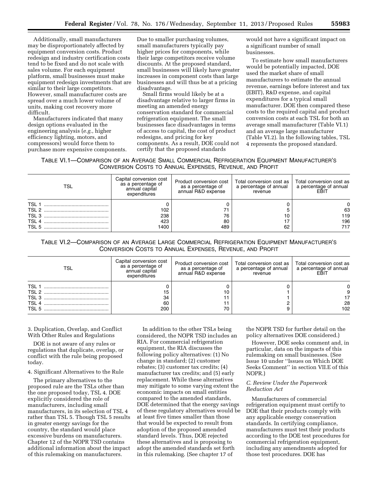Additionally, small manufacturers may be disproportionately affected by equipment conversion costs. Product redesign and industry certification costs tend to be fixed and do not scale with sales volume. For each equipment platform, small businesses must make equipment redesign investments that are similar to their large competitors. However, small manufacturer costs are spread over a much lower volume of units, making cost recovery more difficult.

Manufacturers indicated that many design options evaluated in the engineering analysis (*e.g.,* higher efficiency lighting, motors, and compressors) would force them to purchase more expensive components.

Due to smaller purchasing volumes, small manufacturers typically pay higher prices for components, while their large competitors receive volume discounts. At the proposed standard, small businesses will likely have greater increases in component costs than large businesses and will thus be at a pricing disadvantage.

Small firms would likely be at a disadvantage relative to larger firms in meeting an amended energy conservation standard for commercial refrigeration equipment. The small businesses face disadvantages in terms of access to capital, the cost of product redesigns, and pricing for key components. As a result, DOE could not certify that the proposed standards

would not have a significant impact on a significant number of small businesses.

To estimate how small manufacturers would be potentially impacted, DOE used the market share of small manufacturers to estimate the annual revenue, earnings before interest and tax (EBIT), R&D expense, and capital expenditures for a typical small manufacturer. DOE then compared these costs to the required capital and product conversion costs at each TSL for both an average small manufacturer (Table VI.1) and an average large manufacturer (Table VI.2). In the following tables, TSL 4 represents the proposed standard.

TABLE VI.1—COMPARISON OF AN AVERAGE SMALL COMMERCIAL REFRIGERATION EQUIPMENT MANUFACTURER'S CONVERSION COSTS TO ANNUAL EXPENSES, REVENUE, AND PROFIT

| TSL              | Capital conversion cost<br>as a percentage of<br>annual capital<br>expenditures | Product conversion cost<br>as a percentage of<br>annual R&D expense | Total conversion cost as<br>a percentage of annual<br>revenue | Total conversion cost as<br>a percentage of annual<br>EBIT |
|------------------|---------------------------------------------------------------------------------|---------------------------------------------------------------------|---------------------------------------------------------------|------------------------------------------------------------|
| TSL <sub>1</sub> |                                                                                 |                                                                     |                                                               |                                                            |
| TSL 2            | 102                                                                             |                                                                     |                                                               | 63                                                         |
|                  | 238                                                                             | 76                                                                  | 10                                                            | 119                                                        |
| TSL <sub>4</sub> | 423                                                                             | 80                                                                  | 17                                                            | 196                                                        |
| TSL 5            | 1400                                                                            | 489                                                                 | 62                                                            | 717                                                        |

TABLE VI.2—COMPARISON OF AN AVERAGE LARGE COMMERCIAL REFRIGERATION EQUIPMENT MANUFACTURER'S CONVERSION COSTS TO ANNUAL EXPENSES, REVENUE, AND PROFIT

| TSL              | Capital conversion cost<br>as a percentage of<br>annual capital<br>expenditures | Product conversion cost<br>as a percentage of<br>annual R&D expense | Total conversion cost as<br>a percentage of annual<br>revenue | Total conversion cost as<br>a percentage of annual<br>EBIT |
|------------------|---------------------------------------------------------------------------------|---------------------------------------------------------------------|---------------------------------------------------------------|------------------------------------------------------------|
| <b>TSL</b>       |                                                                                 |                                                                     |                                                               |                                                            |
| TSL 2            | 15                                                                              | 10                                                                  |                                                               |                                                            |
| TSL <sub>3</sub> | 34                                                                              |                                                                     |                                                               |                                                            |
| TSL <sub>4</sub> | 60                                                                              |                                                                     |                                                               | 28                                                         |
| TSL 5            | 200                                                                             | 70                                                                  |                                                               | 102                                                        |

3. Duplication, Overlap, and Conflict With Other Rules and Regulations

DOE is not aware of any rules or regulations that duplicate, overlap, or conflict with the rule being proposed today.

## 4. Significant Alternatives to the Rule

The primary alternatives to the proposed rule are the TSLs other than the one proposed today, TSL 4. DOE explicitly considered the role of manufacturers, including small manufacturers, in its selection of TSL 4 rather than TSL 5. Though TSL 5 results in greater energy savings for the country, the standard would place excessive burdens on manufacturers. Chapter 12 of the NOPR TSD contains additional information about the impact of this rulemaking on manufacturers.

In addition to the other TSLs being considered, the NOPR TSD includes an RIA. For commercial refrigeration equipment, the RIA discusses the following policy alternatives: (1) No change in standard; (2) customer rebates; (3) customer tax credits; (4) manufacturer tax credits; and (5) early replacement. While these alternatives may mitigate to some varying extent the economic impacts on small entities compared to the amended standards, DOE determined that the energy savings of these regulatory alternatives would be at least five times smaller than those that would be expected to result from adoption of the proposed amended standard levels. Thus, DOE rejected these alternatives and is proposing to adopt the amended standards set forth in this rulemaking. (See chapter 17 of

the NOPR TSD for further detail on the policy alternatives DOE considered.)

However, DOE seeks comment and, in particular, data on the impacts of this rulemaking on small businesses. (See Issue 10 under ''Issues on Which DOE Seeks Comment'' in section VII.E of this NOPR.)

## *C. Review Under the Paperwork Reduction Act*

Manufacturers of commercial refrigeration equipment must certify to DOE that their products comply with any applicable energy conservation standards. In certifying compliance, manufacturers must test their products according to the DOE test procedures for commercial refrigeration equipment, including any amendments adopted for those test procedures. DOE has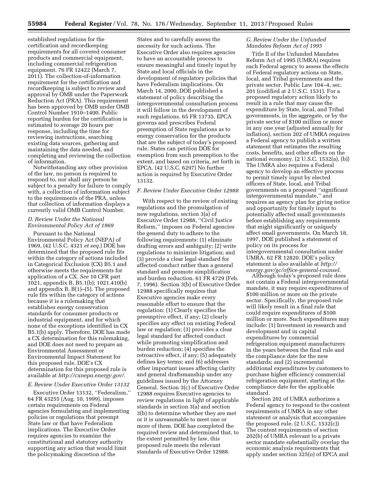established regulations for the certification and recordkeeping requirements for all covered consumer products and commercial equipment, including commercial refrigeration equipment. 76 FR 12422 (March 7, 2011). The collection-of-information requirement for the certification and recordkeeping is subject to review and approval by OMB under the Paperwork Reduction Act (PRA). This requirement has been approved by OMB under OMB Control Number 1910–1400. Public reporting burden for the certification is estimated to average 20 hours per response, including the time for reviewing instructions, searching existing data sources, gathering and maintaining the data needed, and completing and reviewing the collection of information.

Notwithstanding any other provision of the law, no person is required to respond to, nor shall any person be subject to a penalty for failure to comply with, a collection of information subject to the requirements of the PRA, unless that collection of information displays a currently valid OMB Control Number.

## *D. Review Under the National Environmental Policy Act of 1969*

Pursuant to the National Environmental Policy Act (NEPA) of 1969, (42 U.S.C. 4321 *et seq.*) DOE has determined that the proposed rule fits within the category of actions included in Categorical Exclusion (CX) B5.1 and otherwise meets the requirements for application of a CX. *See* 10 CFR part 1021, appendix B, B5.1(b); 1021.410(b) and appendix B, B(1)–(5). The proposed rule fits within the category of actions because it is a rulemaking that establishes energy conservation standards for consumer products or industrial equipment, and for which none of the exceptions identified in CX B5.1(b) apply. Therefore, DOE has made a CX determination for this rulemaking, and DOE does not need to prepare an Environmental Assessment or Environmental Impact Statement for this proposed rule. DOE's CX determination for this proposed rule is available at *[http://cxnepa.energy.gov/.](http://cxnepa.energy.gov/)* 

### *E. Review Under Executive Order 13132*

Executive Order 13132, ''Federalism,'' 64 FR 43255 (Aug. 10, 1999), imposes certain requirements on Federal agencies formulating and implementing policies or regulations that preempt State law or that have Federalism implications. The Executive Order requires agencies to examine the constitutional and statutory authority supporting any action that would limit the policymaking discretion of the

States and to carefully assess the necessity for such actions. The Executive Order also requires agencies to have an accountable process to ensure meaningful and timely input by State and local officials in the development of regulatory policies that have Federalism implications. On March 14, 2000, DOE published a statement of policy describing the intergovernmental consultation process it will follow in the development of such regulations. 65 FR 13735. EPCA governs and prescribes Federal preemption of State regulations as to energy conservation for the products that are the subject of today's proposed rule. States can petition DOE for exemption from such preemption to the extent, and based on criteria, set forth in EPCA. (42 U.S.C. 6297) No further action is required by Executive Order 13132.

## *F. Review Under Executive Order 12988*

With respect to the review of existing regulations and the promulgation of new regulations, section 3(a) of Executive Order 12988, ''Civil Justice Reform,'' imposes on Federal agencies the general duty to adhere to the following requirements: (1) eliminate drafting errors and ambiguity; (2) write regulations to minimize litigation; and (3) provide a clear legal standard for affected conduct rather than a general standard and promote simplification and burden reduction. 61 FR 4729 (Feb. 7, 1996). Section 3(b) of Executive Order 12988 specifically requires that Executive agencies make every reasonable effort to ensure that the regulation: (1) Clearly specifies the preemptive effect, if any; (2) clearly specifies any effect on existing Federal law or regulation; (3) provides a clear legal standard for affected conduct while promoting simplification and burden reduction; (4) specifies the retroactive effect, if any; (5) adequately defines key terms; and (6) addresses other important issues affecting clarity and general draftsmanship under any guidelines issued by the Attorney General. Section 3(c) of Executive Order 12988 requires Executive agencies to review regulations in light of applicable standards in section 3(a) and section 3(b) to determine whether they are met or it is unreasonable to meet one or more of them. DOE has completed the required review and determined that, to the extent permitted by law, this proposed rule meets the relevant standards of Executive Order 12988.

## *G. Review Under the Unfunded Mandates Reform Act of 1995*

Title II of the Unfunded Mandates Reform Act of 1995 (UMRA) requires each Federal agency to assess the effects of Federal regulatory actions on State, local, and Tribal governments and the private sector. Public Law 104–4, sec. 201 (codified at 2 U.S.C. 1531). For a proposed regulatory action likely to result in a rule that may cause the expenditure by State, local, and Tribal governments, in the aggregate, or by the private sector of \$100 million or more in any one year (adjusted annually for inflation), section 202 of UMRA requires a Federal agency to publish a written statement that estimates the resulting costs, benefits, and other effects on the national economy. (2 U.S.C. 1532(a), (b)) The UMRA also requires a Federal agency to develop an effective process to permit timely input by elected officers of State, local, and Tribal governments on a proposed ''significant intergovernmental mandate,'' and requires an agency plan for giving notice and opportunity for timely input to potentially affected small governments before establishing any requirements that might significantly or uniquely affect small governments. On March 18, 1997, DOE published a statement of policy on its process for intergovernmental consultation under UMRA. 62 FR 12820. DOE's policy statement is also available at *[http://](http://energy.gov/gc/office-general-counsel) [energy.gov/gc/office-general-counsel](http://energy.gov/gc/office-general-counsel)*.

Although today's proposed rule does not contain a Federal intergovernmental mandate, it may require expenditures of \$100 million or more on the private sector. Specifically, the proposed rule will likely result in a final rule that could require expenditures of \$100 million or more. Such expenditures may include: (1) Investment in research and development and in capital expenditures by commercial refrigeration equipment manufacturers in the years between the final rule and the compliance date for the new standards; and (2) incremental additional expenditures by customers to purchase higher efficiency commercial refrigeration equipment, starting at the compliance date for the applicable standard.

Section 202 of UMRA authorizes a Federal agency to respond to the content requirements of UMRA in any other statement or analysis that accompanies the proposed rule. (2 U.S.C. 1532(c)) The content requirements of section 202(b) of UMRA relevant to a private sector mandate substantially overlap the economic analysis requirements that apply under section 325(o) of EPCA and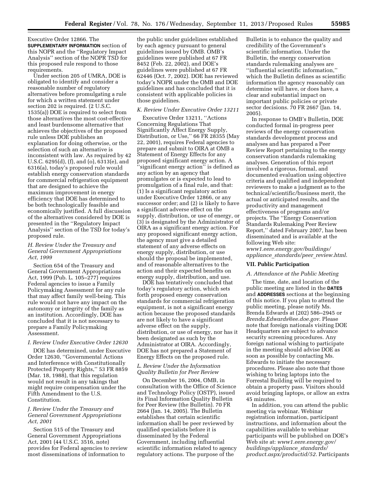Executive Order 12866. The **SUPPLEMENTARY INFORMATION** section of this NOPR and the ''Regulatory Impact Analysis'' section of the NOPR TSD for this proposed rule respond to those requirements.

Under section 205 of UMRA, DOE is obligated to identify and consider a reasonable number of regulatory alternatives before promulgating a rule for which a written statement under section 202 is required. (2 U.S.C. 1535(a)) DOE is required to select from those alternatives the most cost-effective and least burdensome alternative that achieves the objectives of the proposed rule unless DOE publishes an explanation for doing otherwise, or the selection of such an alternative is inconsistent with law. As required by 42 U.S.C. 6295(d), (f), and (o), 6313(e), and 6316(a), today's proposed rule would establish energy conservation standards for commercial refrigeration equipment that are designed to achieve the maximum improvement in energy efficiency that DOE has determined to be both technologically feasible and economically justified. A full discussion of the alternatives considered by DOE is presented in the ''Regulatory Impact Analysis'' section of the TSD for today's proposed rule.

## *H. Review Under the Treasury and General Government Appropriations Act, 1999*

Section 654 of the Treasury and General Government Appropriations Act, 1999 (Pub. L. 105–277) requires Federal agencies to issue a Family Policymaking Assessment for any rule that may affect family well-being. This rule would not have any impact on the autonomy or integrity of the family as an institution. Accordingly, DOE has concluded that it is not necessary to prepare a Family Policymaking Assessment.

## *I. Review Under Executive Order 12630*

DOE has determined, under Executive Order 12630, ''Governmental Actions and Interference with Constitutionally Protected Property Rights,'' 53 FR 8859 (Mar. 18, 1988), that this regulation would not result in any takings that might require compensation under the Fifth Amendment to the U.S. Constitution.

## *J. Review Under the Treasury and General Government Appropriations Act, 2001*

Section 515 of the Treasury and General Government Appropriations Act, 2001 (44 U.S.C. 3516, note) provides for Federal agencies to review most disseminations of information to

the public under guidelines established by each agency pursuant to general guidelines issued by OMB. OMB's guidelines were published at 67 FR 8452 (Feb. 22, 2002), and DOE's guidelines were published at 67 FR 62446 (Oct. 7, 2002). DOE has reviewed today's NOPR under the OMB and DOE guidelines and has concluded that it is consistent with applicable policies in those guidelines.

#### *K. Review Under Executive Order 13211*

Executive Order 13211, ''Actions Concerning Regulations That Significantly Affect Energy Supply, Distribution, or Use,'' 66 FR 28355 (May 22, 2001), requires Federal agencies to prepare and submit to OIRA at OMB a Statement of Energy Effects for any proposed significant energy action. A ''significant energy action'' is defined as any action by an agency that promulgates or is expected to lead to promulgation of a final rule, and that: (1) Is a significant regulatory action under Executive Order 12866, or any successor order; and (2) is likely to have a significant adverse effect on the supply, distribution, or use of energy, or (3) is designated by the Administrator of OIRA as a significant energy action. For any proposed significant energy action, the agency must give a detailed statement of any adverse effects on energy supply, distribution, or use should the proposal be implemented, and of reasonable alternatives to the action and their expected benefits on energy supply, distribution, and use.

DOE has tentatively concluded that today's regulatory action, which sets forth proposed energy conservation standards for commercial refrigeration equipment, is not a significant energy action because the proposed standards are not likely to have a significant adverse effect on the supply, distribution, or use of energy, nor has it been designated as such by the Administrator at OIRA. Accordingly, DOE has not prepared a Statement of Energy Effects on the proposed rule.

## *L. Review Under the Information Quality Bulletin for Peer Review*

On December 16, 2004, OMB, in consultation with the Office of Science and Technology Policy (OSTP), issued its Final Information Quality Bulletin for Peer Review (the Bulletin). 70 FR 2664 (Jan. 14, 2005). The Bulletin establishes that certain scientific information shall be peer reviewed by qualified specialists before it is disseminated by the Federal Government, including influential scientific information related to agency regulatory actions. The purpose of the

Bulletin is to enhance the quality and credibility of the Government's scientific information. Under the Bulletin, the energy conservation standards rulemaking analyses are ''influential scientific information,'' which the Bulletin defines as scientific information the agency reasonably can determine will have, or does have, a clear and substantial impact on important public policies or private sector decisions. 70 FR 2667 (Jan. 14, 2005).

In response to OMB's Bulletin, DOE conducted formal in-progress peer reviews of the energy conservation standards development process and analyses and has prepared a Peer Review Report pertaining to the energy conservation standards rulemaking analyses. Generation of this report involved a rigorous, formal, and documented evaluation using objective criteria and qualified and independent reviewers to make a judgment as to the technical/scientific/business merit, the actual or anticipated results, and the productivity and management effectiveness of programs and/or projects. The ''Energy Conservation Standards Rulemaking Peer Review Report,'' dated February 2007, has been disseminated and is available at the following Web site: *[www1.eere.energy.gov/buildings/](http://www1.eere.energy.gov/buildings/appliance_standards/peer_review.html) appliance*\_*[standards/peer](http://www1.eere.energy.gov/buildings/appliance_standards/peer_review.html)*\_*review.html*.

#### **VII. Public Participation**

## *A. Attendance at the Public Meeting*

The time, date, and location of the public meeting are listed in the **DATES** and **ADDRESSES** sections at the beginning of this notice. If you plan to attend the public meeting, please notify Ms. Brenda Edwards at (202) 586–2945 or *[Brenda.Edwards@ee.doe.gov](mailto:Brenda.Edwards@ee.doe.gov)*. Please note that foreign nationals visiting DOE Headquarters are subject to advance security screening procedures. Any foreign national wishing to participate in the meeting should advise DOE as soon as possible by contacting Ms. Edwards to initiate the necessary procedures. Please also note that those wishing to bring laptops into the Forrestal Building will be required to obtain a property pass. Visitors should avoid bringing laptops, or allow an extra 45 minutes.

In addition, you can attend the public meeting via webinar. Webinar registration information, participant instructions, and information about the capabilities available to webinar participants will be published on DOE's Web site at: *[www1.eere.energy.gov/](http://www1.eere.energy.gov/buildings/appliance_standards/product.aspx/productid/52) [buildings/appliance](http://www1.eere.energy.gov/buildings/appliance_standards/product.aspx/productid/52)*\_*standards/ [product.aspx/productid/52](http://www1.eere.energy.gov/buildings/appliance_standards/product.aspx/productid/52)*. Participants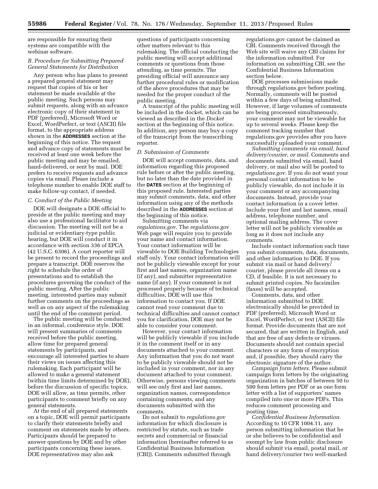are responsible for ensuring their systems are compatible with the webinar software.

## *B. Procedure for Submitting Prepared General Statements for Distribution*

Any person who has plans to present a prepared general statement may request that copies of his or her statement be made available at the public meeting. Such persons may submit requests, along with an advance electronic copy of their statement in PDF (preferred), Microsoft Word or Excel, WordPerfect, or text (ASCII) file format, to the appropriate address shown in the **ADDRESSES** section at the beginning of this notice. The request and advance copy of statements must be received at least one week before the public meeting and may be emailed, hand-delivered, or sent by mail. DOE prefers to receive requests and advance copies via email. Please include a telephone number to enable DOE staff to make follow-up contact, if needed.

### *C. Conduct of the Public Meeting*

DOE will designate a DOE official to preside at the public meeting and may also use a professional facilitator to aid discussion. The meeting will not be a judicial or evidentiary-type public hearing, but DOE will conduct it in accordance with section 336 of EPCA (42 U.S.C. 6306). A court reporter will be present to record the proceedings and prepare a transcript. DOE reserves the right to schedule the order of presentations and to establish the procedures governing the conduct of the public meeting. After the public meeting, interested parties may submit further comments on the proceedings as well as on any aspect of the rulemaking until the end of the comment period.

The public meeting will be conducted in an informal, conference style. DOE will present summaries of comments received before the public meeting, allow time for prepared general statements by participants, and encourage all interested parties to share their views on issues affecting this rulemaking. Each participant will be allowed to make a general statement (within time limits determined by DOE), before the discussion of specific topics. DOE will allow, as time permits, other participants to comment briefly on any general statements.

At the end of all prepared statements on a topic, DOE will permit participants to clarify their statements briefly and comment on statements made by others. Participants should be prepared to answer questions by DOE and by other participants concerning these issues. DOE representatives may also ask

questions of participants concerning other matters relevant to this rulemaking. The official conducting the public meeting will accept additional comments or questions from those attending, as time permits. The presiding official will announce any further procedural rules or modification of the above procedures that may be needed for the proper conduct of the public meeting.

A transcript of the public meeting will be included in the docket, which can be viewed as described in the *Docket*  section at the beginning of this notice. In addition, any person may buy a copy of the transcript from the transcribing reporter.

## *D. Submission of Comments*

DOE will accept comments, data, and information regarding this proposed rule before or after the public meeting, but no later than the date provided in the **DATES** section at the beginning of this proposed rule. Interested parties may submit comments, data, and other information using any of the methods described in the **ADDRESSES** section at the beginning of this notice.

Submitting comments via *regulations.gov.* The *regulations.gov*  Web page will require you to provide your name and contact information. Your contact information will be viewable to DOE Building Technologies staff only. Your contact information will not be publicly viewable except for your first and last names, organization name (if any), and submitter representative name (if any). If your comment is not processed properly because of technical difficulties, DOE will use this information to contact you. If DOE cannot read your comment due to technical difficulties and cannot contact you for clarification, DOE may not be able to consider your comment.

However, your contact information will be publicly viewable if you include it in the comment itself or in any documents attached to your comment. Any information that you do not want to be publicly viewable should not be included in your comment, nor in any document attached to your comment. Otherwise, persons viewing comments will see only first and last names, organization names, correspondence containing comments, and any documents submitted with the comments.

Do not submit to *regulations.gov*  information for which disclosure is restricted by statute, such as trade secrets and commercial or financial information (hereinafter referred to as Confidential Business Information (CBI)). Comments submitted through

regulations.gov cannot be claimed as CBI. Comments received through the Web site will waive any CBI claims for the information submitted. For information on submitting CBI, see the Confidential Business Information section below.

DOE processes submissions made through regulations.gov before posting. Normally, comments will be posted within a few days of being submitted. However, if large volumes of comments are being processed simultaneously, your comment may not be viewable for up to several weeks. Please keep the comment tracking number that regulations.gov provides after you have successfully uploaded your comment.

*Submitting comments via email, hand delivery/courier, or mail.* Comments and documents submitted via email, hand delivery, or mail also will be posted to *regulations.gov.* If you do not want your personal contact information to be publicly viewable, do not include it in your comment or any accompanying documents. Instead, provide your contact information in a cover letter. Include your first and last names, email address, telephone number, and optional mailing address. The cover letter will not be publicly viewable as long as it does not include any comments.

Include contact information each time you submit comments, data, documents, and other information to DOE. If you submit via mail or hand delivery/ courier, please provide all items on a CD, if feasible. It is not necessary to submit printed copies. No facsimiles (faxes) will be accepted.

Comments, data, and other information submitted to DOE electronically should be provided in PDF (preferred), Microsoft Word or Excel, WordPerfect, or text (ASCII) file format. Provide documents that are not secured, that are written in English, and that are free of any defects or viruses. Documents should not contain special characters or any form of encryption and, if possible, they should carry the electronic signature of the author.

*Campaign form letters.* Please submit campaign form letters by the originating organization in batches of between 50 to 500 form letters per PDF or as one form letter with a list of supporters' names compiled into one or more PDFs. This reduces comment processing and posting time.

*Confidential Business Information.*  According to 10 CFR 1004.11, any person submitting information that he or she believes to be confidential and exempt by law from public disclosure should submit via email, postal mail, or hand delivery/courier two well-marked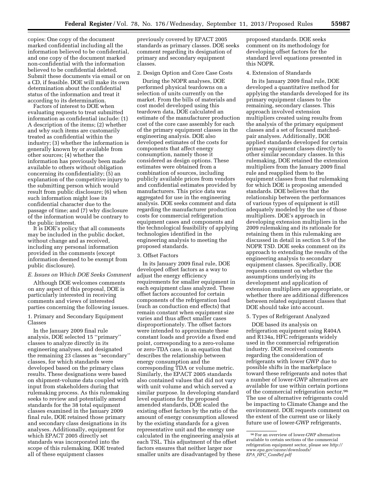copies: One copy of the document marked confidential including all the information believed to be confidential, and one copy of the document marked non-confidential with the information believed to be confidential deleted. Submit these documents via email or on a CD, if feasible. DOE will make its own determination about the confidential status of the information and treat it according to its determination.

Factors of interest to DOE when evaluating requests to treat submitted information as confidential include: (1) A description of the items; (2) whether and why such items are customarily treated as confidential within the industry; (3) whether the information is generally known by or available from other sources; (4) whether the information has previously been made available to others without obligation concerning its confidentiality; (5) an explanation of the competitive injury to the submitting person which would result from public disclosure; (6) when such information might lose its confidential character due to the passage of time; and (7) why disclosure of the information would be contrary to the public interest.

It is DOE's policy that all comments may be included in the public docket, without change and as received, including any personal information provided in the comments (except information deemed to be exempt from public disclosure).

#### *E. Issues on Which DOE Seeks Comment*

Although DOE welcomes comments on any aspect of this proposal, DOE is particularly interested in receiving comments and views of interested parties concerning the following issues.

### 1. Primary and Secondary Equipment Classes

In the January 2009 final rule analysis, DOE selected 15 ''primary'' classes to analyze directly in its engineering analyses, and designated the remaining 23 classes as ''secondary'' classes, for which standards were developed based on the primary class results. These designations were based on shipment-volume data coupled with input from stakeholders during that rulemaking process. As this rulemaking seeks to review and potentially amend standards for the 38 total equipment classes examined in the January 2009 final rule, DOE retained those primary and secondary class designations in its analyses. Additionally, equipment for which EPACT 2005 directly set standards was incorporated into the scope of this rulemaking. DOE treated all of these equipment classes

previously covered by EPACT 2005 standards as primary classes. DOE seeks comment regarding its designation of primary and secondary equipment classes.

#### 2. Design Option and Core Case Costs

During the NOPR analyses, DOE performed physical teardowns on a selection of units currently on the market. From the bills of materials and cost model developed using this teardown data, DOE calculated an estimate of the manufacturer production cost of the core case assembly for each of the primary equipment classes in the engineering analysis. DOE also developed estimates of the costs for components that affect energy consumption, namely those it considered as design options. These estimates were obtained from a combination of sources, including publicly available prices from vendors and confidential estimates provided by manufacturers. This price data was aggregated for use in the engineering analysis. DOE seeks comment and data regarding the manufacturer production costs for commercial refrigeration equipment cases and components and the technological feasibility of applying technologies identified in the engineering analysis to meeting the proposed standards.

#### 3. Offset Factors

In its January 2009 final rule, DOE developed offset factors as a way to adjust the energy efficiency requirements for smaller equipment in each equipment class analyzed. These offset factors accounted for certain components of the refrigeration load (such as conduction end effects) that remain constant when equipment size varies and thus affect smaller cases disproportionately. The offset factors were intended to approximate these constant loads and provide a fixed end point, corresponding to a zero-volume or zero-TDA case, in an equation that describes the relationship between energy consumption and the corresponding TDA or volume metric. Similarly, the EPACT 2005 standards also contained values that did not vary with unit volume and which served a similar purpose. In developing standard level equations for the proposed amended standards, DOE scaled the existing offset factors by the ratio of the amount of energy consumption allowed by the existing standards for a given representative unit and the energy use calculated in the engineering analysis at each TSL. This adjustment of the offset factors ensures that neither larger nor smaller units are disadvantaged by these

proposed standards. DOE seeks comment on its methodology for developing offset factors for the standard level equations presented in this NOPR.

#### 4. Extension of Standards

In its January 2009 final rule, DOE developed a quantitative method for applying the standards developed for its primary equipment classes to the remaining, secondary classes. This approach involved extension multipliers created using results from the analysis of the primary equipment classes and a set of focused matchedpair analyses. Additionally, DOE applied standards developed for certain primary equipment classes directly to other similar secondary classes. In this rulemaking, DOE retained the extension multipliers from the January 2009 final rule and reapplied them to the equipment classes from that rulemaking for which DOE is proposing amended standards. DOE believes that the relationship between the performances of various types of equipment is still adequately modeled by the use of those multipliers. DOE's approach in developing extension multipliers in the 2009 rulemaking and its rationale for retaining them in this rulemaking are discussed in detail in section 5.9 of the NOPR TSD. DOE seeks comment on its approach to extending the results of the engineering analysis to secondary equipment classes. Specifically, DOE requests comment on whether the assumptions underlying its development and application of extension multipliers are appropriate, or whether there are additional differences between related equipment classes that DOE should take into account.

### 5. Types of Refrigerant Analyzed

DOE based its analysis on refrigeration equipment using R404A and R134a, HFC refrigerants widely used in the commercial refrigeration industry. DOE received comments regarding the consideration of refrigerants with lower GWP due to possible shifts in the marketplace toward these refrigerants and notes that a number of lower-GWP alternatives are available for use within certain portions of the commercial refrigeration sector.96 The use of alternative refrigerants could be impacting to Climate Change and the environment. DOE requests comment on the extent of the current use or likely future use of lower-GWP refrigerants,

 $^{96}\rm{For}$  an overview of lower-GWP alternatives available to certain sections of the commercial refrigeration equipment sector, please see *[http://](http://www.epa.gov/ozone/downloads/EPA_HFC_ComRef.pdf)  [www.epa.gov/ozone/downloads/](http://www.epa.gov/ozone/downloads/EPA_HFC_ComRef.pdf)  EPA*\_*HFC*\_*[ComRef.pdf](http://www.epa.gov/ozone/downloads/EPA_HFC_ComRef.pdf)*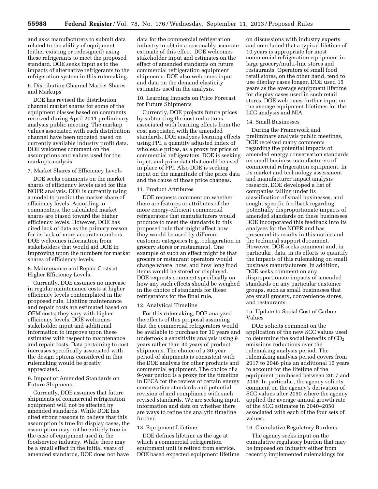and asks manufacturers to submit data related to the ability of equipment (either existing or redesigned) using these refrigerants to meet the proposed standard. DOE seeks input as to the impacts of alternative refrigerants to the refrigeration system in this rulemaking.

## 6. Distribution Channel Market Shares and Markups

DOE has revised the distribution channel market shares for some of the equipment classes based on comments received during April 2011 preliminary analysis public meeting. The markup values associated with each distribution channel have been updated based on currently available industry profit data. DOE welcomes comment on the assumptions and values used for the markups analysis.

#### 7. Market Shares of Efficiency Levels

DOE seeks comments on the market shares of efficiency levels used for this NOPR analysis. DOE is currently using a model to predict the market share of efficiency levels. According to commenters, the calculated market shares are biased toward the higher efficiency levels. However, DOE has cited lack of data as the primary reason for its lack of more accurate numbers. DOE welcomes information from stakeholders that would aid DOE in improving upon the numbers for market shares of efficiency levels.

## 8. Maintenance and Repair Costs at Higher Efficiency Levels.

Currently, DOE assumes no increase in regular maintenance costs at higher efficiency levels contemplated in the proposed rule. Lighting maintenance and repair costs are estimated based on OEM costs; they vary with higher efficiency levels. DOE welcomes stakeholder input and additional information to improve upon these estimates with respect to maintenance and repair costs. Data pertaining to cost increases specifically associated with the design options considered in this rulemaking would be greatly appreciated.

### 9. Impact of Amended Standards on Future Shipments

Currently, DOE assumes that future shipments of commercial refrigeration equipment will not be affected by amended standards. While DOE has cited strong reasons to believe that this assumption is true for display cases, the assumption may not be entirely true in the case of equipment used in the foodservice industry. While there may be a small effect in the initial years of amended standards, DOE does not have

data for the commercial refrigeration industry to obtain a reasonably accurate estimate of this effect. DOE welcomes stakeholder input and estimates on the effect of amended standards on future commercial refrigeration equipment shipments. DOE also welcomes input and data on the demand elasticity estimates used in the analysis.

## 10. Learning Impacts on Price Forecast for Future Shipments

Currently, DOE projects future prices by subtracting the cost reductions associated with learning effects from the cost associated with the amended standards. DOE analyzes learning effects using PPI, a quantity adjusted index of wholesale prices, as a proxy for price of commercial refrigerators. DOE is seeking input, and price data that could be used in place of PPI. Also DOE is seeking input on the magnitude of the price data and the cause of those price changes.

## 11. Product Attributes

DOE requests comment on whether there are features or attributes of the more energy-efficient commercial refrigerators that manufacturers would produce to meet the standards in this proposed rule that might affect how they would be used by different customer categories (e.g., refrigeration in grocery stores or restaurants). One example of such an effect might be that grocers or restaurant operators would change where, how, and how long food items would be stored or displayed. DOE requests comment specifically on how any such effects should be weighed in the choice of standards for these refrigerators for the final rule.

#### 12. Analytical Timeline

For this rulemaking, DOE analyzed the effects of this proposal assuming that the commercial refrigerators would be available to purchase for 30 years and undertook a sensitivity analysis using 9 years rather than 30 years of product shipments. The choice of a 30-year period of shipments is consistent with the DOE analysis for other products and commercial equipment. The choice of a 9-year period is a proxy for the timeline in EPCA for the review of certain energy conservation standards and potential revision of and compliance with such revised standards. We are seeking input, information and data on whether there are ways to refine the analytic timeline further.

#### 13. Equipment Lifetime

DOE defines lifetime as the age at which a commercial refrigeration equipment unit is retired from service. DOE based expected equipment lifetime

on discussions with industry experts and concluded that a typical lifetime of 10 years is appropriate for most commercial refrigeration equipment in large grocery/multi-line stores and restaurants. Operators of small food retail stores, on the other hand, tend to use display cases longer. DOE used 15 years as the average equipment lifetime for display cases used in such retail stores. DOE welcomes further input on the average equipment lifetimes for the LCC analysis and NIA.

## 14. Small Businesses

During the Framework and preliminary analysis public meetings, DOE received many comments regarding the potential impacts of amended energy conservation standards on small business manufacturers of commercial refrigeration equipment. In its market and technology assessment and manufacturer impact analysis research, DOE developed a list of companies falling under its classification of small businesses, and sought specific feedback regarding potentially disproportionate impacts of amended standards on these businesses. DOE incorporated this feedback into its analyses for the NOPR and has presented its results in this notice and the technical support document. However, DOE seeks comment and, in particular, data, in its efforts to quantify the impacts of this rulemaking on small business manufacturers. In addition, DOE seeks comment on any disproportionate impacts of amended standards on any particular customer groups, such as small businesses that are small grocery, convenience stores, and restaurants.

## 15. Update to Social Cost of Carbon Values

DOE solicits comment on the application of the new SCC values used to determine the social benefits of  $CO<sub>2</sub>$ emissions reductions over the rulemaking analysis period. The rulemaking analysis period covers from 2017 to 2046 plus an additional 15 years to account for the lifetime of the equipment purchased between 2017 and 2046. In particular, the agency solicits comment on the agency's derivation of SCC values after 2050 where the agency applied the average annual growth rate of the SCC estimates in 2040–2050 associated with each of the four sets of values.

#### 16. Cumulative Regulatory Burdens

The agency seeks input on the cumulative regulatory burden that may be imposed on industry either from recently implemented rulemakings for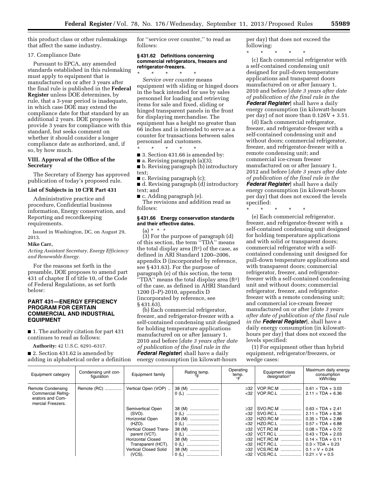this product class or other rulemakings that affect the same industry.

## 17. Compliance Date

Pursuant to EPCA, any amended standards established in this rulemaking must apply to equipment that is manufactured on or after 3 years after the final rule is published in the **Federal Register** unless DOE determines, by rule, that a 3-year period is inadequate, in which case DOE may extend the compliance date for that standard by an additional 2 years. DOE proposes to provide 3 years for compliance with this standard, but seeks comment on whether it should consider a longer compliance date as authorized, and, if so, by how much.

## **VIII. Approval of the Office of the Secretary**

The Secretary of Energy has approved publication of today's proposed rule.

## **List of Subjects in 10 CFR Part 431**

Administrative practice and procedure, Confidential business information, Energy conservation, and Reporting and recordkeeping requirements.

Issued in Washington, DC, on August 29, 2013.

#### **Mike Carr,**

*Acting Assistant Secretary, Energy Efficiency and Renewable Energy.* 

For the reasons set forth in the preamble, DOE proposes to amend part 431 of chapter II of title 10, of the Code of Federal Regulations, as set forth below:

## **PART 431—ENERGY EFFICIENCY PROGRAM FOR CERTAIN COMMERCIAL AND INDUSTRIAL EQUIPMENT**

■ 1. The authority citation for part 431 continues to read as follows:

**Authority:** 42 U.S.C. 6291–6317.

■ 2. Section 431.62 is amended by adding in alphabetical order a definition for ''service over counter,'' to read as follows:

## **§ 431.62 Definitions concerning commercial refrigerators, freezers and refrigerator-freezers.**

\* \* \* \* \* *Service over counter* means equipment with sliding or hinged doors in the back intended for use by sales personnel for loading and retrieving items for sale and fixed, sliding or hinged transparent panels in the front for displaying merchandise. The equipment has a height no greater than 66 inches and is intended to serve as a counter for transactions between sales personnel and customers.

\* \* \* \* \* ■ 3. Section 431.66 is amended by:

 $\blacksquare$  a. Revising paragraph (a)(3);

■ b. Revising paragraph (b) introductory text;

■ c. Revising paragraph (c);

■ d. Revising paragraph (d) introductory text; and

■ c. Adding paragraph (e). The revisions and addition read as

follows:

## **§ 431.66 Energy conservation standards and their effective dates.**

 $(a) * * * *$ 

(3) For the purpose of paragraph (d) of this section, the term ''TDA'' means the total display area  $(ft<sup>2</sup>)$  of the case, as defined in ARI Standard 1200–2006, appendix D (incorporated by reference, see § 431.63). For the purpose of paragraph (e) of this section, the term ''TDA'' means the total display area (ft2) of the case, as defined in AHRI Standard 1200 (I–P)-2010, appendix D (incorporated by reference, see § 431.63).

(b) Each commercial refrigerator, freezer, and refrigerator-freezer with a self-contained condensing unit designed for holding temperature applications manufactured on or after January 1, 2010 and before [*date 3 years after date of publication of the final rule in the Federal Register*] shall have a daily energy consumption (in kilowatt-hours

per day) that does not exceed the following:

\* \* \* \* \* (c) Each commercial refrigerator with a self-contained condensing unit designed for pull-down temperature applications and transparent doors manufactured on or after January 1, 2010 and before [*date 3 years after date of publication of the final rule in the Federal Register*] shall have a daily energy consumption (in kilowatt-hours per day) of not more than  $0.126V + 3.51$ .

(d) Each commercial refrigerator, freezer, and refrigerator-freezer with a self-contained condensing unit and without doors; commercial refrigerator, freezer, and refrigerator-freezer with a remote condensing unit; and commercial ice-cream freezer manufactured on or after January 1, 2012 and before [*date 3 years after date of publication of the final rule in the Federal Register*] shall have a daily energy consumption (in kilowatt-hours per day) that does not exceed the levels specified:

\* \* \* \* \*

(e) Each commercial refrigerator, freezer, and refrigerator-freezer with a self-contained condensing unit designed for holding temperature applications and with solid or transparent doors; commercial refrigerator with a selfcontained condensing unit designed for pull-down temperature applications and with transparent doors; commercial refrigerator, freezer, and refrigeratorfreezer with a self-contained condensing unit and without doors; commercial refrigerator, freezer, and refrigeratorfreezer with a remote condensing unit; and commercial ice-cream freezer manufactured on or after [*date 3 years after date of publication of the final rule in the Federal Register*], shall have a daily energy consumption (in kilowatthours per day) that does not exceed the levels specified:

(1) For equipment other than hybrid equipment, refrigerator/freezers, or wedge cases:

| Equipment category                                                                             | Condensing unit con-<br>figuration | Equipment family              | Rating temp.    | Operating<br>temp. | Equipment class<br>designation* | Maximum daily energy<br>consumption<br>kWh/dav       |
|------------------------------------------------------------------------------------------------|------------------------------------|-------------------------------|-----------------|--------------------|---------------------------------|------------------------------------------------------|
| <b>Remote Condensing</b><br><b>Commercial Refrig-</b><br>erators and Com-<br>mercial Freezers. | Remote (RC)                        | Vertical Open (VOP)           | 38 (M)<br>0 (L) | $\geq$ 32<br>$32$  | VOP.RC.M   <br>VOP.RC.L         | $0.61 \times TDA + 3.03$<br>$2.11 \times TDA + 6.36$ |
|                                                                                                |                                    | Semivertical Open             |                 | $\geq$ 32          | SVO.RC.M                        | $0.63 \times TDA + 2.41$                             |
|                                                                                                |                                    | (SVO).                        |                 | $32$               | SVO.RC.L                        | $2.11 \times TDA + 6.36$                             |
|                                                                                                |                                    | Horizontal Open               | 38 (M)          | $\geq$ 32          | HZO.RC.M                        | $0.35 \times TDA + 2.88$                             |
|                                                                                                |                                    | (HZO).                        | 0(L)            | $32$               | HZO.RC.L                        | $0.57 \times TDA + 6.88$                             |
|                                                                                                |                                    | <b>Vertical Closed Trans-</b> | 38 (M)          | ≥32                | <b>VCT.RC.M</b>                 | $0.08 \times TDA + 0.72$                             |
|                                                                                                |                                    | parent (VCT).                 |                 | <32                | <b>VCT.RC.L</b>                 | $0.43 \times TDA + 2.03$                             |
|                                                                                                |                                    | <b>Horizontal Closed</b>      | 38 (M)          | ≥32                | HCT.RC.M                        | $0.14 \times TDA + 0.11$                             |
|                                                                                                |                                    | Transparent (HCT).            |                 | $32$               | HCT.RC.L                        | $0.3 \times TDA + 0.23$                              |
|                                                                                                |                                    | <b>Vertical Closed Solid</b>  | 38 (M)          | ≥32                | VCS.RC.M                        | $0.1 \times V + 0.24$                                |
|                                                                                                |                                    | $(VCS)$ .                     | 0 (L)           | $32$               |                                 |                                                      |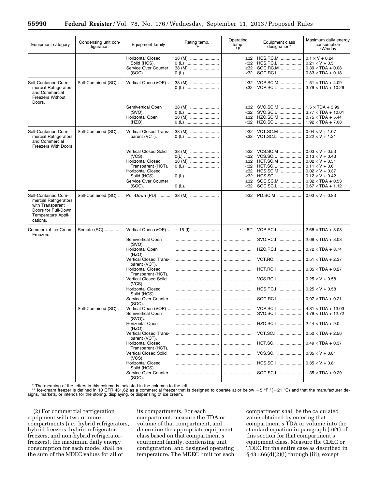| Equipment category                                                                                                        | Condensing unit con-<br>figuration | Equipment family                                                                                                                                                             | Rating temp.<br>°F                                        | Operating<br>temp.<br>F                                                          | Equipment class<br>designation*                                                                     | Maximum daily energy<br>consumption<br>kWh/day                                                                                                                                                                  |
|---------------------------------------------------------------------------------------------------------------------------|------------------------------------|------------------------------------------------------------------------------------------------------------------------------------------------------------------------------|-----------------------------------------------------------|----------------------------------------------------------------------------------|-----------------------------------------------------------------------------------------------------|-----------------------------------------------------------------------------------------------------------------------------------------------------------------------------------------------------------------|
|                                                                                                                           |                                    | <b>Horizontal Closed</b><br>Solid (HCS).<br>Service Over Counter<br>(SOC).                                                                                                   | 38 (M)<br>0 (L)<br>38 (M)<br>0(L)                         | $\geq$ 32<br>$32$<br>$\geq 32$<br>$32$                                           | HCS.RC.M<br>HCS.RC.L<br>SOC.RC.M<br>SOC.RC.L                                                        | $0.1 \times V + 0.24$<br>$0.21 \times V + 0.5$<br>$0.39 \times TDA + 0.08$<br>$0.83 \times TDA + 0.18$                                                                                                          |
| Self-Contained Com-<br>mercial Refrigerators<br>and Commercial<br><b>Freezers Without</b><br>Doors.                       | Self-Contained (SC)                | Vertical Open (VOP)                                                                                                                                                          | 38 (M)<br>0(L)                                            | $\geq$ 32<br>$32$                                                                | VOP.SC.M<br>VOP.SC.L                                                                                | $1.51 \times TDA + 4.09$<br>$3.79 \times TDA + 10.26$                                                                                                                                                           |
|                                                                                                                           |                                    | Semivertical Open<br>(SVO).<br>Horizontal Open<br>$(HZO)$ .                                                                                                                  | 38 (M)<br>0 (L)<br>38 (M)<br>0 (L)                        | $\geq 32$<br>$32$<br>$\geq 32$<br>$32$                                           | SVO.SC.M<br>SVO.SC.L<br>HZO.SC.M<br>HZO.SC.L                                                        | $1.5 \times TDA + 3.99$<br>$3.77 \times TDA + 10.01$<br>$0.75 \times TDA + 5.44$<br>$1.92 \times TDA + 7.08$                                                                                                    |
| Self-Contained Com-<br>mercial Refrigerators<br>and Commercial<br>Freezers With Doors.                                    | Self-Contained (SC)                | Vertical Closed Trans-<br>parent (VCT).                                                                                                                                      | 38 (M)<br>0(L)                                            | $\geq 32$<br>$32$                                                                | <b>VCT.SC.M </b><br><b>VCT.SC.L</b>                                                                 | $0.04 \times V + 1.07$<br>$0.22 \times V + 1.21$                                                                                                                                                                |
|                                                                                                                           |                                    | <b>Vertical Closed Solid</b><br>$(VCS)$ .<br><b>Horizontal Closed</b><br>Transparent (HCT).<br><b>Horizontal Closed</b><br>Solid (HCS).<br>Service Over Counter<br>$(SOC)$ . | 38 (M)<br>0(L)<br>38 (M)<br>0 (L)<br>$0(L)$ .<br>$0(L)$ . | $\geq$ 32<br>$32$<br>$\geq 32$<br>$32$<br>$\geq 32$<br>$32$<br>$\geq 32$<br>$32$ | VCS.SC.M<br>VCS.SC.L<br><b>HCT.SC.M</b><br>HCT.SC.L<br>HCS.SC.M<br>HCS.SC.L<br>SOC.SC.M<br>SOC.SC.L | $0.03 \times V + 0.53$<br>$0.13 \times V + 0.43$<br>$0.02 \times V + 0.51$<br>$0.11 \times V + 0.6$<br>$0.02 \times V + 0.37$<br>$0.12 \times V + 0.42$<br>$0.32 \times TDA + 0.53$<br>$0.67 \times TDA + 1.12$ |
| Self-Contained Com-<br>mercial Refrigerators<br>with Transparent<br>Doors for Pull-Down<br>Temperature Appli-<br>cations. | Self-Contained (SC)                | Pull-Down (PD)                                                                                                                                                               | 38 (M)                                                    | $\geq 32$                                                                        | PD.SC.M                                                                                             | $0.03\times V$ + 0.83                                                                                                                                                                                           |
| Commercial Ice-Cream<br>Freezers.                                                                                         | Remote (RC)                        | Vertical Open (VOP)                                                                                                                                                          | $-15$ (l)                                                 | $\le -5**$                                                                       | VOP.RC.I                                                                                            | $2.68 \times TDA + 8.08$                                                                                                                                                                                        |
|                                                                                                                           |                                    | Semivertical Open<br>(SVO).<br>Horizontal Open<br>$(HZO)$ .                                                                                                                  |                                                           |                                                                                  | SVO.RC.I<br>HZO.RC.I                                                                                | $2.68 \times TDA + 8.08$<br>$0.72 \times TDA + 8.74$                                                                                                                                                            |
|                                                                                                                           |                                    | Vertical Closed Trans-<br>parent (VCT).                                                                                                                                      |                                                           |                                                                                  | VCT.RC.I                                                                                            | $0.51 \times TDA + 2.37$                                                                                                                                                                                        |
|                                                                                                                           |                                    | <b>Horizontal Closed</b><br>Transparent (HCT).<br><b>Vertical Closed Solid</b>                                                                                               |                                                           | <br>                                                                             | HCT.RC.I<br>VCS.RC.I                                                                                | $0.35 \times TDA + 0.27$<br>$0.25 \times V + 0.58$                                                                                                                                                              |
|                                                                                                                           |                                    | $(VCS)$ .<br><b>Horizontal Closed</b>                                                                                                                                        |                                                           |                                                                                  | HCS.RC.I                                                                                            | $0.25 \times V + 0.58$                                                                                                                                                                                          |
|                                                                                                                           |                                    | Solid (HCS).<br>Service Over Counter                                                                                                                                         |                                                           |                                                                                  |                                                                                                     | $0.97 \times TDA + 0.21$                                                                                                                                                                                        |
|                                                                                                                           | Self-Contained (SC)                | $(SOC)$ .<br>Vertical Open (VOP)<br>Semivertical Open<br>(SVO)\.                                                                                                             |                                                           |                                                                                  | SVO.SC.I                                                                                            | $4.79 \times TDA + 12.72$                                                                                                                                                                                       |
|                                                                                                                           |                                    | Horizontal Open<br>$(HZO)$ .                                                                                                                                                 |                                                           |                                                                                  | HZO.SC.I                                                                                            | $2.44 \times TDA + 9.0$                                                                                                                                                                                         |
|                                                                                                                           |                                    | Vertical Closed Trans-<br>parent (VCT).                                                                                                                                      |                                                           |                                                                                  | VCT.SC.I                                                                                            | $0.52 \times TDA + 2.56$                                                                                                                                                                                        |
|                                                                                                                           |                                    | <b>Horizontal Closed</b><br>Transparent (HCT).                                                                                                                               |                                                           |                                                                                  | HCT.SC.I                                                                                            | $0.49 \times TDA + 0.37$                                                                                                                                                                                        |
|                                                                                                                           |                                    | Vertical Closed Solid<br>$(VCS)$ .                                                                                                                                           |                                                           |                                                                                  | VCS.SC.I                                                                                            | $0.35 \times V + 0.81$                                                                                                                                                                                          |
|                                                                                                                           |                                    | <b>Horizontal Closed</b><br>Solid (HCS).<br>Service Over Counter                                                                                                             |                                                           |                                                                                  | HCS.SC.I                                                                                            | $0.35 \times V + 0.81$                                                                                                                                                                                          |
|                                                                                                                           |                                    | $(SOC)$ .                                                                                                                                                                    |                                                           |                                                                                  | SOC.SC.I                                                                                            | $1.35 \times TDA + 0.29$                                                                                                                                                                                        |

\* The meaning of the letters in this column is indicated in the columns to the left.<br>\*\* Ice-cream freezer is defined in 10 CFR 431.62 as a commercial freezer that is designed to operate at or below -5 °F \*(-21 °C) and that

(2) For commercial refrigeration equipment with two or more compartments (*i.e.,* hybrid refrigerators, hybrid freezers, hybrid refrigeratorfreezers, and non-hybrid refrigeratorfreezers), the maximum daily energy consumption for each model shall be the sum of the MDEC values for all of

its compartments. For each compartment, measure the TDA or volume of that compartment, and determine the appropriate equipment class based on that compartment's equipment family, condensing unit configuration, and designed operating temperature. The MDEC limit for each compartment shall be the calculated value obtained by entering that compartment's TDA or volume into the standard equation in paragraph (e)(1) of this section for that compartment's equipment class. Measure the CDEC or TDEC for the entire case as described in § 431.66(d)(2)(i) through (iii), except